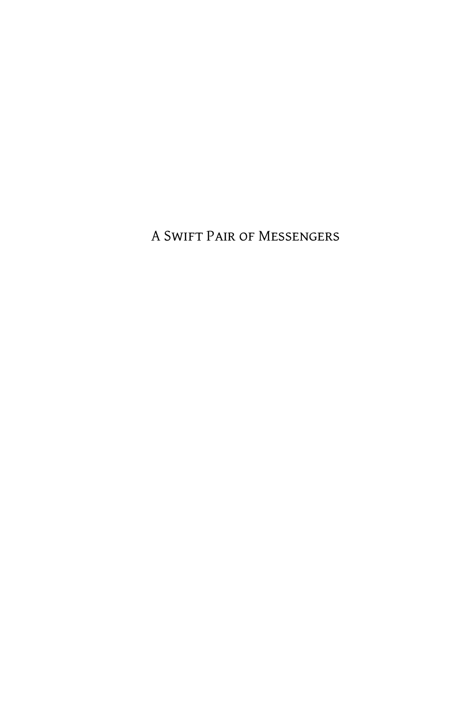A Swift Pair of Messengers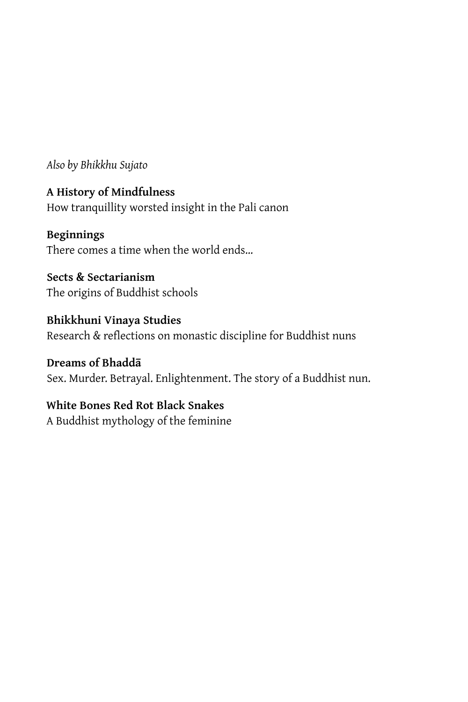*Also by Bhikkhu Sujato*

**A History of Mindfulness** How tranquillity worsted insight in the Pali canon

**Beginnings** There comes a time when the world ends…

**Sects & Sectarianism** The origins of Buddhist schools

**Bhikkhuni Vinaya Studies** Research & reflections on monastic discipline for Buddhist nuns

**Dreams of Bhaddā** Sex. Murder. Betrayal. Enlightenment. The story of a Buddhist nun.

### **White Bones Red Rot Black Snakes**

A Buddhist mythology of the feminine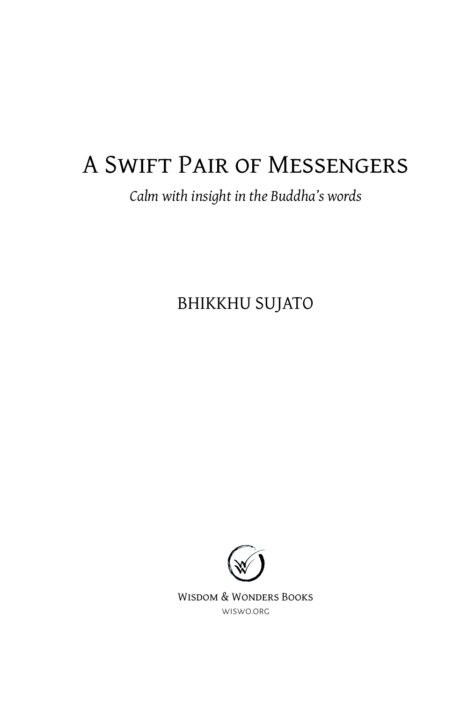## A Swift Pair of Messengers

## *Calm with insight in the Buddha's words*

BHIKKHU SUJATO



Wisdom & Wonders Books [wiswo.org](https://wiswo.org/)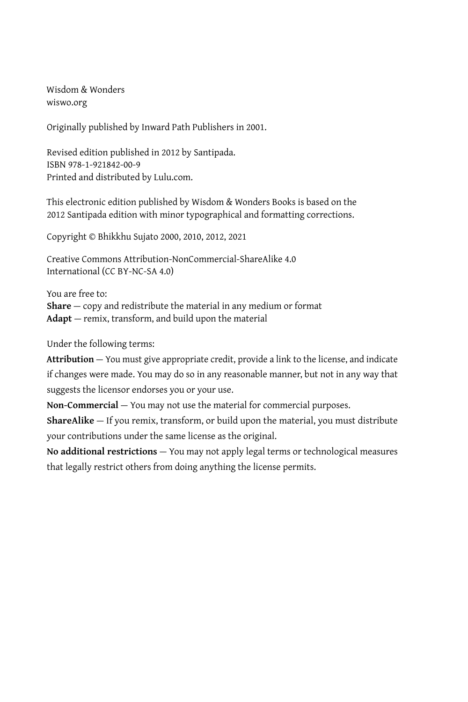Wisdom & Wonders [wiswo.org](https://wiswo.org/)

Originally published by Inward Path Publishers in 2001.

Revised edition published in 2012 by Santipada. ISBN 978-1-921842-00-9 Printed and distributed by Lulu.com.

This electronic edition published by Wisdom & Wonders Books is based on the 2012 Santipada edition with minor typographical and formatting corrections.

Copyright © Bhikkhu Sujato 2000, 2010, 2012, 2021

Creative Commons Attribution-NonCommercial-ShareAlike 4.0 International (CC BY-NC-SA 4.0)

You are free to:

**Share** — copy and redistribute the material in any medium or format **Adapt** — remix, transform, and build upon the material

Under the following terms:

**Attribution** — You must give appropriate credit, provide a link to the license, and indicate if changes were made. You may do so in any reasonable manner, but not in any way that suggests the licensor endorses you or your use.

**Non-Commercial** — You may not use the material for commercial purposes.

**ShareAlike** — If you remix, transform, or build upon the material, you must distribute your contributions under the same license as the original.

**No additional restrictions** — You may not apply legal terms or technological measures that legally restrict others from doing anything the license permits.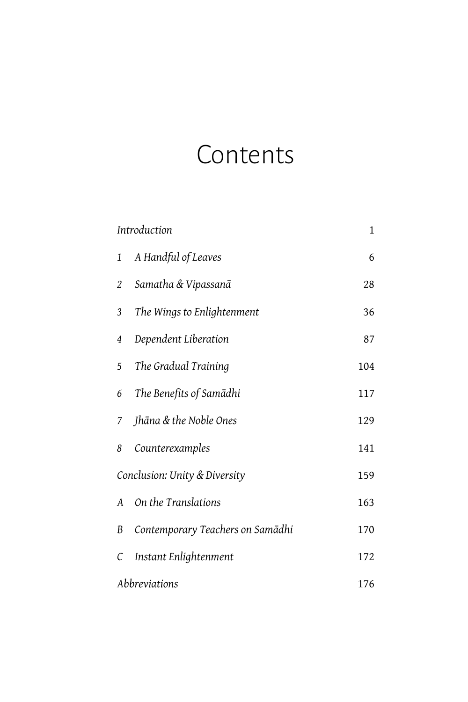# **Contents**

| Introduction                  |                                  | $\mathbf{1}$ |
|-------------------------------|----------------------------------|--------------|
| 1                             | A Handful of Leaves              | 6            |
| 2                             | Samatha & Vipassanā              | 28           |
| 3                             | The Wings to Enlightenment       | 36           |
| 4                             | Dependent Liberation             | 87           |
| 5                             | The Gradual Training             | 104          |
| 6                             | The Benefits of Samādhi          | 117          |
| 7                             | Jhāna & the Noble Ones           | 129          |
| 8                             | Counterexamples                  | 141          |
| Conclusion: Unity & Diversity |                                  | 159          |
| A                             | On the Translations              | 163          |
| B                             | Contemporary Teachers on Samādhi | 170          |
| С                             | Instant Enlightenment            | 172          |
| Abbreviations                 |                                  | 176          |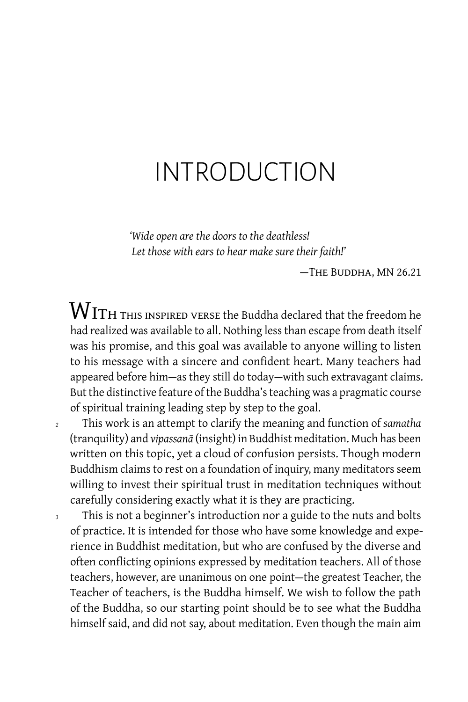## <span id="page-6-0"></span>INTRODUCTION

*'Wide open are the doors to the deathless! Let those with ears to hear make sure their faith!'*

— The Buddha, MN 26.21

 ${\rm W}$  ITH THIS INSPIRED VERSE the Buddha declared that the freedom he had realized was available to all. Nothing less than escape from death itself was his promise, and this goal was available to anyone willing to listen to his message with a sincere and confident heart. Many teachers had appeared before him-as they still do today-with such extravagant claims. But the distinctive feature of the Buddha's teaching was a pragmatic course of spiritual training leading step by step to the goal.

*<sup>2</sup>* This work is an attempt to clarify the meaning and function of *samatha* (tranquility) and *vipassanā* (insight) in Buddhist meditation. Much has been written on this topic, yet a cloud of confusion persists. Though modern Buddhism claims to rest on a foundation of inquiry, many meditators seem willing to invest their spiritual trust in meditation techniques without carefully considering exactly what it is they are practicing.

*<sup>3</sup>* This is not a beginner's introduction nor a guide to the nuts and bolts of practice. It is intended for those who have some knowledge and experience in Buddhist meditation, but who are confused by the diverse and often conflicting opinions expressed by meditation teachers. All of those teachers, however, are unanimous on one point — the greatest Teacher, the Teacher of teachers, is the Buddha himself. We wish to follow the path of the Buddha, so our starting point should be to see what the Buddha himself said, and did not say, about meditation. Even though the main aim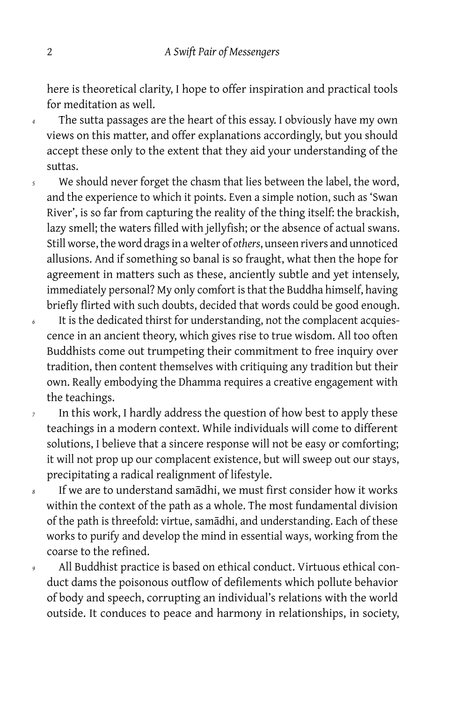here is theoretical clarity, I hope to offer inspiration and practical tools for meditation as well.

*<sup>4</sup>* The sutta passages are the heart of this essay. I obviously have my own views on this matter, and offer explanations accordingly, but you should accept these only to the extent that they aid your understanding of the suttas.

- *<sup>5</sup>* We should never forget the chasm that lies between the label, the word, and the experience to which it points. Even a simple notion, such as 'Swan River', is so far from capturing the reality of the thing itself: the brackish, lazy smell; the waters filled with jellyfish; or the absence of actual swans. Still worse, the word drags in a welter of *others*, unseen rivers and unnoticed allusions. And if something so banal is so fraught, what then the hope for agreement in matters such as these, anciently subtle and yet intensely, immediately personal? My only comfort is that the Buddha himself, having briefly flirted with such doubts, decided that words could be good enough.
- *<sup>6</sup>* It is the dedicated thirst for understanding, not the complacent acquiescence in an ancient theory, which gives rise to true wisdom. All too often Buddhists come out trumpeting their commitment to free inquiry over tradition, then content themselves with critiquing any tradition but their own. Really embodying the Dhamma requires a creative engagement with the teachings.
- *<sup>7</sup>* In this work, I hardly address the question of how best to apply these teachings in a modern context. While individuals will come to different solutions, I believe that a sincere response will not be easy or comforting; it will not prop up our complacent existence, but will sweep out our stays, precipitating a radical realignment of lifestyle.
- *<sup>8</sup>* If we are to understand samādhi, we must first consider how it works within the context of the path as a whole. The most fundamental division of the path is threefold: virtue, samādhi, and understanding. Each of these works to purify and develop the mind in essential ways, working from the coarse to the refined.
- *<sup>9</sup>* All Buddhist practice is based on ethical conduct. Virtuous ethical conduct dams the poisonous outflow of defilements which pollute behavior of body and speech, corrupting an individual's relations with the world outside. It conduces to peace and harmony in relationships, in society,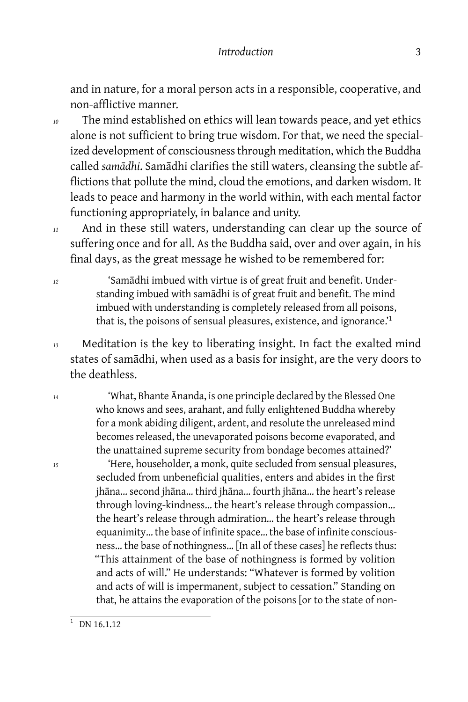#### *Introduction* 3

and in nature, for a moral person acts in a responsible, cooperative, and non-afflictive manner.

*<sup>10</sup>* The mind established on ethics will lean towards peace, and yet ethics alone is not sufficient to bring true wisdom. For that, we need the specialized development of consciousness through meditation, which the Buddha called *samādhi*. Samādhi clarifies the still waters, cleansing the subtle afflictions that pollute the mind, cloud the emotions, and darken wisdom. It leads to peace and harmony in the world within, with each mental factor functioning appropriately, in balance and unity.

*<sup>11</sup>* And in these still waters, understanding can clear up the source of suffering once and for all. As the Buddha said, over and over again, in his final days, as the great message he wished to be remembered for:

*<sup>12</sup>* 'Samādhi imbued with virtue is of great fruit and benefit. Understanding imbued with samādhi is of great fruit and benefit. The mind imbued with understanding is completely released from all poisons, that is, the poisons of sensual pleasures, existence, and ignorance.<sup>1</sup>

*<sup>13</sup>* Meditation is the key to liberating insight. In fact the exalted mind states of samādhi, when used as a basis for insight, are the very doors to the deathless.

*<sup>14</sup>* 'What, Bhante Ānanda, is one principle declared by the Blessed One who knows and sees, arahant, and fully enlightened Buddha whereby for a monk abiding diligent, ardent, and resolute the unreleased mind becomes released, the unevaporated poisons become evaporated, and the unattained supreme security from bondage becomes attained?'

*<sup>15</sup>* 'Here, householder, a monk, quite secluded from sensual pleasures, secluded from unbeneficial qualities, enters and abides in the first jhāna… second jhāna… third jhāna… fourth jhāna… the heart's release through loving-kindness… the heart's release through compassion… the heart's release through admiration… the heart's release through equanimity… the base of infinite space… the base of infinite consciousness… the base of nothingness… [In all of these cases] he reflects thus: "This attainment of the base of nothingness is formed by volition and acts of will." He understands: "Whatever is formed by volition and acts of will is impermanent, subject to cessation." Standing on that, he attains the evaporation of the poisons [or to the state of non-

 $\frac{1}{1}$  DN 16.1.12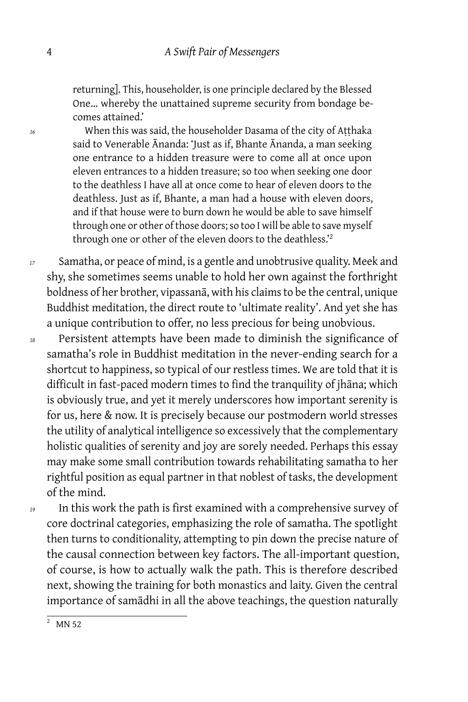returning]. This, householder, is one principle declared by the Blessed One… whereby the unattained supreme security from bondage becomes attained.'

*<sup>16</sup>* When this was said, the householder Dasama of the city of Aṭṭhaka said to Venerable Ānanda: 'Just as if, Bhante Ānanda, a man seeking one entrance to a hidden treasure were to come all at once upon eleven entrances to a hidden treasure; so too when seeking one door to the deathless I have all at once come to hear of eleven doors to the deathless. Just as if, Bhante, a man had a house with eleven doors, and if that house were to burn down he would be able to save himself through one or other of those doors; so too I will be able to save myself through one or other of the eleven doors to the deathless.'<sup>2</sup>

*<sup>17</sup>* Samatha, or peace of mind, is a gentle and unobtrusive quality. Meek and shy, she sometimes seems unable to hold her own against the forthright boldness of her brother, vipassanā, with his claims to be the central, unique Buddhist meditation, the direct route to 'ultimate reality'. And yet she has a unique contribution to offer, no less precious for being unobvious.

*<sup>18</sup>* Persistent attempts have been made to diminish the significance of samatha's role in Buddhist meditation in the never-ending search for a shortcut to happiness, so typical of our restless times. We are told that it is difficult in fast-paced modern times to find the tranquility of jhāna; which is obviously true, and yet it merely underscores how important serenity is for us, here & now. It is precisely because our postmodern world stresses the utility of analytical intelligence so excessively that the complementary holistic qualities of serenity and joy are sorely needed. Perhaps this essay may make some small contribution towards rehabilitating samatha to her rightful position as equal partner in that noblest of tasks, the development of the mind.

*<sup>19</sup>* In this work the path is first examined with a comprehensive survey of core doctrinal categories, emphasizing the role of samatha. The spotlight then turns to conditionality, attempting to pin down the precise nature of the causal connection between key factors. The all-important question, of course, is how to actually walk the path. This is therefore described next, showing the training for both monastics and laity. Given the central importance of samādhi in all the above teachings, the question naturally

 $\overline{2}$  MN 52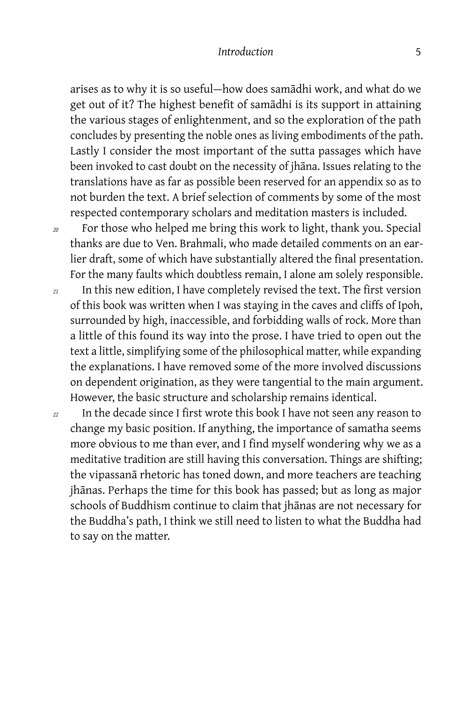#### *Introduction* 5

arises as to why it is so useful — how does samādhi work, and what do we get out of it? The highest benefit of samādhi is its support in attaining the various stages of enlightenment, and so the exploration of the path concludes by presenting the noble ones as living embodiments of the path. Lastly I consider the most important of the sutta passages which have been invoked to cast doubt on the necessity of jhāna. Issues relating to the translations have as far as possible been reserved for an appendix so as to not burden the text. A brief selection of comments by some of the most respected contemporary scholars and meditation masters is included.

*<sup>20</sup>* For those who helped me bring this work to light, thank you. Special thanks are due to Ven. Brahmali, who made detailed comments on an earlier draft, some of which have substantially altered the final presentation. For the many faults which doubtless remain, I alone am solely responsible.

- *<sup>21</sup>* In this new edition, I have completely revised the text. The first version of this book was written when I was staying in the caves and cliffs of Ipoh, surrounded by high, inaccessible, and forbidding walls of rock. More than a little of this found its way into the prose. I have tried to open out the text a little, simplifying some of the philosophical matter, while expanding the explanations. I have removed some of the more involved discussions on dependent origination, as they were tangential to the main argument. However, the basic structure and scholarship remains identical.
- *<sup>22</sup>* In the decade since I first wrote this book I have not seen any reason to change my basic position. If anything, the importance of samatha seems more obvious to me than ever, and I find myself wondering why we as a meditative tradition are still having this conversation. Things are shifting; the vipassanā rhetoric has toned down, and more teachers are teaching jhānas. Perhaps the time for this book has passed; but as long as major schools of Buddhism continue to claim that jhānas are not necessary for the Buddha's path, I think we still need to listen to what the Buddha had to say on the matter.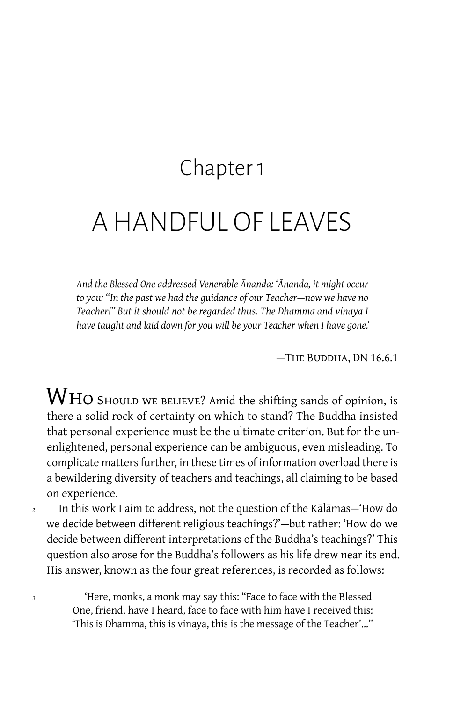## Chapter 1

## <span id="page-11-0"></span>A HANDFUL OF LEAVES

*And the Blessed One addressed Venerable Ānanda: 'Ānanda, it might occur to you: "In the past we had the guidance of our Teacher — now we have no Teacher!" But it should not be regarded thus. The Dhamma and vinaya I have taught and laid down for you will be your Teacher when I have gone.'*

— The Buddha, DN 16.6.1

 $\operatorname{W}\nolimits$ HO SHOULD WE BELIEVE? Amid the shifting sands of opinion, is there a solid rock of certainty on which to stand? The Buddha insisted that personal experience must be the ultimate criterion. But for the unenlightened, personal experience can be ambiguous, even misleading. To complicate matters further, in these times of information overload there is a bewildering diversity of teachers and teachings, all claiming to be based on experience.

<sup>2</sup> In this work I aim to address, not the question of the Kālāmas— 'How do we decide between different religious teachings?' — but rather: 'How do we decide between different interpretations of the Buddha's teachings?' This question also arose for the Buddha's followers as his life drew near its end. His answer, known as the four great references, is recorded as follows:

*<sup>3</sup>* 'Here, monks, a monk may say this: "Face to face with the Blessed One, friend, have I heard, face to face with him have I received this: 'This is Dhamma, this is vinaya, this is the message of the Teacher'…"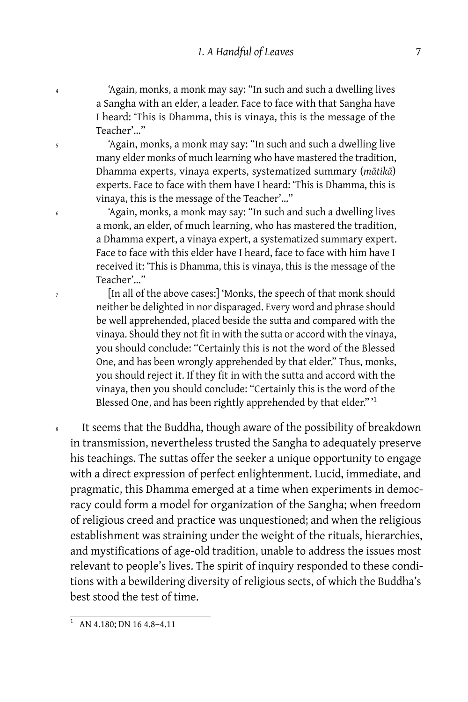*<sup>4</sup>* 'Again, monks, a monk may say: "In such and such a dwelling lives a Sangha with an elder, a leader. Face to face with that Sangha have I heard: 'This is Dhamma, this is vinaya, this is the message of the Teacher'…"

*<sup>5</sup>* 'Again, monks, a monk may say: "In such and such a dwelling live many elder monks of much learning who have mastered the tradition, Dhamma experts, vinaya experts, systematized summary (*mātikā*) experts. Face to face with them have I heard: 'This is Dhamma, this is vinaya, this is the message of the Teacher'…"

*<sup>6</sup>* 'Again, monks, a monk may say: "In such and such a dwelling lives a monk, an elder, of much learning, who has mastered the tradition, a Dhamma expert, a vinaya expert, a systematized summary expert. Face to face with this elder have I heard, face to face with him have I received it: 'This is Dhamma, this is vinaya, this is the message of the Teacher'…"

*<sup>7</sup>* [In all of the above cases:] 'Monks, the speech of that monk should neither be delighted in nor disparaged. Every word and phrase should be well apprehended, placed beside the sutta and compared with the vinaya. Should they not fit in with the sutta or accord with the vinaya, you should conclude: "Certainly this is not the word of the Blessed One, and has been wrongly apprehended by that elder." Thus, monks, you should reject it. If they fit in with the sutta and accord with the vinaya, then you should conclude: "Certainly this is the word of the Blessed One, and has been rightly apprehended by that elder."<sup>1</sup>

*<sup>8</sup>* It seems that the Buddha, though aware of the possibility of breakdown in transmission, nevertheless trusted the Sangha to adequately preserve his teachings. The suttas offer the seeker a unique opportunity to engage with a direct expression of perfect enlightenment. Lucid, immediate, and pragmatic, this Dhamma emerged at a time when experiments in democracy could form a model for organization of the Sangha; when freedom of religious creed and practice was unquestioned; and when the religious establishment was straining under the weight of the rituals, hierarchies, and mystifications of age-old tradition, unable to address the issues most relevant to people's lives. The spirit of inquiry responded to these conditions with a bewildering diversity of religious sects, of which the Buddha's best stood the test of time.

<sup>1</sup> AN 4.180; DN 16 4.8-4.11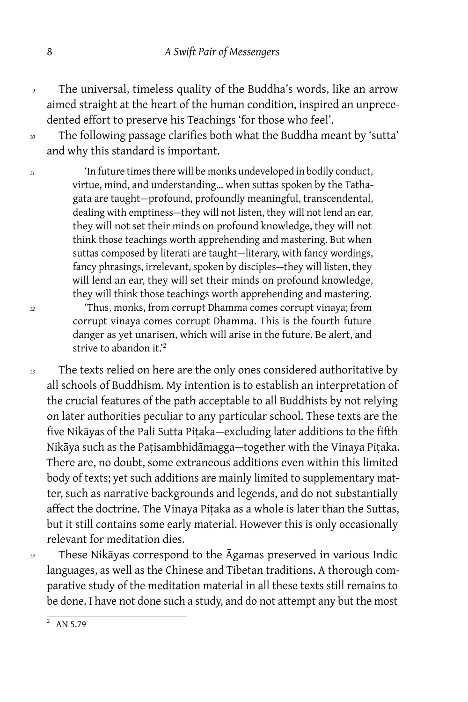- *<sup>9</sup>* The universal, timeless quality of the Buddha's words, like an arrow aimed straight at the heart of the human condition, inspired an unprecedented effort to preserve his Teachings 'for those who feel'.
- *<sup>10</sup>* The following passage clarifies both what the Buddha meant by 'sutta' and why this standard is important.

*<sup>11</sup>* 'In future times there will be monks undeveloped in bodily conduct, virtue, mind, and understanding… when suttas spoken by the Tathagata are taught — profound, profoundly meaningful, transcendental, dealing with emptiness-they will not listen, they will not lend an ear, they will not set their minds on profound knowledge, they will not think those teachings worth apprehending and mastering. But when suttas composed by literati are taught-literary, with fancy wordings, fancy phrasings, irrelevant, spoken by disciples-they will listen, they will lend an ear, they will set their minds on profound knowledge, they will think those teachings worth apprehending and mastering.

*<sup>12</sup>* 'Thus, monks, from corrupt Dhamma comes corrupt vinaya; from corrupt vinaya comes corrupt Dhamma. This is the fourth future danger as yet unarisen, which will arise in the future. Be alert, and strive to abandon it.'<sup>2</sup>

*<sup>13</sup>* The texts relied on here are the only ones considered authoritative by all schools of Buddhism. My intention is to establish an interpretation of the crucial features of the path acceptable to all Buddhists by not relying on later authorities peculiar to any particular school. These texts are the five Nikāyas of the Pali Sutta Pitaka-excluding later additions to the fifth Nikāya such as the Paṭisambhidāmagga — together with the Vinaya Piṭaka. There are, no doubt, some extraneous additions even within this limited body of texts; yet such additions are mainly limited to supplementary matter, such as narrative backgrounds and legends, and do not substantially affect the doctrine. The Vinaya Pitaka as a whole is later than the Suttas, but it still contains some early material. However this is only occasionally relevant for meditation dies.

*<sup>14</sup>* These Nikāyas correspond to the Āgamas preserved in various Indic languages, as well as the Chinese and Tibetan traditions. A thorough comparative study of the meditation material in all these texts still remains to be done. I have not done such a study, and do not attempt any but the most

 $\frac{1}{2}$  AN 5.79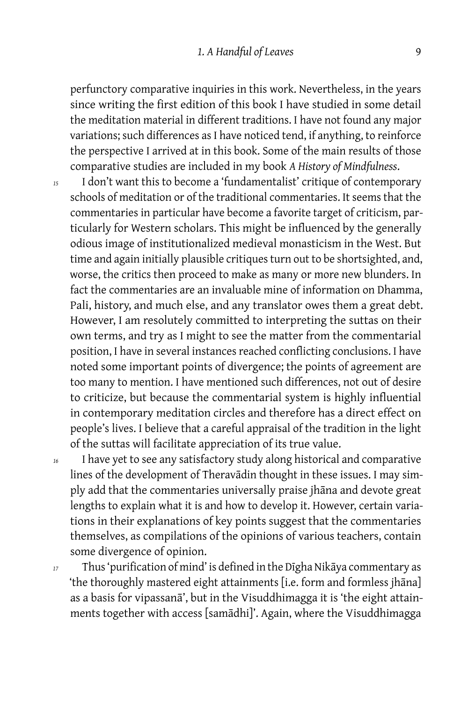#### 1. A Handful of Leaves 9

perfunctory comparative inquiries in this work. Nevertheless, in the years since writing the first edition of this book I have studied in some detail the meditation material in different traditions. I have not found any major variations; such differences as I have noticed tend, if anything, to reinforce the perspective I arrived at in this book. Some of the main results of those comparative studies are included in my book *A History of Mindfulness*.

- *<sup>15</sup>* I don't want this to become a 'fundamentalist' critique of contemporary schools of meditation or of the traditional commentaries. It seems that the commentaries in particular have become a favorite target of criticism, particularly for Western scholars. This might be influenced by the generally odious image of institutionalized medieval monasticism in the West. But time and again initially plausible critiques turn out to be shortsighted, and, worse, the critics then proceed to make as many or more new blunders. In fact the commentaries are an invaluable mine of information on Dhamma, Pali, history, and much else, and any translator owes them a great debt. However, I am resolutely committed to interpreting the suttas on their own terms, and try as I might to see the matter from the commentarial position, I have in several instances reached conflicting conclusions. I have noted some important points of divergence; the points of agreement are too many to mention. I have mentioned such differences, not out of desire to criticize, but because the commentarial system is highly influential in contemporary meditation circles and therefore has a direct effect on people's lives. I believe that a careful appraisal of the tradition in the light of the suttas will facilitate appreciation of its true value.
- *<sup>16</sup>* I have yet to see any satisfactory study along historical and comparative lines of the development of Theravādin thought in these issues. I may simply add that the commentaries universally praise jhāna and devote great lengths to explain what it is and how to develop it. However, certain variations in their explanations of key points suggest that the commentaries themselves, as compilations of the opinions of various teachers, contain some divergence of opinion.

*<sup>17</sup>* Thus 'purification of mind' is defined in the Dīgha Nikāya commentary as 'the thoroughly mastered eight attainments [i.e. form and formless jhāna] as a basis for vipassanā', but in the Visuddhimagga it is 'the eight attainments together with access [samādhi]'. Again, where the Visuddhimagga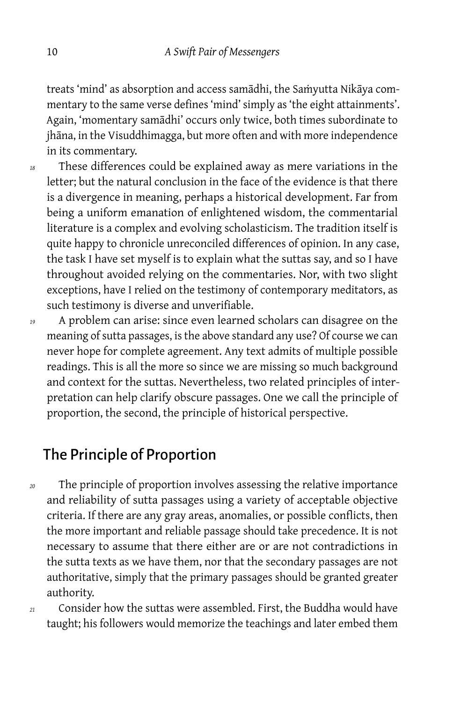treats 'mind' as absorption and access samādhi, the Saṁyutta Nikāya commentary to the same verse defines 'mind' simply as 'the eight attainments'. Again, 'momentary samādhi' occurs only twice, both times subordinate to jhāna, in the Visuddhimagga, but more often and with more independence in its commentary.

- *<sup>18</sup>* These differences could be explained away as mere variations in the letter; but the natural conclusion in the face of the evidence is that there is a divergence in meaning, perhaps a historical development. Far from being a uniform emanation of enlightened wisdom, the commentarial literature is a complex and evolving scholasticism. The tradition itself is quite happy to chronicle unreconciled differences of opinion. In any case, the task I have set myself is to explain what the suttas say, and so I have throughout avoided relying on the commentaries. Nor, with two slight exceptions, have I relied on the testimony of contemporary meditators, as such testimony is diverse and unverifiable.
- *<sup>19</sup>* A problem can arise: since even learned scholars can disagree on the meaning of sutta passages, is the above standard any use? Of course we can never hope for complete agreement. Any text admits of multiple possible readings. This is all the more so since we are missing so much background and context for the suttas. Nevertheless, two related principles of interpretation can help clarify obscure passages. One we call the principle of proportion, the second, the principle of historical perspective.

## The Principle of Proportion

- *<sup>20</sup>* The principle of proportion involves assessing the relative importance and reliability of sutta passages using a variety of acceptable objective criteria. If there are any gray areas, anomalies, or possible conflicts, then the more important and reliable passage should take precedence. It is not necessary to assume that there either are or are not contradictions in the sutta texts as we have them, nor that the secondary passages are not authoritative, simply that the primary passages should be granted greater authority.
- *<sup>21</sup>* Consider how the suttas were assembled. First, the Buddha would have taught; his followers would memorize the teachings and later embed them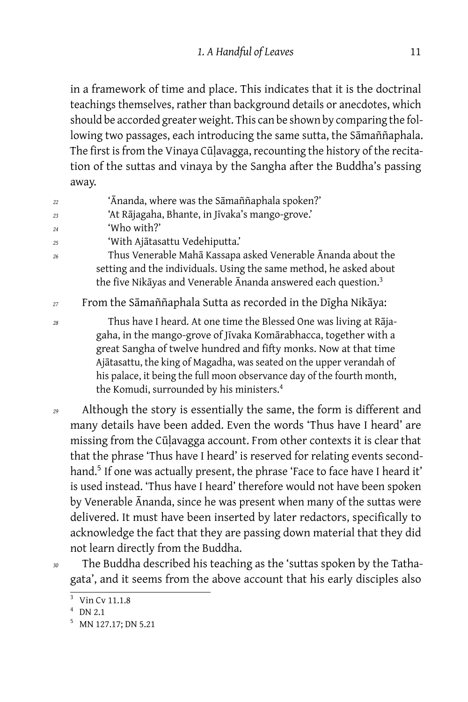in a framework of time and place. This indicates that it is the doctrinal teachings themselves, rather than background details or anecdotes, which should be accorded greater weight. This can be shown by comparing the following two passages, each introducing the same sutta, the Sāmaññaphala. The first is from the Vinaya Cūḷavagga, recounting the history of the recitation of the suttas and vinaya by the Sangha after the Buddha's passing away.

- *<sup>22</sup>* 'Ānanda, where was the Sāmaññaphala spoken?'
- *<sup>23</sup>* 'At Rājagaha, Bhante, in Jīvaka's mango-grove.'
- *<sup>24</sup>* 'Who with?'
- *<sup>25</sup>* 'With Ajātasattu Vedehiputta.'
- *<sup>26</sup>* Thus Venerable Mahā Kassapa asked Venerable Ānanda about the setting and the individuals. Using the same method, he asked about the five Nikāyas and Venerable Ānanda answered each question. $3$
- *<sup>27</sup>* From the Sāmaññaphala Sutta as recorded in the Dīgha Nikāya:

*<sup>28</sup>* Thus have I heard. At one time the Blessed One was living at Rājagaha, in the mango-grove of Jīvaka Komārabhacca, together with a great Sangha of twelve hundred and fifty monks. Now at that time Ajātasattu, the king of Magadha, was seated on the upper verandah of his palace, it being the full moon observance day of the fourth month, the Komudi, surrounded by his ministers.<sup>4</sup>

- *<sup>29</sup>* Although the story is essentially the same, the form is different and many details have been added. Even the words 'Thus have I heard' are missing from the Cūḷavagga account. From other contexts it is clear that that the phrase 'Thus have I heard' is reserved for relating events secondhand.<sup>5</sup> If one was actually present, the phrase 'Face to face have I heard it' is used instead. 'Thus have I heard' therefore would not have been spoken by Venerable Ānanda, since he was present when many of the suttas were delivered. It must have been inserted by later redactors, specifically to acknowledge the fact that they are passing down material that they did not learn directly from the Buddha.
- *<sup>30</sup>* The Buddha described his teaching as the 'suttas spoken by the Tathagata', and it seems from the above account that his early disciples also

<sup>&</sup>lt;sup>3</sup> Vin Cv 11.1.8

 $4$  DN 2.1

<sup>5</sup> MN 127.17; DN 5.21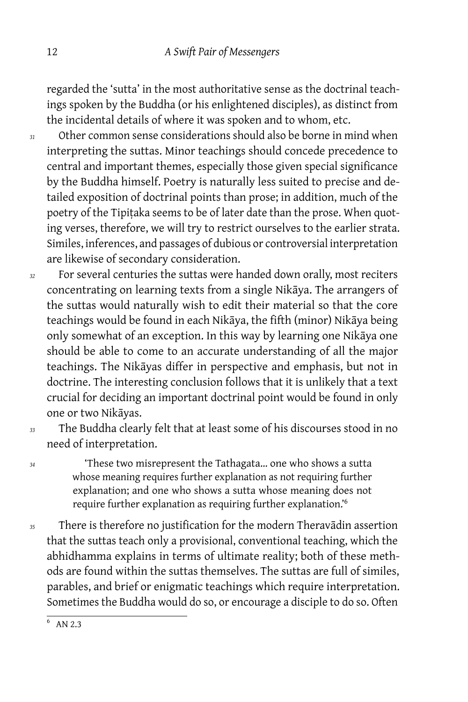regarded the 'sutta' in the most authoritative sense as the doctrinal teachings spoken by the Buddha (or his enlightened disciples), as distinct from the incidental details of where it was spoken and to whom, etc.

- *<sup>31</sup>* Other common sense considerations should also be borne in mind when interpreting the suttas. Minor teachings should concede precedence to central and important themes, especially those given special significance by the Buddha himself. Poetry is naturally less suited to precise and detailed exposition of doctrinal points than prose; in addition, much of the poetry of the Tipitaka seems to be of later date than the prose. When quoting verses, therefore, we will try to restrict ourselves to the earlier strata. Similes, inferences, and passages of dubious or controversial interpretation are likewise of secondary consideration.
- *<sup>32</sup>* For several centuries the suttas were handed down orally, most reciters concentrating on learning texts from a single Nikāya. The arrangers of the suttas would naturally wish to edit their material so that the core teachings would be found in each Nikāya, the fifth (minor) Nikāya being only somewhat of an exception. In this way by learning one Nikāya one should be able to come to an accurate understanding of all the major teachings. The Nikāyas differ in perspective and emphasis, but not in doctrine. The interesting conclusion follows that it is unlikely that a text crucial for deciding an important doctrinal point would be found in only one or two Nikāyas.
- 

*<sup>33</sup>* The Buddha clearly felt that at least some of his discourses stood in no need of interpretation.

*<sup>34</sup>* 'These two misrepresent the Tathagata… one who shows a sutta whose meaning requires further explanation as not requiring further explanation; and one who shows a sutta whose meaning does not require further explanation as requiring further explanation.'<sup>6</sup>

*<sup>35</sup>* There is therefore no justification for the modern Theravādin assertion that the suttas teach only a provisional, conventional teaching, which the abhidhamma explains in terms of ultimate reality; both of these methods are found within the suttas themselves. The suttas are full of similes, parables, and brief or enigmatic teachings which require interpretation. Sometimes the Buddha would do so, or encourage a disciple to do so. Often

<sup>&</sup>lt;sup>6</sup> AN 2.3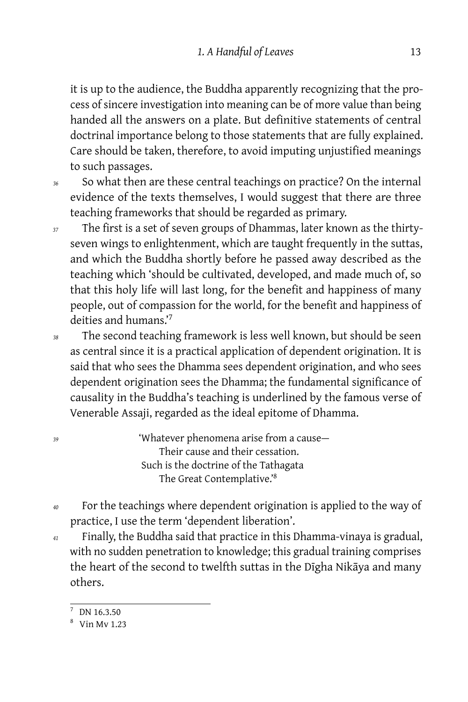it is up to the audience, the Buddha apparently recognizing that the process of sincere investigation into meaning can be of more value than being handed all the answers on a plate. But definitive statements of central doctrinal importance belong to those statements that are fully explained. Care should be taken, therefore, to avoid imputing unjustified meanings to such passages.

*<sup>36</sup>* So what then are these central teachings on practice? On the internal evidence of the texts themselves, I would suggest that there are three teaching frameworks that should be regarded as primary.

- *<sup>37</sup>* The first is a set of seven groups of Dhammas, later known as the thirtyseven wings to enlightenment, which are taught frequently in the suttas, and which the Buddha shortly before he passed away described as the teaching which 'should be cultivated, developed, and made much of, so that this holy life will last long, for the benefit and happiness of many people, out of compassion for the world, for the benefit and happiness of deities and humans.'<sup>7</sup>
- *<sup>38</sup>* The second teaching framework is less well known, but should be seen as central since it is a practical application of dependent origination. It is said that who sees the Dhamma sees dependent origination, and who sees dependent origination sees the Dhamma; the fundamental significance of causality in the Buddha's teaching is underlined by the famous verse of Venerable Assaji, regarded as the ideal epitome of Dhamma.

<sup>39</sup> 'Whatever phenomena arise from a cause Their cause and their cessation. Such is the doctrine of the Tathagata The Great Contemplative.'<sup>8</sup>

- *<sup>40</sup>* For the teachings where dependent origination is applied to the way of practice, I use the term 'dependent liberation'.
- *<sup>41</sup>* Finally, the Buddha said that practice in this Dhamma-vinaya is gradual, with no sudden penetration to knowledge; this gradual training comprises the heart of the second to twelfth suttas in the Dīgha Nikāya and many others.

DN 16.3.50

<sup>8</sup> Vin Mv 1.23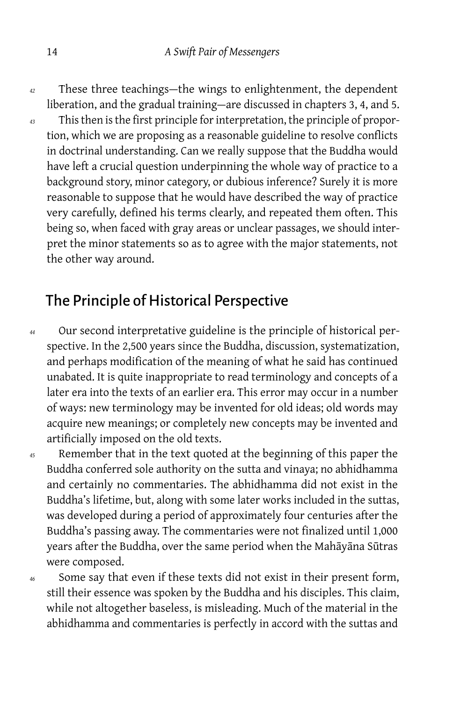*<sup>42</sup>* These three teachings — the wings to enlightenment, the dependent liberation, and the gradual training-are discussed in chapters 3, 4, and 5.

*<sup>43</sup>* This then is the first principle for interpretation, the principle of proportion, which we are proposing as a reasonable guideline to resolve conflicts in doctrinal understanding. Can we really suppose that the Buddha would have left a crucial question underpinning the whole way of practice to a background story, minor category, or dubious inference? Surely it is more reasonable to suppose that he would have described the way of practice very carefully, defined his terms clearly, and repeated them often. This being so, when faced with gray areas or unclear passages, we should interpret the minor statements so as to agree with the major statements, not the other way around.

## The Principle of Historical Perspective

- *<sup>44</sup>* Our second interpretative guideline is the principle of historical perspective. In the 2,500 years since the Buddha, discussion, systematization, and perhaps modification of the meaning of what he said has continued unabated. It is quite inappropriate to read terminology and concepts of a later era into the texts of an earlier era. This error may occur in a number of ways: new terminology may be invented for old ideas; old words may acquire new meanings; or completely new concepts may be invented and artificially imposed on the old texts.
- *<sup>45</sup>* Remember that in the text quoted at the beginning of this paper the Buddha conferred sole authority on the sutta and vinaya; no abhidhamma and certainly no commentaries. The abhidhamma did not exist in the Buddha's lifetime, but, along with some later works included in the suttas, was developed during a period of approximately four centuries after the Buddha's passing away. The commentaries were not finalized until 1,000 years after the Buddha, over the same period when the Mahāyāna Sūtras were composed.

*<sup>46</sup>* Some say that even if these texts did not exist in their present form, still their essence was spoken by the Buddha and his disciples. This claim, while not altogether baseless, is misleading. Much of the material in the abhidhamma and commentaries is perfectly in accord with the suttas and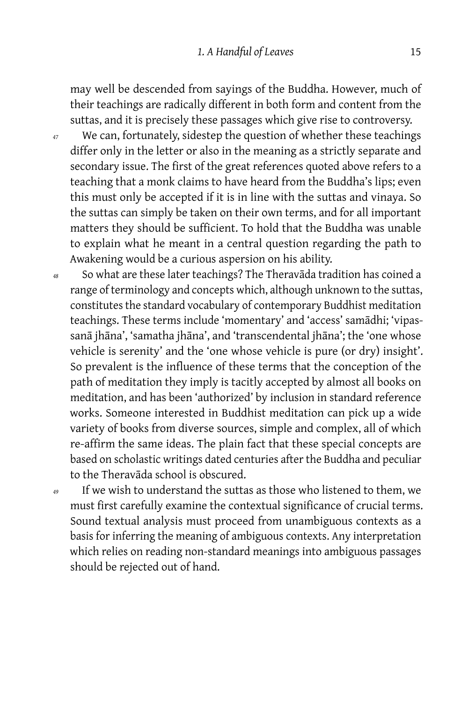may well be descended from sayings of the Buddha. However, much of their teachings are radically different in both form and content from the suttas, and it is precisely these passages which give rise to controversy.

- *<sup>47</sup>* We can, fortunately, sidestep the question of whether these teachings differ only in the letter or also in the meaning as a strictly separate and secondary issue. The first of the great references quoted above refers to a teaching that a monk claims to have heard from the Buddha's lips; even this must only be accepted if it is in line with the suttas and vinaya. So the suttas can simply be taken on their own terms, and for all important matters they should be sufficient. To hold that the Buddha was unable to explain what he meant in a central question regarding the path to Awakening would be a curious aspersion on his ability.
- *<sup>48</sup>* So what are these later teachings? The Theravāda tradition has coined a range of terminology and concepts which, although unknown to the suttas, constitutes the standard vocabulary of contemporary Buddhist meditation teachings. These terms include 'momentary' and 'access' samādhi; 'vipassanā jhāna', 'samatha jhāna', and 'transcendental jhāna'; the 'one whose vehicle is serenity' and the 'one whose vehicle is pure (or dry) insight'. So prevalent is the influence of these terms that the conception of the path of meditation they imply is tacitly accepted by almost all books on meditation, and has been 'authorized' by inclusion in standard reference works. Someone interested in Buddhist meditation can pick up a wide variety of books from diverse sources, simple and complex, all of which re-affirm the same ideas. The plain fact that these special concepts are based on scholastic writings dated centuries after the Buddha and peculiar to the Theravāda school is obscured.
- *<sup>49</sup>* If we wish to understand the suttas as those who listened to them, we must first carefully examine the contextual significance of crucial terms. Sound textual analysis must proceed from unambiguous contexts as a basis for inferring the meaning of ambiguous contexts. Any interpretation which relies on reading non-standard meanings into ambiguous passages should be rejected out of hand.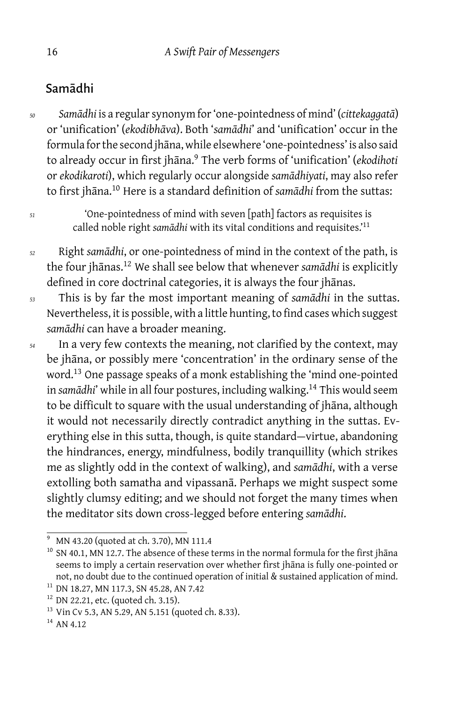### Samādhi

*<sup>50</sup> Samādhi* is a regular synonym for 'one-pointedness of mind' (*cittekaggatā*) or 'unification' (*ekodibhāva*). Both '*samādhi*' and 'unification' occur in the formula for the second jhāna, while elsewhere 'one-pointedness' is also said to already occur in first jhāna.<sup>9</sup> The verb forms of 'unification' (*ekodihoti* or *ekodikaroti*), which regularly occur alongside *samādhiyati*, may also refer to first jhāna.<sup>10</sup> Here is a standard definition of *samādhi* from the suttas:

*<sup>51</sup>* 'One-pointedness of mind with seven [path] factors as requisites is called noble right *samādhi* with its vital conditions and requisites.'<sup>11</sup>

- *<sup>52</sup>* Right *samādhi*, or one-pointedness of mind in the context of the path, is the four jhānas.<sup>12</sup> We shall see below that whenever *samādhi* is explicitly defined in core doctrinal categories, it is always the four jhānas.
- *<sup>53</sup>* This is by far the most important meaning of *samādhi* in the suttas. Nevertheless, it is possible, with a little hunting, to find cases which suggest *samādhi* can have a broader meaning.
- *<sup>54</sup>* In a very few contexts the meaning, not clarified by the context, may be jhāna, or possibly mere 'concentration' in the ordinary sense of the word.<sup>13</sup> One passage speaks of a monk establishing the 'mind one-pointed in samādhi' while in all four postures, including walking.<sup>14</sup> This would seem to be difficult to square with the usual understanding of jhāna, although it would not necessarily directly contradict anything in the suttas. Everything else in this sutta, though, is quite standard-virtue, abandoning the hindrances, energy, mindfulness, bodily tranquillity (which strikes me as slightly odd in the context of walking), and *samādhi*, with a verse extolling both samatha and vipassanā. Perhaps we might suspect some slightly clumsy editing; and we should not forget the many times when the meditator sits down cross-legged before entering *samādhi*.

<sup>&</sup>lt;sup>9</sup> MN 43.20 (quoted at ch. 3.70), MN 111.4

<sup>&</sup>lt;sup>10</sup> SN 40.1, MN 12.7. The absence of these terms in the normal formula for the first jhana seems to imply a certain reservation over whether first jhāna is fully one-pointed or not, no doubt due to the continued operation of initial & sustained application of mind.

<sup>11</sup> DN 18.27, MN 117.3, SN 45.28, AN 7.42

 $12$  DN 22.21, etc. (quoted ch. 3.15).

<sup>&</sup>lt;sup>13</sup> Vin Cv 5.3, AN 5.29, AN 5.151 (quoted ch. 8.33).

<sup>&</sup>lt;sup>14</sup> AN 4.12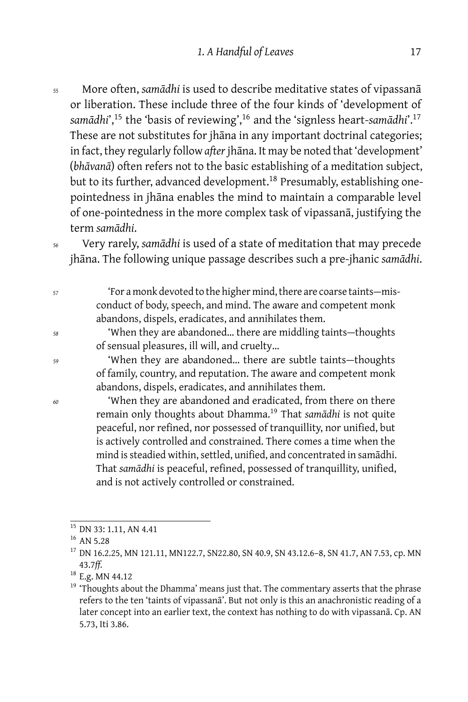- *<sup>55</sup>* More often, *samādhi* is used to describe meditative states of vipassanā or liberation. These include three of the four kinds of 'development of *samādhi*',<sup>15</sup> the 'basis of reviewing',<sup>16</sup> and the 'signless heart-*samādhi*'.<sup>17</sup> These are not substitutes for jhāna in any important doctrinal categories; in fact, they regularly follow *after* jhāna. It may be noted that 'development' (*bhāvanā*) often refers not to the basic establishing of a meditation subject, but to its further, advanced development.<sup>18</sup> Presumably, establishing onepointedness in jhāna enables the mind to maintain a comparable level of one-pointedness in the more complex task of vipassanā, justifying the term *samādhi*.
- *<sup>56</sup>* Very rarely, *samādhi* is used of a state of meditation that may precede jhāna. The following unique passage describes such a pre-jhanic *samādhi*.
- *<sup>57</sup>* 'For a monk devoted to the higher mind, there are coarse taints misconduct of body, speech, and mind. The aware and competent monk abandons, dispels, eradicates, and annihilates them.
- *<sup>58</sup>* 'When they are abandoned… there are middling taints thoughts of sensual pleasures, ill will, and cruelty…

<sup>59</sup> 'When they are abandoned... there are subtle taints—thoughts of family, country, and reputation. The aware and competent monk abandons, dispels, eradicates, and annihilates them.

*<sup>60</sup>* 'When they are abandoned and eradicated, from there on there remain only thoughts about Dhamma.<sup>19</sup> That *samādhi* is not quite peaceful, nor refined, nor possessed of tranquillity, nor unified, but is actively controlled and constrained. There comes a time when the mind is steadied within, settled, unified, and concentrated in samādhi. That *samādhi* is peaceful, refined, possessed of tranquillity, unified, and is not actively controlled or constrained.

<sup>&</sup>lt;sup>15</sup> DN 33: 1.11, AN 4.41

 $16$  AN 5.28

<sup>&</sup>lt;sup>17</sup> DN 16.2.25, MN 121.11, MN122.7, SN22.80, SN 40.9, SN 43.12.6-8, SN 41.7, AN 7.53, cp. MN 43.7*ff.*

<sup>&</sup>lt;sup>18</sup> E.g. MN 44.12

<sup>&</sup>lt;sup>19</sup> 'Thoughts about the Dhamma' means just that. The commentary asserts that the phrase refers to the ten 'taints of vipassanā'. But not only is this an anachronistic reading of a later concept into an earlier text, the context has nothing to do with vipassanā. Cp. AN 5.73, Iti 3.86.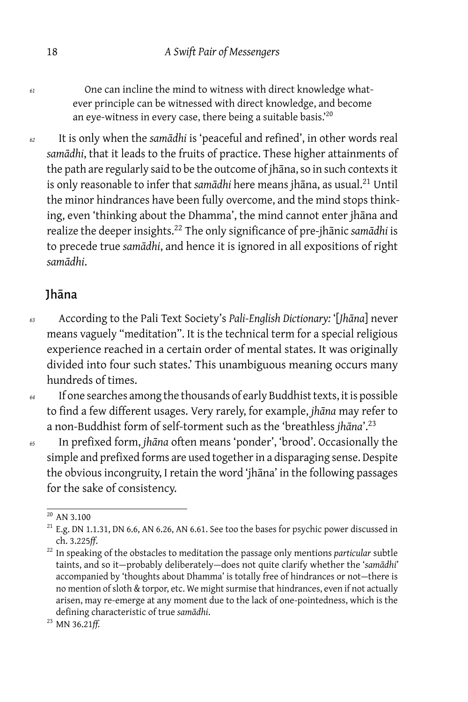*<sup>61</sup>* One can incline the mind to witness with direct knowledge whatever principle can be witnessed with direct knowledge, and become an eye-witness in every case, there being a suitable basis.'<sup>20</sup>

*<sup>62</sup>* It is only when the *samādhi* is 'peaceful and refined', in other words real *samādhi*, that it leads to the fruits of practice. These higher attainments of the path are regularly said to be the outcome of jhāna, so in such contexts it is only reasonable to infer that *samādhi* here means jhāna, as usual.<sup>21</sup> Until the minor hindrances have been fully overcome, and the mind stops thinking, even 'thinking about the Dhamma', the mind cannot enter jhāna and realize the deeper insights.<sup>22</sup> The only significance of pre-jhānic *samādhi* is to precede true *samādhi*, and hence it is ignored in all expositions of right *samādhi*.

### Jhāna

*<sup>63</sup>* According to the Pali Text Society's *Pali-English Dictionary:* '[*Jhāna*] never means vaguely "meditation". It is the technical term for a special religious experience reached in a certain order of mental states. It was originally divided into four such states.' This unambiguous meaning occurs many hundreds of times.

*<sup>64</sup>* If one searches among the thousands of early Buddhist texts, it is possible to find a few different usages. Very rarely, for example, *jhāna* may refer to a non-Buddhist form of self-torment such as the 'breathless *jhāna*'.<sup>23</sup>

*<sup>65</sup>* In prefixed form, *jhāna* often means 'ponder', 'brood'. Occasionally the simple and prefixed forms are used together in a disparaging sense. Despite the obvious incongruity, I retain the word 'jhāna' in the following passages for the sake of consistency.

<sup>20</sup> AN 3.100

 $21$  E.g. DN 1.1.31, DN 6.6, AN 6.26, AN 6.61. See too the bases for psychic power discussed in ch. 3.225*ff*.

<sup>22</sup> In speaking of the obstacles to meditation the passage only mentions *particular* subtle taints, and so it — probably deliberately — does not quite clarify whether the '*samādhi*' accompanied by 'thoughts about Dhamma' is totally free of hindrances or not — there is no mention of sloth & torpor, etc. We might surmise that hindrances, even if not actually arisen, may re-emerge at any moment due to the lack of one-pointedness, which is the defining characteristic of true *samādhi*.

<sup>23</sup> MN 36.21*ff.*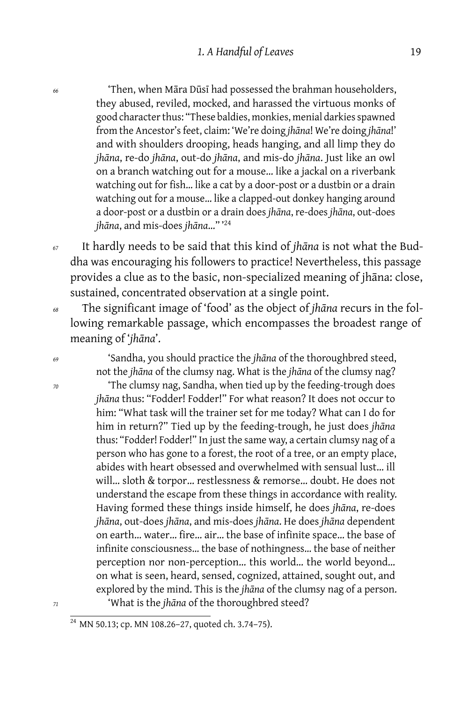*<sup>66</sup>* 'Then, when Māra Dūsī had possessed the brahman householders, they abused, reviled, mocked, and harassed the virtuous monks of good character thus: "These baldies, monkies, menial darkies spawned from the Ancestor's feet, claim: 'We're doing *jhāna*! We're doing *jhāna*!' and with shoulders drooping, heads hanging, and all limp they do *jhāna*, re-do *jhāna*, out-do *jhāna*, and mis-do *jhāna*. Just like an owl on a branch watching out for a mouse… like a jackal on a riverbank watching out for fish… like a cat by a door-post or a dustbin or a drain watching out for a mouse… like a clapped-out donkey hanging around a door-post or a dustbin or a drain does *jhāna*, re-does *jhāna*, out-does *jhāna*, and mis-does *jhāna*…" '<sup>24</sup>

*<sup>67</sup>* It hardly needs to be said that this kind of *jhāna* is not what the Buddha was encouraging his followers to practice! Nevertheless, this passage provides a clue as to the basic, non-specialized meaning of jhāna: close, sustained, concentrated observation at a single point.

*<sup>68</sup>* The significant image of 'food' as the object of *jhāna* recurs in the following remarkable passage, which encompasses the broadest range of meaning of '*jhāna*'.

*<sup>69</sup>* 'Sandha, you should practice the *jhāna* of the thoroughbred steed, not the *jhāna* of the clumsy nag. What is the *jhāna* of the clumsy nag?

*<sup>70</sup>* 'The clumsy nag, Sandha, when tied up by the feeding-trough does *jhāna* thus: "Fodder! Fodder!" For what reason? It does not occur to him: "What task will the trainer set for me today? What can I do for him in return?" Tied up by the feeding-trough, he just does *jhāna* thus: "Fodder! Fodder!" In just the same way, a certain clumsy nag of a person who has gone to a forest, the root of a tree, or an empty place, abides with heart obsessed and overwhelmed with sensual lust… ill will… sloth & torpor… restlessness & remorse… doubt. He does not understand the escape from these things in accordance with reality. Having formed these things inside himself, he does *jhāna*, re-does *jhāna*, out-does *jhāna*, and mis-does *jhāna*. He does *jhāna* dependent on earth… water… fire… air… the base of infinite space… the base of infinite consciousness… the base of nothingness… the base of neither perception nor non-perception… this world… the world beyond… on what is seen, heard, sensed, cognized, attained, sought out, and explored by the mind. This is the *jhāna* of the clumsy nag of a person. *<sup>71</sup>* 'What is the *jhāna* of the thoroughbred steed?

<sup>24</sup> MN 50.13; cp. MN 108.26–27, quoted ch. 3.74–75).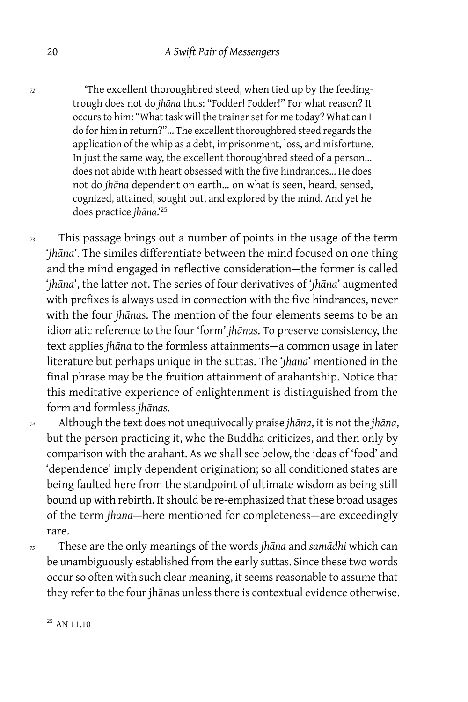*<sup>72</sup>* 'The excellent thoroughbred steed, when tied up by the feedingtrough does not do *jhāna* thus: "Fodder! Fodder!" For what reason? It occurs to him: "What task will the trainer set for me today? What can I do for him in return?"… The excellent thoroughbred steed regards the application of the whip as a debt, imprisonment, loss, and misfortune. In just the same way, the excellent thoroughbred steed of a person… does not abide with heart obsessed with the five hindrances… He does not do *jhāna* dependent on earth… on what is seen, heard, sensed, cognized, attained, sought out, and explored by the mind. And yet he does practice *jhāna*.'<sup>25</sup>

*<sup>73</sup>* This passage brings out a number of points in the usage of the term '*jhāna*'. The similes differentiate between the mind focused on one thing and the mind engaged in reflective consideration — the former is called '*jhāna*', the latter not. The series of four derivatives of '*jhāna*' augmented with prefixes is always used in connection with the five hindrances, never with the four *jhānas*. The mention of the four elements seems to be an idiomatic reference to the four 'form' *jhānas*. To preserve consistency, the text applies *jhāna* to the formless attainments — a common usage in later literature but perhaps unique in the suttas. The '*jhāna*' mentioned in the final phrase may be the fruition attainment of arahantship. Notice that this meditative experience of enlightenment is distinguished from the form and formless *jhānas*.

*<sup>74</sup>* Although the text does not unequivocally praise *jhāna*, it is not the *jhāna*, but the person practicing it, who the Buddha criticizes, and then only by comparison with the arahant. As we shall see below, the ideas of 'food' and 'dependence' imply dependent origination; so all conditioned states are being faulted here from the standpoint of ultimate wisdom as being still bound up with rebirth. It should be re-emphasized that these broad usages of the term *jhāna* — here mentioned for completeness — are exceedingly rare.

*<sup>75</sup>* These are the only meanings of the words *jhāna* and *samādhi* which can be unambiguously established from the early suttas. Since these two words occur so often with such clear meaning, it seems reasonable to assume that they refer to the four jhānas unless there is contextual evidence otherwise.

 $\frac{25}{25}$  AN 11.10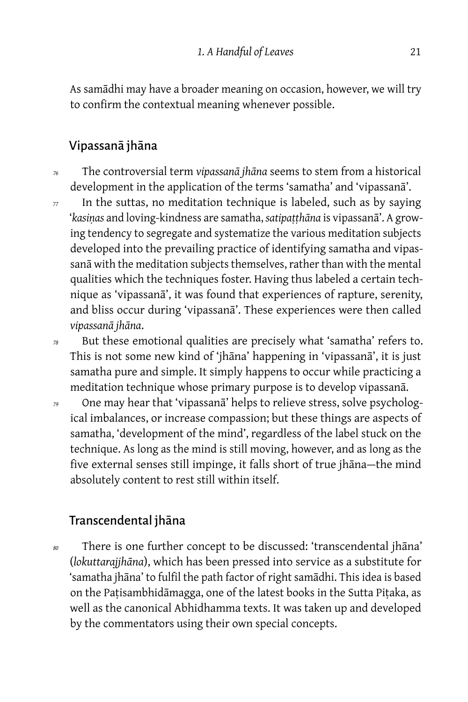As samādhi may have a broader meaning on occasion, however, we will try to confirm the contextual meaning whenever possible.

### Vipassanā jhāna

- *<sup>76</sup>* The controversial term *vipassanā jhāna* seems to stem from a historical development in the application of the terms 'samatha' and 'vipassanā'.
- *<sup>77</sup>* In the suttas, no meditation technique is labeled, such as by saying '*kasiṇas* and loving-kindness are samatha, *satipaṭṭhāna* is vipassanā'. A growing tendency to segregate and systematize the various meditation subjects developed into the prevailing practice of identifying samatha and vipassanā with the meditation subjects themselves, rather than with the mental qualities which the techniques foster. Having thus labeled a certain technique as 'vipassanā', it was found that experiences of rapture, serenity, and bliss occur during 'vipassanā'. These experiences were then called *vipassanā jhāna*.
- *<sup>78</sup>* But these emotional qualities are precisely what 'samatha' refers to. This is not some new kind of 'jhāna' happening in 'vipassanā', it is just samatha pure and simple. It simply happens to occur while practicing a meditation technique whose primary purpose is to develop vipassanā.
- *<sup>79</sup>* One may hear that 'vipassanā' helps to relieve stress, solve psychological imbalances, or increase compassion; but these things are aspects of samatha, 'development of the mind', regardless of the label stuck on the technique. As long as the mind is still moving, however, and as long as the five external senses still impinge, it falls short of true jhāna-the mind absolutely content to rest still within itself.

### Transcendental jhāna

*<sup>80</sup>* There is one further concept to be discussed: 'transcendental jhāna' (*lokuttarajjhāna*), which has been pressed into service as a substitute for 'samatha jhāna' to fulfil the path factor of right samādhi. This idea is based on the Paṭisambhidāmagga, one of the latest books in the Sutta Piṭaka, as well as the canonical Abhidhamma texts. It was taken up and developed by the commentators using their own special concepts.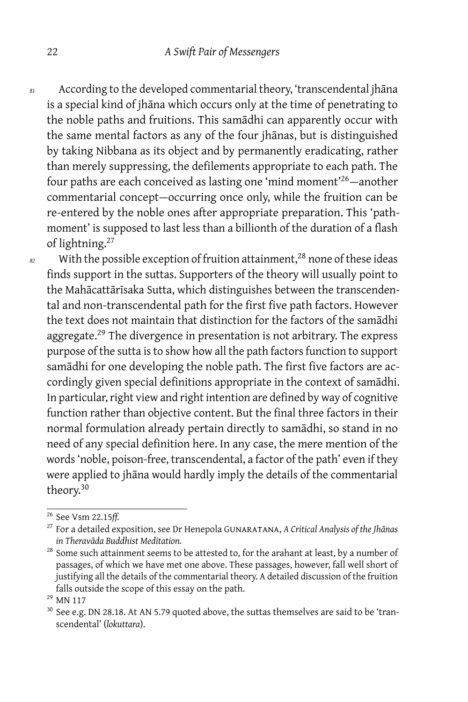*<sup>81</sup>* According to the developed commentarial theory, 'transcendental jhāna is a special kind of jhāna which occurs only at the time of penetrating to the noble paths and fruitions. This samādhi can apparently occur with the same mental factors as any of the four jhānas, but is distinguished by taking Nibbana as its object and by permanently eradicating, rather than merely suppressing, the defilements appropriate to each path. The four paths are each conceived as lasting one 'mind moment'<sup>26</sup>-another commentarial concept-occurring once only, while the fruition can be re-entered by the noble ones after appropriate preparation. This 'pathmoment' is supposed to last less than a billionth of the duration of a flash of lightning.<sup>27</sup>

*<sup>82</sup>* With the possible exception of fruition attainment,<sup>28</sup> none of these ideas finds support in the suttas. Supporters of the theory will usually point to the Mahācattārīsaka Sutta, which distinguishes between the transcendental and non-transcendental path for the first five path factors. However the text does not maintain that distinction for the factors of the samādhi aggregate.<sup>29</sup> The divergence in presentation is not arbitrary. The express purpose of the sutta is to show how all the path factors function to support samādhi for one developing the noble path. The first five factors are accordingly given special definitions appropriate in the context of samādhi. In particular, right view and right intention are defined by way of cognitive function rather than objective content. But the final three factors in their normal formulation already pertain directly to samādhi, so stand in no need of any special definition here. In any case, the mere mention of the words 'noble, poison-free, transcendental, a factor of the path' even if they were applied to jhāna would hardly imply the details of the commentarial theory.<sup>30</sup>

<sup>26</sup> See Vsm 22.15*ff.*

<sup>27</sup> For a detailed exposition, see Dr Henepola Gunaratana, *A Critical Analysis of the Jhānas in Theravāda Buddhist Meditation.*

<sup>&</sup>lt;sup>28</sup> Some such attainment seems to be attested to, for the arahant at least, by a number of passages, of which we have met one above. These passages, however, fall well short of justifying all the details of the commentarial theory. A detailed discussion of the fruition falls outside the scope of this essay on the path.

<sup>29</sup> MN 117

 $30$  See e.g. DN 28.18. At AN 5.79 quoted above, the suttas themselves are said to be 'transcendental' (*lokuttara*).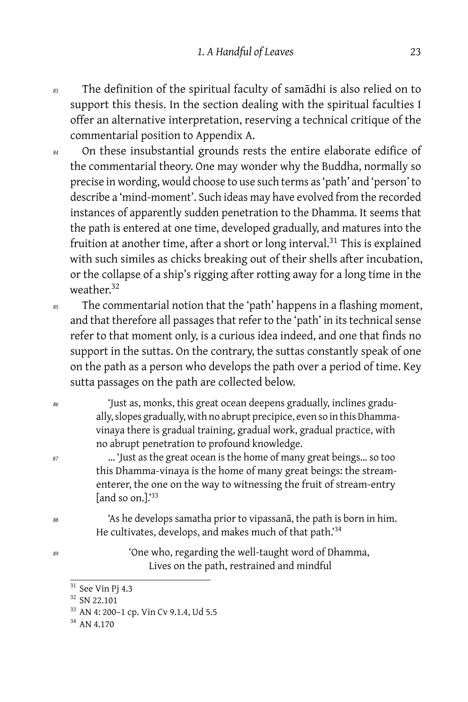- *<sup>83</sup>* The definition of the spiritual faculty of samādhi is also relied on to support this thesis. In the section dealing with the spiritual faculties I offer an alternative interpretation, reserving a technical critique of the commentarial position to Appendix A.
- *<sup>84</sup>* On these insubstantial grounds rests the entire elaborate edifice of the commentarial theory. One may wonder why the Buddha, normally so precise in wording, would choose to use such terms as 'path' and 'person' to describe a 'mind-moment'. Such ideas may have evolved from the recorded instances of apparently sudden penetration to the Dhamma. It seems that the path is entered at one time, developed gradually, and matures into the fruition at another time, after a short or long interval.<sup>31</sup> This is explained with such similes as chicks breaking out of their shells after incubation, or the collapse of a ship's rigging after rotting away for a long time in the weather.<sup>32</sup>
- *<sup>85</sup>* The commentarial notion that the 'path' happens in a flashing moment, and that therefore all passages that refer to the 'path' in its technical sense refer to that moment only, is a curious idea indeed, and one that finds no support in the suttas. On the contrary, the suttas constantly speak of one on the path as a person who develops the path over a period of time. Key sutta passages on the path are collected below.
- *<sup>86</sup>* 'Just as, monks, this great ocean deepens gradually, inclines gradually, slopes gradually, with no abrupt precipice, even so in this Dhammavinaya there is gradual training, gradual work, gradual practice, with no abrupt penetration to profound knowledge.
- *<sup>87</sup>* … 'Just as the great ocean is the home of many great beings… so too this Dhamma-vinaya is the home of many great beings: the streamenterer, the one on the way to witnessing the fruit of stream-entry [and so on.].'<sup>33</sup>
- *<sup>88</sup>* 'As he develops samatha prior to vipassanā, the path is born in him. He cultivates, develops, and makes much of that path.'<sup>34</sup>
- *<sup>89</sup>* 'One who, regarding the well-taught word of Dhamma, Lives on the path, restrained and mindful

 $31$  See Vin Pj 4.3

<sup>32</sup> SN 22.101

<sup>33</sup> AN 4: 200–1 cp. Vin Cv 9.1.4, Ud 5.5

<sup>&</sup>lt;sup>34</sup> AN 4.170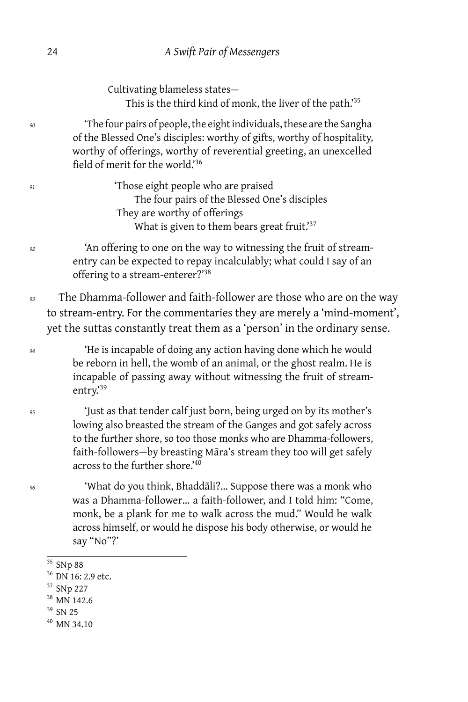Cultivating blameless states — This is the third kind of monk, the liver of the path.'<sup>35</sup>

*<sup>90</sup>* 'The four pairs of people, the eight individuals, these are the Sangha of the Blessed One's disciples: worthy of gifts, worthy of hospitality, worthy of offerings, worthy of reverential greeting, an unexcelled field of merit for the world.'<sup>36</sup>

*<sup>91</sup>* 'Those eight people who are praised The four pairs of the Blessed One's disciples They are worthy of offerings What is given to them bears great fruit.'<sup>37</sup>

*<sup>92</sup>* 'An offering to one on the way to witnessing the fruit of streamentry can be expected to repay incalculably; what could I say of an offering to a stream-enterer?'<sup>38</sup>

*<sup>93</sup>* The Dhamma-follower and faith-follower are those who are on the way to stream-entry. For the commentaries they are merely a 'mind-moment', yet the suttas constantly treat them as a 'person' in the ordinary sense.

*<sup>94</sup>* 'He is incapable of doing any action having done which he would be reborn in hell, the womb of an animal, or the ghost realm. He is incapable of passing away without witnessing the fruit of streamentry.<sup>39</sup>

*<sup>95</sup>* 'Just as that tender calf just born, being urged on by its mother's lowing also breasted the stream of the Ganges and got safely across to the further shore, so too those monks who are Dhamma-followers, faith-followers-by breasting Māra's stream they too will get safely across to the further shore.'<sup>40</sup>

*<sup>96</sup>* 'What do you think, Bhaddāli?… Suppose there was a monk who was a Dhamma-follower… a faith-follower, and I told him: "Come, monk, be a plank for me to walk across the mud." Would he walk across himself, or would he dispose his body otherwise, or would he say "No"?'

 $\overline{\frac{35}{35}}$  SNp 88

- <sup>37</sup> SNp 227
- <sup>38</sup> MN 142.6
- <sup>39</sup> SN 25
- <sup>40</sup> MN 34.10

<sup>36</sup> DN 16: 2.9 etc.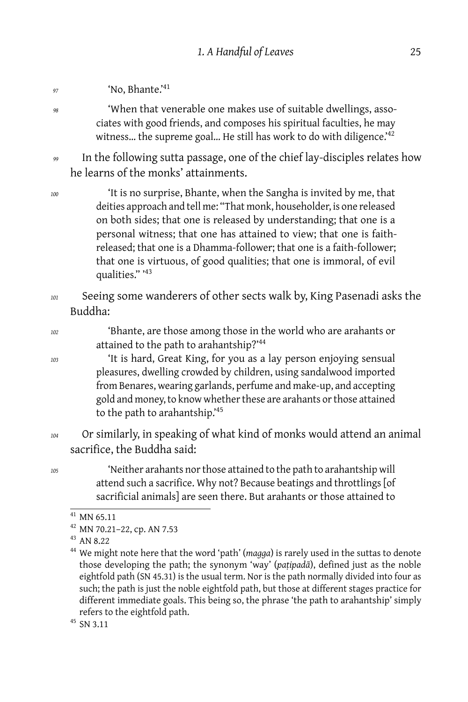*<sup>97</sup>* 'No, Bhante.'<sup>41</sup>

*<sup>98</sup>* 'When that venerable one makes use of suitable dwellings, associates with good friends, and composes his spiritual faculties, he may witness... the supreme goal... He still has work to do with diligence.<sup>'42</sup>

*<sup>99</sup>* In the following sutta passage, one of the chief lay-disciples relates how he learns of the monks' attainments.

*<sup>100</sup>* 'It is no surprise, Bhante, when the Sangha is invited by me, that deities approach and tell me: "That monk, householder, is one released on both sides; that one is released by understanding; that one is a personal witness; that one has attained to view; that one is faithreleased; that one is a Dhamma-follower; that one is a faith-follower; that one is virtuous, of good qualities; that one is immoral, of evil qualities." '<sup>43</sup>

- *<sup>101</sup>* Seeing some wanderers of other sects walk by, King Pasenadi asks the Buddha:
- *<sup>102</sup>* 'Bhante, are those among those in the world who are arahants or attained to the path to arahantship?'<sup>44</sup>

*<sup>103</sup>* 'It is hard, Great King, for you as a lay person enjoying sensual pleasures, dwelling crowded by children, using sandalwood imported from Benares, wearing garlands, perfume and make-up, and accepting gold and money, to know whether these are arahants or those attained to the path to arahantship.'<sup>45</sup>

*<sup>104</sup>* Or similarly, in speaking of what kind of monks would attend an animal sacrifice, the Buddha said:

*<sup>105</sup>* 'Neither arahants nor those attained to the path to arahantship will attend such a sacrifice. Why not? Because beatings and throttlings [of sacrificial animals] are seen there. But arahants or those attained to

 $41$  MN 65.11

<sup>42</sup> MN 70.21–22, cp. AN 7.53

<sup>43</sup> AN 8.22

<sup>44</sup> We might note here that the word 'path' (*magga*) is rarely used in the suttas to denote those developing the path; the synonym 'way' (*paṭipadā*), defined just as the noble eightfold path (SN 45.31) is the usual term. Nor is the path normally divided into four as such; the path is just the noble eightfold path, but those at different stages practice for different immediate goals. This being so, the phrase 'the path to arahantship' simply refers to the eightfold path.

<sup>45</sup> SN 3.11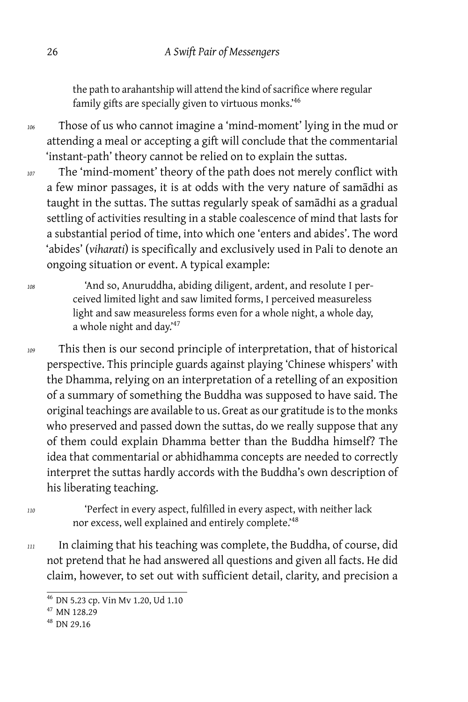the path to arahantship will attend the kind of sacrifice where regular family gifts are specially given to virtuous monks.'46

*<sup>106</sup>* Those of us who cannot imagine a 'mind-moment' lying in the mud or attending a meal or accepting a gift will conclude that the commentarial 'instant-path' theory cannot be relied on to explain the suttas.

*<sup>107</sup>* The 'mind-moment' theory of the path does not merely conflict with a few minor passages, it is at odds with the very nature of samādhi as taught in the suttas. The suttas regularly speak of samādhi as a gradual settling of activities resulting in a stable coalescence of mind that lasts for a substantial period of time, into which one 'enters and abides'. The word 'abides' (*viharati*) is specifically and exclusively used in Pali to denote an ongoing situation or event. A typical example:

*<sup>108</sup>* 'And so, Anuruddha, abiding diligent, ardent, and resolute I perceived limited light and saw limited forms, I perceived measureless light and saw measureless forms even for a whole night, a whole day, a whole night and day.'<sup>47</sup>

*<sup>109</sup>* This then is our second principle of interpretation, that of historical perspective. This principle guards against playing 'Chinese whispers' with the Dhamma, relying on an interpretation of a retelling of an exposition of a summary of something the Buddha was supposed to have said. The original teachings are available to us. Great as our gratitude is to the monks who preserved and passed down the suttas, do we really suppose that any of them could explain Dhamma better than the Buddha himself? The idea that commentarial or abhidhamma concepts are needed to correctly interpret the suttas hardly accords with the Buddha's own description of his liberating teaching.

*<sup>110</sup>* 'Perfect in every aspect, fulfilled in every aspect, with neither lack nor excess, well explained and entirely complete.'<sup>48</sup>

*<sup>111</sup>* In claiming that his teaching was complete, the Buddha, of course, did not pretend that he had answered all questions and given all facts. He did claim, however, to set out with sufficient detail, clarity, and precision a

<sup>46</sup> DN 5.23 cp. Vin Mv 1.20, Ud 1.10

<sup>47</sup> MN 128.29

<sup>48</sup> DN 29.16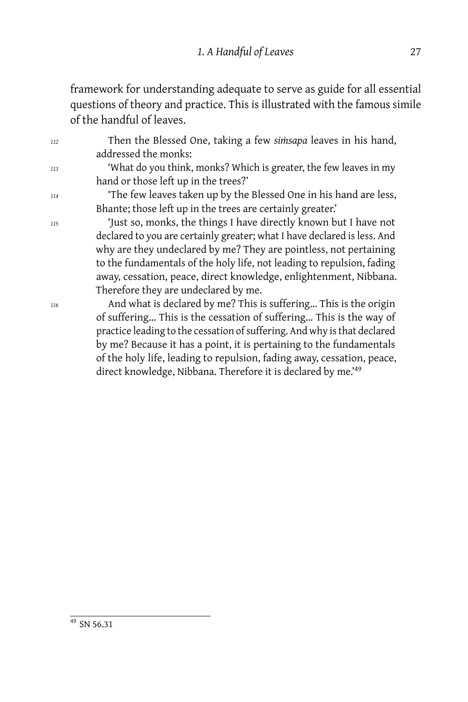framework for understanding adequate to serve as guide for all essential questions of theory and practice. This is illustrated with the famous simile of the handful of leaves.

*<sup>112</sup>* Then the Blessed One, taking a few *siṁsapa* leaves in his hand, addressed the monks: *<sup>113</sup>* 'What do you think, monks? Which is greater, the few leaves in my hand or those left up in the trees?' *<sup>114</sup>* 'The few leaves taken up by the Blessed One in his hand are less, Bhante; those left up in the trees are certainly greater.' *<sup>115</sup>* 'Just so, monks, the things I have directly known but I have not declared to you are certainly greater; what I have declared is less. And why are they undeclared by me? They are pointless, not pertaining to the fundamentals of the holy life, not leading to repulsion, fading away, cessation, peace, direct knowledge, enlightenment, Nibbana. Therefore they are undeclared by me. *<sup>116</sup>* And what is declared by me? This is suffering… This is the origin of suffering… This is the cessation of suffering… This is the way of practice leading to the cessation of suffering. And why is that declared by me? Because it has a point, it is pertaining to the fundamentals

of the holy life, leading to repulsion, fading away, cessation, peace, direct knowledge, Nibbana. Therefore it is declared by me.'<sup>49</sup>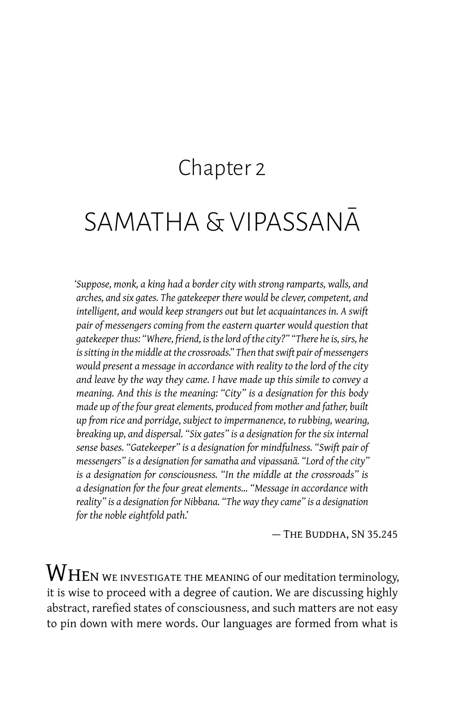## Chapter 2

# <span id="page-33-0"></span>SAMATHA & VIPASSANĀ

*'Suppose, monk, a king had a border city with strong ramparts, walls, and arches, and six gates. The gatekeeper there would be clever, competent, and intelligent, and would keep strangers out but let acquaintances in. A swift pair of messengers coming from the eastern quarter would question that gatekeeper thus: "Where, friend, is the lord of the city?" "There he is, sirs, he is sitting in the middle at the crossroads." Then that swift pair of messengers would present a message in accordance with reality to the lord of the city and leave by the way they came. I have made up this simile to convey a meaning. And this is the meaning: "City" is a designation for this body made up of the four great elements, produced from mother and father, built up from rice and porridge, subject to impermanence, to rubbing, wearing, breaking up, and dispersal. "Six gates" is a designation for the six internal sense bases. "Gatekeeper" is a designation for mindfulness. "Swift pair of messengers" is a designation for samatha and vipassanā. "Lord of the city" is a designation for consciousness. "In the middle at the crossroads" is a designation for the four great elements… "Message in accordance with reality" is a designation for Nibbana. "The way they came" is a designation for the noble eightfold path.'*

— The Buddha, SN 35.245

 $\operatorname{W}\hspace{-0.05cm}\mathrm{H}\hspace{-0.05cm}\mathrm{E}$ N we investigate the meaning of our meditation terminology, it is wise to proceed with a degree of caution. We are discussing highly abstract, rarefied states of consciousness, and such matters are not easy to pin down with mere words. Our languages are formed from what is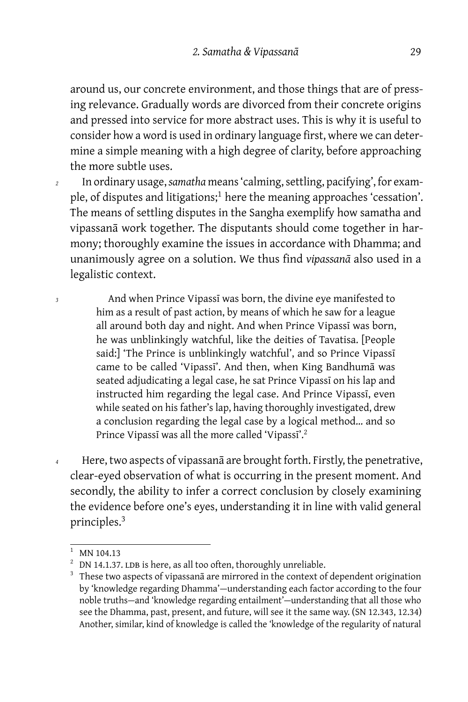around us, our concrete environment, and those things that are of pressing relevance. Gradually words are divorced from their concrete origins and pressed into service for more abstract uses. This is why it is useful to consider how a word is used in ordinary language first, where we can determine a simple meaning with a high degree of clarity, before approaching the more subtle uses.

- *<sup>2</sup>* In ordinary usage,*samatha* means 'calming, settling, pacifying', for example, of disputes and litigations;<sup>1</sup> here the meaning approaches 'cessation'. The means of settling disputes in the Sangha exemplify how samatha and vipassanā work together. The disputants should come together in harmony; thoroughly examine the issues in accordance with Dhamma; and unanimously agree on a solution. We thus find *vipassanā* also used in a legalistic context.
- *<sup>3</sup>* And when Prince Vipassī was born, the divine eye manifested to him as a result of past action, by means of which he saw for a league all around both day and night. And when Prince Vipassī was born, he was unblinkingly watchful, like the deities of Tavatisa. [People said:] 'The Prince is unblinkingly watchful', and so Prince Vipassī came to be called 'Vipassī'. And then, when King Bandhumā was seated adjudicating a legal case, he sat Prince Vipassī on his lap and instructed him regarding the legal case. And Prince Vipassī, even while seated on his father's lap, having thoroughly investigated, drew a conclusion regarding the legal case by a logical method… and so Prince Vipassī was all the more called 'Vipassī'.<sup>2</sup>
- *<sup>4</sup>* Here, two aspects of vipassanā are brought forth. Firstly, the penetrative, clear-eyed observation of what is occurring in the present moment. And secondly, the ability to infer a correct conclusion by closely examining the evidence before one's eyes, understanding it in line with valid general principles.<sup>3</sup>

MN 104.13

 $2$  DN 14.1.37. LDB is here, as all too often, thoroughly unreliable.

<sup>&</sup>lt;sup>3</sup> These two aspects of vipassanā are mirrored in the context of dependent origination by 'knowledge regarding Dhamma' — understanding each factor according to the four noble truths — and 'knowledge regarding entailment' — understanding that all those who see the Dhamma, past, present, and future, will see it the same way. (SN 12.343, 12.34) Another, similar, kind of knowledge is called the 'knowledge of the regularity of natural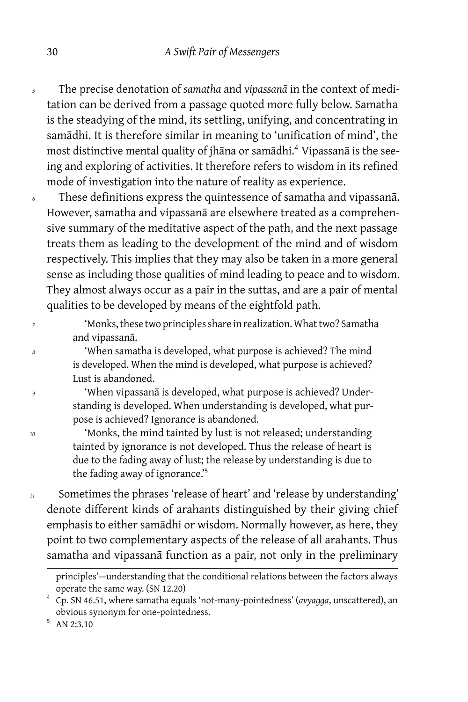- *<sup>5</sup>* The precise denotation of *samatha* and *vipassanā* in the context of meditation can be derived from a passage quoted more fully below. Samatha is the steadying of the mind, its settling, unifying, and concentrating in samādhi. It is therefore similar in meaning to 'unification of mind', the most distinctive mental quality of jhāna or samādhi.<sup>4</sup> Vipassanā is the seeing and exploring of activities. It therefore refers to wisdom in its refined mode of investigation into the nature of reality as experience.
- *<sup>6</sup>* These definitions express the quintessence of samatha and vipassanā. However, samatha and vipassanā are elsewhere treated as a comprehensive summary of the meditative aspect of the path, and the next passage treats them as leading to the development of the mind and of wisdom respectively. This implies that they may also be taken in a more general sense as including those qualities of mind leading to peace and to wisdom. They almost always occur as a pair in the suttas, and are a pair of mental qualities to be developed by means of the eightfold path.

*<sup>7</sup>* 'Monks, these two principles share in realization. What two? Samatha and vipassanā.

*<sup>8</sup>* 'When samatha is developed, what purpose is achieved? The mind is developed. When the mind is developed, what purpose is achieved? Lust is abandoned.

*<sup>9</sup>* 'When vipassanā is developed, what purpose is achieved? Understanding is developed. When understanding is developed, what purpose is achieved? Ignorance is abandoned.

*<sup>10</sup>* 'Monks, the mind tainted by lust is not released; understanding tainted by ignorance is not developed. Thus the release of heart is due to the fading away of lust; the release by understanding is due to the fading away of ignorance.'<sup>5</sup>

*<sup>11</sup>* Sometimes the phrases 'release of heart' and 'release by understanding' denote different kinds of arahants distinguished by their giving chief emphasis to either samādhi or wisdom. Normally however, as here, they point to two complementary aspects of the release of all arahants. Thus samatha and vipassanā function as a pair, not only in the preliminary

principles'-understanding that the conditional relations between the factors always operate the same way. (SN 12.20)

<sup>4</sup> Cp. SN 46.51, where samatha equals 'not-many-pointedness' (*avyagga*, unscattered), an obvious synonym for one-pointedness.

<sup>5</sup> AN 2:3.10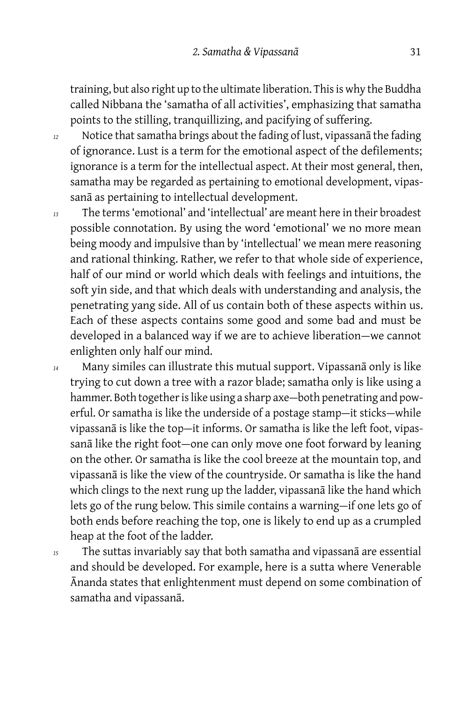training, but also right up to the ultimate liberation. This is why the Buddha called Nibbana the 'samatha of all activities', emphasizing that samatha points to the stilling, tranquillizing, and pacifying of suffering.

- *<sup>12</sup>* Notice that samatha brings about the fading of lust, vipassanā the fading of ignorance. Lust is a term for the emotional aspect of the defilements; ignorance is a term for the intellectual aspect. At their most general, then, samatha may be regarded as pertaining to emotional development, vipassanā as pertaining to intellectual development.
- *<sup>13</sup>* The terms 'emotional' and 'intellectual' are meant here in their broadest possible connotation. By using the word 'emotional' we no more mean being moody and impulsive than by 'intellectual' we mean mere reasoning and rational thinking. Rather, we refer to that whole side of experience, half of our mind or world which deals with feelings and intuitions, the soft yin side, and that which deals with understanding and analysis, the penetrating yang side. All of us contain both of these aspects within us. Each of these aspects contains some good and some bad and must be developed in a balanced way if we are to achieve liberation-we cannot enlighten only half our mind.
- *<sup>14</sup>* Many similes can illustrate this mutual support. Vipassanā only is like trying to cut down a tree with a razor blade; samatha only is like using a hammer. Both together is like using a sharp axe-both penetrating and powerful. Or samatha is like the underside of a postage stamp-it sticks-while vipassanā is like the top-it informs. Or samatha is like the left foot, vipassanā like the right foot-one can only move one foot forward by leaning on the other. Or samatha is like the cool breeze at the mountain top, and vipassanā is like the view of the countryside. Or samatha is like the hand which clings to the next rung up the ladder, vipassanā like the hand which lets go of the rung below. This simile contains a warning-if one lets go of both ends before reaching the top, one is likely to end up as a crumpled heap at the foot of the ladder.

*<sup>15</sup>* The suttas invariably say that both samatha and vipassanā are essential and should be developed. For example, here is a sutta where Venerable Ānanda states that enlightenment must depend on some combination of samatha and vipassanā.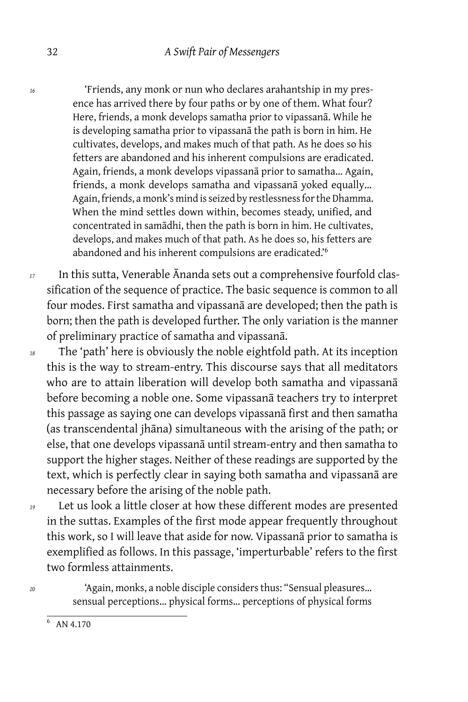*<sup>16</sup>* 'Friends, any monk or nun who declares arahantship in my presence has arrived there by four paths or by one of them. What four? Here, friends, a monk develops samatha prior to vipassanā. While he is developing samatha prior to vipassanā the path is born in him. He cultivates, develops, and makes much of that path. As he does so his fetters are abandoned and his inherent compulsions are eradicated. Again, friends, a monk develops vipassanā prior to samatha… Again, friends, a monk develops samatha and vipassanā yoked equally… Again, friends, a monk's mind is seized by restlessness for the Dhamma. When the mind settles down within, becomes steady, unified, and concentrated in samādhi, then the path is born in him. He cultivates, develops, and makes much of that path. As he does so, his fetters are abandoned and his inherent compulsions are eradicated.'<sup>6</sup>

*<sup>17</sup>* In this sutta, Venerable Ānanda sets out a comprehensive fourfold classification of the sequence of practice. The basic sequence is common to all four modes. First samatha and vipassanā are developed; then the path is born; then the path is developed further. The only variation is the manner of preliminary practice of samatha and vipassanā.

*<sup>18</sup>* The 'path' here is obviously the noble eightfold path. At its inception this is the way to stream-entry. This discourse says that all meditators who are to attain liberation will develop both samatha and vipassanā before becoming a noble one. Some vipassanā teachers try to interpret this passage as saying one can develops vipassanā first and then samatha (as transcendental jhāna) simultaneous with the arising of the path; or else, that one develops vipassanā until stream-entry and then samatha to support the higher stages. Neither of these readings are supported by the text, which is perfectly clear in saying both samatha and vipassanā are necessary before the arising of the noble path.

*<sup>19</sup>* Let us look a little closer at how these different modes are presented in the suttas. Examples of the first mode appear frequently throughout this work, so I will leave that aside for now. Vipassanā prior to samatha is exemplified as follows. In this passage, 'imperturbable' refers to the first two formless attainments.

*<sup>20</sup>* 'Again, monks, a noble disciple considers thus: "Sensual pleasures… sensual perceptions… physical forms… perceptions of physical forms

 $6$  AN 4.170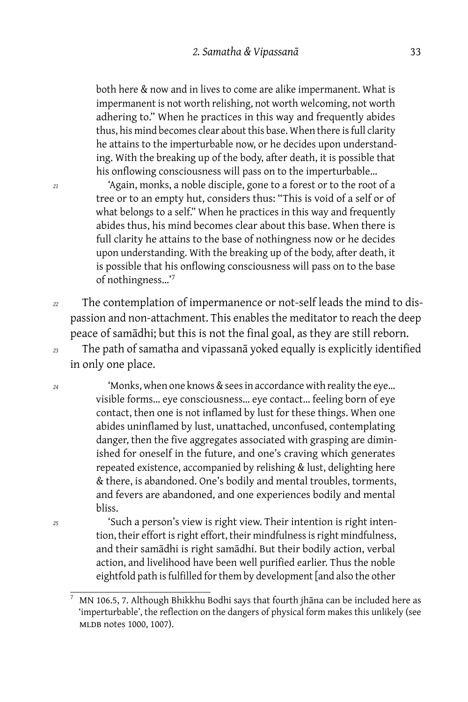both here & now and in lives to come are alike impermanent. What is impermanent is not worth relishing, not worth welcoming, not worth adhering to." When he practices in this way and frequently abides thus, his mind becomes clear about this base. When there is full clarity he attains to the imperturbable now, or he decides upon understanding. With the breaking up of the body, after death, it is possible that his onflowing consciousness will pass on to the imperturbable…

*<sup>21</sup>* 'Again, monks, a noble disciple, gone to a forest or to the root of a tree or to an empty hut, considers thus: "This is void of a self or of what belongs to a self." When he practices in this way and frequently abides thus, his mind becomes clear about this base. When there is full clarity he attains to the base of nothingness now or he decides upon understanding. With the breaking up of the body, after death, it is possible that his onflowing consciousness will pass on to the base of nothingness…'<sup>7</sup>

*<sup>22</sup>* The contemplation of impermanence or not-self leads the mind to dispassion and non-attachment. This enables the meditator to reach the deep peace of samādhi; but this is not the final goal, as they are still reborn.

*<sup>23</sup>* The path of samatha and vipassanā yoked equally is explicitly identified in only one place.

*<sup>24</sup>* 'Monks, when one knows & sees in accordance with reality the eye… visible forms… eye consciousness… eye contact… feeling born of eye contact, then one is not inflamed by lust for these things. When one abides uninflamed by lust, unattached, unconfused, contemplating danger, then the five aggregates associated with grasping are diminished for oneself in the future, and one's craving which generates repeated existence, accompanied by relishing & lust, delighting here & there, is abandoned. One's bodily and mental troubles, torments, and fevers are abandoned, and one experiences bodily and mental bliss.

*<sup>25</sup>* 'Such a person's view is right view. Their intention is right intention, their effort is right effort, their mindfulness is right mindfulness, and their samādhi is right samādhi. But their bodily action, verbal action, and livelihood have been well purified earlier. Thus the noble eightfold path is fulfilled for them by development [and also the other

<sup>7</sup> MN 106.5, 7. Although Bhikkhu Bodhi says that fourth jhāna can be included here as 'imperturbable', the reflection on the dangers of physical form makes this unlikely (see MLDB notes 1000, 1007).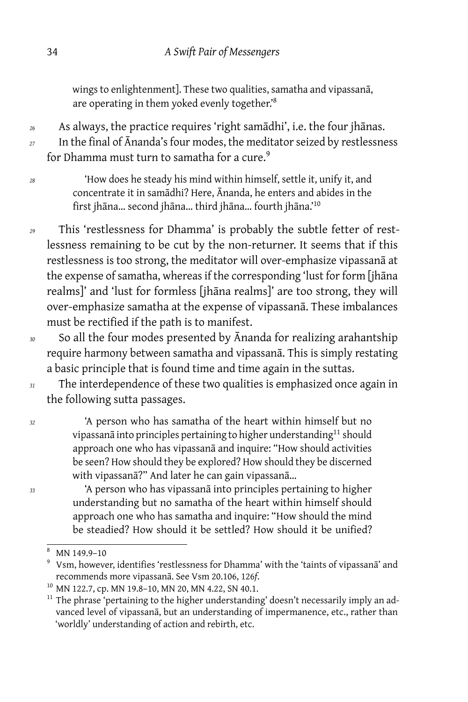wings to enlightenment]. These two qualities, samatha and vipassanā, are operating in them yoked evenly together.'<sup>8</sup>

*<sup>26</sup>* As always, the practice requires 'right samādhi', i.e. the four jhānas.

*<sup>27</sup>* In the final of Ānanda's four modes, the meditator seized by restlessness for Dhamma must turn to samatha for a cure.<sup>9</sup>

- *<sup>28</sup>* 'How does he steady his mind within himself, settle it, unify it, and concentrate it in samādhi? Here, Ānanda, he enters and abides in the first jhāna… second jhāna… third jhāna… fourth jhāna.'<sup>10</sup>
- *<sup>29</sup>* This 'restlessness for Dhamma' is probably the subtle fetter of restlessness remaining to be cut by the non-returner. It seems that if this restlessness is too strong, the meditator will over-emphasize vipassanā at the expense of samatha, whereas if the corresponding 'lust for form [jhāna realms]' and 'lust for formless [jhāna realms]' are too strong, they will over-emphasize samatha at the expense of vipassanā. These imbalances must be rectified if the path is to manifest.
- *<sup>30</sup>* So all the four modes presented by Ānanda for realizing arahantship require harmony between samatha and vipassanā. This is simply restating a basic principle that is found time and time again in the suttas.
- *<sup>31</sup>* The interdependence of these two qualities is emphasized once again in the following sutta passages.

*<sup>32</sup>* 'A person who has samatha of the heart within himself but no vipassanā into principles pertaining to higher understanding<sup>11</sup> should approach one who has vipassanā and inquire: "How should activities be seen? How should they be explored? How should they be discerned with vipassanā?" And later he can gain vipassanā…

*<sup>33</sup>* 'A person who has vipassanā into principles pertaining to higher understanding but no samatha of the heart within himself should approach one who has samatha and inquire: "How should the mind be steadied? How should it be settled? How should it be unified?

 $8$  MN 149.9-10

<sup>9</sup> Vsm, however, identifies 'restlessness for Dhamma' with the 'taints of vipassanā' and recommends more vipassanā. See Vsm 20.106, 126*f*.

<sup>&</sup>lt;sup>10</sup> MN 122.7, cp. MN 19.8-10, MN 20, MN 4.22, SN 40.1.

 $11$  The phrase 'pertaining to the higher understanding' doesn't necessarily imply an advanced level of vipassanā, but an understanding of impermanence, etc., rather than 'worldly' understanding of action and rebirth, etc.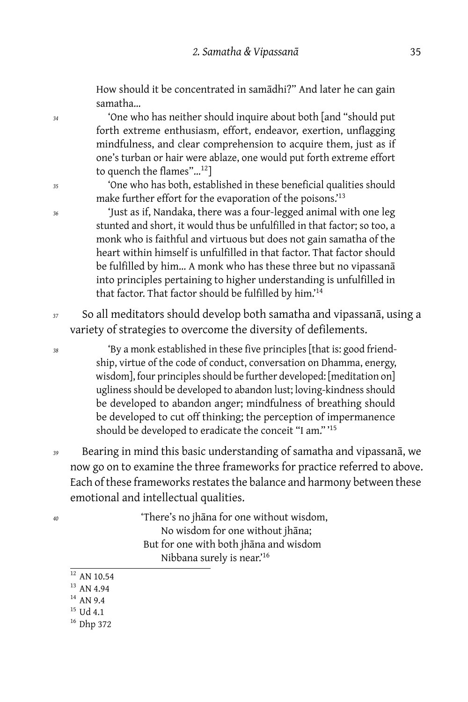How should it be concentrated in samādhi?" And later he can gain samatha…

*<sup>34</sup>* 'One who has neither should inquire about both [and "should put forth extreme enthusiasm, effort, endeavor, exertion, unflagging mindfulness, and clear comprehension to acquire them, just as if one's turban or hair were ablaze, one would put forth extreme effort to quench the flames"…<sup>12</sup>]

*<sup>35</sup>* 'One who has both, established in these beneficial qualities should make further effort for the evaporation of the poisons.<sup>13</sup>

*<sup>36</sup>* 'Just as if, Nandaka, there was a four-legged animal with one leg stunted and short, it would thus be unfulfilled in that factor; so too, a monk who is faithful and virtuous but does not gain samatha of the heart within himself is unfulfilled in that factor. That factor should be fulfilled by him… A monk who has these three but no vipassanā into principles pertaining to higher understanding is unfulfilled in that factor. That factor should be fulfilled by him.'<sup>14</sup>

*<sup>37</sup>* So all meditators should develop both samatha and vipassanā, using a variety of strategies to overcome the diversity of defilements.

*<sup>38</sup>* 'By a monk established in these five principles [that is: good friendship, virtue of the code of conduct, conversation on Dhamma, energy, wisdom], four principles should be further developed: [meditation on] ugliness should be developed to abandon lust; loving-kindness should be developed to abandon anger; mindfulness of breathing should be developed to cut off thinking; the perception of impermanence should be developed to eradicate the conceit "I am." '<sup>15</sup>

*<sup>39</sup>* Bearing in mind this basic understanding of samatha and vipassanā, we now go on to examine the three frameworks for practice referred to above. Each of these frameworks restates the balance and harmony between these emotional and intellectual qualities.

*<sup>40</sup>* 'There's no jhāna for one without wisdom, No wisdom for one without jhāna; But for one with both jhāna and wisdom Nibbana surely is near.'<sup>16</sup>

- $12$  AN 10.54 <sup>13</sup> AN 4.94
- $14$  AN 9.4
- <sup>15</sup> Ud 4.1
- <sup>16</sup> Dhp 372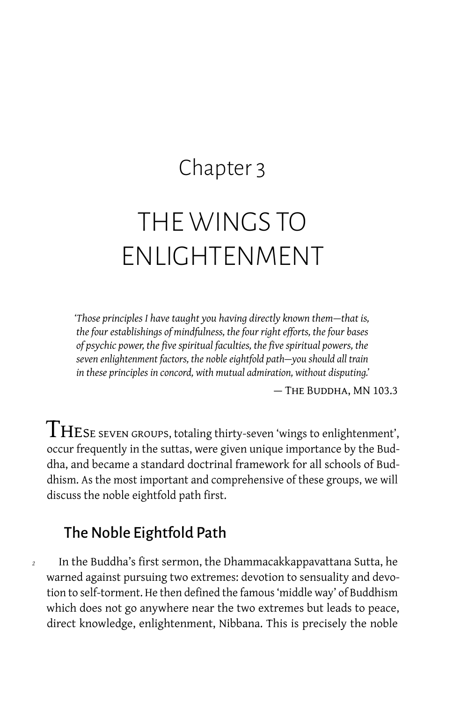# Chapter 3

# THE WINGS TO ENLIGHTENMENT

*'Those principles I have taught you having directly known them — that is, the four establishings of mindfulness, the four right efforts, the four bases of psychic power, the five spiritual faculties, the five spiritual powers, the seven enlightenment factors, the noble eightfold path — you should all train in these principles in concord, with mutual admiration, without disputing.'*

— The Buddha, MN 103.3

 ${\rm THE}$ SE SEVEN GROUPS, totaling thirty-seven 'wings to enlightenment', occur frequently in the suttas, were given unique importance by the Buddha, and became a standard doctrinal framework for all schools of Buddhism. As the most important and comprehensive of these groups, we will discuss the noble eightfold path first.

# The Noble Eightfold Path

*<sup>2</sup>* In the Buddha's first sermon, the Dhammacakkappavattana Sutta, he warned against pursuing two extremes: devotion to sensuality and devotion to self-torment. He then defined the famous 'middle way' of Buddhism which does not go anywhere near the two extremes but leads to peace, direct knowledge, enlightenment, Nibbana. This is precisely the noble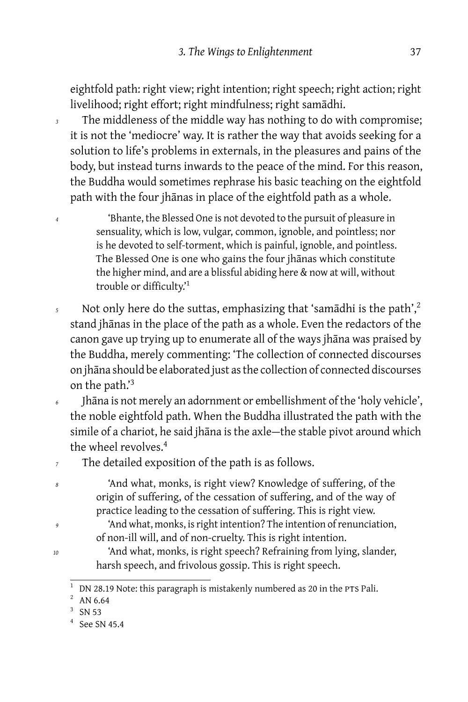eightfold path: right view; right intention; right speech; right action; right livelihood; right effort; right mindfulness; right samādhi.

*<sup>3</sup>* The middleness of the middle way has nothing to do with compromise; it is not the 'mediocre' way. It is rather the way that avoids seeking for a solution to life's problems in externals, in the pleasures and pains of the body, but instead turns inwards to the peace of the mind. For this reason, the Buddha would sometimes rephrase his basic teaching on the eightfold path with the four jhānas in place of the eightfold path as a whole.

*<sup>4</sup>* 'Bhante, the Blessed One is not devoted to the pursuit of pleasure in sensuality, which is low, vulgar, common, ignoble, and pointless; nor is he devoted to self-torment, which is painful, ignoble, and pointless. The Blessed One is one who gains the four jhānas which constitute the higher mind, and are a blissful abiding here & now at will, without trouble or difficulty.'<sup>1</sup>

- 5 Not only here do the suttas, emphasizing that 'samādhi is the path',<sup>2</sup> stand jhānas in the place of the path as a whole. Even the redactors of the canon gave up trying up to enumerate all of the ways jhāna was praised by the Buddha, merely commenting: 'The collection of connected discourses on jhāna should be elaborated just as the collection of connected discourses on the path.'<sup>3</sup>
- *<sup>6</sup>* Jhāna is not merely an adornment or embellishment of the 'holy vehicle', the noble eightfold path. When the Buddha illustrated the path with the simile of a chariot, he said jhāna is the axle-the stable pivot around which the wheel revolves.<sup>4</sup>

*<sup>7</sup>* The detailed exposition of the path is as follows.

*<sup>8</sup>* 'And what, monks, is right view? Knowledge of suffering, of the origin of suffering, of the cessation of suffering, and of the way of practice leading to the cessation of suffering. This is right view.

- *<sup>9</sup>* 'And what, monks, is right intention? The intention of renunciation, of non-ill will, and of non-cruelty. This is right intention.
- *<sup>10</sup>* 'And what, monks, is right speech? Refraining from lying, slander, harsh speech, and frivolous gossip. This is right speech.

 $1$  DN 28.19 Note: this paragraph is mistakenly numbered as 20 in the PTS Pali.

 $^{2}$  AN 6.64

<sup>3</sup> SN 53

<sup>4</sup> See SN 45.4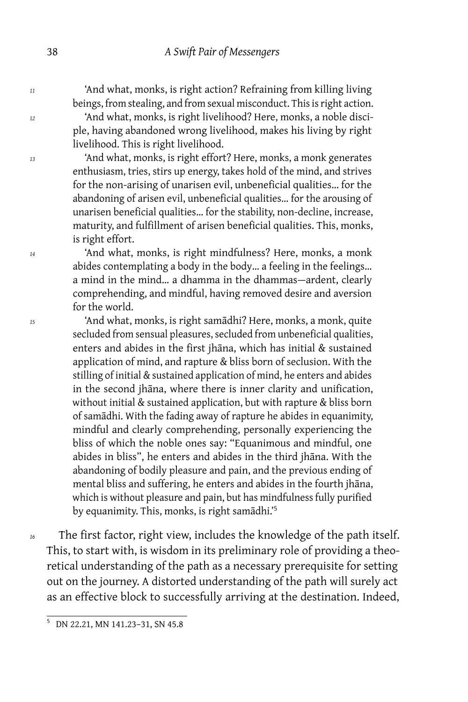*<sup>11</sup>* 'And what, monks, is right action? Refraining from killing living beings, from stealing, and from sexual misconduct. This is right action.

*<sup>12</sup>* 'And what, monks, is right livelihood? Here, monks, a noble disciple, having abandoned wrong livelihood, makes his living by right livelihood. This is right livelihood.

*<sup>13</sup>* 'And what, monks, is right effort? Here, monks, a monk generates enthusiasm, tries, stirs up energy, takes hold of the mind, and strives for the non-arising of unarisen evil, unbeneficial qualities… for the abandoning of arisen evil, unbeneficial qualities… for the arousing of unarisen beneficial qualities… for the stability, non-decline, increase, maturity, and fulfillment of arisen beneficial qualities. This, monks, is right effort.

*<sup>14</sup>* 'And what, monks, is right mindfulness? Here, monks, a monk abides contemplating a body in the body… a feeling in the feelings… a mind in the mind... a dhamma in the dhammas-ardent, clearly comprehending, and mindful, having removed desire and aversion for the world.

*<sup>15</sup>* 'And what, monks, is right samādhi? Here, monks, a monk, quite secluded from sensual pleasures, secluded from unbeneficial qualities, enters and abides in the first jhāna, which has initial & sustained application of mind, and rapture & bliss born of seclusion. With the stilling of initial & sustained application of mind, he enters and abides in the second jhāna, where there is inner clarity and unification, without initial & sustained application, but with rapture & bliss born of samādhi. With the fading away of rapture he abides in equanimity, mindful and clearly comprehending, personally experiencing the bliss of which the noble ones say: "Equanimous and mindful, one abides in bliss", he enters and abides in the third jhāna. With the abandoning of bodily pleasure and pain, and the previous ending of mental bliss and suffering, he enters and abides in the fourth jhāna, which is without pleasure and pain, but has mindfulness fully purified by equanimity. This, monks, is right samādhi.'<sup>5</sup>

*<sup>16</sup>* The first factor, right view, includes the knowledge of the path itself. This, to start with, is wisdom in its preliminary role of providing a theoretical understanding of the path as a necessary prerequisite for setting out on the journey. A distorted understanding of the path will surely act as an effective block to successfully arriving at the destination. Indeed,

<sup>5</sup> DN 22.21, MN 141.23–31, SN 45.8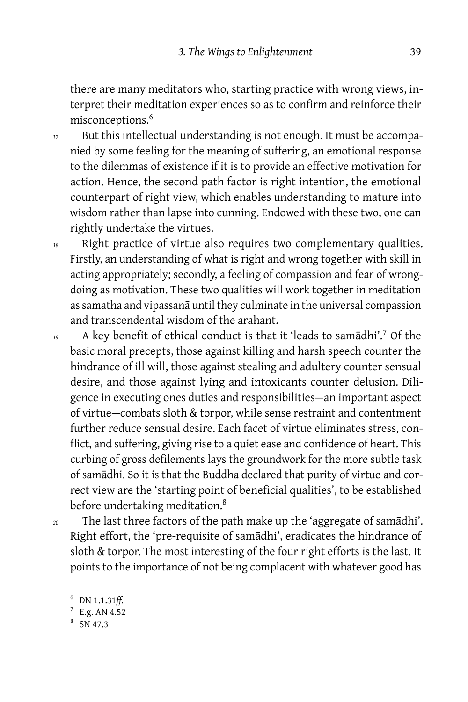there are many meditators who, starting practice with wrong views, interpret their meditation experiences so as to confirm and reinforce their misconceptions.<sup>6</sup>

- *<sup>17</sup>* But this intellectual understanding is not enough. It must be accompanied by some feeling for the meaning of suffering, an emotional response to the dilemmas of existence if it is to provide an effective motivation for action. Hence, the second path factor is right intention, the emotional counterpart of right view, which enables understanding to mature into wisdom rather than lapse into cunning. Endowed with these two, one can rightly undertake the virtues.
- *<sup>18</sup>* Right practice of virtue also requires two complementary qualities. Firstly, an understanding of what is right and wrong together with skill in acting appropriately; secondly, a feeling of compassion and fear of wrongdoing as motivation. These two qualities will work together in meditation as samatha and vipassanā until they culminate in the universal compassion and transcendental wisdom of the arahant.
- *<sup>19</sup>* A key benefit of ethical conduct is that it 'leads to samādhi'.<sup>7</sup> Of the basic moral precepts, those against killing and harsh speech counter the hindrance of ill will, those against stealing and adultery counter sensual desire, and those against lying and intoxicants counter delusion. Diligence in executing ones duties and responsibilities — an important aspect of virtue — combats sloth & torpor, while sense restraint and contentment further reduce sensual desire. Each facet of virtue eliminates stress, conflict, and suffering, giving rise to a quiet ease and confidence of heart. This curbing of gross defilements lays the groundwork for the more subtle task of samādhi. So it is that the Buddha declared that purity of virtue and correct view are the 'starting point of beneficial qualities', to be established before undertaking meditation.<sup>8</sup>
- *<sup>20</sup>* The last three factors of the path make up the 'aggregate of samādhi'. Right effort, the 'pre-requisite of samādhi', eradicates the hindrance of sloth & torpor. The most interesting of the four right efforts is the last. It points to the importance of not being complacent with whatever good has

<sup>6</sup> DN 1.1.31*ff.*

 $7$  E.g. AN 4.52

<sup>8</sup> SN 47.3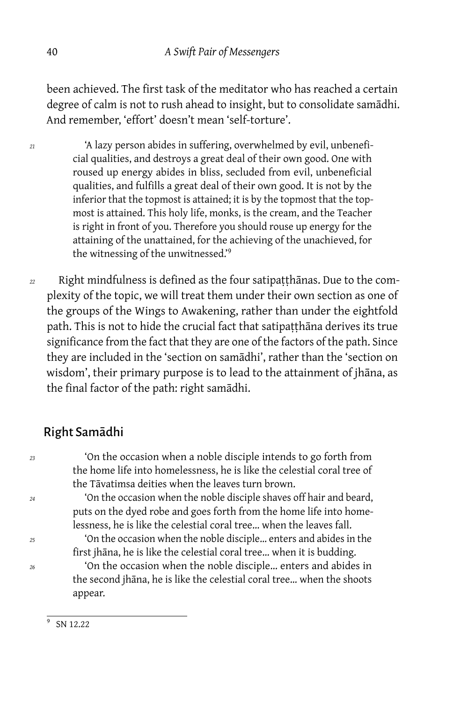been achieved. The first task of the meditator who has reached a certain degree of calm is not to rush ahead to insight, but to consolidate samādhi. And remember, 'effort' doesn't mean 'self-torture'.

- *<sup>21</sup>* 'A lazy person abides in suffering, overwhelmed by evil, unbeneficial qualities, and destroys a great deal of their own good. One with roused up energy abides in bliss, secluded from evil, unbeneficial qualities, and fulfills a great deal of their own good. It is not by the inferior that the topmost is attained; it is by the topmost that the topmost is attained. This holy life, monks, is the cream, and the Teacher is right in front of you. Therefore you should rouse up energy for the attaining of the unattained, for the achieving of the unachieved, for the witnessing of the unwitnessed.'<sup>9</sup>
- *<sup>22</sup>* Right mindfulness is defined as the four satipaṭṭhānas. Due to the complexity of the topic, we will treat them under their own section as one of the groups of the Wings to Awakening, rather than under the eightfold path. This is not to hide the crucial fact that satipatthana derives its true significance from the fact that they are one of the factors of the path. Since they are included in the 'section on samādhi', rather than the 'section on wisdom', their primary purpose is to lead to the attainment of jhāna, as the final factor of the path: right samādhi.

# Right Samādhi

*<sup>23</sup>* 'On the occasion when a noble disciple intends to go forth from the home life into homelessness, he is like the celestial coral tree of the Tāvatimsa deities when the leaves turn brown.

*<sup>24</sup>* 'On the occasion when the noble disciple shaves off hair and beard, puts on the dyed robe and goes forth from the home life into homelessness, he is like the celestial coral tree… when the leaves fall.

*<sup>25</sup>* 'On the occasion when the noble disciple… enters and abides in the first jhāna, he is like the celestial coral tree… when it is budding.

*<sup>26</sup>* 'On the occasion when the noble disciple… enters and abides in the second jhāna, he is like the celestial coral tree… when the shoots appear.

 $\overline{9}$ SN 12.22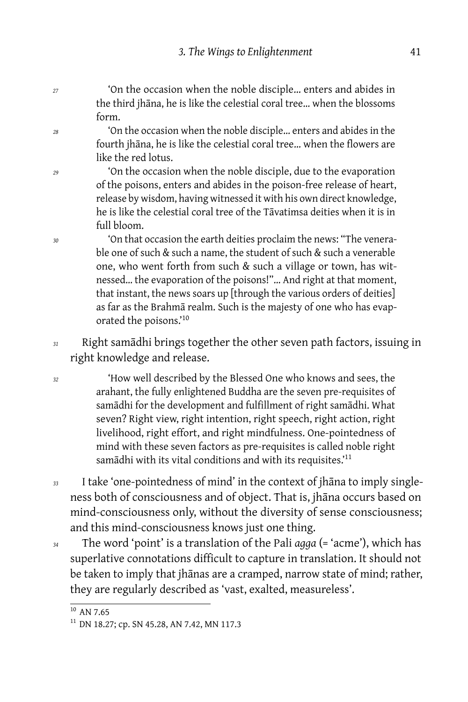*<sup>27</sup>* 'On the occasion when the noble disciple… enters and abides in the third jhāna, he is like the celestial coral tree… when the blossoms form.

*<sup>28</sup>* 'On the occasion when the noble disciple… enters and abides in the fourth jhāna, he is like the celestial coral tree… when the flowers are like the red lotus.

*<sup>29</sup>* 'On the occasion when the noble disciple, due to the evaporation of the poisons, enters and abides in the poison-free release of heart, release by wisdom, having witnessed it with his own direct knowledge, he is like the celestial coral tree of the Tāvatimsa deities when it is in full bloom.

*<sup>30</sup>* 'On that occasion the earth deities proclaim the news: "The venerable one of such & such a name, the student of such & such a venerable one, who went forth from such & such a village or town, has witnessed… the evaporation of the poisons!"… And right at that moment, that instant, the news soars up [through the various orders of deities] as far as the Brahmā realm. Such is the majesty of one who has evaporated the poisons.'<sup>10</sup>

*<sup>31</sup>* Right samādhi brings together the other seven path factors, issuing in right knowledge and release.

*<sup>32</sup>* 'How well described by the Blessed One who knows and sees, the arahant, the fully enlightened Buddha are the seven pre-requisites of samādhi for the development and fulfillment of right samādhi. What seven? Right view, right intention, right speech, right action, right livelihood, right effort, and right mindfulness. One-pointedness of mind with these seven factors as pre-requisites is called noble right samādhi with its vital conditions and with its requisites.<sup>'11</sup>

*<sup>33</sup>* I take 'one-pointedness of mind' in the context of jhāna to imply singleness both of consciousness and of object. That is, jhāna occurs based on mind-consciousness only, without the diversity of sense consciousness; and this mind-consciousness knows just one thing.

*<sup>34</sup>* The word 'point' is a translation of the Pali *agga* (= 'acme'), which has superlative connotations difficult to capture in translation. It should not be taken to imply that jhānas are a cramped, narrow state of mind; rather, they are regularly described as 'vast, exalted, measureless'.

 $\frac{1}{10}$  AN 7.65

<sup>&</sup>lt;sup>11</sup> DN 18.27; cp. SN 45.28, AN 7.42, MN 117.3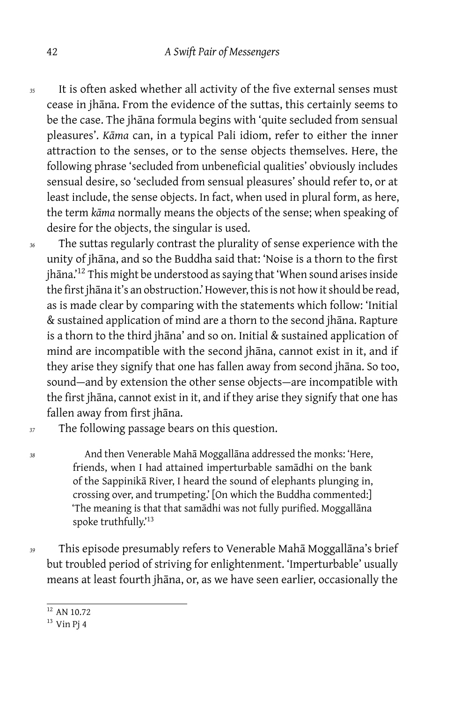- *<sup>35</sup>* It is often asked whether all activity of the five external senses must cease in jhāna. From the evidence of the suttas, this certainly seems to be the case. The jhāna formula begins with 'quite secluded from sensual pleasures'. *Kāma* can, in a typical Pali idiom, refer to either the inner attraction to the senses, or to the sense objects themselves. Here, the following phrase 'secluded from unbeneficial qualities' obviously includes sensual desire, so 'secluded from sensual pleasures' should refer to, or at least include, the sense objects. In fact, when used in plural form, as here, the term *kāma* normally means the objects of the sense; when speaking of desire for the objects, the singular is used.
- *<sup>36</sup>* The suttas regularly contrast the plurality of sense experience with the unity of jhāna, and so the Buddha said that: 'Noise is a thorn to the first jhāna.'<sup>12</sup> This might be understood as saying that 'When sound arises inside the first jhāna it's an obstruction.' However, this is not how it should be read, as is made clear by comparing with the statements which follow: 'Initial & sustained application of mind are a thorn to the second jhāna. Rapture is a thorn to the third jhāna' and so on. Initial & sustained application of mind are incompatible with the second jhāna, cannot exist in it, and if they arise they signify that one has fallen away from second jhāna. So too, sound-and by extension the other sense objects-are incompatible with the first jhāna, cannot exist in it, and if they arise they signify that one has fallen away from first jhāna.
- *<sup>37</sup>* The following passage bears on this question.

*<sup>38</sup>* And then Venerable Mahā Moggallāna addressed the monks: 'Here, friends, when I had attained imperturbable samādhi on the bank of the Sappinikā River, I heard the sound of elephants plunging in, crossing over, and trumpeting.' [On which the Buddha commented:] 'The meaning is that that samādhi was not fully purified. Moggallāna spoke truthfully.'<sup>13</sup>

*<sup>39</sup>* This episode presumably refers to Venerable Mahā Moggallāna's brief but troubled period of striving for enlightenment. 'Imperturbable' usually means at least fourth jhāna, or, as we have seen earlier, occasionally the

 $\frac{12}{12}$  AN 10.72

 $13$  Vin Pj 4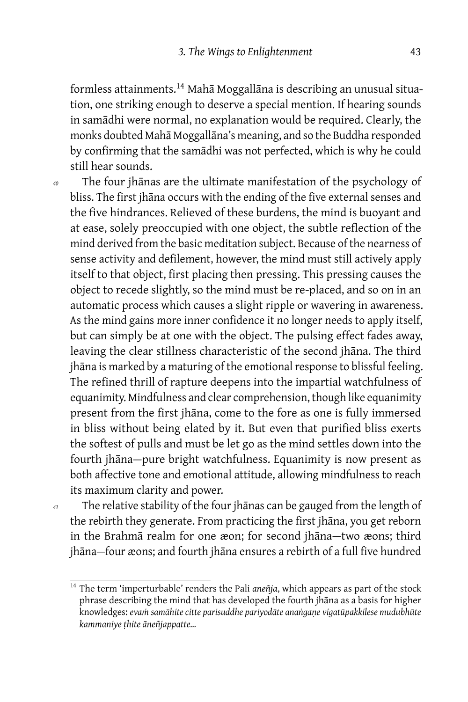formless attainments.<sup>14</sup> Mahā Moggallāna is describing an unusual situation, one striking enough to deserve a special mention. If hearing sounds in samādhi were normal, no explanation would be required. Clearly, the monks doubted Mahā Moggallāna's meaning, and so the Buddha responded by confirming that the samādhi was not perfected, which is why he could still hear sounds.

- 
- *<sup>40</sup>* The four jhānas are the ultimate manifestation of the psychology of bliss. The first jhāna occurs with the ending of the five external senses and the five hindrances. Relieved of these burdens, the mind is buoyant and at ease, solely preoccupied with one object, the subtle reflection of the mind derived from the basic meditation subject. Because of the nearness of sense activity and defilement, however, the mind must still actively apply itself to that object, first placing then pressing. This pressing causes the object to recede slightly, so the mind must be re-placed, and so on in an automatic process which causes a slight ripple or wavering in awareness. As the mind gains more inner confidence it no longer needs to apply itself, but can simply be at one with the object. The pulsing effect fades away, leaving the clear stillness characteristic of the second jhāna. The third jhāna is marked by a maturing of the emotional response to blissful feeling. The refined thrill of rapture deepens into the impartial watchfulness of equanimity. Mindfulness and clear comprehension, though like equanimity present from the first jhāna, come to the fore as one is fully immersed in bliss without being elated by it. But even that purified bliss exerts the softest of pulls and must be let go as the mind settles down into the fourth jhāna-pure bright watchfulness. Equanimity is now present as both affective tone and emotional attitude, allowing mindfulness to reach its maximum clarity and power.
- 

*<sup>41</sup>* The relative stability of the four jhānas can be gauged from the length of the rebirth they generate. From practicing the first jhāna, you get reborn in the Brahmā realm for one æon; for second jhāna-two æons; third jhāna — four æons; and fourth jhāna ensures a rebirth of a full five hundred

<sup>&</sup>lt;sup>14</sup> The term 'imperturbable' renders the Pali aneñja, which appears as part of the stock phrase describing the mind that has developed the fourth jhāna as a basis for higher knowledges: *evaṁ samāhite citte parisuddhe pariyodāte anaṅgaṇe vigatūpakkilese mudubhūte kammaniye ṭhite āneñjappatte…*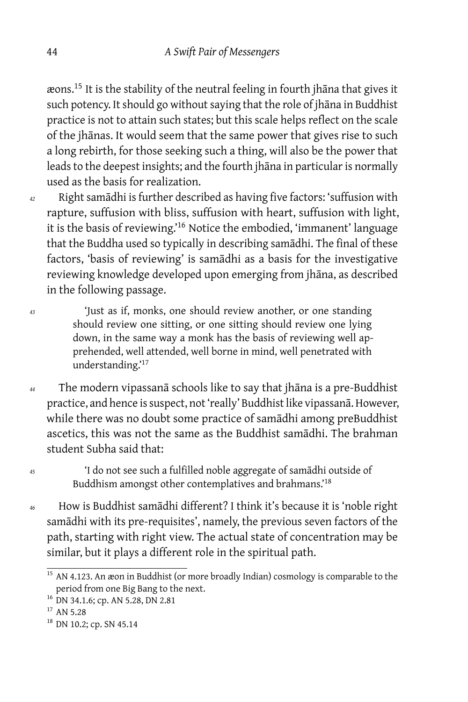æons.<sup>15</sup> It is the stability of the neutral feeling in fourth jhāna that gives it such potency. It should go without saying that the role of jhāna in Buddhist practice is not to attain such states; but this scale helps reflect on the scale of the jhānas. It would seem that the same power that gives rise to such a long rebirth, for those seeking such a thing, will also be the power that leads to the deepest insights; and the fourth jhāna in particular is normally used as the basis for realization.

*<sup>42</sup>* Right samādhi is further described as having five factors: 'suffusion with rapture, suffusion with bliss, suffusion with heart, suffusion with light, it is the basis of reviewing.'<sup>16</sup> Notice the embodied, 'immanent' language that the Buddha used so typically in describing samādhi. The final of these factors, 'basis of reviewing' is samādhi as a basis for the investigative reviewing knowledge developed upon emerging from jhāna, as described in the following passage.

*<sup>43</sup>* 'Just as if, monks, one should review another, or one standing should review one sitting, or one sitting should review one lying down, in the same way a monk has the basis of reviewing well apprehended, well attended, well borne in mind, well penetrated with understanding.'<sup>17</sup>

*<sup>44</sup>* The modern vipassanā schools like to say that jhāna is a pre-Buddhist practice, and hence is suspect, not 'really' Buddhist like vipassanā. However, while there was no doubt some practice of samādhi among preBuddhist ascetics, this was not the same as the Buddhist samādhi. The brahman student Subha said that:

*<sup>45</sup>* 'I do not see such a fulfilled noble aggregate of samādhi outside of Buddhism amongst other contemplatives and brahmans.'<sup>18</sup>

*<sup>46</sup>* How is Buddhist samādhi different? I think it's because it is 'noble right samādhi with its pre-requisites', namely, the previous seven factors of the path, starting with right view. The actual state of concentration may be similar, but it plays a different role in the spiritual path.

 $\frac{15}{15}$  AN 4.123. An æon in Buddhist (or more broadly Indian) cosmology is comparable to the period from one Big Bang to the next.

<sup>&</sup>lt;sup>16</sup> DN 34.1.6; cp. AN 5.28, DN 2.81

 $17$  AN 5.28

<sup>&</sup>lt;sup>18</sup> DN 10.2; cp. SN 45.14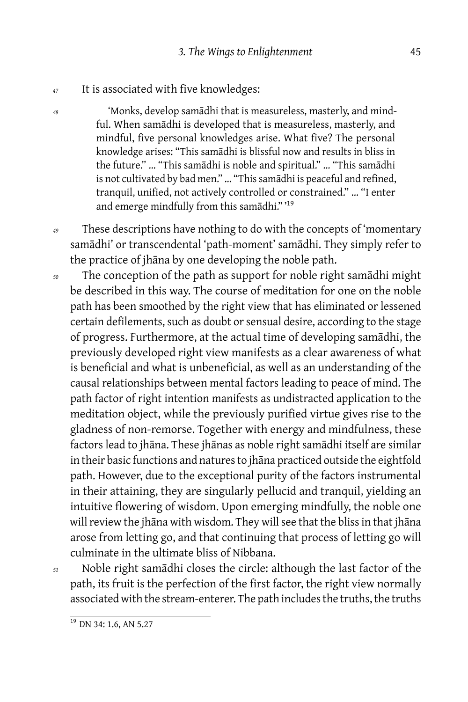#### *<sup>47</sup>* It is associated with five knowledges:

*<sup>48</sup>* 'Monks, develop samādhi that is measureless, masterly, and mindful. When samādhi is developed that is measureless, masterly, and mindful, five personal knowledges arise. What five? The personal knowledge arises: "This samādhi is blissful now and results in bliss in the future." … "This samādhi is noble and spiritual." … "This samādhi is not cultivated by bad men." … "This samādhi is peaceful and refined, tranquil, unified, not actively controlled or constrained." … "I enter and emerge mindfully from this samādhi." '<sup>19</sup>

*<sup>49</sup>* These descriptions have nothing to do with the concepts of 'momentary samādhi' or transcendental 'path-moment' samādhi. They simply refer to the practice of jhāna by one developing the noble path.

*<sup>50</sup>* The conception of the path as support for noble right samādhi might be described in this way. The course of meditation for one on the noble path has been smoothed by the right view that has eliminated or lessened certain defilements, such as doubt or sensual desire, according to the stage of progress. Furthermore, at the actual time of developing samādhi, the previously developed right view manifests as a clear awareness of what is beneficial and what is unbeneficial, as well as an understanding of the causal relationships between mental factors leading to peace of mind. The path factor of right intention manifests as undistracted application to the meditation object, while the previously purified virtue gives rise to the gladness of non-remorse. Together with energy and mindfulness, these factors lead to jhāna. These jhānas as noble right samādhi itself are similar in their basic functions and natures to jhāna practiced outside the eightfold path. However, due to the exceptional purity of the factors instrumental in their attaining, they are singularly pellucid and tranquil, yielding an intuitive flowering of wisdom. Upon emerging mindfully, the noble one will review the jhāna with wisdom. They will see that the bliss in that jhāna arose from letting go, and that continuing that process of letting go will culminate in the ultimate bliss of Nibbana.

*<sup>51</sup>* Noble right samādhi closes the circle: although the last factor of the path, its fruit is the perfection of the first factor, the right view normally associated with the stream-enterer. The path includes the truths, the truths

 $\overline{^{19}}$  DN 34: 1.6, AN 5.27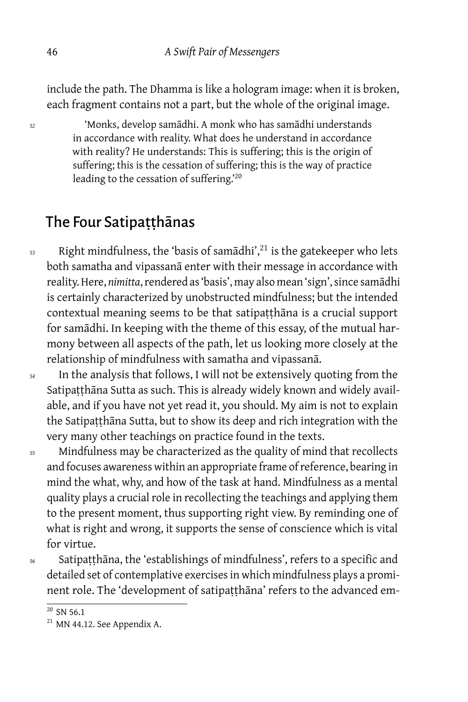include the path. The Dhamma is like a hologram image: when it is broken, each fragment contains not a part, but the whole of the original image.

*<sup>52</sup>* 'Monks, develop samādhi. A monk who has samādhi understands in accordance with reality. What does he understand in accordance with reality? He understands: This is suffering; this is the origin of suffering; this is the cessation of suffering; this is the way of practice leading to the cessation of suffering.'<sup>20</sup>

# The Four Satipaṭṭhānas

*<sup>53</sup>* Right mindfulness, the 'basis of samādhi',<sup>21</sup> is the gatekeeper who lets both samatha and vipassanā enter with their message in accordance with reality. Here, *nimitta*, rendered as 'basis', may also mean 'sign', since samādhi is certainly characterized by unobstructed mindfulness; but the intended contextual meaning seems to be that satipaṭṭhāna is a crucial support for samādhi. In keeping with the theme of this essay, of the mutual harmony between all aspects of the path, let us looking more closely at the relationship of mindfulness with samatha and vipassanā.

*<sup>54</sup>* In the analysis that follows, I will not be extensively quoting from the Satipaṭṭhāna Sutta as such. This is already widely known and widely available, and if you have not yet read it, you should. My aim is not to explain the Satipatthāna Sutta, but to show its deep and rich integration with the very many other teachings on practice found in the texts.

*<sup>55</sup>* Mindfulness may be characterized as the quality of mind that recollects and focuses awareness within an appropriate frame of reference, bearing in mind the what, why, and how of the task at hand. Mindfulness as a mental quality plays a crucial role in recollecting the teachings and applying them to the present moment, thus supporting right view. By reminding one of what is right and wrong, it supports the sense of conscience which is vital for virtue.

*<sup>56</sup>* Satipaṭṭhāna, the 'establishings of mindfulness', refers to a specific and detailed set of contemplative exercises in which mindfulness plays a prominent role. The 'development of satipatthāna' refers to the advanced em-

 $20$  SN 56.1

 $^{21}$  MN 44.12. See Appendix A.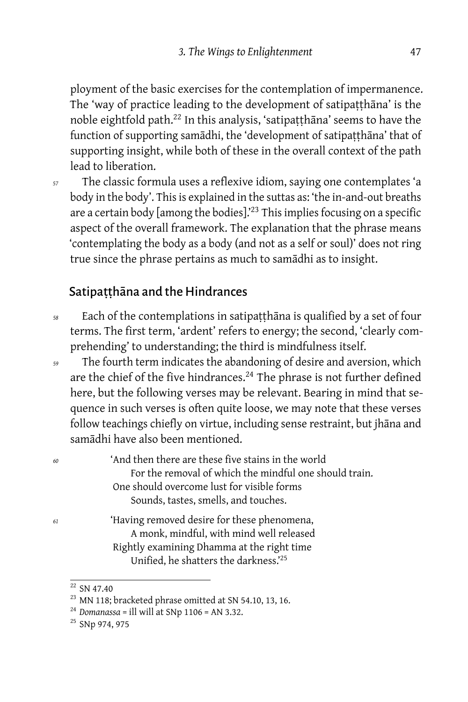ployment of the basic exercises for the contemplation of impermanence. The 'way of practice leading to the development of satipaṭṭhāna' is the noble eightfold path.<sup>22</sup> In this analysis, 'satipaṭṭhāna' seems to have the function of supporting samādhi, the 'development of satipatthāna' that of supporting insight, while both of these in the overall context of the path lead to liberation.

*<sup>57</sup>* The classic formula uses a reflexive idiom, saying one contemplates 'a body in the body'. This is explained in the suttas as: 'the in-and-out breaths are a certain body  $\lceil\text{among the bodies}\rceil^{23}$  This implies focusing on a specific aspect of the overall framework. The explanation that the phrase means 'contemplating the body as a body (and not as a self or soul)' does not ring true since the phrase pertains as much to samādhi as to insight.

#### Satipatthāna and the Hindrances

- *<sup>58</sup>* Each of the contemplations in satipaṭṭhāna is qualified by a set of four terms. The first term, 'ardent' refers to energy; the second, 'clearly comprehending' to understanding; the third is mindfulness itself.
- *<sup>59</sup>* The fourth term indicates the abandoning of desire and aversion, which are the chief of the five hindrances. $^{24}$  The phrase is not further defined here, but the following verses may be relevant. Bearing in mind that sequence in such verses is often quite loose, we may note that these verses follow teachings chiefly on virtue, including sense restraint, but jhāna and samādhi have also been mentioned.

*<sup>60</sup>* 'And then there are these five stains in the world For the removal of which the mindful one should train. One should overcome lust for visible forms Sounds, tastes, smells, and touches. *<sup>61</sup>* 'Having removed desire for these phenomena, A monk, mindful, with mind well released Rightly examining Dhamma at the right time Unified, he shatters the darkness.'<sup>25</sup>

 $22$  SN 47.40

<sup>&</sup>lt;sup>23</sup> MN 118; bracketed phrase omitted at SN 54.10, 13, 16.

<sup>&</sup>lt;sup>24</sup> Domanassa = ill will at SNp  $1106$  = AN 3.32.

<sup>25</sup> SNp 974, 975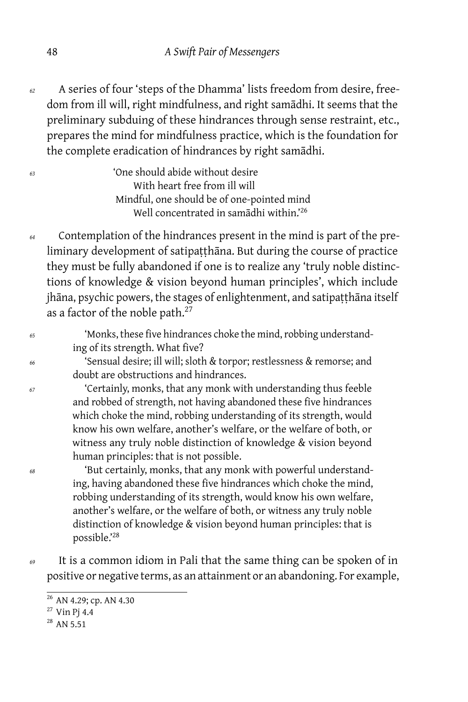*<sup>62</sup>* A series of four 'steps of the Dhamma' lists freedom from desire, freedom from ill will, right mindfulness, and right samādhi. It seems that the preliminary subduing of these hindrances through sense restraint, etc., prepares the mind for mindfulness practice, which is the foundation for the complete eradication of hindrances by right samādhi.

| 'One should abide without desire                   |
|----------------------------------------------------|
| With heart free from ill will                      |
| Mindful, one should be of one-pointed mind         |
| Well concentrated in samadhi within. <sup>26</sup> |
|                                                    |

*<sup>64</sup>* Contemplation of the hindrances present in the mind is part of the preliminary development of satipaṭṭhāna. But during the course of practice they must be fully abandoned if one is to realize any 'truly noble distinctions of knowledge & vision beyond human principles', which include jhāna, psychic powers, the stages of enlightenment, and satipatthāna itself as a factor of the noble path.<sup>27</sup>

| 65 | 'Monks, these five hindrances choke the mind, robbing understand- |
|----|-------------------------------------------------------------------|
|    | ing of its strength. What five?                                   |

*<sup>66</sup>* 'Sensual desire; ill will; sloth & torpor; restlessness & remorse; and doubt are obstructions and hindrances.

*<sup>67</sup>* 'Certainly, monks, that any monk with understanding thus feeble and robbed of strength, not having abandoned these five hindrances which choke the mind, robbing understanding of its strength, would know his own welfare, another's welfare, or the welfare of both, or witness any truly noble distinction of knowledge & vision beyond human principles: that is not possible.

*<sup>68</sup>* 'But certainly, monks, that any monk with powerful understanding, having abandoned these five hindrances which choke the mind, robbing understanding of its strength, would know his own welfare, another's welfare, or the welfare of both, or witness any truly noble distinction of knowledge & vision beyond human principles: that is possible.'<sup>28</sup>

*<sup>69</sup>* It is a common idiom in Pali that the same thing can be spoken of in positive or negative terms, as an attainment or an abandoning. For example,

 $^{26}$  AN 4.29; cp. AN 4.30

<sup>27</sup> Vin Pj 4.4

<sup>28</sup> AN 5.51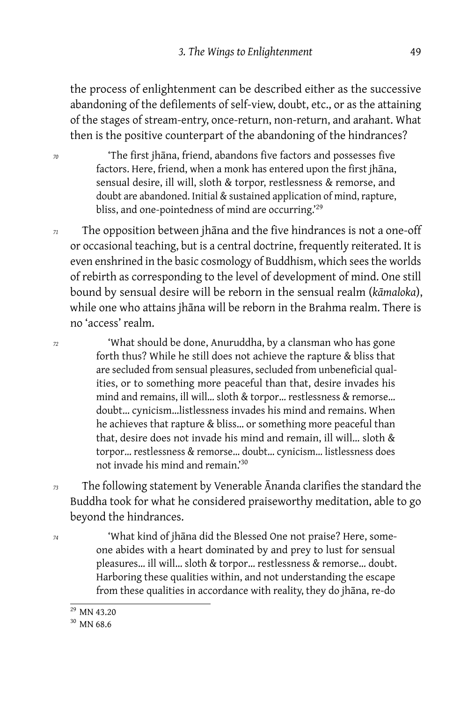the process of enlightenment can be described either as the successive abandoning of the defilements of self-view, doubt, etc., or as the attaining of the stages of stream-entry, once-return, non-return, and arahant. What then is the positive counterpart of the abandoning of the hindrances?

*<sup>70</sup>* 'The first jhāna, friend, abandons five factors and possesses five factors. Here, friend, when a monk has entered upon the first jhāna, sensual desire, ill will, sloth & torpor, restlessness & remorse, and doubt are abandoned. Initial & sustained application of mind, rapture, bliss, and one-pointedness of mind are occurring.<sup>29</sup>

*<sup>71</sup>* The opposition between jhāna and the five hindrances is not a one-off or occasional teaching, but is a central doctrine, frequently reiterated. It is even enshrined in the basic cosmology of Buddhism, which sees the worlds of rebirth as corresponding to the level of development of mind. One still bound by sensual desire will be reborn in the sensual realm (*kāmaloka*), while one who attains jhāna will be reborn in the Brahma realm. There is no 'access' realm.

*<sup>72</sup>* 'What should be done, Anuruddha, by a clansman who has gone forth thus? While he still does not achieve the rapture & bliss that are secluded from sensual pleasures, secluded from unbeneficial qualities, or to something more peaceful than that, desire invades his mind and remains, ill will… sloth & torpor… restlessness & remorse… doubt… cynicism…listlessness invades his mind and remains. When he achieves that rapture & bliss… or something more peaceful than that, desire does not invade his mind and remain, ill will… sloth & torpor… restlessness & remorse… doubt… cynicism… listlessness does not invade his mind and remain.'<sup>30</sup>

- *<sup>73</sup>* The following statement by Venerable Ānanda clarifies the standard the Buddha took for what he considered praiseworthy meditation, able to go beyond the hindrances.
- *<sup>74</sup>* 'What kind of jhāna did the Blessed One not praise? Here, someone abides with a heart dominated by and prey to lust for sensual pleasures… ill will… sloth & torpor… restlessness & remorse… doubt. Harboring these qualities within, and not understanding the escape from these qualities in accordance with reality, they do jhāna, re-do

<sup>29</sup> MN 43.20

<sup>&</sup>lt;sup>30</sup> MN 68.6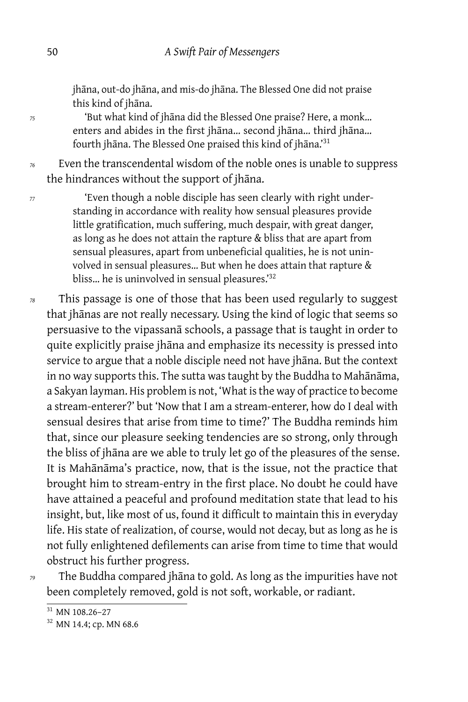jhāna, out-do jhāna, and mis-do jhāna. The Blessed One did not praise this kind of jhāna.

*<sup>75</sup>* 'But what kind of jhāna did the Blessed One praise? Here, a monk… enters and abides in the first jhāna… second jhāna… third jhāna… fourth jhāna. The Blessed One praised this kind of jhāna.'<sup>31</sup>

*<sup>76</sup>* Even the transcendental wisdom of the noble ones is unable to suppress the hindrances without the support of jhāna.

*<sup>77</sup>* 'Even though a noble disciple has seen clearly with right understanding in accordance with reality how sensual pleasures provide little gratification, much suffering, much despair, with great danger, as long as he does not attain the rapture & bliss that are apart from sensual pleasures, apart from unbeneficial qualities, he is not uninvolved in sensual pleasures… But when he does attain that rapture & bliss... he is uninvolved in sensual pleasures.'<sup>32</sup>

*<sup>78</sup>* This passage is one of those that has been used regularly to suggest that jhānas are not really necessary. Using the kind of logic that seems so persuasive to the vipassanā schools, a passage that is taught in order to quite explicitly praise jhāna and emphasize its necessity is pressed into service to argue that a noble disciple need not have jhāna. But the context in no way supports this. The sutta was taught by the Buddha to Mahānāma, a Sakyan layman. His problem is not, 'What is the way of practice to become a stream-enterer?' but 'Now that I am a stream-enterer, how do I deal with sensual desires that arise from time to time?' The Buddha reminds him that, since our pleasure seeking tendencies are so strong, only through the bliss of jhāna are we able to truly let go of the pleasures of the sense. It is Mahānāma's practice, now, that is the issue, not the practice that brought him to stream-entry in the first place. No doubt he could have have attained a peaceful and profound meditation state that lead to his insight, but, like most of us, found it difficult to maintain this in everyday life. His state of realization, of course, would not decay, but as long as he is not fully enlightened defilements can arise from time to time that would obstruct his further progress.

*<sup>79</sup>* The Buddha compared jhāna to gold. As long as the impurities have not been completely removed, gold is not soft, workable, or radiant.

 $\frac{31}{10}$  MN 108.26–27

<sup>&</sup>lt;sup>32</sup> MN 14.4; cp. MN 68.6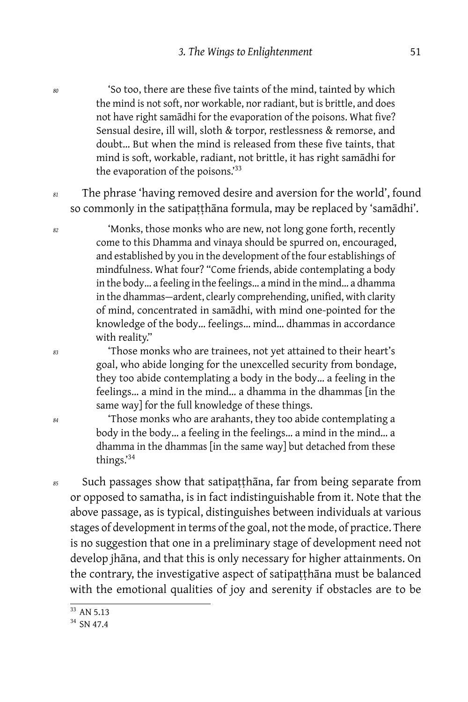*<sup>80</sup>* 'So too, there are these five taints of the mind, tainted by which the mind is not soft, nor workable, nor radiant, but is brittle, and does not have right samādhi for the evaporation of the poisons. What five? Sensual desire, ill will, sloth & torpor, restlessness & remorse, and doubt… But when the mind is released from these five taints, that mind is soft, workable, radiant, not brittle, it has right samādhi for the evaporation of the poisons.<sup>33</sup>

*<sup>81</sup>* The phrase 'having removed desire and aversion for the world', found so commonly in the satipaṭṭhāna formula, may be replaced by 'samādhi'.

*<sup>82</sup>* 'Monks, those monks who are new, not long gone forth, recently come to this Dhamma and vinaya should be spurred on, encouraged, and established by you in the development of the four establishings of mindfulness. What four? "Come friends, abide contemplating a body in the body… a feeling in the feelings… a mind in the mind… a dhamma in the dhammas — ardent, clearly comprehending, unified, with clarity of mind, concentrated in samādhi, with mind one-pointed for the knowledge of the body… feelings… mind… dhammas in accordance with reality."

*<sup>83</sup>* 'Those monks who are trainees, not yet attained to their heart's goal, who abide longing for the unexcelled security from bondage, they too abide contemplating a body in the body… a feeling in the feelings… a mind in the mind… a dhamma in the dhammas [in the same way] for the full knowledge of these things.

*<sup>84</sup>* 'Those monks who are arahants, they too abide contemplating a body in the body… a feeling in the feelings… a mind in the mind… a dhamma in the dhammas [in the same way] but detached from these things.'<sup>34</sup>

*<sup>85</sup>* Such passages show that satipaṭṭhāna, far from being separate from or opposed to samatha, is in fact indistinguishable from it. Note that the above passage, as is typical, distinguishes between individuals at various stages of development in terms of the goal, not the mode, of practice. There is no suggestion that one in a preliminary stage of development need not develop jhāna, and that this is only necessary for higher attainments. On the contrary, the investigative aspect of satipaṭṭhāna must be balanced with the emotional qualities of joy and serenity if obstacles are to be

 $\frac{1}{33}$  AN 5.13

<sup>34</sup> SN 47.4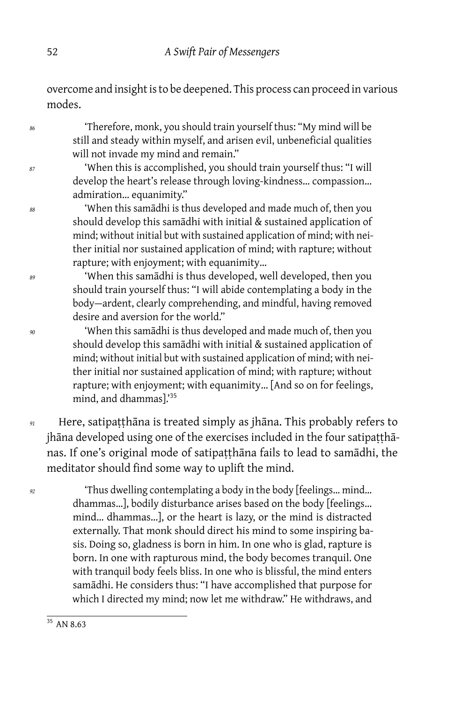overcome and insight is to be deepened. This process can proceed in various modes.

*<sup>86</sup>* 'Therefore, monk, you should train yourself thus: "My mind will be still and steady within myself, and arisen evil, unbeneficial qualities will not invade my mind and remain."

*<sup>87</sup>* 'When this is accomplished, you should train yourself thus: "I will develop the heart's release through loving-kindness… compassion… admiration… equanimity."

*<sup>88</sup>* 'When this samādhi is thus developed and made much of, then you should develop this samādhi with initial & sustained application of mind; without initial but with sustained application of mind; with neither initial nor sustained application of mind; with rapture; without rapture; with enjoyment; with equanimity…

*<sup>89</sup>* 'When this samādhi is thus developed, well developed, then you should train yourself thus: "I will abide contemplating a body in the body — ardent, clearly comprehending, and mindful, having removed desire and aversion for the world."

*<sup>90</sup>* 'When this samādhi is thus developed and made much of, then you should develop this samādhi with initial & sustained application of mind; without initial but with sustained application of mind; with neither initial nor sustained application of mind; with rapture; without rapture; with enjoyment; with equanimity… [And so on for feelings, mind, and dhammas].'<sup>35</sup>

*<sup>91</sup>* Here, satipaṭṭhāna is treated simply as jhāna. This probably refers to jhāna developed using one of the exercises included in the four satipaṭṭhānas. If one's original mode of satipatthāna fails to lead to samādhi, the meditator should find some way to uplift the mind.

*<sup>92</sup>* 'Thus dwelling contemplating a body in the body [feelings… mind… dhammas…], bodily disturbance arises based on the body [feelings… mind… dhammas…], or the heart is lazy, or the mind is distracted externally. That monk should direct his mind to some inspiring basis. Doing so, gladness is born in him. In one who is glad, rapture is born. In one with rapturous mind, the body becomes tranquil. One with tranquil body feels bliss. In one who is blissful, the mind enters samādhi. He considers thus: "I have accomplished that purpose for which I directed my mind; now let me withdraw." He withdraws, and

 $35$  AN 8.63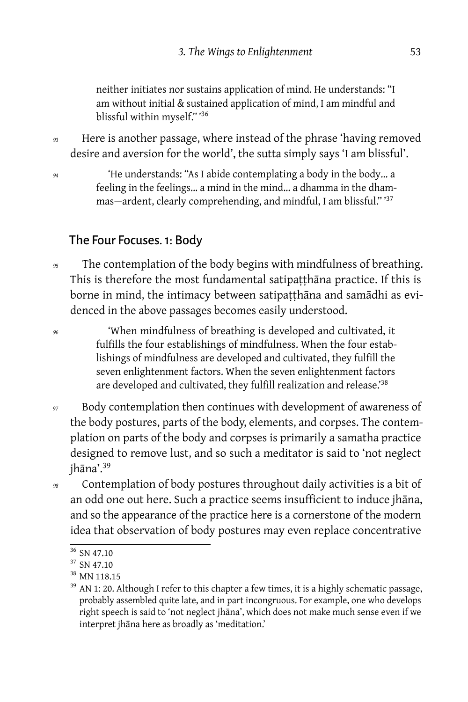neither initiates nor sustains application of mind. He understands: "I am without initial & sustained application of mind, I am mindful and blissful within myself." '<sup>36</sup>

*<sup>93</sup>* Here is another passage, where instead of the phrase 'having removed desire and aversion for the world', the sutta simply says 'I am blissful'.

*<sup>94</sup>* 'He understands: "As I abide contemplating a body in the body… a feeling in the feelings… a mind in the mind… a dhamma in the dhammas — ardent, clearly comprehending, and mindful, I am blissful." '<sup>37</sup>

# The Four Focuses. 1: Body

*<sup>95</sup>* The contemplation of the body begins with mindfulness of breathing. This is therefore the most fundamental satipaṭṭhāna practice. If this is borne in mind, the intimacy between satipaṭṭhāna and samādhi as evidenced in the above passages becomes easily understood.

*<sup>96</sup>* 'When mindfulness of breathing is developed and cultivated, it fulfills the four establishings of mindfulness. When the four establishings of mindfulness are developed and cultivated, they fulfill the seven enlightenment factors. When the seven enlightenment factors are developed and cultivated, they fulfill realization and release.<sup>38</sup>

- *<sup>97</sup>* Body contemplation then continues with development of awareness of the body postures, parts of the body, elements, and corpses. The contemplation on parts of the body and corpses is primarily a samatha practice designed to remove lust, and so such a meditator is said to 'not neglect jhāna'.<sup>39</sup>
- *<sup>98</sup>* Contemplation of body postures throughout daily activities is a bit of an odd one out here. Such a practice seems insufficient to induce jhāna, and so the appearance of the practice here is a cornerstone of the modern idea that observation of body postures may even replace concentrative

<sup>36</sup> SN 47.10

<sup>&</sup>lt;sup>37</sup> SN 47.10

<sup>38</sup> MN 118.15

<sup>&</sup>lt;sup>39</sup> AN 1: 20. Although I refer to this chapter a few times, it is a highly schematic passage, probably assembled quite late, and in part incongruous. For example, one who develops right speech is said to 'not neglect jhāna', which does not make much sense even if we interpret jhāna here as broadly as 'meditation.'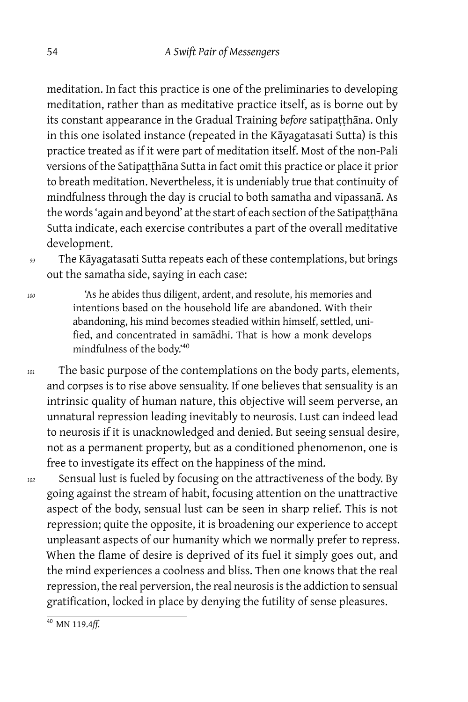meditation. In fact this practice is one of the preliminaries to developing meditation, rather than as meditative practice itself, as is borne out by its constant appearance in the Gradual Training *before* satipatthāna. Only in this one isolated instance (repeated in the Kāyagatasati Sutta) is this practice treated as if it were part of meditation itself. Most of the non-Pali versions of the Satipatthāna Sutta in fact omit this practice or place it prior to breath meditation. Nevertheless, it is undeniably true that continuity of mindfulness through the day is crucial to both samatha and vipassanā. As the words 'again and beyond' at the start of each section of the Satipaṭṭhāna Sutta indicate, each exercise contributes a part of the overall meditative development.

*<sup>99</sup>* The Kāyagatasati Sutta repeats each of these contemplations, but brings out the samatha side, saying in each case:

*<sup>100</sup>* 'As he abides thus diligent, ardent, and resolute, his memories and intentions based on the household life are abandoned. With their abandoning, his mind becomes steadied within himself, settled, unified, and concentrated in samādhi. That is how a monk develops mindfulness of the body.'<sup>40</sup>

*<sup>101</sup>* The basic purpose of the contemplations on the body parts, elements, and corpses is to rise above sensuality. If one believes that sensuality is an intrinsic quality of human nature, this objective will seem perverse, an unnatural repression leading inevitably to neurosis. Lust can indeed lead to neurosis if it is unacknowledged and denied. But seeing sensual desire, not as a permanent property, but as a conditioned phenomenon, one is free to investigate its effect on the happiness of the mind.

*<sup>102</sup>* Sensual lust is fueled by focusing on the attractiveness of the body. By going against the stream of habit, focusing attention on the unattractive aspect of the body, sensual lust can be seen in sharp relief. This is not repression; quite the opposite, it is broadening our experience to accept unpleasant aspects of our humanity which we normally prefer to repress. When the flame of desire is deprived of its fuel it simply goes out, and the mind experiences a coolness and bliss. Then one knows that the real repression, the real perversion, the real neurosis is the addiction to sensual gratification, locked in place by denying the futility of sense pleasures.

<sup>40</sup> MN 119.4*ff.*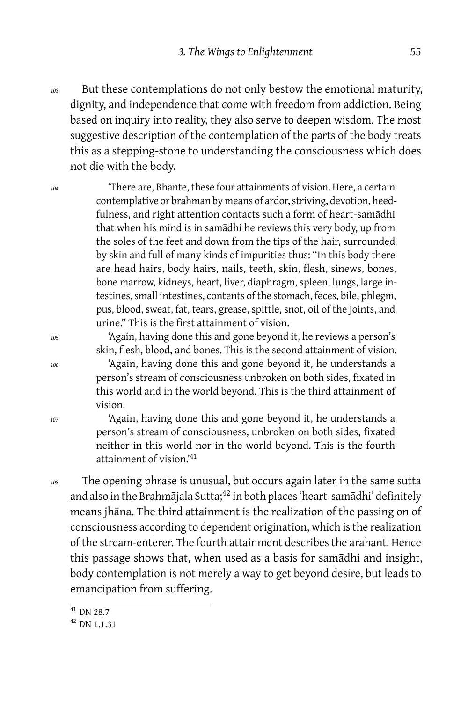*<sup>103</sup>* But these contemplations do not only bestow the emotional maturity, dignity, and independence that come with freedom from addiction. Being based on inquiry into reality, they also serve to deepen wisdom. The most suggestive description of the contemplation of the parts of the body treats this as a stepping-stone to understanding the consciousness which does not die with the body.

*<sup>104</sup>* 'There are, Bhante, these four attainments of vision. Here, a certain contemplative or brahman by means of ardor, striving, devotion, heedfulness, and right attention contacts such a form of heart-samādhi that when his mind is in samādhi he reviews this very body, up from the soles of the feet and down from the tips of the hair, surrounded by skin and full of many kinds of impurities thus: "In this body there are head hairs, body hairs, nails, teeth, skin, flesh, sinews, bones, bone marrow, kidneys, heart, liver, diaphragm, spleen, lungs, large intestines, small intestines, contents of the stomach, feces, bile, phlegm, pus, blood, sweat, fat, tears, grease, spittle, snot, oil of the joints, and urine." This is the first attainment of vision.

*<sup>105</sup>* 'Again, having done this and gone beyond it, he reviews a person's skin, flesh, blood, and bones. This is the second attainment of vision. *<sup>106</sup>* 'Again, having done this and gone beyond it, he understands a person's stream of consciousness unbroken on both sides, fixated in this world and in the world beyond. This is the third attainment of vision.

*<sup>107</sup>* 'Again, having done this and gone beyond it, he understands a person's stream of consciousness, unbroken on both sides, fixated neither in this world nor in the world beyond. This is the fourth attainment of vision. $141$ 

*<sup>108</sup>* The opening phrase is unusual, but occurs again later in the same sutta and also in the Brahmājala Sutta;<sup>42</sup> in both places 'heart-samādhi' definitely means jhāna. The third attainment is the realization of the passing on of consciousness according to dependent origination, which is the realization of the stream-enterer. The fourth attainment describes the arahant. Hence this passage shows that, when used as a basis for samādhi and insight, body contemplation is not merely a way to get beyond desire, but leads to emancipation from suffering.

 $\frac{1}{41}$  DN 28.7

<sup>42</sup> DN 1.1.31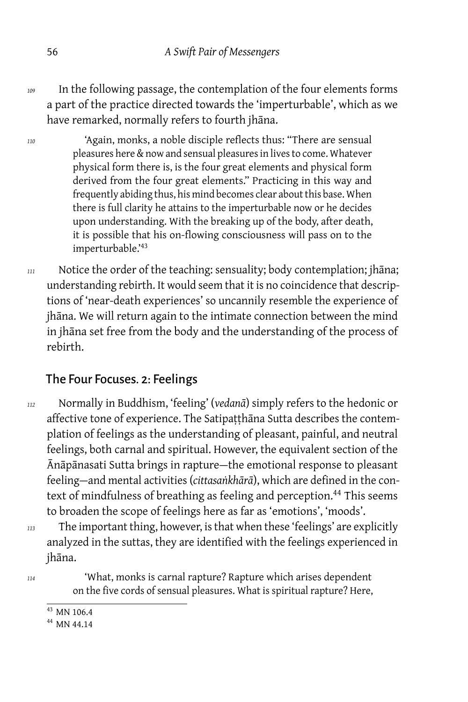- *<sup>109</sup>* In the following passage, the contemplation of the four elements forms a part of the practice directed towards the 'imperturbable', which as we have remarked, normally refers to fourth jhāna.
- *<sup>110</sup>* 'Again, monks, a noble disciple reflects thus: "There are sensual pleasures here & now and sensual pleasures in lives to come. Whatever physical form there is, is the four great elements and physical form derived from the four great elements." Practicing in this way and frequently abiding thus, his mind becomes clear about this base. When there is full clarity he attains to the imperturbable now or he decides upon understanding. With the breaking up of the body, after death, it is possible that his on-flowing consciousness will pass on to the imperturbable.'<sup>43</sup>
- *<sup>111</sup>* Notice the order of the teaching: sensuality; body contemplation; jhāna; understanding rebirth. It would seem that it is no coincidence that descriptions of 'near-death experiences' so uncannily resemble the experience of jhāna. We will return again to the intimate connection between the mind in jhāna set free from the body and the understanding of the process of rebirth.

#### The Four Focuses. 2: Feelings

- *<sup>112</sup>* Normally in Buddhism, 'feeling' (*vedanā*) simply refers to the hedonic or affective tone of experience. The Satipaṭṭhāna Sutta describes the contemplation of feelings as the understanding of pleasant, painful, and neutral feelings, both carnal and spiritual. However, the equivalent section of the Ānāpānasati Sutta brings in rapture — the emotional response to pleasant feeling — and mental activities (*cittasaṅkhārā*), which are defined in the context of mindfulness of breathing as feeling and perception.<sup>44</sup> This seems to broaden the scope of feelings here as far as 'emotions', 'moods'.
- 

*<sup>113</sup>* The important thing, however, is that when these 'feelings' are explicitly analyzed in the suttas, they are identified with the feelings experienced in jhāna.

*<sup>114</sup>* 'What, monks is carnal rapture? Rapture which arises dependent on the five cords of sensual pleasures. What is spiritual rapture? Here,

<sup>43</sup> MN 106.4

<sup>44</sup> MN 44.14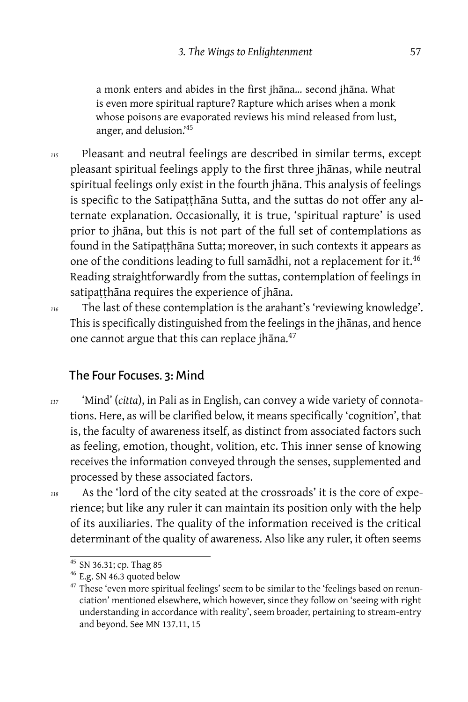a monk enters and abides in the first jhāna… second jhāna. What is even more spiritual rapture? Rapture which arises when a monk whose poisons are evaporated reviews his mind released from lust, anger, and delusion.'<sup>45</sup>

*<sup>115</sup>* Pleasant and neutral feelings are described in similar terms, except pleasant spiritual feelings apply to the first three jhānas, while neutral spiritual feelings only exist in the fourth jhāna. This analysis of feelings is specific to the Satipaṭṭhāna Sutta, and the suttas do not offer any alternate explanation. Occasionally, it is true, 'spiritual rapture' is used prior to jhāna, but this is not part of the full set of contemplations as found in the Satipaṭṭhāna Sutta; moreover, in such contexts it appears as one of the conditions leading to full samādhi, not a replacement for it.<sup>46</sup> Reading straightforwardly from the suttas, contemplation of feelings in satipatthāna requires the experience of jhāna.

*<sup>116</sup>* The last of these contemplation is the arahant's 'reviewing knowledge'. This is specifically distinguished from the feelings in the jhānas, and hence one cannot argue that this can replace jhāna.<sup>47</sup>

#### The Four Focuses. 3: Mind

*<sup>117</sup>* 'Mind' (*citta*), in Pali as in English, can convey a wide variety of connotations. Here, as will be clarified below, it means specifically 'cognition', that is, the faculty of awareness itself, as distinct from associated factors such as feeling, emotion, thought, volition, etc. This inner sense of knowing receives the information conveyed through the senses, supplemented and processed by these associated factors.

*<sup>118</sup>* As the 'lord of the city seated at the crossroads' it is the core of experience; but like any ruler it can maintain its position only with the help of its auxiliaries. The quality of the information received is the critical determinant of the quality of awareness. Also like any ruler, it often seems

<sup>&</sup>lt;sup>45</sup> SN 36.31; cp. Thag 85

<sup>46</sup> E.g. SN 46.3 quoted below

<sup>&</sup>lt;sup>47</sup> These 'even more spiritual feelings' seem to be similar to the 'feelings based on renunciation' mentioned elsewhere, which however, since they follow on 'seeing with right understanding in accordance with reality', seem broader, pertaining to stream-entry and beyond. See MN 137.11, 15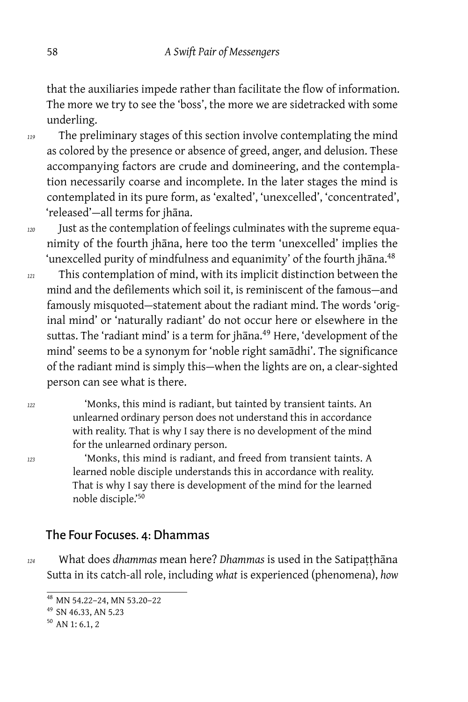that the auxiliaries impede rather than facilitate the flow of information. The more we try to see the 'boss', the more we are sidetracked with some underling.

- *<sup>119</sup>* The preliminary stages of this section involve contemplating the mind as colored by the presence or absence of greed, anger, and delusion. These accompanying factors are crude and domineering, and the contemplation necessarily coarse and incomplete. In the later stages the mind is contemplated in its pure form, as 'exalted', 'unexcelled', 'concentrated', 'released'-all terms for jhāna.
- *<sup>120</sup>* Just as the contemplation of feelings culminates with the supreme equanimity of the fourth jhāna, here too the term 'unexcelled' implies the 'unexcelled purity of mindfulness and equanimity' of the fourth jhana.<sup>48</sup>
- *<sup>121</sup>* This contemplation of mind, with its implicit distinction between the mind and the defilements which soil it, is reminiscent of the famous — and famously misquoted-statement about the radiant mind. The words 'original mind' or 'naturally radiant' do not occur here or elsewhere in the suttas. The 'radiant mind' is a term for jhana.<sup>49</sup> Here, 'development of the mind' seems to be a synonym for 'noble right samādhi'. The significance of the radiant mind is simply this—when the lights are on, a clear-sighted person can see what is there.

*<sup>122</sup>* 'Monks, this mind is radiant, but tainted by transient taints. An unlearned ordinary person does not understand this in accordance with reality. That is why I say there is no development of the mind for the unlearned ordinary person.

*<sup>123</sup>* 'Monks, this mind is radiant, and freed from transient taints. A learned noble disciple understands this in accordance with reality. That is why I say there is development of the mind for the learned noble disciple.'<sup>50</sup>

#### The Four Focuses. 4: Dhammas

*<sup>124</sup>* What does *dhammas* mean here? *Dhammas* is used in the Satipaṭṭhāna Sutta in its catch-all role, including *what* is experienced (phenomena), *how*

<sup>48</sup> MN 54.22–24, MN 53.20–22

<sup>49</sup> SN 46.33, AN 5.23

<sup>50</sup> AN 1: 6.1, 2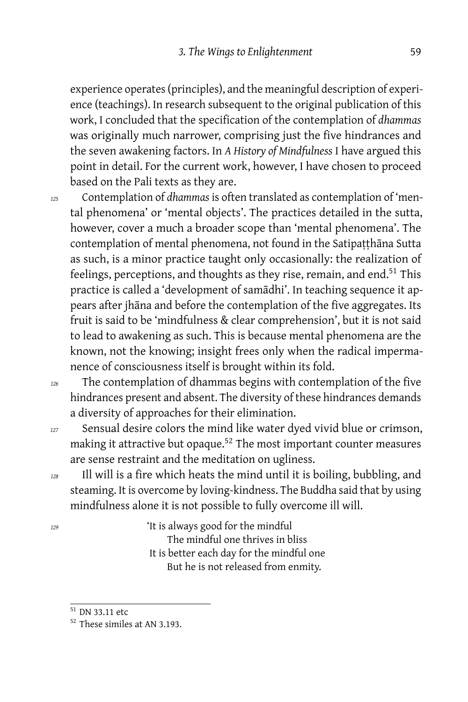experience operates (principles), and the meaningful description of experience (teachings). In research subsequent to the original publication of this work, I concluded that the specification of the contemplation of *dhammas* was originally much narrower, comprising just the five hindrances and the seven awakening factors. In *A History of Mindfulness* I have argued this point in detail. For the current work, however, I have chosen to proceed based on the Pali texts as they are.

*<sup>125</sup>* Contemplation of *dhammas* is often translated as contemplation of 'mental phenomena' or 'mental objects'. The practices detailed in the sutta, however, cover a much a broader scope than 'mental phenomena'. The contemplation of mental phenomena, not found in the Satipatthana Sutta as such, is a minor practice taught only occasionally: the realization of feelings, perceptions, and thoughts as they rise, remain, and end.<sup>51</sup> This practice is called a 'development of samādhi'. In teaching sequence it appears after jhāna and before the contemplation of the five aggregates. Its fruit is said to be 'mindfulness & clear comprehension', but it is not said to lead to awakening as such. This is because mental phenomena are the known, not the knowing; insight frees only when the radical impermanence of consciousness itself is brought within its fold.

- *<sup>126</sup>* The contemplation of dhammas begins with contemplation of the five hindrances present and absent. The diversity of these hindrances demands a diversity of approaches for their elimination.
- *<sup>127</sup>* Sensual desire colors the mind like water dyed vivid blue or crimson, making it attractive but opaque. $52$  The most important counter measures are sense restraint and the meditation on ugliness.
- *<sup>128</sup>* Ill will is a fire which heats the mind until it is boiling, bubbling, and steaming. It is overcome by loving-kindness. The Buddha said that by using mindfulness alone it is not possible to fully overcome ill will.
- *<sup>129</sup>* 'It is always good for the mindful The mindful one thrives in bliss It is better each day for the mindful one

But he is not released from enmity.

<sup>51</sup> DN 33.11 etc

<sup>52</sup> These similes at AN 3.193.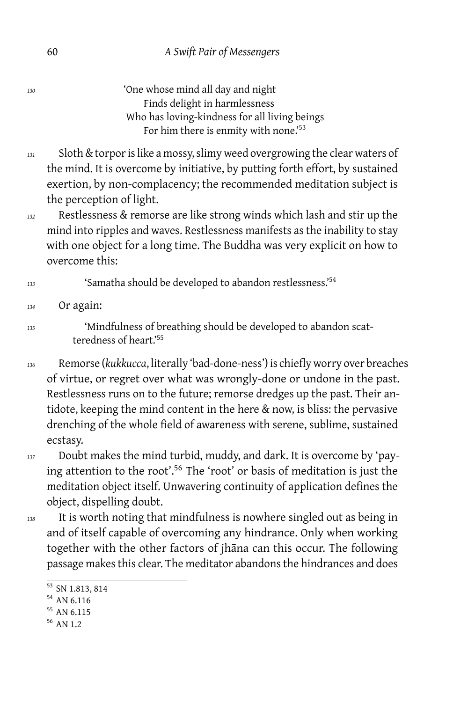*<sup>130</sup>* 'One whose mind all day and night Finds delight in harmlessness Who has loving-kindness for all living beings For him there is enmity with none.'<sup>53</sup>

- *<sup>131</sup>* Sloth & torpor is like a mossy, slimy weed overgrowing the clear waters of the mind. It is overcome by initiative, by putting forth effort, by sustained exertion, by non-complacency; the recommended meditation subject is the perception of light.
- *<sup>132</sup>* Restlessness & remorse are like strong winds which lash and stir up the mind into ripples and waves. Restlessness manifests as the inability to stay with one object for a long time. The Buddha was very explicit on how to overcome this:

#### *<sup>133</sup>* 'Samatha should be developed to abandon restlessness.'<sup>54</sup>

*<sup>134</sup>* Or again:

*<sup>135</sup>* 'Mindfulness of breathing should be developed to abandon scatteredness of heart.'55

- *<sup>136</sup>* Remorse (*kukkucca*, literally 'bad-done-ness') is chiefly worry over breaches of virtue, or regret over what was wrongly-done or undone in the past. Restlessness runs on to the future; remorse dredges up the past. Their antidote, keeping the mind content in the here & now, is bliss: the pervasive drenching of the whole field of awareness with serene, sublime, sustained ecstasy.
- *<sup>137</sup>* Doubt makes the mind turbid, muddy, and dark. It is overcome by 'paying attention to the root'.<sup>56</sup> The 'root' or basis of meditation is just the meditation object itself. Unwavering continuity of application defines the object, dispelling doubt.
- 
- *<sup>138</sup>* It is worth noting that mindfulness is nowhere singled out as being in and of itself capable of overcoming any hindrance. Only when working together with the other factors of jhāna can this occur. The following passage makes this clear. The meditator abandons the hindrances and does

 $\overline{53}$  SN 1.813, 814

<sup>54</sup> AN 6.116

<sup>55</sup> AN 6.115

<sup>56</sup> AN 1.2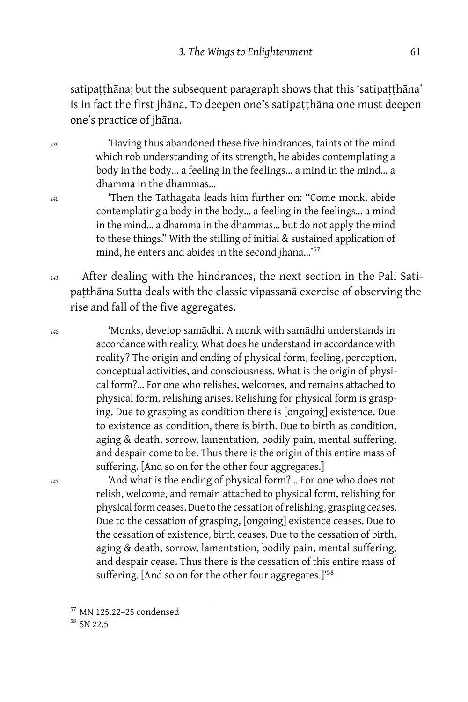satipaṭṭhāna; but the subsequent paragraph shows that this 'satipaṭṭhāna' is in fact the first jhāna. To deepen one's satipaṭṭhāna one must deepen one's practice of jhāna.

*<sup>139</sup>* 'Having thus abandoned these five hindrances, taints of the mind which rob understanding of its strength, he abides contemplating a body in the body… a feeling in the feelings… a mind in the mind… a dhamma in the dhammas…

- *<sup>140</sup>* 'Then the Tathagata leads him further on: "Come monk, abide contemplating a body in the body… a feeling in the feelings… a mind in the mind… a dhamma in the dhammas… but do not apply the mind to these things." With the stilling of initial & sustained application of mind, he enters and abides in the second jhāna…'<sup>57</sup>
- *<sup>141</sup>* After dealing with the hindrances, the next section in the Pali Satipaṭṭhāna Sutta deals with the classic vipassanā exercise of observing the rise and fall of the five aggregates.

*<sup>142</sup>* 'Monks, develop samādhi. A monk with samādhi understands in accordance with reality. What does he understand in accordance with reality? The origin and ending of physical form, feeling, perception, conceptual activities, and consciousness. What is the origin of physical form?… For one who relishes, welcomes, and remains attached to physical form, relishing arises. Relishing for physical form is grasping. Due to grasping as condition there is [ongoing] existence. Due to existence as condition, there is birth. Due to birth as condition, aging & death, sorrow, lamentation, bodily pain, mental suffering, and despair come to be. Thus there is the origin of this entire mass of suffering. [And so on for the other four aggregates.]

*<sup>143</sup>* 'And what is the ending of physical form?… For one who does not relish, welcome, and remain attached to physical form, relishing for physical form ceases. Due to the cessation of relishing, grasping ceases. Due to the cessation of grasping, [ongoing] existence ceases. Due to the cessation of existence, birth ceases. Due to the cessation of birth, aging & death, sorrow, lamentation, bodily pain, mental suffering, and despair cease. Thus there is the cessation of this entire mass of suffering. [And so on for the other four aggregates.]<sup>'58</sup>

<sup>57</sup> MN 125.22–25 condensed

<sup>58</sup> SN 22.5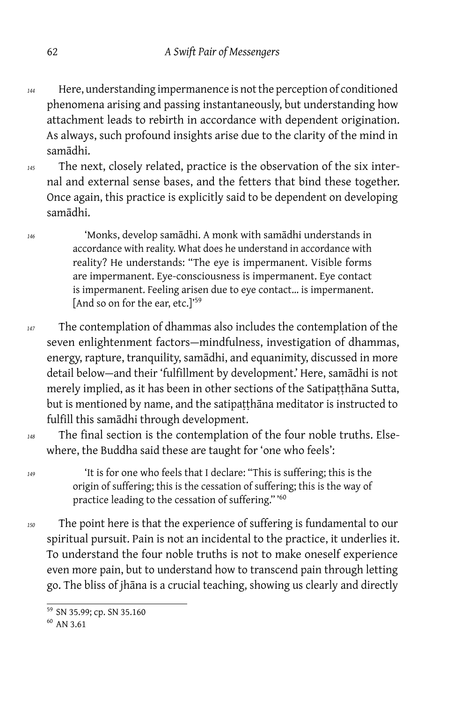- *<sup>144</sup>* Here, understanding impermanence is not the perception of conditioned phenomena arising and passing instantaneously, but understanding how attachment leads to rebirth in accordance with dependent origination. As always, such profound insights arise due to the clarity of the mind in samādhi.
- *<sup>145</sup>* The next, closely related, practice is the observation of the six internal and external sense bases, and the fetters that bind these together. Once again, this practice is explicitly said to be dependent on developing samādhi.

*<sup>146</sup>* 'Monks, develop samādhi. A monk with samādhi understands in accordance with reality. What does he understand in accordance with reality? He understands: "The eye is impermanent. Visible forms are impermanent. Eye-consciousness is impermanent. Eye contact is impermanent. Feeling arisen due to eye contact… is impermanent. [And so on for the ear, etc.]<sup>'59</sup>

- *<sup>147</sup>* The contemplation of dhammas also includes the contemplation of the seven enlightenment factors-mindfulness, investigation of dhammas, energy, rapture, tranquility, samādhi, and equanimity, discussed in more detail below — and their 'fulfillment by development.' Here, samādhi is not merely implied, as it has been in other sections of the Satipaṭṭhāna Sutta, but is mentioned by name, and the satipaṭṭhāna meditator is instructed to fulfill this samādhi through development.
- *<sup>148</sup>* The final section is the contemplation of the four noble truths. Elsewhere, the Buddha said these are taught for 'one who feels':

*<sup>149</sup>* 'It is for one who feels that I declare: "This is suffering; this is the origin of suffering; this is the cessation of suffering; this is the way of practice leading to the cessation of suffering." '<sup>60</sup>

*<sup>150</sup>* The point here is that the experience of suffering is fundamental to our spiritual pursuit. Pain is not an incidental to the practice, it underlies it. To understand the four noble truths is not to make oneself experience even more pain, but to understand how to transcend pain through letting go. The bliss of jhāna is a crucial teaching, showing us clearly and directly

<sup>59</sup> SN 35.99; cp. SN 35.160

<sup>60</sup> AN 3.61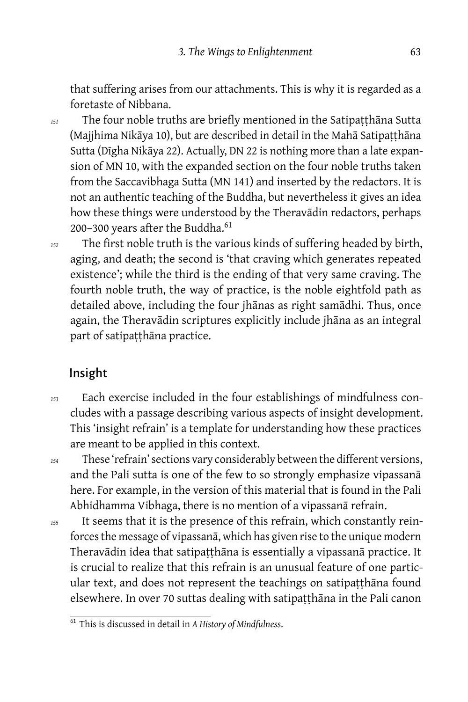that suffering arises from our attachments. This is why it is regarded as a foretaste of Nibbana.

*<sup>151</sup>* The four noble truths are briefly mentioned in the Satipaṭṭhāna Sutta (Majjhima Nikāya 10), but are described in detail in the Mahā Satipaṭṭhāna Sutta (Dīgha Nikāya 22). Actually, DN 22 is nothing more than a late expansion of MN 10, with the expanded section on the four noble truths taken from the Saccavibhaga Sutta (MN 141) and inserted by the redactors. It is not an authentic teaching of the Buddha, but nevertheless it gives an idea how these things were understood by the Theravādin redactors, perhaps 200-300 years after the Buddha.<sup>61</sup>

*<sup>152</sup>* The first noble truth is the various kinds of suffering headed by birth, aging, and death; the second is 'that craving which generates repeated existence'; while the third is the ending of that very same craving. The fourth noble truth, the way of practice, is the noble eightfold path as detailed above, including the four jhānas as right samādhi. Thus, once again, the Theravādin scriptures explicitly include jhāna as an integral part of satipaṭṭhāna practice.

# Insight

*<sup>153</sup>* Each exercise included in the four establishings of mindfulness concludes with a passage describing various aspects of insight development. This 'insight refrain' is a template for understanding how these practices are meant to be applied in this context.

*<sup>154</sup>* These 'refrain' sections vary considerably between the different versions, and the Pali sutta is one of the few to so strongly emphasize vipassanā here. For example, in the version of this material that is found in the Pali Abhidhamma Vibhaga, there is no mention of a vipassanā refrain.

*<sup>155</sup>* It seems that it is the presence of this refrain, which constantly reinforces the message of vipassanā, which has given rise to the unique modern Theravādin idea that satipaṭṭhāna is essentially a vipassanā practice. It is crucial to realize that this refrain is an unusual feature of one particular text, and does not represent the teachings on satipaṭṭhāna found elsewhere. In over 70 suttas dealing with satipaṭṭhāna in the Pali canon

<sup>61</sup> This is discussed in detail in *A History of Mindfulness*.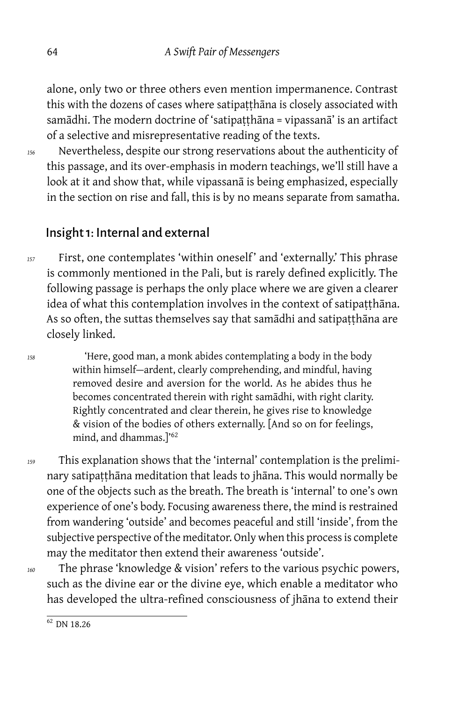alone, only two or three others even mention impermanence. Contrast this with the dozens of cases where satipaṭṭhāna is closely associated with samādhi. The modern doctrine of 'satipatthāna = vipassanā' is an artifact of a selective and misrepresentative reading of the texts.

*<sup>156</sup>* Nevertheless, despite our strong reservations about the authenticity of this passage, and its over-emphasis in modern teachings, we'll still have a look at it and show that, while vipassanā is being emphasized, especially in the section on rise and fall, this is by no means separate from samatha.

#### Insight 1: Internal and external

*<sup>157</sup>* First, one contemplates 'within oneself' and 'externally.' This phrase is commonly mentioned in the Pali, but is rarely defined explicitly. The following passage is perhaps the only place where we are given a clearer idea of what this contemplation involves in the context of satipatthāna. As so often, the suttas themselves say that samādhi and satipaṭṭhāna are closely linked.

*<sup>158</sup>* 'Here, good man, a monk abides contemplating a body in the body within himself-ardent, clearly comprehending, and mindful, having removed desire and aversion for the world. As he abides thus he becomes concentrated therein with right samādhi, with right clarity. Rightly concentrated and clear therein, he gives rise to knowledge & vision of the bodies of others externally. [And so on for feelings, mind, and dhammas.]'<sup>62</sup>

- *<sup>159</sup>* This explanation shows that the 'internal' contemplation is the preliminary satipatthāna meditation that leads to jhāna. This would normally be one of the objects such as the breath. The breath is 'internal' to one's own experience of one's body. Focusing awareness there, the mind is restrained from wandering 'outside' and becomes peaceful and still 'inside', from the subjective perspective of the meditator. Only when this process is complete may the meditator then extend their awareness 'outside'.
- 

*<sup>160</sup>* The phrase 'knowledge & vision' refers to the various psychic powers, such as the divine ear or the divine eye, which enable a meditator who has developed the ultra-refined consciousness of jhāna to extend their

 $62$  DN 18.26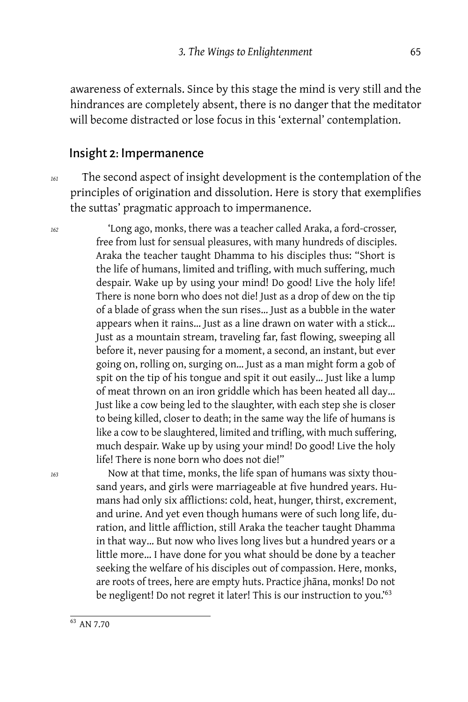awareness of externals. Since by this stage the mind is very still and the hindrances are completely absent, there is no danger that the meditator will become distracted or lose focus in this 'external' contemplation.

#### Insight 2: Impermanence

*<sup>161</sup>* The second aspect of insight development is the contemplation of the principles of origination and dissolution. Here is story that exemplifies the suttas' pragmatic approach to impermanence.

*<sup>162</sup>* 'Long ago, monks, there was a teacher called Araka, a ford-crosser, free from lust for sensual pleasures, with many hundreds of disciples. Araka the teacher taught Dhamma to his disciples thus: "Short is the life of humans, limited and trifling, with much suffering, much despair. Wake up by using your mind! Do good! Live the holy life! There is none born who does not die! Just as a drop of dew on the tip of a blade of grass when the sun rises… Just as a bubble in the water appears when it rains… Just as a line drawn on water with a stick… Just as a mountain stream, traveling far, fast flowing, sweeping all before it, never pausing for a moment, a second, an instant, but ever going on, rolling on, surging on… Just as a man might form a gob of spit on the tip of his tongue and spit it out easily… Just like a lump of meat thrown on an iron griddle which has been heated all day… Just like a cow being led to the slaughter, with each step she is closer to being killed, closer to death; in the same way the life of humans is like a cow to be slaughtered, limited and trifling, with much suffering, much despair. Wake up by using your mind! Do good! Live the holy life! There is none born who does not die!"

*<sup>163</sup>* Now at that time, monks, the life span of humans was sixty thousand years, and girls were marriageable at five hundred years. Humans had only six afflictions: cold, heat, hunger, thirst, excrement, and urine. And yet even though humans were of such long life, duration, and little affliction, still Araka the teacher taught Dhamma in that way… But now who lives long lives but a hundred years or a little more… I have done for you what should be done by a teacher seeking the welfare of his disciples out of compassion. Here, monks, are roots of trees, here are empty huts. Practice jhāna, monks! Do not be negligent! Do not regret it later! This is our instruction to you.'<sup>63</sup>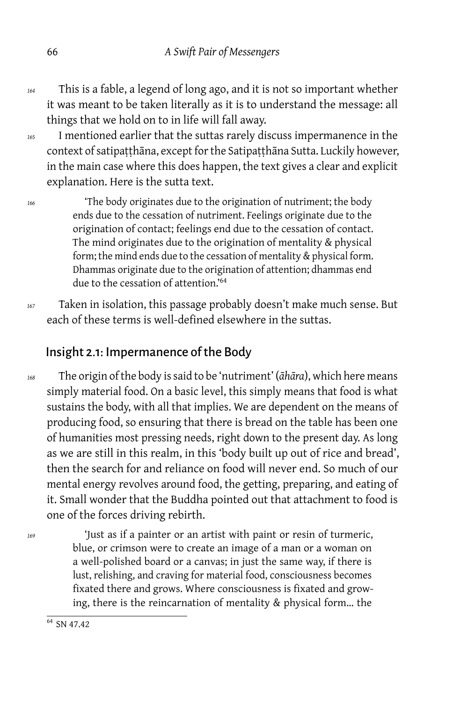- *<sup>164</sup>* This is a fable, a legend of long ago, and it is not so important whether it was meant to be taken literally as it is to understand the message: all things that we hold on to in life will fall away.
- *<sup>165</sup>* I mentioned earlier that the suttas rarely discuss impermanence in the context of satipatthāna, except for the Satipatthāna Sutta. Luckily however, in the main case where this does happen, the text gives a clear and explicit explanation. Here is the sutta text.

*<sup>166</sup>* 'The body originates due to the origination of nutriment; the body ends due to the cessation of nutriment. Feelings originate due to the origination of contact; feelings end due to the cessation of contact. The mind originates due to the origination of mentality & physical form; the mind ends due to the cessation of mentality & physical form. Dhammas originate due to the origination of attention; dhammas end due to the cessation of attention.'<sup>64</sup>

*<sup>167</sup>* Taken in isolation, this passage probably doesn't make much sense. But each of these terms is well-defined elsewhere in the suttas.

# Insight 2.1: Impermanence of the Body

*<sup>168</sup>* The origin of the body is said to be 'nutriment' (*āhāra*), which here means simply material food. On a basic level, this simply means that food is what sustains the body, with all that implies. We are dependent on the means of producing food, so ensuring that there is bread on the table has been one of humanities most pressing needs, right down to the present day. As long as we are still in this realm, in this 'body built up out of rice and bread', then the search for and reliance on food will never end. So much of our mental energy revolves around food, the getting, preparing, and eating of it. Small wonder that the Buddha pointed out that attachment to food is one of the forces driving rebirth.

*<sup>169</sup>* 'Just as if a painter or an artist with paint or resin of turmeric, blue, or crimson were to create an image of a man or a woman on a well-polished board or a canvas; in just the same way, if there is lust, relishing, and craving for material food, consciousness becomes fixated there and grows. Where consciousness is fixated and growing, there is the reincarnation of mentality & physical form… the

 $64$  SN 47.42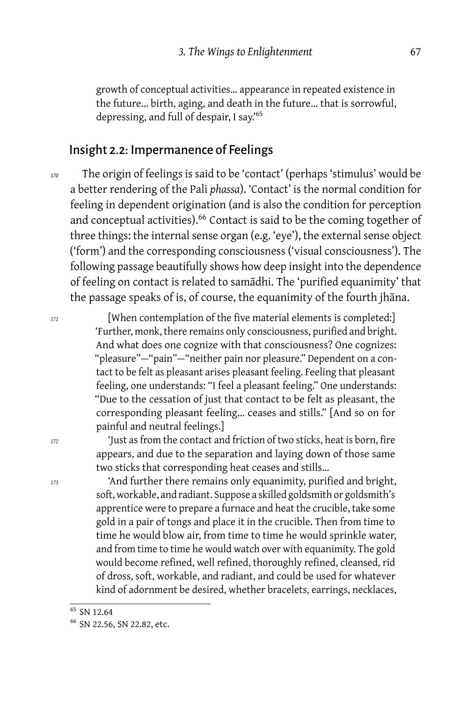growth of conceptual activities… appearance in repeated existence in the future… birth, aging, and death in the future… that is sorrowful, depressing, and full of despair, I say.'<sup>65</sup>

#### Insight 2.2: Impermanence of Feelings

*<sup>170</sup>* The origin of feelings is said to be 'contact' (perhaps 'stimulus' would be a better rendering of the Pali *phassa*). 'Contact' is the normal condition for feeling in dependent origination (and is also the condition for perception and conceptual activities).<sup>66</sup> Contact is said to be the coming together of three things: the internal sense organ (e.g. 'eye'), the external sense object ('form') and the corresponding consciousness ('visual consciousness'). The following passage beautifully shows how deep insight into the dependence of feeling on contact is related to samādhi. The 'purified equanimity' that the passage speaks of is, of course, the equanimity of the fourth jhāna.

*<sup>171</sup>* [When contemplation of the five material elements is completed:] 'Further, monk, there remains only consciousness, purified and bright. And what does one cognize with that consciousness? One cognizes: "pleasure"-"pain"-"neither pain nor pleasure." Dependent on a contact to be felt as pleasant arises pleasant feeling. Feeling that pleasant feeling, one understands: "I feel a pleasant feeling." One understands: "Due to the cessation of just that contact to be felt as pleasant, the corresponding pleasant feeling… ceases and stills." [And so on for painful and neutral feelings.]

*<sup>172</sup>* 'Just as from the contact and friction of two sticks, heat is born, fire appears, and due to the separation and laying down of those same two sticks that corresponding heat ceases and stills…

*<sup>173</sup>* 'And further there remains only equanimity, purified and bright, soft, workable, and radiant. Suppose a skilled goldsmith or goldsmith's apprentice were to prepare a furnace and heat the crucible, take some gold in a pair of tongs and place it in the crucible. Then from time to time he would blow air, from time to time he would sprinkle water, and from time to time he would watch over with equanimity. The gold would become refined, well refined, thoroughly refined, cleansed, rid of dross, soft, workable, and radiant, and could be used for whatever kind of adornment be desired, whether bracelets, earrings, necklaces,

<sup>65</sup> SN 12.64

<sup>66</sup> SN 22.56, SN 22.82, etc.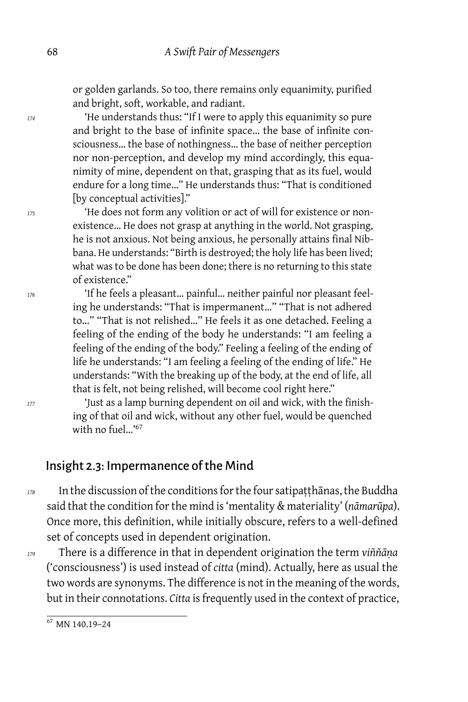or golden garlands. So too, there remains only equanimity, purified and bright, soft, workable, and radiant.

*<sup>174</sup>* 'He understands thus: "If I were to apply this equanimity so pure and bright to the base of infinite space… the base of infinite consciousness… the base of nothingness… the base of neither perception nor non-perception, and develop my mind accordingly, this equanimity of mine, dependent on that, grasping that as its fuel, would endure for a long time…" He understands thus: "That is conditioned [by conceptual activities]."

*<sup>175</sup>* 'He does not form any volition or act of will for existence or nonexistence… He does not grasp at anything in the world. Not grasping, he is not anxious. Not being anxious, he personally attains final Nibbana. He understands: "Birth is destroyed; the holy life has been lived; what was to be done has been done; there is no returning to this state of existence."

*<sup>176</sup>* 'If he feels a pleasant… painful… neither painful nor pleasant feeling he understands: "That is impermanent…" "That is not adhered to…" "That is not relished…" He feels it as one detached. Feeling a feeling of the ending of the body he understands: "I am feeling a feeling of the ending of the body." Feeling a feeling of the ending of life he understands: "I am feeling a feeling of the ending of life." He understands: "With the breaking up of the body, at the end of life, all that is felt, not being relished, will become cool right here."

*<sup>177</sup>* 'Just as a lamp burning dependent on oil and wick, with the finishing of that oil and wick, without any other fuel, would be quenched with no fuel…'<sup>67</sup>

#### Insight 2.3: Impermanence of the Mind

*<sup>178</sup>* In the discussion of the conditions for the four satipaṭṭhānas, the Buddha said that the condition for the mind is 'mentality & materiality' (*nāmarūpa*). Once more, this definition, while initially obscure, refers to a well-defined set of concepts used in dependent origination.

*<sup>179</sup>* There is a difference in that in dependent origination the term *viññāṇa* ('consciousness') is used instead of *citta* (mind). Actually, here as usual the two words are synonyms. The difference is not in the meaning of the words, but in their connotations. *Citta* is frequently used in the context of practice,

<sup>67</sup> MN 140.19–24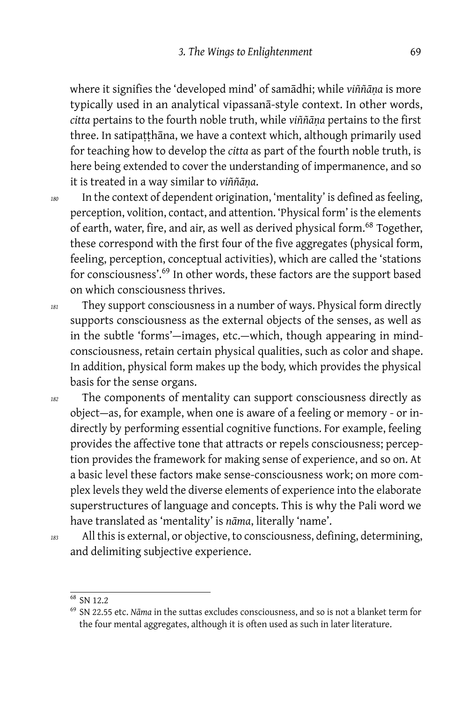where it signifies the 'developed mind' of samādhi; while *viññāṇa* is more typically used in an analytical vipassanā-style context. In other words, *citta* pertains to the fourth noble truth, while *viññāṇa* pertains to the first three. In satipatthāna, we have a context which, although primarily used for teaching how to develop the *citta* as part of the fourth noble truth, is here being extended to cover the understanding of impermanence, and so it is treated in a way similar to *viññāṇa*.

*<sup>180</sup>* In the context of dependent origination, 'mentality' is defined as feeling, perception, volition, contact, and attention. 'Physical form' is the elements of earth, water, fire, and air, as well as derived physical form.<sup>68</sup> Together, these correspond with the first four of the five aggregates (physical form, feeling, perception, conceptual activities), which are called the 'stations for consciousness'.<sup>69</sup> In other words, these factors are the support based on which consciousness thrives.

*<sup>181</sup>* They support consciousness in a number of ways. Physical form directly supports consciousness as the external objects of the senses, as well as in the subtle 'forms'-images, etc.-which, though appearing in mindconsciousness, retain certain physical qualities, such as color and shape. In addition, physical form makes up the body, which provides the physical basis for the sense organs.

- *<sup>182</sup>* The components of mentality can support consciousness directly as object — as, for example, when one is aware of a feeling or memory - or indirectly by performing essential cognitive functions. For example, feeling provides the affective tone that attracts or repels consciousness; perception provides the framework for making sense of experience, and so on. At a basic level these factors make sense-consciousness work; on more complex levels they weld the diverse elements of experience into the elaborate superstructures of language and concepts. This is why the Pali word we have translated as 'mentality' is *nāma*, literally 'name'.
- 

*<sup>183</sup>* All this is external, or objective, to consciousness, defining, determining, and delimiting subjective experience.

<sup>68</sup> SN 12.2

<sup>69</sup> SN 22.55 etc. *Nāma* in the suttas excludes consciousness, and so is not a blanket term for the four mental aggregates, although it is often used as such in later literature.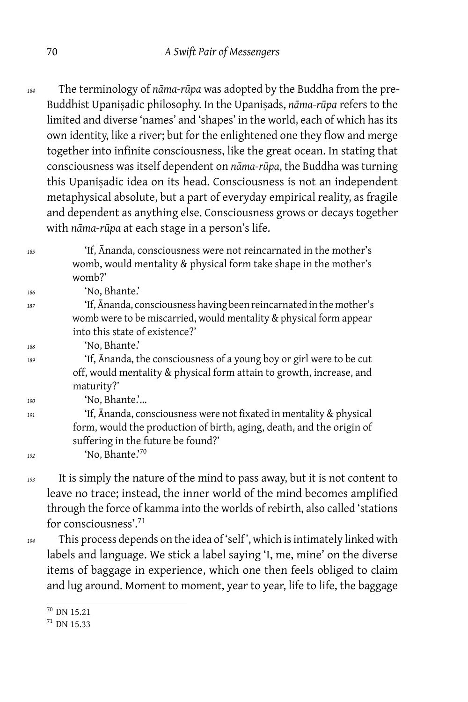*<sup>184</sup>* The terminology of *nāma-rūpa* was adopted by the Buddha from the pre-Buddhist Upaniṣadic philosophy. In the Upaniṣads, *nāma-rūpa* refers to the limited and diverse 'names' and 'shapes' in the world, each of which has its own identity, like a river; but for the enlightened one they flow and merge together into infinite consciousness, like the great ocean. In stating that consciousness was itself dependent on *nāma-rūpa*, the Buddha was turning this Upaniṣadic idea on its head. Consciousness is not an independent metaphysical absolute, but a part of everyday empirical reality, as fragile and dependent as anything else. Consciousness grows or decays together with *nāma-rūpa* at each stage in a person's life.

*<sup>185</sup>* 'If, Ānanda, consciousness were not reincarnated in the mother's womb, would mentality & physical form take shape in the mother's womb?'

*<sup>186</sup>* 'No, Bhante.' *<sup>187</sup>* 'If, Ānanda, consciousness having been reincarnated in the mother's womb were to be miscarried, would mentality & physical form appear into this state of existence?' *<sup>188</sup>* 'No, Bhante.'

*<sup>189</sup>* 'If, Ānanda, the consciousness of a young boy or girl were to be cut off, would mentality & physical form attain to growth, increase, and maturity?'

*<sup>190</sup>* 'No, Bhante.'…

*<sup>191</sup>* 'If, Ānanda, consciousness were not fixated in mentality & physical form, would the production of birth, aging, death, and the origin of suffering in the future be found?'

*<sup>192</sup>* 'No, Bhante.'<sup>70</sup>

*<sup>193</sup>* It is simply the nature of the mind to pass away, but it is not content to leave no trace; instead, the inner world of the mind becomes amplified through the force of kamma into the worlds of rebirth, also called 'stations for consciousness'.<sup>71</sup>

*<sup>194</sup>* This process depends on the idea of 'self ', which is intimately linked with labels and language. We stick a label saying 'I, me, mine' on the diverse items of baggage in experience, which one then feels obliged to claim and lug around. Moment to moment, year to year, life to life, the baggage

 $\frac{1}{70}$  DN 15.21

 $71$  DN 15.33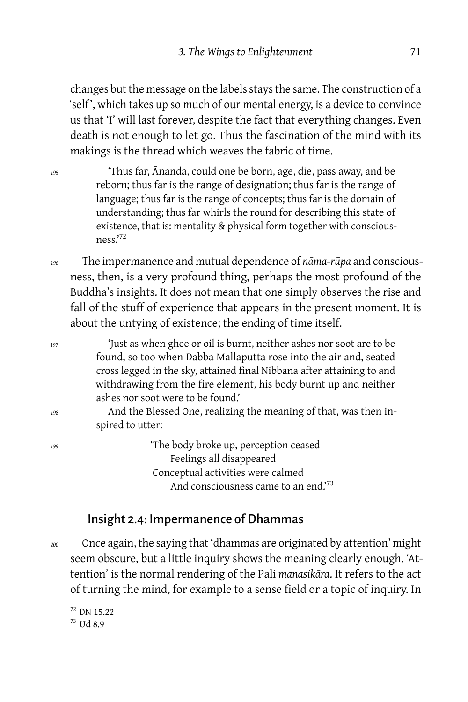changes but the message on the labels stays the same. The construction of a 'self ', which takes up so much of our mental energy, is a device to convince us that 'I' will last forever, despite the fact that everything changes. Even death is not enough to let go. Thus the fascination of the mind with its makings is the thread which weaves the fabric of time.

*<sup>195</sup>* 'Thus far, Ānanda, could one be born, age, die, pass away, and be reborn; thus far is the range of designation; thus far is the range of language; thus far is the range of concepts; thus far is the domain of understanding; thus far whirls the round for describing this state of existence, that is: mentality & physical form together with consciousness.'<sup>72</sup>

*<sup>196</sup>* The impermanence and mutual dependence of *nāma-rūpa* and consciousness, then, is a very profound thing, perhaps the most profound of the Buddha's insights. It does not mean that one simply observes the rise and fall of the stuff of experience that appears in the present moment. It is about the untying of existence; the ending of time itself.

| 197 | 'Just as when ghee or oil is burnt, neither ashes nor soot are to be   |
|-----|------------------------------------------------------------------------|
|     | found, so too when Dabba Mallaputta rose into the air and, seated      |
|     | cross legged in the sky, attained final Nibbana after attaining to and |
|     | withdrawing from the fire element, his body burnt up and neither       |
|     | ashes nor soot were to be found.'                                      |
| 198 | And the Blessed One, realizing the meaning of that, was then in-       |
|     | spired to utter:                                                       |
| 199 | 'The body broke up, perception ceased                                  |
|     | Feelings all disappeared                                               |
|     | Conceptual activities were calmed                                      |
|     | And consciousness came to an end. <sup>73</sup>                        |

#### Insight 2.4: Impermanence of Dhammas

*<sup>200</sup>* Once again, the saying that 'dhammas are originated by attention' might seem obscure, but a little inquiry shows the meaning clearly enough. 'Attention' is the normal rendering of the Pali *manasikāra*. It refers to the act of turning the mind, for example to a sense field or a topic of inquiry. In

 $\frac{1}{72}$  DN 15.22

<sup>73</sup> Ud 8.9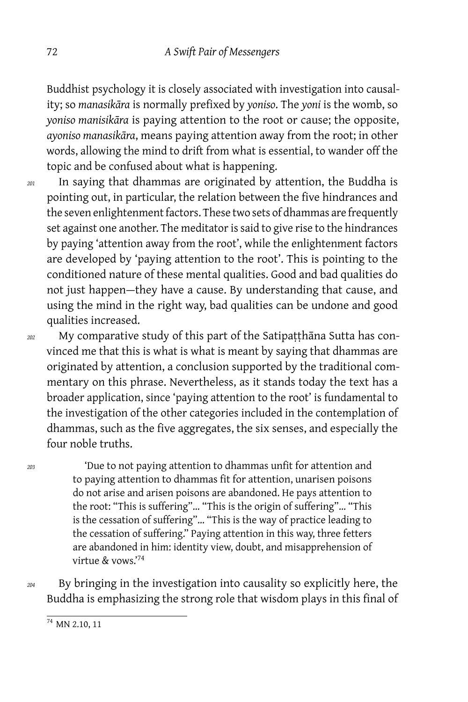Buddhist psychology it is closely associated with investigation into causality; so *manasikāra* is normally prefixed by *yoniso*. The *yoni* is the womb, so *yoniso manisikāra* is paying attention to the root or cause; the opposite, *ayoniso manasikāra*, means paying attention away from the root; in other words, allowing the mind to drift from what is essential, to wander off the topic and be confused about what is happening.

*<sup>201</sup>* In saying that dhammas are originated by attention, the Buddha is pointing out, in particular, the relation between the five hindrances and the seven enlightenment factors. These two sets of dhammas are frequently set against one another. The meditator is said to give rise to the hindrances by paying 'attention away from the root', while the enlightenment factors are developed by 'paying attention to the root'. This is pointing to the conditioned nature of these mental qualities. Good and bad qualities do not just happen-they have a cause. By understanding that cause, and using the mind in the right way, bad qualities can be undone and good qualities increased.

*<sup>202</sup>* My comparative study of this part of the Satipaṭṭhāna Sutta has convinced me that this is what is what is meant by saying that dhammas are originated by attention, a conclusion supported by the traditional commentary on this phrase. Nevertheless, as it stands today the text has a broader application, since 'paying attention to the root' is fundamental to the investigation of the other categories included in the contemplation of dhammas, such as the five aggregates, the six senses, and especially the four noble truths.

*<sup>203</sup>* 'Due to not paying attention to dhammas unfit for attention and to paying attention to dhammas fit for attention, unarisen poisons do not arise and arisen poisons are abandoned. He pays attention to the root: "This is suffering"… "This is the origin of suffering"… "This is the cessation of suffering"… "This is the way of practice leading to the cessation of suffering." Paying attention in this way, three fetters are abandoned in him: identity view, doubt, and misapprehension of virtue & vows.'<sup>74</sup>

*<sup>204</sup>* By bringing in the investigation into causality so explicitly here, the Buddha is emphasizing the strong role that wisdom plays in this final of

 $\frac{1}{74}$  MN 2.10, 11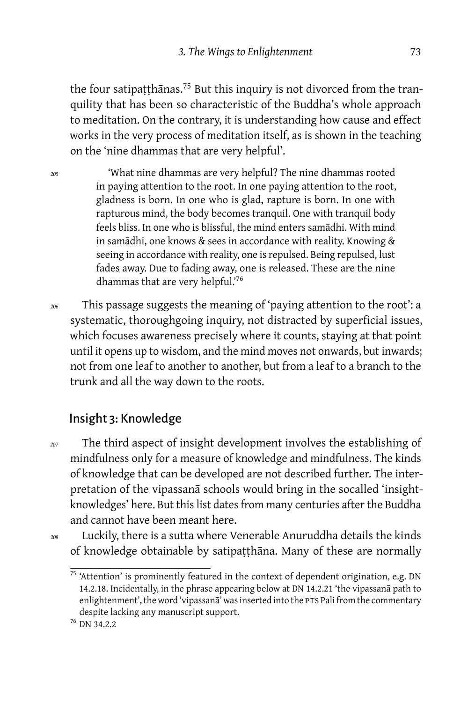the four satipaṭṭhānas.<sup>75</sup> But this inquiry is not divorced from the tranquility that has been so characteristic of the Buddha's whole approach to meditation. On the contrary, it is understanding how cause and effect works in the very process of meditation itself, as is shown in the teaching on the 'nine dhammas that are very helpful'.

*<sup>205</sup>* 'What nine dhammas are very helpful? The nine dhammas rooted in paying attention to the root. In one paying attention to the root, gladness is born. In one who is glad, rapture is born. In one with rapturous mind, the body becomes tranquil. One with tranquil body feels bliss. In one who is blissful, the mind enters samādhi. With mind in samādhi, one knows & sees in accordance with reality. Knowing & seeing in accordance with reality, one is repulsed. Being repulsed, lust fades away. Due to fading away, one is released. These are the nine dhammas that are very helpful.'<sup>76</sup>

*<sup>206</sup>* This passage suggests the meaning of 'paying attention to the root': a systematic, thoroughgoing inquiry, not distracted by superficial issues, which focuses awareness precisely where it counts, staying at that point until it opens up to wisdom, and the mind moves not onwards, but inwards; not from one leaf to another to another, but from a leaf to a branch to the trunk and all the way down to the roots.

### Insight 3: Knowledge

*<sup>207</sup>* The third aspect of insight development involves the establishing of mindfulness only for a measure of knowledge and mindfulness. The kinds of knowledge that can be developed are not described further. The interpretation of the vipassanā schools would bring in the socalled 'insightknowledges' here. But this list dates from many centuries after the Buddha and cannot have been meant here.

*<sup>208</sup>* Luckily, there is a sutta where Venerable Anuruddha details the kinds of knowledge obtainable by satipaṭṭhāna. Many of these are normally

 $^{75}$  'Attention' is prominently featured in the context of dependent origination, e.g. DN 14.2.18. Incidentally, in the phrase appearing below at DN 14.2.21 'the vipassanā path to enlightenment', the word 'vipassanā' was inserted into the PTS Pali from the commentary despite lacking any manuscript support.

<sup>76</sup> DN 34.2.2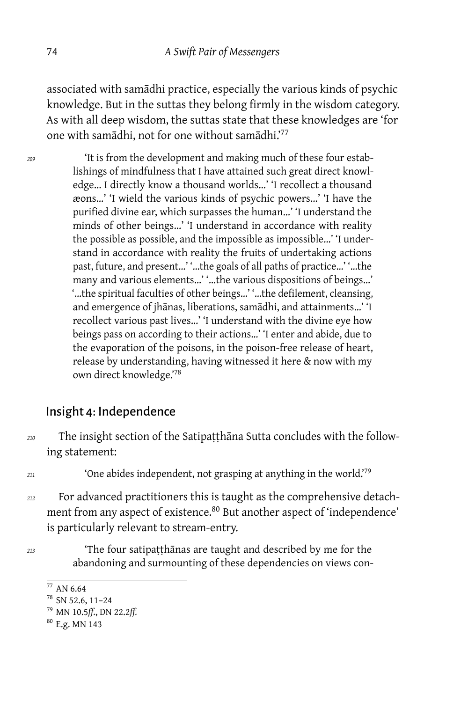associated with samādhi practice, especially the various kinds of psychic knowledge. But in the suttas they belong firmly in the wisdom category. As with all deep wisdom, the suttas state that these knowledges are 'for one with samādhi, not for one without samādhi.<sup>77</sup>

*<sup>209</sup>* 'It is from the development and making much of these four establishings of mindfulness that I have attained such great direct knowledge… I directly know a thousand worlds…' 'I recollect a thousand æons…' 'I wield the various kinds of psychic powers…' 'I have the purified divine ear, which surpasses the human…' 'I understand the minds of other beings…' 'I understand in accordance with reality the possible as possible, and the impossible as impossible…' 'I understand in accordance with reality the fruits of undertaking actions past, future, and present…' '…the goals of all paths of practice…' '…the many and various elements…' '…the various dispositions of beings…' '…the spiritual faculties of other beings…' '…the defilement, cleansing, and emergence of jhānas, liberations, samādhi, and attainments…' 'I recollect various past lives…' 'I understand with the divine eye how beings pass on according to their actions…' 'I enter and abide, due to the evaporation of the poisons, in the poison-free release of heart, release by understanding, having witnessed it here & now with my own direct knowledge.'<sup>78</sup>

#### Insight 4: Independence

*<sup>210</sup>* The insight section of the Satipaṭṭhāna Sutta concludes with the following statement:

*<sup>211</sup>* 'One abides independent, not grasping at anything in the world.'<sup>79</sup>

- *<sup>212</sup>* For advanced practitioners this is taught as the comprehensive detachment from any aspect of existence.<sup>80</sup> But another aspect of 'independence' is particularly relevant to stream-entry.
- 

*<sup>213</sup>* 'The four satipaṭṭhānas are taught and described by me for the abandoning and surmounting of these dependencies on views con-

 $77$  AN 6.64

<sup>78</sup> SN 52.6, 11–24

<sup>79</sup> MN 10.5*ff.*, DN 22.2*ff.*

<sup>80</sup> E.g. MN 143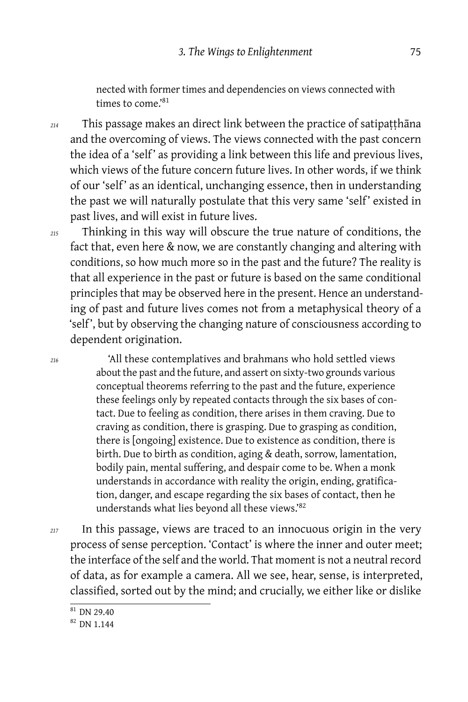nected with former times and dependencies on views connected with times to come.'<sup>81</sup>

*<sup>214</sup>* This passage makes an direct link between the practice of satipaṭṭhāna and the overcoming of views. The views connected with the past concern the idea of a 'self' as providing a link between this life and previous lives, which views of the future concern future lives. In other words, if we think of our 'self' as an identical, unchanging essence, then in understanding the past we will naturally postulate that this very same 'self' existed in past lives, and will exist in future lives.

*<sup>215</sup>* Thinking in this way will obscure the true nature of conditions, the fact that, even here & now, we are constantly changing and altering with conditions, so how much more so in the past and the future? The reality is that all experience in the past or future is based on the same conditional principles that may be observed here in the present. Hence an understanding of past and future lives comes not from a metaphysical theory of a 'self ', but by observing the changing nature of consciousness according to dependent origination.

*<sup>216</sup>* 'All these contemplatives and brahmans who hold settled views about the past and the future, and assert on sixty-two grounds various conceptual theorems referring to the past and the future, experience these feelings only by repeated contacts through the six bases of contact. Due to feeling as condition, there arises in them craving. Due to craving as condition, there is grasping. Due to grasping as condition, there is [ongoing] existence. Due to existence as condition, there is birth. Due to birth as condition, aging & death, sorrow, lamentation, bodily pain, mental suffering, and despair come to be. When a monk understands in accordance with reality the origin, ending, gratification, danger, and escape regarding the six bases of contact, then he understands what lies beyond all these views.'<sup>82</sup>

*<sup>217</sup>* In this passage, views are traced to an innocuous origin in the very process of sense perception. 'Contact' is where the inner and outer meet; the interface of the self and the world. That moment is not a neutral record of data, as for example a camera. All we see, hear, sense, is interpreted, classified, sorted out by the mind; and crucially, we either like or dislike

 $81$  DN 29.40

<sup>82</sup> DN 1.144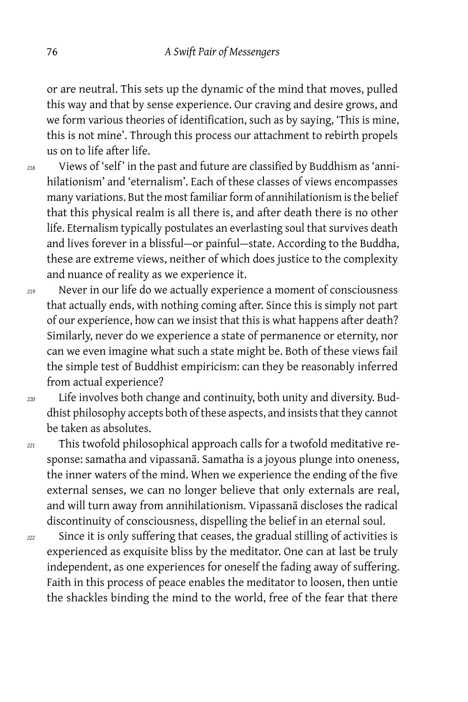or are neutral. This sets up the dynamic of the mind that moves, pulled this way and that by sense experience. Our craving and desire grows, and we form various theories of identification, such as by saying, 'This is mine, this is not mine'. Through this process our attachment to rebirth propels us on to life after life.

*<sup>218</sup>* Views of 'self ' in the past and future are classified by Buddhism as 'annihilationism' and 'eternalism'. Each of these classes of views encompasses many variations. But the most familiar form of annihilationism is the belief that this physical realm is all there is, and after death there is no other life. Eternalism typically postulates an everlasting soul that survives death and lives forever in a blissful-or painful-state. According to the Buddha, these are extreme views, neither of which does justice to the complexity and nuance of reality as we experience it.

*<sup>219</sup>* Never in our life do we actually experience a moment of consciousness that actually ends, with nothing coming after. Since this is simply not part of our experience, how can we insist that this is what happens after death? Similarly, never do we experience a state of permanence or eternity, nor can we even imagine what such a state might be. Both of these views fail the simple test of Buddhist empiricism: can they be reasonably inferred from actual experience?

*<sup>220</sup>* Life involves both change and continuity, both unity and diversity. Buddhist philosophy accepts both of these aspects, and insists that they cannot be taken as absolutes.

*<sup>221</sup>* This twofold philosophical approach calls for a twofold meditative response: samatha and vipassanā. Samatha is a joyous plunge into oneness, the inner waters of the mind. When we experience the ending of the five external senses, we can no longer believe that only externals are real, and will turn away from annihilationism. Vipassanā discloses the radical discontinuity of consciousness, dispelling the belief in an eternal soul.

*<sup>222</sup>* Since it is only suffering that ceases, the gradual stilling of activities is experienced as exquisite bliss by the meditator. One can at last be truly independent, as one experiences for oneself the fading away of suffering. Faith in this process of peace enables the meditator to loosen, then untie the shackles binding the mind to the world, free of the fear that there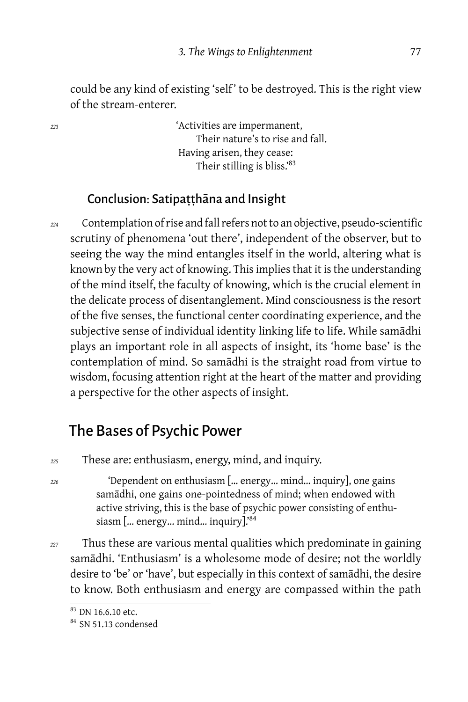could be any kind of existing 'self' to be destroyed. This is the right view of the stream-enterer.

*<sup>223</sup>* 'Activities are impermanent, Their nature's to rise and fall. Having arisen, they cease: Their stilling is bliss.'<sup>83</sup>

#### Conclusion: Satipaṭṭhāna and Insight

*<sup>224</sup>* Contemplation of rise and fall refers not to an objective, pseudo-scientific scrutiny of phenomena 'out there', independent of the observer, but to seeing the way the mind entangles itself in the world, altering what is known by the very act of knowing. This implies that it is the understanding of the mind itself, the faculty of knowing, which is the crucial element in the delicate process of disentanglement. Mind consciousness is the resort of the five senses, the functional center coordinating experience, and the subjective sense of individual identity linking life to life. While samādhi plays an important role in all aspects of insight, its 'home base' is the contemplation of mind. So samādhi is the straight road from virtue to wisdom, focusing attention right at the heart of the matter and providing a perspective for the other aspects of insight.

## The Bases of Psychic Power

- *<sup>225</sup>* These are: enthusiasm, energy, mind, and inquiry.
- *<sup>226</sup>* 'Dependent on enthusiasm [… energy… mind… inquiry], one gains samādhi, one gains one-pointedness of mind; when endowed with active striving, this is the base of psychic power consisting of enthusiasm [… energy… mind… inquiry].'<sup>84</sup>
- *<sup>227</sup>* Thus these are various mental qualities which predominate in gaining samādhi. 'Enthusiasm' is a wholesome mode of desire; not the worldly desire to 'be' or 'have', but especially in this context of samādhi, the desire to know. Both enthusiasm and energy are compassed within the path

<sup>83</sup> DN 16.6.10 etc.

<sup>&</sup>lt;sup>84</sup> SN 51.13 condensed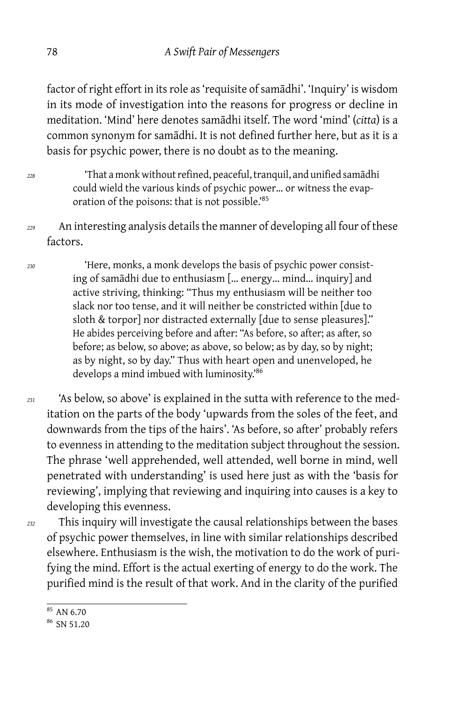factor of right effort in its role as 'requisite of samādhi'. 'Inquiry' is wisdom in its mode of investigation into the reasons for progress or decline in meditation. 'Mind' here denotes samādhi itself. The word 'mind' (*citta*) is a common synonym for samādhi. It is not defined further here, but as it is a basis for psychic power, there is no doubt as to the meaning.

- *<sup>228</sup>* 'That a monk without refined, peaceful, tranquil, and unified samādhi could wield the various kinds of psychic power… or witness the evaporation of the poisons: that is not possible.'<sup>85</sup>
- *<sup>229</sup>* An interesting analysis details the manner of developing all four of these factors.

*<sup>230</sup>* 'Here, monks, a monk develops the basis of psychic power consisting of samādhi due to enthusiasm [… energy… mind… inquiry] and active striving, thinking: "Thus my enthusiasm will be neither too slack nor too tense, and it will neither be constricted within [due to sloth & torpor] nor distracted externally [due to sense pleasures]." He abides perceiving before and after: "As before, so after; as after, so before; as below, so above; as above, so below; as by day, so by night; as by night, so by day." Thus with heart open and unenveloped, he develops a mind imbued with luminosity.'<sup>86</sup>

*<sup>231</sup>* 'As below, so above' is explained in the sutta with reference to the meditation on the parts of the body 'upwards from the soles of the feet, and downwards from the tips of the hairs'. 'As before, so after' probably refers to evenness in attending to the meditation subject throughout the session. The phrase 'well apprehended, well attended, well borne in mind, well penetrated with understanding' is used here just as with the 'basis for reviewing', implying that reviewing and inquiring into causes is a key to developing this evenness.

*<sup>232</sup>* This inquiry will investigate the causal relationships between the bases of psychic power themselves, in line with similar relationships described elsewhere. Enthusiasm is the wish, the motivation to do the work of purifying the mind. Effort is the actual exerting of energy to do the work. The purified mind is the result of that work. And in the clarity of the purified

<sup>85</sup> AN 6.70

<sup>&</sup>lt;sup>86</sup> SN 51.20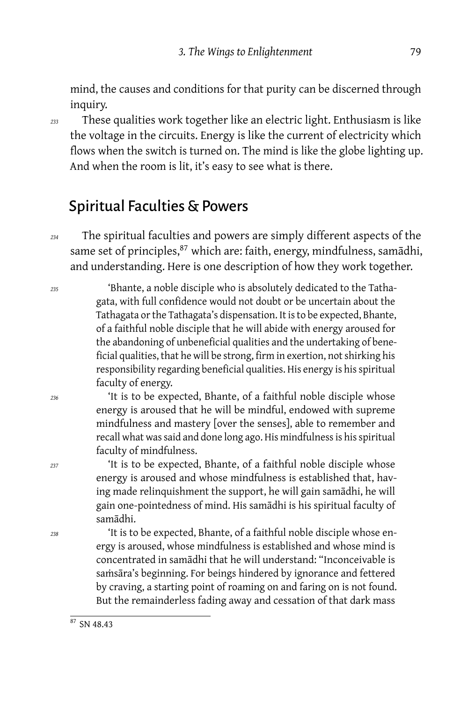mind, the causes and conditions for that purity can be discerned through inquiry.

*<sup>233</sup>* These qualities work together like an electric light. Enthusiasm is like the voltage in the circuits. Energy is like the current of electricity which flows when the switch is turned on. The mind is like the globe lighting up. And when the room is lit, it's easy to see what is there.

## Spiritual Faculties & Powers

*<sup>234</sup>* The spiritual faculties and powers are simply different aspects of the same set of principles,<sup>87</sup> which are: faith, energy, mindfulness, samādhi, and understanding. Here is one description of how they work together.

*<sup>235</sup>* 'Bhante, a noble disciple who is absolutely dedicated to the Tathagata, with full confidence would not doubt or be uncertain about the Tathagata or the Tathagata's dispensation. It is to be expected, Bhante, of a faithful noble disciple that he will abide with energy aroused for the abandoning of unbeneficial qualities and the undertaking of beneficial qualities, that he will be strong, firm in exertion, not shirking his responsibility regarding beneficial qualities. His energy is his spiritual faculty of energy.

*<sup>236</sup>* 'It is to be expected, Bhante, of a faithful noble disciple whose energy is aroused that he will be mindful, endowed with supreme mindfulness and mastery [over the senses], able to remember and recall what was said and done long ago. His mindfulness is his spiritual faculty of mindfulness.

*<sup>237</sup>* 'It is to be expected, Bhante, of a faithful noble disciple whose energy is aroused and whose mindfulness is established that, having made relinquishment the support, he will gain samādhi, he will gain one-pointedness of mind. His samādhi is his spiritual faculty of samādhi.

*<sup>238</sup>* 'It is to be expected, Bhante, of a faithful noble disciple whose energy is aroused, whose mindfulness is established and whose mind is concentrated in samādhi that he will understand: "Inconceivable is saṁsāra's beginning. For beings hindered by ignorance and fettered by craving, a starting point of roaming on and faring on is not found. But the remainderless fading away and cessation of that dark mass

 $87$  SN 48.43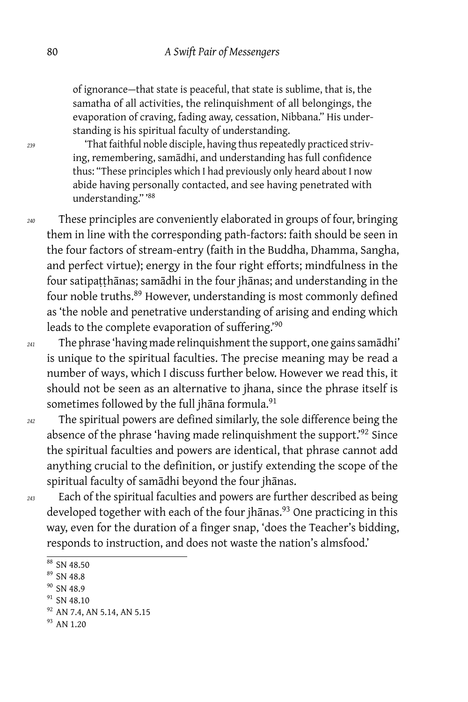of ignorance — that state is peaceful, that state is sublime, that is, the samatha of all activities, the relinquishment of all belongings, the evaporation of craving, fading away, cessation, Nibbana." His understanding is his spiritual faculty of understanding.

*<sup>239</sup>* 'That faithful noble disciple, having thus repeatedly practiced striving, remembering, samādhi, and understanding has full confidence thus: "These principles which I had previously only heard about I now abide having personally contacted, and see having penetrated with understanding." '<sup>88</sup>

*<sup>240</sup>* These principles are conveniently elaborated in groups of four, bringing them in line with the corresponding path-factors: faith should be seen in the four factors of stream-entry (faith in the Buddha, Dhamma, Sangha, and perfect virtue); energy in the four right efforts; mindfulness in the four satipaṭṭhānas; samādhi in the four jhānas; and understanding in the four noble truths.<sup>89</sup> However, understanding is most commonly defined as 'the noble and penetrative understanding of arising and ending which leads to the complete evaporation of suffering.'<sup>90</sup>

*<sup>241</sup>* The phrase 'having made relinquishment the support, one gains samādhi' is unique to the spiritual faculties. The precise meaning may be read a number of ways, which I discuss further below. However we read this, it should not be seen as an alternative to jhana, since the phrase itself is sometimes followed by the full jhāna formula.<sup>91</sup>

*<sup>242</sup>* The spiritual powers are defined similarly, the sole difference being the absence of the phrase 'having made relinquishment the support.'<sup>92</sup> Since the spiritual faculties and powers are identical, that phrase cannot add anything crucial to the definition, or justify extending the scope of the spiritual faculty of samādhi beyond the four jhānas.

*<sup>243</sup>* Each of the spiritual faculties and powers are further described as being developed together with each of the four jhanas.<sup>93</sup> One practicing in this way, even for the duration of a finger snap, 'does the Teacher's bidding, responds to instruction, and does not waste the nation's almsfood.'

<sup>&</sup>lt;sup>88</sup> SN 48.50

<sup>89</sup> SN 48.8

<sup>&</sup>lt;sup>90</sup> SN 48.9  $91$  SN 48.10

<sup>92</sup> AN 7.4, AN 5.14, AN 5.15

<sup>&</sup>lt;sup>93</sup> AN 1.20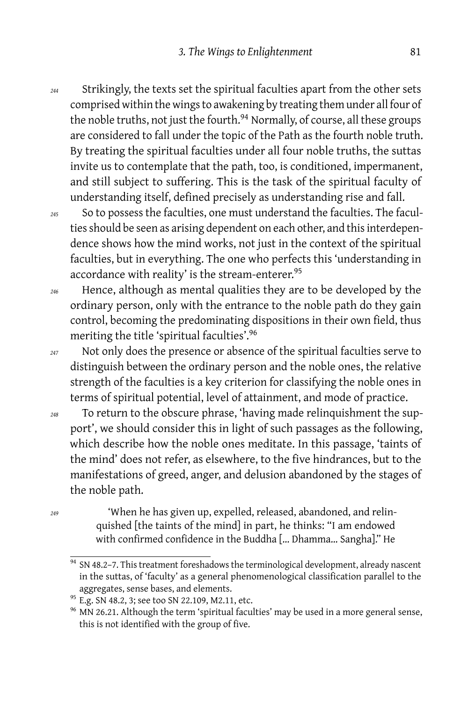*<sup>244</sup>* Strikingly, the texts set the spiritual faculties apart from the other sets comprised within the wings to awakening by treating them under all four of the noble truths, not just the fourth.<sup>94</sup> Normally, of course, all these groups are considered to fall under the topic of the Path as the fourth noble truth. By treating the spiritual faculties under all four noble truths, the suttas invite us to contemplate that the path, too, is conditioned, impermanent, and still subject to suffering. This is the task of the spiritual faculty of understanding itself, defined precisely as understanding rise and fall.

*<sup>245</sup>* So to possess the faculties, one must understand the faculties. The faculties should be seen as arising dependent on each other, and this interdependence shows how the mind works, not just in the context of the spiritual faculties, but in everything. The one who perfects this 'understanding in accordance with reality' is the stream-enterer.<sup>95</sup>

- *<sup>246</sup>* Hence, although as mental qualities they are to be developed by the ordinary person, only with the entrance to the noble path do they gain control, becoming the predominating dispositions in their own field, thus meriting the title 'spiritual faculties'.<sup>96</sup>
- *<sup>247</sup>* Not only does the presence or absence of the spiritual faculties serve to distinguish between the ordinary person and the noble ones, the relative strength of the faculties is a key criterion for classifying the noble ones in terms of spiritual potential, level of attainment, and mode of practice.
- *<sup>248</sup>* To return to the obscure phrase, 'having made relinquishment the support', we should consider this in light of such passages as the following, which describe how the noble ones meditate. In this passage, 'taints of the mind' does not refer, as elsewhere, to the five hindrances, but to the manifestations of greed, anger, and delusion abandoned by the stages of the noble path.
- *<sup>249</sup>* 'When he has given up, expelled, released, abandoned, and relinquished [the taints of the mind] in part, he thinks: "I am endowed with confirmed confidence in the Buddha [… Dhamma… Sangha]." He

<sup>94</sup> SN 48.2-7. This treatment foreshadows the terminological development, already nascent in the suttas, of 'faculty' as a general phenomenological classification parallel to the aggregates, sense bases, and elements.

<sup>&</sup>lt;sup>95</sup> E.g. SN 48.2, 3; see too SN 22.109, M2.11, etc.

 $96$  MN 26.21. Although the term 'spiritual faculties' may be used in a more general sense, this is not identified with the group of five.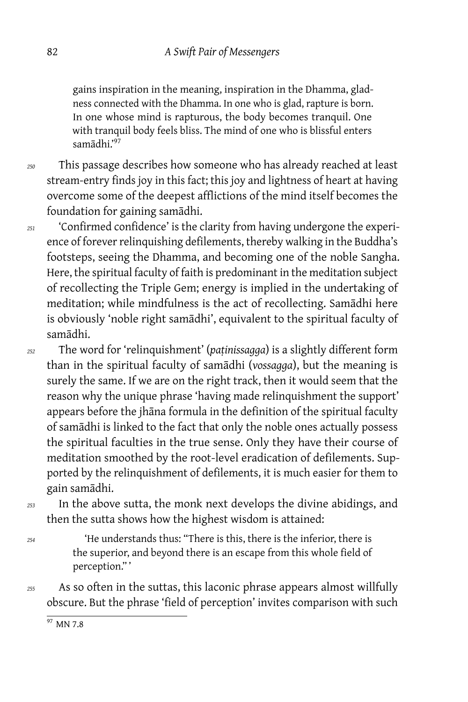gains inspiration in the meaning, inspiration in the Dhamma, gladness connected with the Dhamma. In one who is glad, rapture is born. In one whose mind is rapturous, the body becomes tranquil. One with tranquil body feels bliss. The mind of one who is blissful enters samādhi.'<sup>97</sup>

*<sup>250</sup>* This passage describes how someone who has already reached at least stream-entry finds joy in this fact; this joy and lightness of heart at having overcome some of the deepest afflictions of the mind itself becomes the foundation for gaining samādhi.

*<sup>251</sup>* 'Confirmed confidence' is the clarity from having undergone the experience of forever relinquishing defilements, thereby walking in the Buddha's footsteps, seeing the Dhamma, and becoming one of the noble Sangha. Here, the spiritual faculty of faith is predominant in the meditation subject of recollecting the Triple Gem; energy is implied in the undertaking of meditation; while mindfulness is the act of recollecting. Samādhi here is obviously 'noble right samādhi', equivalent to the spiritual faculty of samādhi.

*<sup>252</sup>* The word for 'relinquishment' (*paṭinissagga*) is a slightly different form than in the spiritual faculty of samādhi (*vossagga*), but the meaning is surely the same. If we are on the right track, then it would seem that the reason why the unique phrase 'having made relinquishment the support' appears before the jhāna formula in the definition of the spiritual faculty of samādhi is linked to the fact that only the noble ones actually possess the spiritual faculties in the true sense. Only they have their course of meditation smoothed by the root-level eradication of defilements. Supported by the relinquishment of defilements, it is much easier for them to gain samādhi.

*<sup>253</sup>* In the above sutta, the monk next develops the divine abidings, and then the sutta shows how the highest wisdom is attained:

*<sup>254</sup>* 'He understands thus: "There is this, there is the inferior, there is the superior, and beyond there is an escape from this whole field of perception." '

*<sup>255</sup>* As so often in the suttas, this laconic phrase appears almost willfully obscure. But the phrase 'field of perception' invites comparison with such

 $97$  MN 7.8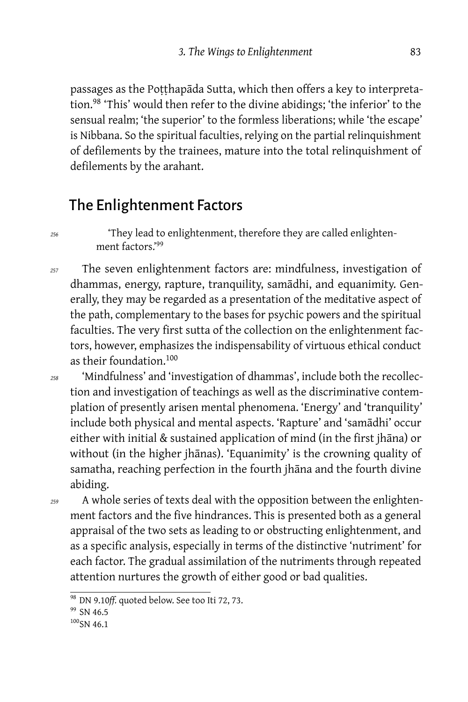passages as the Poṭṭhapāda Sutta, which then offers a key to interpretation.<sup>98</sup> 'This' would then refer to the divine abidings; 'the inferior' to the sensual realm; 'the superior' to the formless liberations; while 'the escape' is Nibbana. So the spiritual faculties, relying on the partial relinquishment of defilements by the trainees, mature into the total relinquishment of defilements by the arahant.

## The Enlightenment Factors

*<sup>256</sup>* 'They lead to enlightenment, therefore they are called enlightenment factors.'<sup>99</sup>

*<sup>257</sup>* The seven enlightenment factors are: mindfulness, investigation of dhammas, energy, rapture, tranquility, samādhi, and equanimity. Generally, they may be regarded as a presentation of the meditative aspect of the path, complementary to the bases for psychic powers and the spiritual faculties. The very first sutta of the collection on the enlightenment factors, however, emphasizes the indispensability of virtuous ethical conduct as their foundation.<sup>100</sup>

*<sup>258</sup>* 'Mindfulness' and 'investigation of dhammas', include both the recollection and investigation of teachings as well as the discriminative contemplation of presently arisen mental phenomena. 'Energy' and 'tranquility' include both physical and mental aspects. 'Rapture' and 'samādhi' occur either with initial & sustained application of mind (in the first jhāna) or without (in the higher jhānas). 'Equanimity' is the crowning quality of samatha, reaching perfection in the fourth jhāna and the fourth divine abiding.

*<sup>259</sup>* A whole series of texts deal with the opposition between the enlightenment factors and the five hindrances. This is presented both as a general appraisal of the two sets as leading to or obstructing enlightenment, and as a specific analysis, especially in terms of the distinctive 'nutriment' for each factor. The gradual assimilation of the nutriments through repeated attention nurtures the growth of either good or bad qualities.

<sup>98</sup> DN 9.10*ff.* quoted below. See too Iti 72, 73.

 $99$  SN 46.5

 $100$ SN 46.1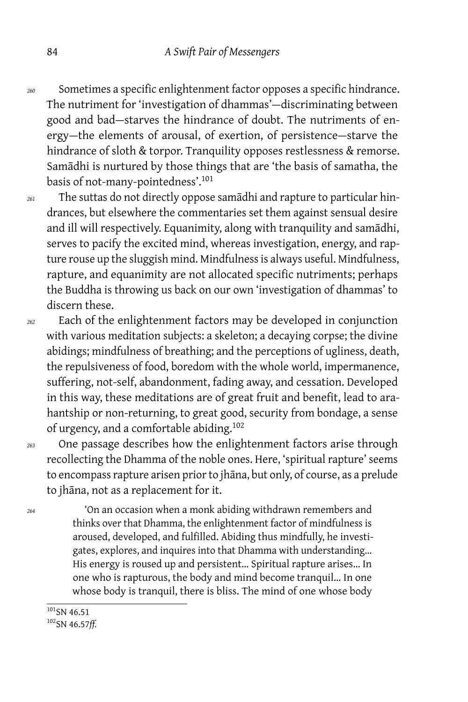- *<sup>260</sup>* Sometimes a specific enlightenment factor opposes a specific hindrance. The nutriment for 'investigation of dhammas'-discriminating between good and bad-starves the hindrance of doubt. The nutriments of energy — the elements of arousal, of exertion, of persistence — starve the hindrance of sloth & torpor. Tranquility opposes restlessness & remorse. Samādhi is nurtured by those things that are 'the basis of samatha, the basis of not-many-pointedness'.<sup>101</sup>
- *<sup>261</sup>* The suttas do not directly oppose samādhi and rapture to particular hindrances, but elsewhere the commentaries set them against sensual desire and ill will respectively. Equanimity, along with tranquility and samādhi, serves to pacify the excited mind, whereas investigation, energy, and rapture rouse up the sluggish mind. Mindfulness is always useful. Mindfulness, rapture, and equanimity are not allocated specific nutriments; perhaps the Buddha is throwing us back on our own 'investigation of dhammas' to discern these.
- *<sup>262</sup>* Each of the enlightenment factors may be developed in conjunction with various meditation subjects: a skeleton; a decaying corpse; the divine abidings; mindfulness of breathing; and the perceptions of ugliness, death, the repulsiveness of food, boredom with the whole world, impermanence, suffering, not-self, abandonment, fading away, and cessation. Developed in this way, these meditations are of great fruit and benefit, lead to arahantship or non-returning, to great good, security from bondage, a sense of urgency, and a comfortable abiding.<sup>102</sup>

*<sup>263</sup>* One passage describes how the enlightenment factors arise through recollecting the Dhamma of the noble ones. Here, 'spiritual rapture' seems to encompass rapture arisen prior to jhāna, but only, of course, as a prelude to jhāna, not as a replacement for it.

*<sup>264</sup>* 'On an occasion when a monk abiding withdrawn remembers and thinks over that Dhamma, the enlightenment factor of mindfulness is aroused, developed, and fulfilled. Abiding thus mindfully, he investigates, explores, and inquires into that Dhamma with understanding… His energy is roused up and persistent… Spiritual rapture arises… In one who is rapturous, the body and mind become tranquil… In one whose body is tranquil, there is bliss. The mind of one whose body

 $101$ SN 46.51

<sup>102</sup>SN 46.57*ff.*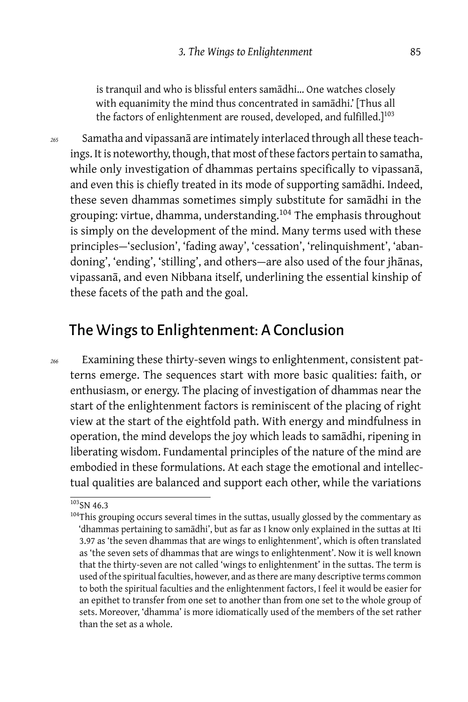is tranquil and who is blissful enters samādhi… One watches closely with equanimity the mind thus concentrated in samādhi.' [Thus all the factors of enlightenment are roused, developed, and fulfilled.]<sup>103</sup>

*<sup>265</sup>* Samatha and vipassanā are intimately interlaced through all these teachings. It is noteworthy, though, that most of these factors pertain to samatha, while only investigation of dhammas pertains specifically to vipassanā, and even this is chiefly treated in its mode of supporting samādhi. Indeed, these seven dhammas sometimes simply substitute for samādhi in the grouping: virtue, dhamma, understanding.<sup>104</sup> The emphasis throughout is simply on the development of the mind. Many terms used with these principles-'seclusion', 'fading away', 'cessation', 'relinquishment', 'abandoning', 'ending', 'stilling', and others — are also used of the four jhānas, vipassanā, and even Nibbana itself, underlining the essential kinship of these facets of the path and the goal.

## The Wings to Enlightenment: A Conclusion

*<sup>266</sup>* Examining these thirty-seven wings to enlightenment, consistent patterns emerge. The sequences start with more basic qualities: faith, or enthusiasm, or energy. The placing of investigation of dhammas near the start of the enlightenment factors is reminiscent of the placing of right view at the start of the eightfold path. With energy and mindfulness in operation, the mind develops the joy which leads to samādhi, ripening in liberating wisdom. Fundamental principles of the nature of the mind are embodied in these formulations. At each stage the emotional and intellectual qualities are balanced and support each other, while the variations

 $103$ SN 46.3

<sup>&</sup>lt;sup>104</sup>This grouping occurs several times in the suttas, usually glossed by the commentary as 'dhammas pertaining to samādhi', but as far as I know only explained in the suttas at Iti 3.97 as 'the seven dhammas that are wings to enlightenment', which is often translated as 'the seven sets of dhammas that are wings to enlightenment'. Now it is well known that the thirty-seven are not called 'wings to enlightenment' in the suttas. The term is used of the spiritual faculties, however, and as there are many descriptive terms common to both the spiritual faculties and the enlightenment factors, I feel it would be easier for an epithet to transfer from one set to another than from one set to the whole group of sets. Moreover, 'dhamma' is more idiomatically used of the members of the set rather than the set as a whole.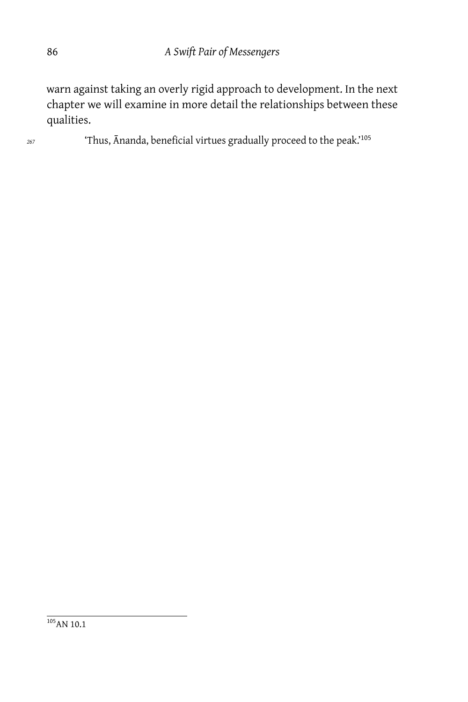warn against taking an overly rigid approach to development. In the next chapter we will examine in more detail the relationships between these qualities.

*<sup>267</sup>* 'Thus, Ānanda, beneficial virtues gradually proceed to the peak.'<sup>105</sup>

<sup>105</sup>AN 10.1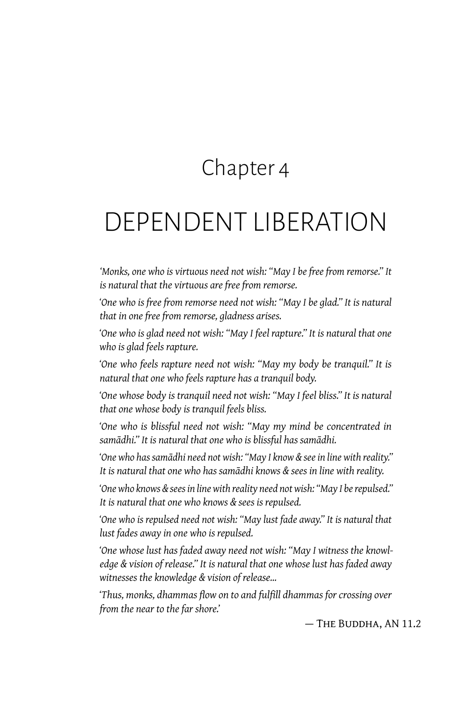## Chapter 4

# DEPENDENT LIBERATION

*'Monks, one who is virtuous need not wish: "May I be free from remorse." It is natural that the virtuous are free from remorse.*

*'One who is free from remorse need not wish: "May I be glad." It is natural that in one free from remorse, gladness arises.*

*'One who is glad need not wish: "May I feel rapture." It is natural that one who is glad feels rapture.*

*'One who feels rapture need not wish: "May my body be tranquil." It is natural that one who feels rapture has a tranquil body.*

*'One whose body is tranquil need not wish: "May I feel bliss." It is natural that one whose body is tranquil feels bliss.*

*'One who is blissful need not wish: "May my mind be concentrated in samādhi." It is natural that one who is blissful has samādhi.*

*'One who has samādhi need not wish: "May I know & see in line with reality." It is natural that one who has samādhi knows & sees in line with reality.*

*'One who knows & sees in line with reality need not wish: "May I be repulsed." It is natural that one who knows & sees is repulsed.*

*'One who is repulsed need not wish: "May lust fade away." It is natural that lust fades away in one who is repulsed.*

*'One whose lust has faded away need not wish: "May I witness the knowledge & vision of release." It is natural that one whose lust has faded away witnesses the knowledge & vision of release…*

*'Thus, monks, dhammas flow on to and fulfill dhammas for crossing over from the near to the far shore.'*

— The Buddha, AN 11.2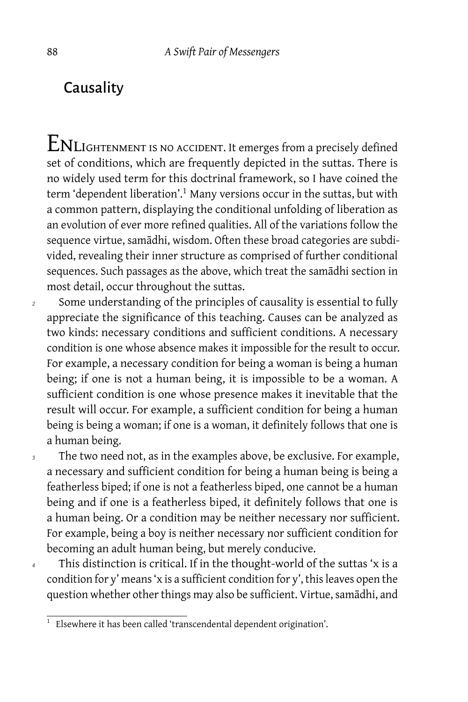## **Causality**

 ${\rm ENL}$ IGHTENMENT IS NO ACCIDENT. It emerges from a precisely defined set of conditions, which are frequently depicted in the suttas. There is no widely used term for this doctrinal framework, so I have coined the term 'dependent liberation'.<sup>1</sup> Many versions occur in the suttas, but with a common pattern, displaying the conditional unfolding of liberation as an evolution of ever more refined qualities. All of the variations follow the sequence virtue, samādhi, wisdom. Often these broad categories are subdivided, revealing their inner structure as comprised of further conditional sequences. Such passages as the above, which treat the samādhi section in most detail, occur throughout the suttas.

*<sup>2</sup>* Some understanding of the principles of causality is essential to fully appreciate the significance of this teaching. Causes can be analyzed as two kinds: necessary conditions and sufficient conditions. A necessary condition is one whose absence makes it impossible for the result to occur. For example, a necessary condition for being a woman is being a human being; if one is not a human being, it is impossible to be a woman. A sufficient condition is one whose presence makes it inevitable that the result will occur. For example, a sufficient condition for being a human being is being a woman; if one is a woman, it definitely follows that one is a human being.

*<sup>3</sup>* The two need not, as in the examples above, be exclusive. For example, a necessary and sufficient condition for being a human being is being a featherless biped; if one is not a featherless biped, one cannot be a human being and if one is a featherless biped, it definitely follows that one is a human being. Or a condition may be neither necessary nor sufficient. For example, being a boy is neither necessary nor sufficient condition for becoming an adult human being, but merely conducive.

*<sup>4</sup>* This distinction is critical. If in the thought-world of the suttas 'x is a condition for y' means 'x is a sufficient condition for y', this leaves open the question whether other things may also be sufficient. Virtue, samādhi, and

<sup>1</sup> Elsewhere it has been called 'transcendental dependent origination'.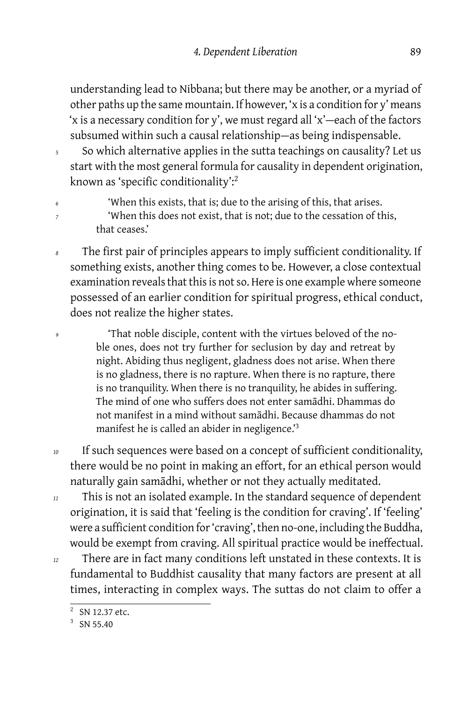understanding lead to Nibbana; but there may be another, or a myriad of other paths up the same mountain. If however, 'x is a condition for y' means 'x is a necessary condition for y', we must regard all 'x' — each of the factors subsumed within such a causal relationship-as being indispensable.

- *<sup>5</sup>* So which alternative applies in the sutta teachings on causality? Let us start with the most general formula for causality in dependent origination, known as 'specific conditionality':<sup>2</sup>
- *<sup>6</sup>* 'When this exists, that is; due to the arising of this, that arises.
- <sup>7</sup> <sup>'</sup>When this does not exist, that is not; due to the cessation of this, that ceases.'
- The first pair of principles appears to imply sufficient conditionality. If something exists, another thing comes to be. However, a close contextual examination reveals that this is not so. Here is one example where someone possessed of an earlier condition for spiritual progress, ethical conduct, does not realize the higher states.
- <sup>9</sup> <sup>'</sup>That noble disciple, content with the virtues beloved of the noble ones, does not try further for seclusion by day and retreat by night. Abiding thus negligent, gladness does not arise. When there is no gladness, there is no rapture. When there is no rapture, there is no tranquility. When there is no tranquility, he abides in suffering. The mind of one who suffers does not enter samādhi. Dhammas do not manifest in a mind without samādhi. Because dhammas do not manifest he is called an abider in negligence.'<sup>3</sup>
- *<sup>10</sup>* If such sequences were based on a concept of sufficient conditionality, there would be no point in making an effort, for an ethical person would naturally gain samādhi, whether or not they actually meditated.
- *<sup>11</sup>* This is not an isolated example. In the standard sequence of dependent origination, it is said that 'feeling is the condition for craving'. If 'feeling' were a sufficient condition for 'craving', then no-one, including the Buddha, would be exempt from craving. All spiritual practice would be ineffectual.
- *<sup>12</sup>* There are in fact many conditions left unstated in these contexts. It is fundamental to Buddhist causality that many factors are present at all times, interacting in complex ways. The suttas do not claim to offer a

<sup>2</sup> SN 12.37 etc.

 $3$  SN 55.40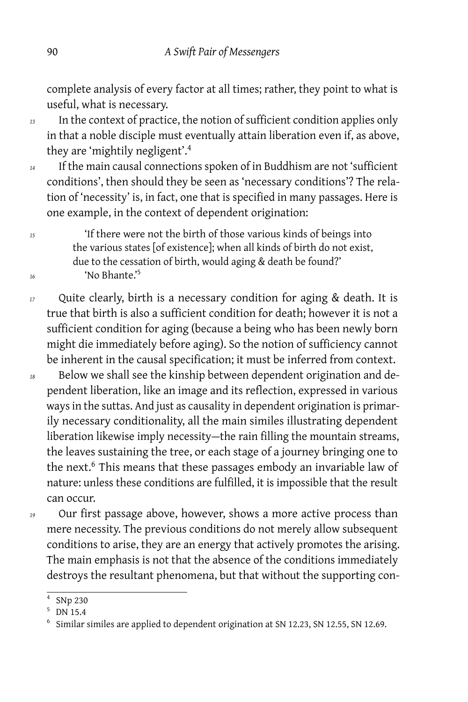complete analysis of every factor at all times; rather, they point to what is useful, what is necessary.

- *<sup>13</sup>* In the context of practice, the notion of sufficient condition applies only in that a noble disciple must eventually attain liberation even if, as above, they are 'mightily negligent'.<sup>4</sup>
- *<sup>14</sup>* If the main causal connections spoken of in Buddhism are not 'sufficient conditions', then should they be seen as 'necessary conditions'? The relation of 'necessity' is, in fact, one that is specified in many passages. Here is one example, in the context of dependent origination:

*<sup>15</sup>* 'If there were not the birth of those various kinds of beings into the various states [of existence]; when all kinds of birth do not exist, due to the cessation of birth, would aging & death be found?' *<sup>16</sup>* 'No Bhante.'<sup>5</sup>

- *<sup>17</sup>* Quite clearly, birth is a necessary condition for aging & death. It is true that birth is also a sufficient condition for death; however it is not a sufficient condition for aging (because a being who has been newly born might die immediately before aging). So the notion of sufficiency cannot be inherent in the causal specification; it must be inferred from context.
- *<sup>18</sup>* Below we shall see the kinship between dependent origination and dependent liberation, like an image and its reflection, expressed in various ways in the suttas. And just as causality in dependent origination is primarily necessary conditionality, all the main similes illustrating dependent liberation likewise imply necessity-the rain filling the mountain streams, the leaves sustaining the tree, or each stage of a journey bringing one to the next.<sup>6</sup> This means that these passages embody an invariable law of nature: unless these conditions are fulfilled, it is impossible that the result can occur.
- 

*<sup>19</sup>* Our first passage above, however, shows a more active process than mere necessity. The previous conditions do not merely allow subsequent conditions to arise, they are an energy that actively promotes the arising. The main emphasis is not that the absence of the conditions immediately destroys the resultant phenomena, but that without the supporting con-

<sup>4</sup> SNp 230

<sup>5</sup> DN 15.4

<sup>6</sup> Similar similes are applied to dependent origination at SN 12.23, SN 12.55, SN 12.69.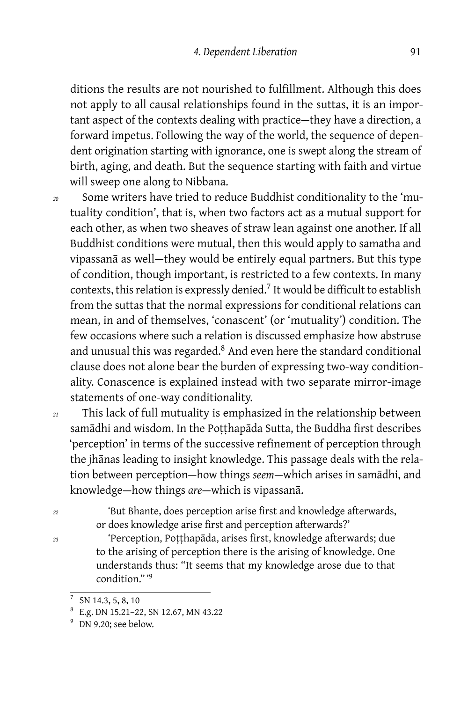ditions the results are not nourished to fulfillment. Although this does not apply to all causal relationships found in the suttas, it is an important aspect of the contexts dealing with practice-they have a direction, a forward impetus. Following the way of the world, the sequence of dependent origination starting with ignorance, one is swept along the stream of birth, aging, and death. But the sequence starting with faith and virtue will sweep one along to Nibbana.

- *<sup>20</sup>* Some writers have tried to reduce Buddhist conditionality to the 'mutuality condition', that is, when two factors act as a mutual support for each other, as when two sheaves of straw lean against one another. If all Buddhist conditions were mutual, then this would apply to samatha and vipassanā as well-they would be entirely equal partners. But this type of condition, though important, is restricted to a few contexts. In many contexts, this relation is expressly denied.<sup>7</sup> It would be difficult to establish from the suttas that the normal expressions for conditional relations can mean, in and of themselves, 'conascent' (or 'mutuality') condition. The few occasions where such a relation is discussed emphasize how abstruse and unusual this was regarded.<sup>8</sup> And even here the standard conditional clause does not alone bear the burden of expressing two-way conditionality. Conascence is explained instead with two separate mirror-image statements of one-way conditionality.
- *<sup>21</sup>* This lack of full mutuality is emphasized in the relationship between samādhi and wisdom. In the Poṭṭhapāda Sutta, the Buddha first describes 'perception' in terms of the successive refinement of perception through the jhānas leading to insight knowledge. This passage deals with the relation between perception — how things *seem* — which arises in samādhi, and knowledge — how things *are* — which is vipassanā.
- *<sup>22</sup>* 'But Bhante, does perception arise first and knowledge afterwards, or does knowledge arise first and perception afterwards?'
- *<sup>23</sup>* 'Perception, Poṭṭhapāda, arises first, knowledge afterwards; due to the arising of perception there is the arising of knowledge. One understands thus: "It seems that my knowledge arose due to that condition." '<sup>9</sup>

<sup>7</sup> SN 14.3, 5, 8, 10

<sup>8</sup> E.g. DN 15.21–22, SN 12.67, MN 43.22

<sup>&</sup>lt;sup>9</sup> DN 9.20; see below.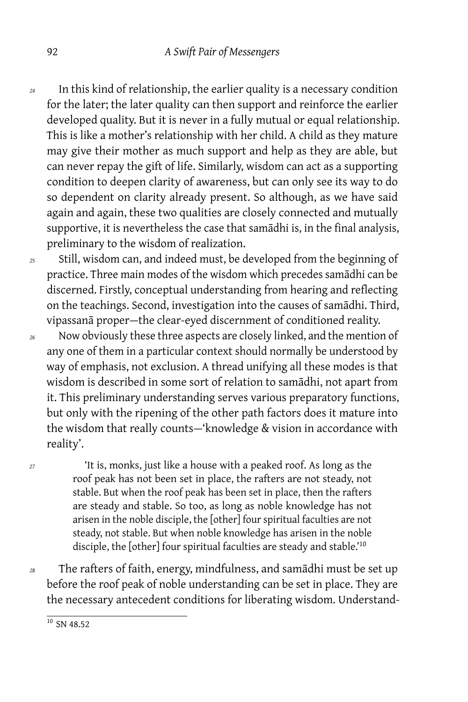- *<sup>24</sup>* In this kind of relationship, the earlier quality is a necessary condition for the later; the later quality can then support and reinforce the earlier developed quality. But it is never in a fully mutual or equal relationship. This is like a mother's relationship with her child. A child as they mature may give their mother as much support and help as they are able, but can never repay the gift of life. Similarly, wisdom can act as a supporting condition to deepen clarity of awareness, but can only see its way to do so dependent on clarity already present. So although, as we have said again and again, these two qualities are closely connected and mutually supportive, it is nevertheless the case that samādhi is, in the final analysis, preliminary to the wisdom of realization.
- *<sup>25</sup>* Still, wisdom can, and indeed must, be developed from the beginning of practice. Three main modes of the wisdom which precedes samādhi can be discerned. Firstly, conceptual understanding from hearing and reflecting on the teachings. Second, investigation into the causes of samādhi. Third, vipassanā proper — the clear-eyed discernment of conditioned reality.
- *<sup>26</sup>* Now obviously these three aspects are closely linked, and the mention of any one of them in a particular context should normally be understood by way of emphasis, not exclusion. A thread unifying all these modes is that wisdom is described in some sort of relation to samādhi, not apart from it. This preliminary understanding serves various preparatory functions, but only with the ripening of the other path factors does it mature into the wisdom that really counts-'knowledge & vision in accordance with reality'.

*<sup>27</sup>* 'It is, monks, just like a house with a peaked roof. As long as the roof peak has not been set in place, the rafters are not steady, not stable. But when the roof peak has been set in place, then the rafters are steady and stable. So too, as long as noble knowledge has not arisen in the noble disciple, the [other] four spiritual faculties are not steady, not stable. But when noble knowledge has arisen in the noble disciple, the [other] four spiritual faculties are steady and stable.<sup>10</sup>

*<sup>28</sup>* The rafters of faith, energy, mindfulness, and samādhi must be set up before the roof peak of noble understanding can be set in place. They are the necessary antecedent conditions for liberating wisdom. Understand-

 $\frac{10}{10}$  SN 48.52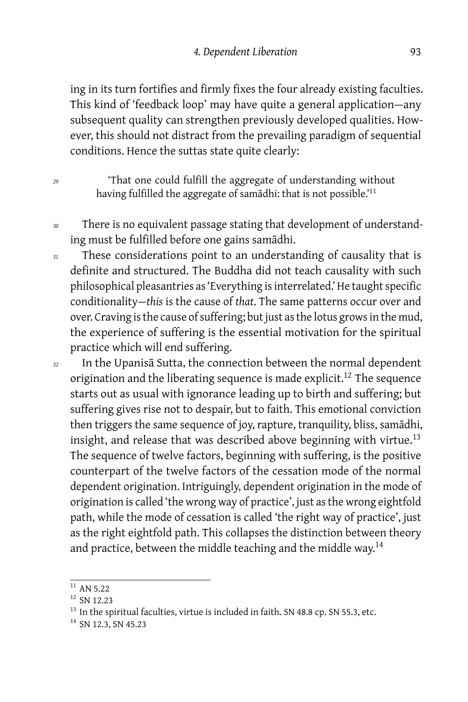ing in its turn fortifies and firmly fixes the four already existing faculties. This kind of 'feedback loop' may have quite a general application-any subsequent quality can strengthen previously developed qualities. However, this should not distract from the prevailing paradigm of sequential conditions. Hence the suttas state quite clearly:

*<sup>29</sup>* 'That one could fulfill the aggregate of understanding without having fulfilled the aggregate of samādhi: that is not possible.'<sup>11</sup>

- *<sup>30</sup>* There is no equivalent passage stating that development of understanding must be fulfilled before one gains samādhi.
- *<sup>31</sup>* These considerations point to an understanding of causality that is definite and structured. The Buddha did not teach causality with such philosophical pleasantries as 'Everything is interrelated.' He taught specific conditionality — *this* is the cause of *that*. The same patterns occur over and over. Craving is the cause of suffering; but just as the lotus grows in the mud, the experience of suffering is the essential motivation for the spiritual practice which will end suffering.
- *<sup>32</sup>* In the Upanisā Sutta, the connection between the normal dependent origination and the liberating sequence is made explicit.<sup>12</sup> The sequence starts out as usual with ignorance leading up to birth and suffering; but suffering gives rise not to despair, but to faith. This emotional conviction then triggers the same sequence of joy, rapture, tranquility, bliss, samādhi, insight, and release that was described above beginning with virtue.<sup>13</sup> The sequence of twelve factors, beginning with suffering, is the positive counterpart of the twelve factors of the cessation mode of the normal dependent origination. Intriguingly, dependent origination in the mode of origination is called 'the wrong way of practice', just as the wrong eightfold path, while the mode of cessation is called 'the right way of practice', just as the right eightfold path. This collapses the distinction between theory and practice, between the middle teaching and the middle way.<sup>14</sup>

 $11$  AN 5.22

<sup>&</sup>lt;sup>12</sup> SN 12.23

<sup>&</sup>lt;sup>13</sup> In the spiritual faculties, virtue is included in faith. SN 48.8 cp. SN 55.3, etc.

<sup>&</sup>lt;sup>14</sup> SN 12.3, SN 45.23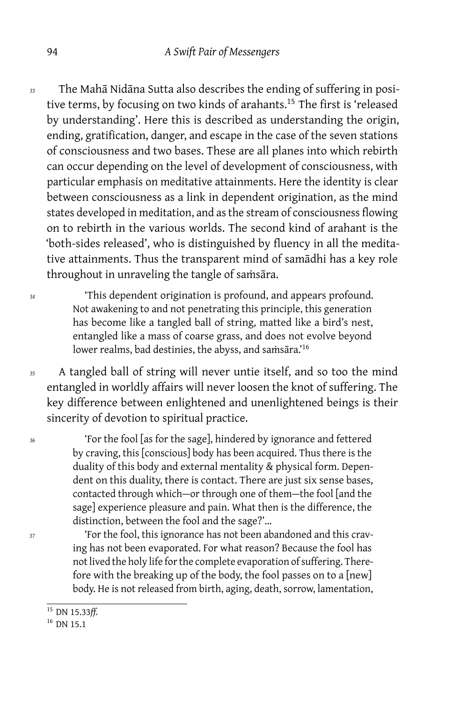- *<sup>33</sup>* The Mahā Nidāna Sutta also describes the ending of suffering in positive terms, by focusing on two kinds of arahants.<sup>15</sup> The first is 'released by understanding'. Here this is described as understanding the origin, ending, gratification, danger, and escape in the case of the seven stations of consciousness and two bases. These are all planes into which rebirth can occur depending on the level of development of consciousness, with particular emphasis on meditative attainments. Here the identity is clear between consciousness as a link in dependent origination, as the mind states developed in meditation, and as the stream of consciousness flowing on to rebirth in the various worlds. The second kind of arahant is the 'both-sides released', who is distinguished by fluency in all the meditative attainments. Thus the transparent mind of samādhi has a key role throughout in unraveling the tangle of samsāra.
- *<sup>34</sup>* 'This dependent origination is profound, and appears profound. Not awakening to and not penetrating this principle, this generation has become like a tangled ball of string, matted like a bird's nest, entangled like a mass of coarse grass, and does not evolve beyond lower realms, bad destinies, the abyss, and saṁsāra.'<sup>16</sup>
- *<sup>35</sup>* A tangled ball of string will never untie itself, and so too the mind entangled in worldly affairs will never loosen the knot of suffering. The key difference between enlightened and unenlightened beings is their sincerity of devotion to spiritual practice.

*<sup>36</sup>* 'For the fool [as for the sage], hindered by ignorance and fettered by craving, this [conscious] body has been acquired. Thus there is the duality of this body and external mentality & physical form. Dependent on this duality, there is contact. There are just six sense bases, contacted through which-or through one of them-the fool [and the sage] experience pleasure and pain. What then is the difference, the distinction, between the fool and the sage?'…

*<sup>37</sup>* 'For the fool, this ignorance has not been abandoned and this craving has not been evaporated. For what reason? Because the fool has not lived the holy life for the complete evaporation of suffering. Therefore with the breaking up of the body, the fool passes on to a [new] body. He is not released from birth, aging, death, sorrow, lamentation,

<sup>15</sup> DN 15.33*ff.*

 $16$  DN 15.1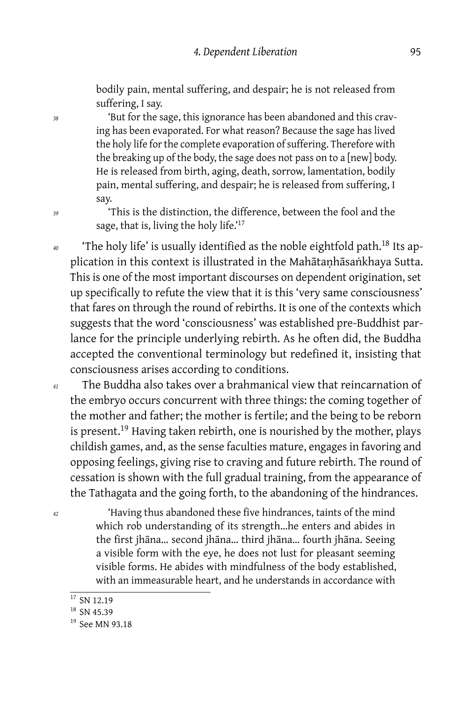bodily pain, mental suffering, and despair; he is not released from suffering, I say.

*<sup>38</sup>* 'But for the sage, this ignorance has been abandoned and this craving has been evaporated. For what reason? Because the sage has lived the holy life for the complete evaporation of suffering. Therefore with the breaking up of the body, the sage does not pass on to a [new] body. He is released from birth, aging, death, sorrow, lamentation, bodily pain, mental suffering, and despair; he is released from suffering, I say.

*<sup>39</sup>* 'This is the distinction, the difference, between the fool and the sage, that is, living the holy life.'<sup>17</sup>

*<sup>40</sup>* 'The holy life' is usually identified as the noble eightfold path.<sup>18</sup> Its application in this context is illustrated in the Mahātaṇhāsaṅkhaya Sutta. This is one of the most important discourses on dependent origination, set up specifically to refute the view that it is this 'very same consciousness' that fares on through the round of rebirths. It is one of the contexts which suggests that the word 'consciousness' was established pre-Buddhist parlance for the principle underlying rebirth. As he often did, the Buddha accepted the conventional terminology but redefined it, insisting that consciousness arises according to conditions.

- *<sup>41</sup>* The Buddha also takes over a brahmanical view that reincarnation of the embryo occurs concurrent with three things: the coming together of the mother and father; the mother is fertile; and the being to be reborn is present.<sup>19</sup> Having taken rebirth, one is nourished by the mother, plays childish games, and, as the sense faculties mature, engages in favoring and opposing feelings, giving rise to craving and future rebirth. The round of cessation is shown with the full gradual training, from the appearance of the Tathagata and the going forth, to the abandoning of the hindrances.
- *<sup>42</sup>* 'Having thus abandoned these five hindrances, taints of the mind which rob understanding of its strength…he enters and abides in the first jhāna… second jhāna… third jhāna… fourth jhāna. Seeing a visible form with the eye, he does not lust for pleasant seeming visible forms. He abides with mindfulness of the body established, with an immeasurable heart, and he understands in accordance with

<sup>&</sup>lt;sup>17</sup> SN 12.19

 $18$  SN 45.39

<sup>&</sup>lt;sup>19</sup> See MN 93.18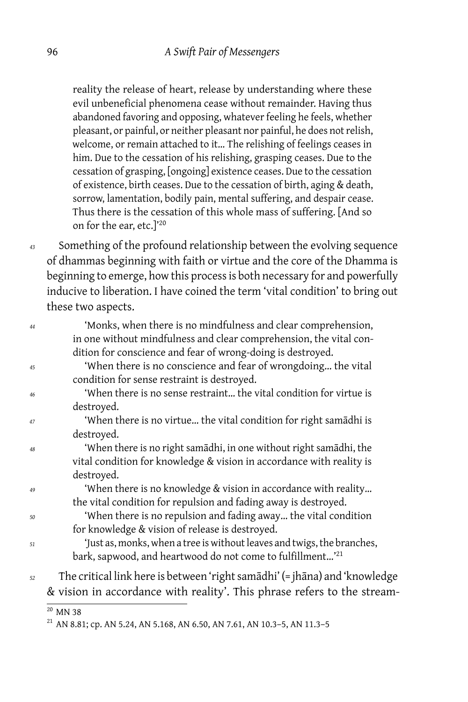reality the release of heart, release by understanding where these evil unbeneficial phenomena cease without remainder. Having thus abandoned favoring and opposing, whatever feeling he feels, whether pleasant, or painful, or neither pleasant nor painful, he does not relish, welcome, or remain attached to it… The relishing of feelings ceases in him. Due to the cessation of his relishing, grasping ceases. Due to the cessation of grasping, [ongoing] existence ceases. Due to the cessation of existence, birth ceases. Due to the cessation of birth, aging & death, sorrow, lamentation, bodily pain, mental suffering, and despair cease. Thus there is the cessation of this whole mass of suffering. [And so on for the ear, etc.]'<sup>20</sup>

*<sup>43</sup>* Something of the profound relationship between the evolving sequence of dhammas beginning with faith or virtue and the core of the Dhamma is beginning to emerge, how this process is both necessary for and powerfully inducive to liberation. I have coined the term 'vital condition' to bring out these two aspects.

| 44 | 'Monks, when there is no mindfulness and clear comprehension,              |
|----|----------------------------------------------------------------------------|
|    | in one without mindfulness and clear comprehension, the vital con-         |
|    | dition for conscience and fear of wrong-doing is destroyed.                |
| 45 | 'When there is no conscience and fear of wrongdoing the vital              |
|    | condition for sense restraint is destroyed.                                |
| 46 | 'When there is no sense restraint the vital condition for virtue is        |
|    | destroyed.                                                                 |
| 47 | 'When there is no virtue the vital condition for right samādhi is          |
|    | destroyed.                                                                 |
| 48 | 'When there is no right samādhi, in one without right samādhi, the         |
|    | vital condition for knowledge & vision in accordance with reality is       |
|    | destroyed.                                                                 |
| 49 | 'When there is no knowledge & vision in accordance with reality            |
|    | the vital condition for repulsion and fading away is destroyed.            |
| 50 | 'When there is no repulsion and fading away the vital condition            |
|    | for knowledge & vision of release is destroyed.                            |
| 51 | 'Just as, monks, when a tree is without leaves and twigs, the branches,    |
|    | bark, sapwood, and heartwood do not come to fulfillment <sup>'21</sup>     |
| 52 | The critical link here is between 'right samādhi' (= jhāna) and 'knowledge |
|    | & vision in accordance with reality'. This phrase refers to the stream-    |
|    |                                                                            |

<sup>20</sup> MN 38

<sup>&</sup>lt;sup>21</sup> AN 8.81; cp. AN 5.24, AN 5.168, AN 6.50, AN 7.61, AN 10.3-5, AN 11.3-5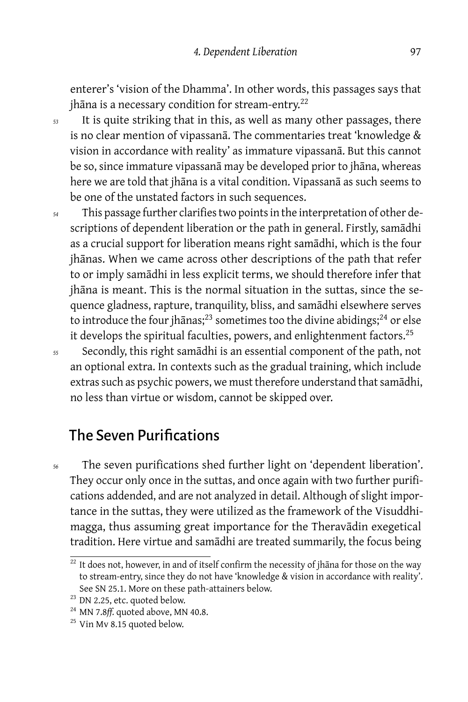enterer's 'vision of the Dhamma'. In other words, this passages says that jhāna is a necessary condition for stream-entry.<sup>22</sup>

*<sup>53</sup>* It is quite striking that in this, as well as many other passages, there is no clear mention of vipassanā. The commentaries treat 'knowledge & vision in accordance with reality' as immature vipassanā. But this cannot be so, since immature vipassanā may be developed prior to jhāna, whereas here we are told that jhāna is a vital condition. Vipassanā as such seems to be one of the unstated factors in such sequences.

- *<sup>54</sup>* This passage further clarifies two points in the interpretation of other descriptions of dependent liberation or the path in general. Firstly, samādhi as a crucial support for liberation means right samādhi, which is the four jhānas. When we came across other descriptions of the path that refer to or imply samādhi in less explicit terms, we should therefore infer that jhāna is meant. This is the normal situation in the suttas, since the sequence gladness, rapture, tranquility, bliss, and samādhi elsewhere serves to introduce the four jhanas;<sup>23</sup> sometimes too the divine abidings;<sup>24</sup> or else it develops the spiritual faculties, powers, and enlightenment factors.<sup>25</sup>
- *<sup>55</sup>* Secondly, this right samādhi is an essential component of the path, not an optional extra. In contexts such as the gradual training, which include extras such as psychic powers, we must therefore understand that samādhi, no less than virtue or wisdom, cannot be skipped over.

## The Seven Purifications

*<sup>56</sup>* The seven purifications shed further light on 'dependent liberation'. They occur only once in the suttas, and once again with two further purifications addended, and are not analyzed in detail. Although of slight importance in the suttas, they were utilized as the framework of the Visuddhimagga, thus assuming great importance for the Theravādin exegetical tradition. Here virtue and samādhi are treated summarily, the focus being

 $\frac{22 \text{ It does not, however, in and of itself confirm the necessity of jhāna for those on the way}$ to stream-entry, since they do not have 'knowledge & vision in accordance with reality'. See SN 25.1. More on these path-attainers below.

<sup>&</sup>lt;sup>23</sup> DN 2.25, etc. quoted below.

<sup>24</sup> MN 7.8*ff.* quoted above, MN 40.8.

<sup>&</sup>lt;sup>25</sup> Vin Mv 8.15 quoted below.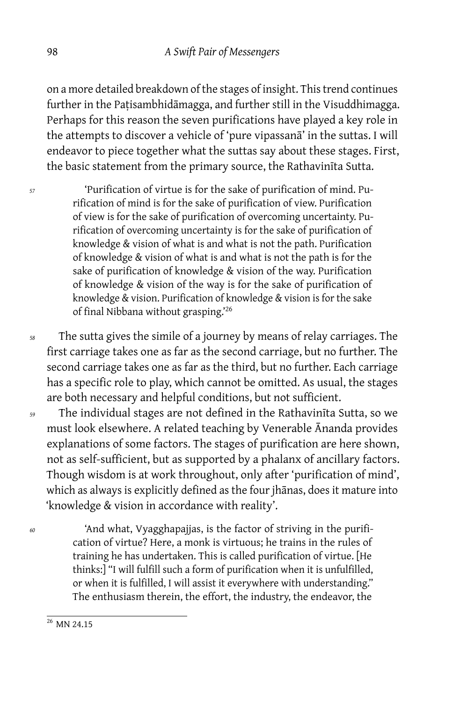on a more detailed breakdown of the stages of insight. This trend continues further in the Paṭisambhidāmagga, and further still in the Visuddhimagga. Perhaps for this reason the seven purifications have played a key role in the attempts to discover a vehicle of 'pure vipassanā' in the suttas. I will endeavor to piece together what the suttas say about these stages. First, the basic statement from the primary source, the Rathavinīta Sutta.

*<sup>57</sup>* 'Purification of virtue is for the sake of purification of mind. Purification of mind is for the sake of purification of view. Purification of view is for the sake of purification of overcoming uncertainty. Purification of overcoming uncertainty is for the sake of purification of knowledge & vision of what is and what is not the path. Purification of knowledge & vision of what is and what is not the path is for the sake of purification of knowledge & vision of the way. Purification of knowledge & vision of the way is for the sake of purification of knowledge & vision. Purification of knowledge & vision is for the sake of final Nibbana without grasping.'<sup>26</sup>

*<sup>58</sup>* The sutta gives the simile of a journey by means of relay carriages. The first carriage takes one as far as the second carriage, but no further. The second carriage takes one as far as the third, but no further. Each carriage has a specific role to play, which cannot be omitted. As usual, the stages are both necessary and helpful conditions, but not sufficient.

*<sup>59</sup>* The individual stages are not defined in the Rathavinīta Sutta, so we must look elsewhere. A related teaching by Venerable Ānanda provides explanations of some factors. The stages of purification are here shown, not as self-sufficient, but as supported by a phalanx of ancillary factors. Though wisdom is at work throughout, only after 'purification of mind', which as always is explicitly defined as the four jhānas, does it mature into 'knowledge & vision in accordance with reality'.

*<sup>60</sup>* 'And what, Vyagghapajjas, is the factor of striving in the purification of virtue? Here, a monk is virtuous; he trains in the rules of training he has undertaken. This is called purification of virtue. [He thinks:] "I will fulfill such a form of purification when it is unfulfilled, or when it is fulfilled, I will assist it everywhere with understanding." The enthusiasm therein, the effort, the industry, the endeavor, the

 $26$  MN 24.15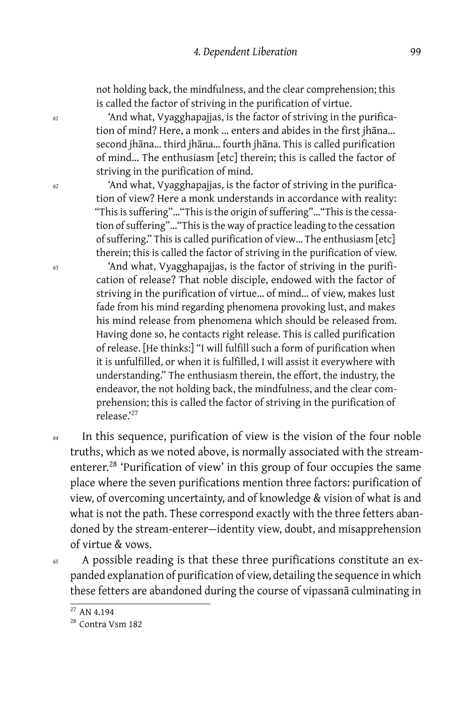not holding back, the mindfulness, and the clear comprehension; this is called the factor of striving in the purification of virtue.

*<sup>61</sup>* 'And what, Vyagghapajjas, is the factor of striving in the purification of mind? Here, a monk … enters and abides in the first jhāna… second jhāna… third jhāna… fourth jhāna. This is called purification of mind… The enthusiasm [etc] therein; this is called the factor of striving in the purification of mind.

*<sup>62</sup>* 'And what, Vyagghapajjas, is the factor of striving in the purification of view? Here a monk understands in accordance with reality: "This is suffering"…"This is the origin of suffering"…"This is the cessation of suffering"…"This is the way of practice leading to the cessation of suffering." This is called purification of view… The enthusiasm [etc] therein; this is called the factor of striving in the purification of view.

*<sup>63</sup>* 'And what, Vyagghapajjas, is the factor of striving in the purification of release? That noble disciple, endowed with the factor of striving in the purification of virtue… of mind… of view, makes lust fade from his mind regarding phenomena provoking lust, and makes his mind release from phenomena which should be released from. Having done so, he contacts right release. This is called purification of release. [He thinks:] "I will fulfill such a form of purification when it is unfulfilled, or when it is fulfilled, I will assist it everywhere with understanding." The enthusiasm therein, the effort, the industry, the endeavor, the not holding back, the mindfulness, and the clear comprehension; this is called the factor of striving in the purification of release.'<sup>27</sup>

*<sup>64</sup>* In this sequence, purification of view is the vision of the four noble truths, which as we noted above, is normally associated with the streamenterer.<sup>28</sup> 'Purification of view' in this group of four occupies the same place where the seven purifications mention three factors: purification of view, of overcoming uncertainty, and of knowledge & vision of what is and what is not the path. These correspond exactly with the three fetters abandoned by the stream-enterer-identity view, doubt, and misapprehension of virtue & vows.

*<sup>65</sup>* A possible reading is that these three purifications constitute an expanded explanation of purification of view, detailing the sequence in which these fetters are abandoned during the course of vipassanā culminating in

<sup>27</sup> AN 4.194

<sup>28</sup> Contra Vsm 182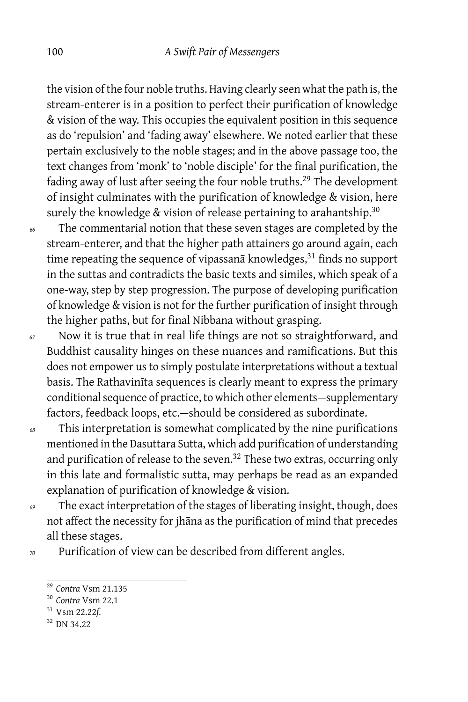the vision of the four noble truths. Having clearly seen what the path is, the stream-enterer is in a position to perfect their purification of knowledge & vision of the way. This occupies the equivalent position in this sequence as do 'repulsion' and 'fading away' elsewhere. We noted earlier that these pertain exclusively to the noble stages; and in the above passage too, the text changes from 'monk' to 'noble disciple' for the final purification, the fading away of lust after seeing the four noble truths.<sup>29</sup> The development of insight culminates with the purification of knowledge & vision, here surely the knowledge & vision of release pertaining to arahantship.<sup>30</sup>

*<sup>66</sup>* The commentarial notion that these seven stages are completed by the stream-enterer, and that the higher path attainers go around again, each time repeating the sequence of vipassan $\bar{a}$  knowledges, $31$  finds no support in the suttas and contradicts the basic texts and similes, which speak of a one-way, step by step progression. The purpose of developing purification of knowledge & vision is not for the further purification of insight through the higher paths, but for final Nibbana without grasping.

*<sup>67</sup>* Now it is true that in real life things are not so straightforward, and Buddhist causality hinges on these nuances and ramifications. But this does not empower us to simply postulate interpretations without a textual basis. The Rathavinīta sequences is clearly meant to express the primary conditional sequence of practice, to which other elements — supplementary factors, feedback loops, etc.-should be considered as subordinate.

- *<sup>68</sup>* This interpretation is somewhat complicated by the nine purifications mentioned in the Dasuttara Sutta, which add purification of understanding and purification of release to the seven. $32$  These two extras, occurring only in this late and formalistic sutta, may perhaps be read as an expanded explanation of purification of knowledge & vision.
- *<sup>69</sup>* The exact interpretation of the stages of liberating insight, though, does not affect the necessity for jhāna as the purification of mind that precedes all these stages.

*<sup>70</sup>* Purification of view can be described from different angles.

<sup>29</sup> *Contra* Vsm 21.135

<sup>30</sup> *Contra* Vsm 22.1

<sup>31</sup> Vsm 22.22*f.*

<sup>32</sup> DN 34.22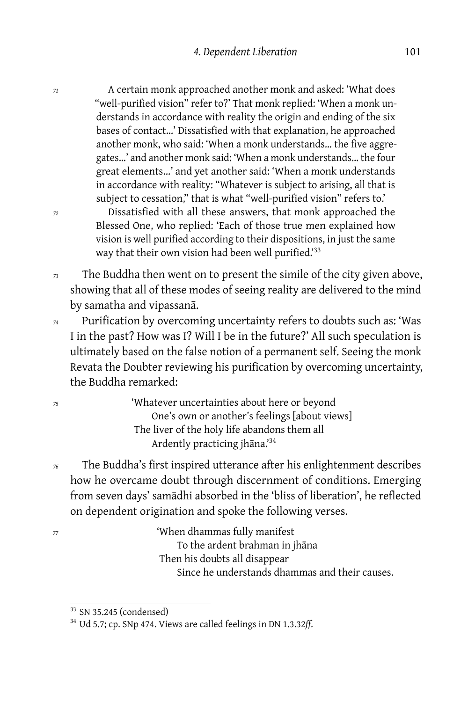*<sup>71</sup>* A certain monk approached another monk and asked: 'What does "well-purified vision" refer to?' That monk replied: 'When a monk understands in accordance with reality the origin and ending of the six bases of contact…' Dissatisfied with that explanation, he approached another monk, who said: 'When a monk understands… the five aggregates…' and another monk said: 'When a monk understands… the four great elements…' and yet another said: 'When a monk understands in accordance with reality: "Whatever is subject to arising, all that is subject to cessation," that is what "well-purified vision" refers to.'

*<sup>72</sup>* Dissatisfied with all these answers, that monk approached the Blessed One, who replied: 'Each of those true men explained how vision is well purified according to their dispositions, in just the same way that their own vision had been well purified.<sup>33</sup>

*<sup>73</sup>* The Buddha then went on to present the simile of the city given above, showing that all of these modes of seeing reality are delivered to the mind by samatha and vipassanā.

*<sup>74</sup>* Purification by overcoming uncertainty refers to doubts such as: 'Was I in the past? How was I? Will I be in the future?' All such speculation is ultimately based on the false notion of a permanent self. Seeing the monk Revata the Doubter reviewing his purification by overcoming uncertainty, the Buddha remarked:

*<sup>75</sup>* 'Whatever uncertainties about here or beyond One's own or another's feelings [about views] The liver of the holy life abandons them all Ardently practicing jhāna.'<sup>34</sup>

*<sup>76</sup>* The Buddha's first inspired utterance after his enlightenment describes how he overcame doubt through discernment of conditions. Emerging from seven days' samādhi absorbed in the 'bliss of liberation', he reflected on dependent origination and spoke the following verses.

*<sup>77</sup>* 'When dhammas fully manifest To the ardent brahman in jhāna Then his doubts all disappear Since he understands dhammas and their causes.

<sup>&</sup>lt;sup>33</sup> SN 35.245 (condensed)

<sup>34</sup> Ud 5.7; cp. SNp 474. Views are called feelings in DN 1.3.32*ff*.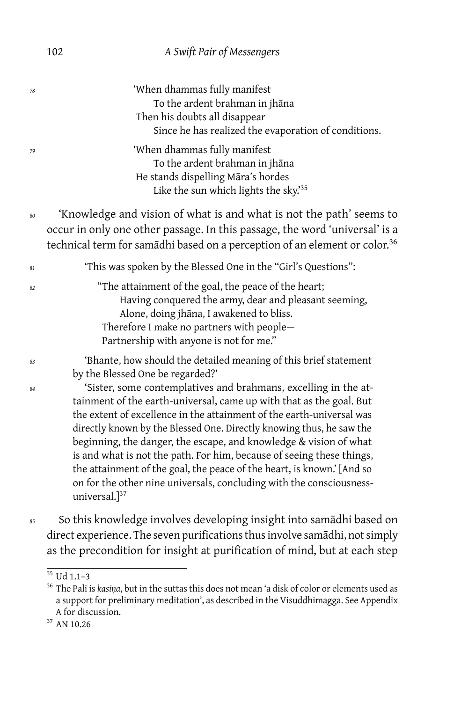#### 102 *A Swift Pair of Messengers*

| 78 | 'When dhammas fully manifest<br>To the ardent brahman in jhāna<br>Then his doubts all disappear<br>Since he has realized the evaporation of conditions.                                                                                                                                                                                                                                                                                                                                                                                                                                                                                         |
|----|-------------------------------------------------------------------------------------------------------------------------------------------------------------------------------------------------------------------------------------------------------------------------------------------------------------------------------------------------------------------------------------------------------------------------------------------------------------------------------------------------------------------------------------------------------------------------------------------------------------------------------------------------|
| 79 | 'When dhammas fully manifest<br>To the ardent brahman in jhāna<br>He stands dispelling Māra's hordes<br>Like the sun which lights the sky.'35                                                                                                                                                                                                                                                                                                                                                                                                                                                                                                   |
| 80 | 'Knowledge and vision of what is and what is not the path' seems to<br>occur in only one other passage. In this passage, the word 'universal' is a<br>technical term for samādhi based on a perception of an element or color. <sup>36</sup>                                                                                                                                                                                                                                                                                                                                                                                                    |
| 81 | 'This was spoken by the Blessed One in the "Girl's Questions":                                                                                                                                                                                                                                                                                                                                                                                                                                                                                                                                                                                  |
| 82 | "The attainment of the goal, the peace of the heart;<br>Having conquered the army, dear and pleasant seeming,<br>Alone, doing jhāna, I awakened to bliss.<br>Therefore I make no partners with people-<br>Partnership with anyone is not for me."                                                                                                                                                                                                                                                                                                                                                                                               |
| 83 | 'Bhante, how should the detailed meaning of this brief statement                                                                                                                                                                                                                                                                                                                                                                                                                                                                                                                                                                                |
| 84 | by the Blessed One be regarded?'<br>'Sister, some contemplatives and brahmans, excelling in the at-<br>tainment of the earth-universal, came up with that as the goal. But<br>the extent of excellence in the attainment of the earth-universal was<br>directly known by the Blessed One. Directly knowing thus, he saw the<br>beginning, the danger, the escape, and knowledge & vision of what<br>is and what is not the path. For him, because of seeing these things,<br>the attainment of the goal, the peace of the heart, is known.' [And so<br>on for the other nine universals, concluding with the consciousness-<br>universal.] $37$ |
| 85 | So this knowledge involves developing insight into samādhi based on                                                                                                                                                                                                                                                                                                                                                                                                                                                                                                                                                                             |

direct experience. The seven purifications thus involve samādhi, not simply as the precondition for insight at purification of mind, but at each step

 $35$  Ud 1.1-3

<sup>36</sup> The Pali is *kasiṇa*, but in the suttas this does not mean 'a disk of color or elements used as a support for preliminary meditation', as described in the Visuddhimagga. See Appendix A for discussion.

<sup>&</sup>lt;sup>37</sup> AN 10.26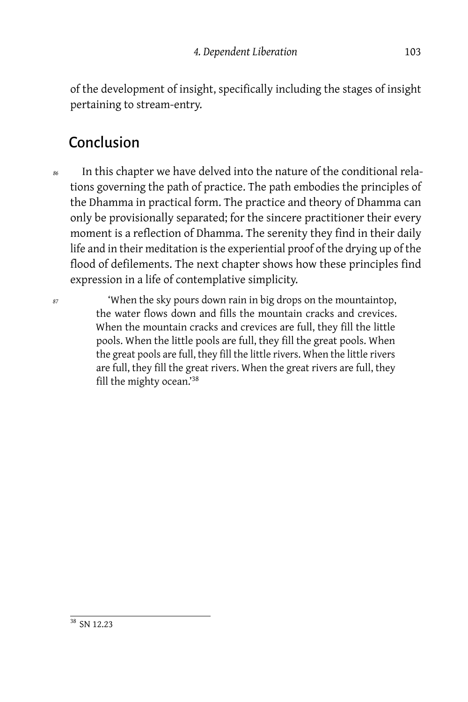of the development of insight, specifically including the stages of insight pertaining to stream-entry.

### Conclusion

*<sup>86</sup>* In this chapter we have delved into the nature of the conditional relations governing the path of practice. The path embodies the principles of the Dhamma in practical form. The practice and theory of Dhamma can only be provisionally separated; for the sincere practitioner their every moment is a reflection of Dhamma. The serenity they find in their daily life and in their meditation is the experiential proof of the drying up of the flood of defilements. The next chapter shows how these principles find expression in a life of contemplative simplicity.

*<sup>87</sup>* 'When the sky pours down rain in big drops on the mountaintop, the water flows down and fills the mountain cracks and crevices. When the mountain cracks and crevices are full, they fill the little pools. When the little pools are full, they fill the great pools. When the great pools are full, they fill the little rivers. When the little rivers are full, they fill the great rivers. When the great rivers are full, they fill the mighty ocean.'<sup>38</sup>

<sup>38</sup> SN 12.23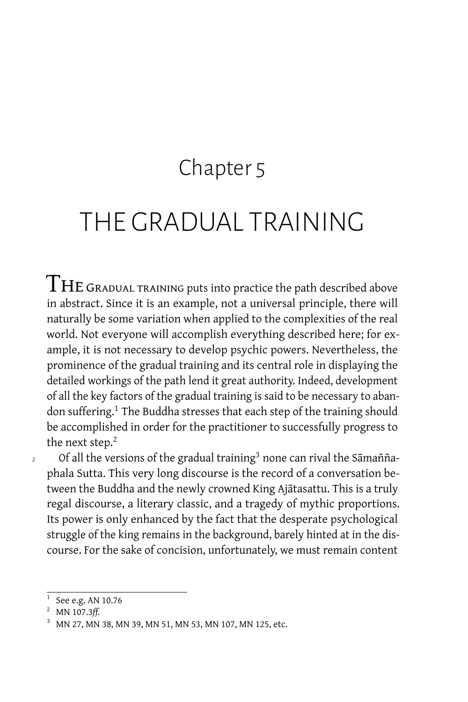### Chapter 5

## THE GRADUAL TRAINING

 $\rm{THE}$  GRADUAL TRAINING puts into practice the path described above in abstract. Since it is an example, not a universal principle, there will naturally be some variation when applied to the complexities of the real world. Not everyone will accomplish everything described here; for example, it is not necessary to develop psychic powers. Nevertheless, the prominence of the gradual training and its central role in displaying the detailed workings of the path lend it great authority. Indeed, development of all the key factors of the gradual training is said to be necessary to abandon suffering.<sup>1</sup> The Buddha stresses that each step of the training should be accomplished in order for the practitioner to successfully progress to the next step.<sup>2</sup>

<sup>2</sup> Of all the versions of the gradual training<sup>3</sup> none can rival the Samaññaphala Sutta. This very long discourse is the record of a conversation between the Buddha and the newly crowned King Ajātasattu. This is a truly regal discourse, a literary classic, and a tragedy of mythic proportions. Its power is only enhanced by the fact that the desperate psychological struggle of the king remains in the background, barely hinted at in the discourse. For the sake of concision, unfortunately, we must remain content

 $^1$  See e.g. AN 10.76

<sup>2</sup> MN 107.3*ff.*

<sup>3</sup> MN 27, MN 38, MN 39, MN 51, MN 53, MN 107, MN 125, etc.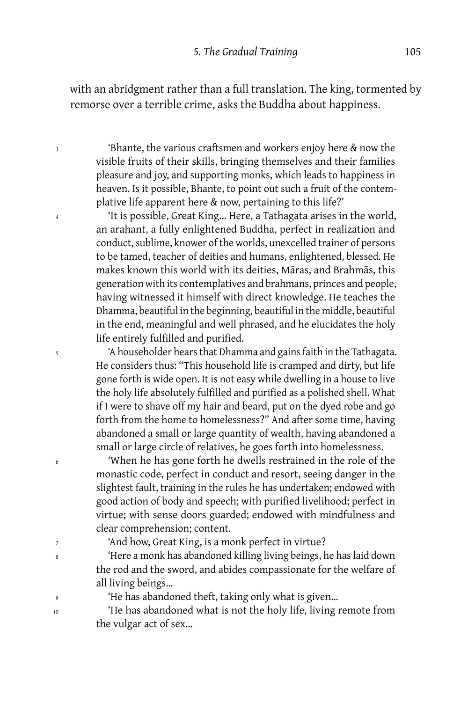with an abridgment rather than a full translation. The king, tormented by remorse over a terrible crime, asks the Buddha about happiness.

*<sup>3</sup>* 'Bhante, the various craftsmen and workers enjoy here & now the visible fruits of their skills, bringing themselves and their families pleasure and joy, and supporting monks, which leads to happiness in heaven. Is it possible, Bhante, to point out such a fruit of the contemplative life apparent here & now, pertaining to this life?'

*<sup>4</sup>* 'It is possible, Great King… Here, a Tathagata arises in the world, an arahant, a fully enlightened Buddha, perfect in realization and conduct, sublime, knower of the worlds, unexcelled trainer of persons to be tamed, teacher of deities and humans, enlightened, blessed. He makes known this world with its deities, Māras, and Brahmās, this generation with its contemplatives and brahmans, princes and people, having witnessed it himself with direct knowledge. He teaches the Dhamma, beautiful in the beginning, beautiful in the middle, beautiful in the end, meaningful and well phrased, and he elucidates the holy life entirely fulfilled and purified.

*<sup>5</sup>* 'A householder hears that Dhamma and gains faith in the Tathagata. He considers thus: "This household life is cramped and dirty, but life gone forth is wide open. It is not easy while dwelling in a house to live the holy life absolutely fulfilled and purified as a polished shell. What if I were to shave off my hair and beard, put on the dyed robe and go forth from the home to homelessness?" And after some time, having abandoned a small or large quantity of wealth, having abandoned a small or large circle of relatives, he goes forth into homelessness.

*<sup>6</sup>* 'When he has gone forth he dwells restrained in the role of the monastic code, perfect in conduct and resort, seeing danger in the slightest fault, training in the rules he has undertaken; endowed with good action of body and speech; with purified livelihood; perfect in virtue; with sense doors guarded; endowed with mindfulness and clear comprehension; content.

*<sup>7</sup>* 'And how, Great King, is a monk perfect in virtue?

*<sup>8</sup>* 'Here a monk has abandoned killing living beings, he has laid down the rod and the sword, and abides compassionate for the welfare of all living beings…

*<sup>9</sup>* 'He has abandoned theft, taking only what is given…

*<sup>10</sup>* 'He has abandoned what is not the holy life, living remote from the vulgar act of sex…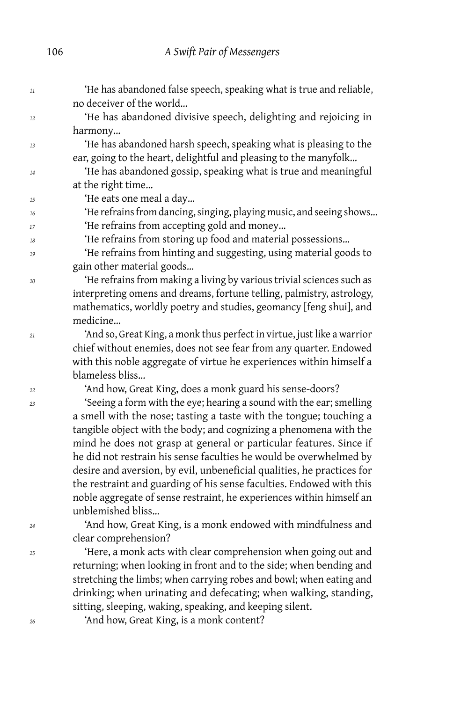*<sup>11</sup>* 'He has abandoned false speech, speaking what is true and reliable, no deceiver of the world… *<sup>12</sup>* 'He has abandoned divisive speech, delighting and rejoicing in harmony… *<sup>13</sup>* 'He has abandoned harsh speech, speaking what is pleasing to the ear, going to the heart, delightful and pleasing to the manyfolk… *<sup>14</sup>* 'He has abandoned gossip, speaking what is true and meaningful at the right time… *<sup>15</sup>* 'He eats one meal a day… *<sup>16</sup>* 'He refrains from dancing, singing, playing music, and seeing shows… <sup>17</sup> <sup>'He refrains from accepting gold and money...</sup> *<sup>18</sup>* 'He refrains from storing up food and material possessions… *<sup>19</sup>* 'He refrains from hinting and suggesting, using material goods to gain other material goods… *<sup>20</sup>* 'He refrains from making a living by various trivial sciences such as interpreting omens and dreams, fortune telling, palmistry, astrology, mathematics, worldly poetry and studies, geomancy [feng shui], and medicine… *<sup>21</sup>* 'And so, Great King, a monk thus perfect in virtue, just like a warrior chief without enemies, does not see fear from any quarter. Endowed with this noble aggregate of virtue he experiences within himself a blameless bliss… *<sup>22</sup>* 'And how, Great King, does a monk guard his sense-doors? *<sup>23</sup>* 'Seeing a form with the eye; hearing a sound with the ear; smelling a smell with the nose; tasting a taste with the tongue; touching a tangible object with the body; and cognizing a phenomena with the mind he does not grasp at general or particular features. Since if he did not restrain his sense faculties he would be overwhelmed by desire and aversion, by evil, unbeneficial qualities, he practices for the restraint and guarding of his sense faculties. Endowed with this noble aggregate of sense restraint, he experiences within himself an unblemished bliss… *<sup>24</sup>* 'And how, Great King, is a monk endowed with mindfulness and clear comprehension? *<sup>25</sup>* 'Here, a monk acts with clear comprehension when going out and returning; when looking in front and to the side; when bending and stretching the limbs; when carrying robes and bowl; when eating and drinking; when urinating and defecating; when walking, standing, sitting, sleeping, waking, speaking, and keeping silent.

*<sup>26</sup>* 'And how, Great King, is a monk content?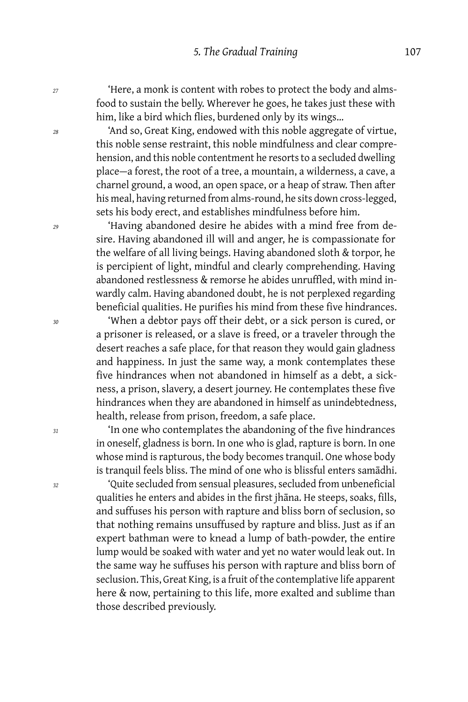*<sup>27</sup>* 'Here, a monk is content with robes to protect the body and almsfood to sustain the belly. Wherever he goes, he takes just these with him, like a bird which flies, burdened only by its wings…

*<sup>28</sup>* 'And so, Great King, endowed with this noble aggregate of virtue, this noble sense restraint, this noble mindfulness and clear comprehension, and this noble contentment he resorts to a secluded dwelling place — a forest, the root of a tree, a mountain, a wilderness, a cave, a charnel ground, a wood, an open space, or a heap of straw. Then after his meal, having returned from alms-round, he sits down cross-legged, sets his body erect, and establishes mindfulness before him.

*<sup>29</sup>* 'Having abandoned desire he abides with a mind free from desire. Having abandoned ill will and anger, he is compassionate for the welfare of all living beings. Having abandoned sloth & torpor, he is percipient of light, mindful and clearly comprehending. Having abandoned restlessness & remorse he abides unruffled, with mind inwardly calm. Having abandoned doubt, he is not perplexed regarding beneficial qualities. He purifies his mind from these five hindrances.

*<sup>30</sup>* 'When a debtor pays off their debt, or a sick person is cured, or a prisoner is released, or a slave is freed, or a traveler through the desert reaches a safe place, for that reason they would gain gladness and happiness. In just the same way, a monk contemplates these five hindrances when not abandoned in himself as a debt, a sickness, a prison, slavery, a desert journey. He contemplates these five hindrances when they are abandoned in himself as unindebtedness, health, release from prison, freedom, a safe place.

*<sup>31</sup>* 'In one who contemplates the abandoning of the five hindrances in oneself, gladness is born. In one who is glad, rapture is born. In one whose mind is rapturous, the body becomes tranquil. One whose body is tranquil feels bliss. The mind of one who is blissful enters samādhi.

*<sup>32</sup>* 'Quite secluded from sensual pleasures, secluded from unbeneficial qualities he enters and abides in the first jhāna. He steeps, soaks, fills, and suffuses his person with rapture and bliss born of seclusion, so that nothing remains unsuffused by rapture and bliss. Just as if an expert bathman were to knead a lump of bath-powder, the entire lump would be soaked with water and yet no water would leak out. In the same way he suffuses his person with rapture and bliss born of seclusion. This, Great King, is a fruit of the contemplative life apparent here & now, pertaining to this life, more exalted and sublime than those described previously.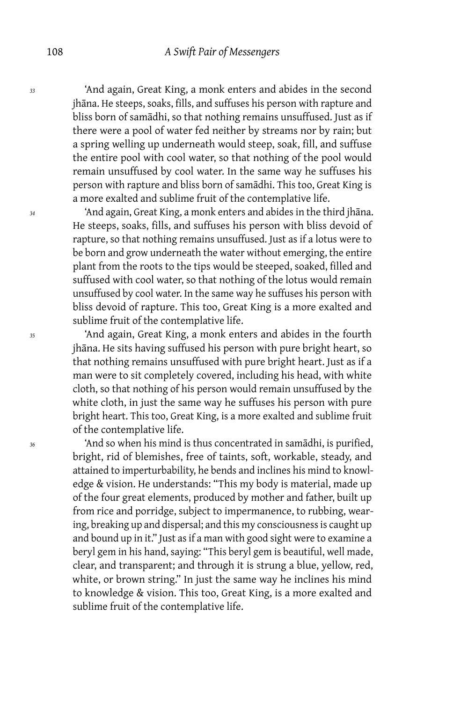*<sup>33</sup>* 'And again, Great King, a monk enters and abides in the second jhāna. He steeps, soaks, fills, and suffuses his person with rapture and bliss born of samādhi, so that nothing remains unsuffused. Just as if there were a pool of water fed neither by streams nor by rain; but a spring welling up underneath would steep, soak, fill, and suffuse the entire pool with cool water, so that nothing of the pool would remain unsuffused by cool water. In the same way he suffuses his person with rapture and bliss born of samādhi. This too, Great King is a more exalted and sublime fruit of the contemplative life.

*<sup>34</sup>* 'And again, Great King, a monk enters and abides in the third jhāna. He steeps, soaks, fills, and suffuses his person with bliss devoid of rapture, so that nothing remains unsuffused. Just as if a lotus were to be born and grow underneath the water without emerging, the entire plant from the roots to the tips would be steeped, soaked, filled and suffused with cool water, so that nothing of the lotus would remain unsuffused by cool water. In the same way he suffuses his person with bliss devoid of rapture. This too, Great King is a more exalted and sublime fruit of the contemplative life.

*<sup>35</sup>* 'And again, Great King, a monk enters and abides in the fourth jhāna. He sits having suffused his person with pure bright heart, so that nothing remains unsuffused with pure bright heart. Just as if a man were to sit completely covered, including his head, with white cloth, so that nothing of his person would remain unsuffused by the white cloth, in just the same way he suffuses his person with pure bright heart. This too, Great King, is a more exalted and sublime fruit of the contemplative life.

*<sup>36</sup>* 'And so when his mind is thus concentrated in samādhi, is purified, bright, rid of blemishes, free of taints, soft, workable, steady, and attained to imperturbability, he bends and inclines his mind to knowledge & vision. He understands: "This my body is material, made up of the four great elements, produced by mother and father, built up from rice and porridge, subject to impermanence, to rubbing, wearing, breaking up and dispersal; and this my consciousness is caught up and bound up in it." Just as if a man with good sight were to examine a beryl gem in his hand, saying: "This beryl gem is beautiful, well made, clear, and transparent; and through it is strung a blue, yellow, red, white, or brown string." In just the same way he inclines his mind to knowledge & vision. This too, Great King, is a more exalted and sublime fruit of the contemplative life.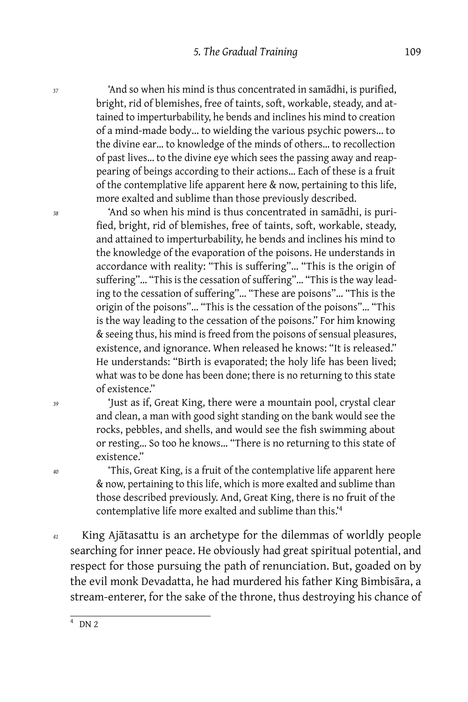*<sup>37</sup>* 'And so when his mind is thus concentrated in samādhi, is purified, bright, rid of blemishes, free of taints, soft, workable, steady, and attained to imperturbability, he bends and inclines his mind to creation of a mind-made body… to wielding the various psychic powers… to the divine ear… to knowledge of the minds of others… to recollection of past lives… to the divine eye which sees the passing away and reappearing of beings according to their actions… Each of these is a fruit of the contemplative life apparent here & now, pertaining to this life, more exalted and sublime than those previously described.

*<sup>38</sup>* 'And so when his mind is thus concentrated in samādhi, is purified, bright, rid of blemishes, free of taints, soft, workable, steady, and attained to imperturbability, he bends and inclines his mind to the knowledge of the evaporation of the poisons. He understands in accordance with reality: "This is suffering"… "This is the origin of suffering"… "This is the cessation of suffering"… "This is the way leading to the cessation of suffering"… "These are poisons"… "This is the origin of the poisons"… "This is the cessation of the poisons"… "This is the way leading to the cessation of the poisons." For him knowing & seeing thus, his mind is freed from the poisons of sensual pleasures, existence, and ignorance. When released he knows: "It is released." He understands: "Birth is evaporated; the holy life has been lived; what was to be done has been done; there is no returning to this state of existence."

*<sup>39</sup>* 'Just as if, Great King, there were a mountain pool, crystal clear and clean, a man with good sight standing on the bank would see the rocks, pebbles, and shells, and would see the fish swimming about or resting… So too he knows… "There is no returning to this state of existence."

*<sup>40</sup>* 'This, Great King, is a fruit of the contemplative life apparent here & now, pertaining to this life, which is more exalted and sublime than those described previously. And, Great King, there is no fruit of the contemplative life more exalted and sublime than this.'<sup>4</sup>

*<sup>41</sup>* King Ajātasattu is an archetype for the dilemmas of worldly people searching for inner peace. He obviously had great spiritual potential, and respect for those pursuing the path of renunciation. But, goaded on by the evil monk Devadatta, he had murdered his father King Bimbisāra, a stream-enterer, for the sake of the throne, thus destroying his chance of

 $\frac{1}{4}$  DN 2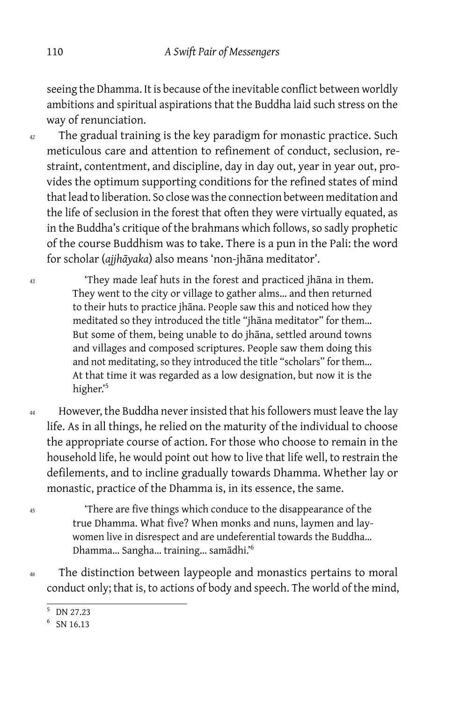seeing the Dhamma. It is because of the inevitable conflict between worldly ambitions and spiritual aspirations that the Buddha laid such stress on the way of renunciation.

- *<sup>42</sup>* The gradual training is the key paradigm for monastic practice. Such meticulous care and attention to refinement of conduct, seclusion, restraint, contentment, and discipline, day in day out, year in year out, provides the optimum supporting conditions for the refined states of mind that lead to liberation. So close was the connection between meditation and the life of seclusion in the forest that often they were virtually equated, as in the Buddha's critique of the brahmans which follows, so sadly prophetic of the course Buddhism was to take. There is a pun in the Pali: the word for scholar (*ajjhāyaka*) also means 'non-jhāna meditator'.
- *<sup>43</sup>* 'They made leaf huts in the forest and practiced jhāna in them. They went to the city or village to gather alms… and then returned to their huts to practice jhāna. People saw this and noticed how they meditated so they introduced the title "jhāna meditator" for them… But some of them, being unable to do jhāna, settled around towns and villages and composed scriptures. People saw them doing this and not meditating, so they introduced the title "scholars" for them… At that time it was regarded as a low designation, but now it is the higher.'5
- *<sup>44</sup>* However, the Buddha never insisted that his followers must leave the lay life. As in all things, he relied on the maturity of the individual to choose the appropriate course of action. For those who choose to remain in the household life, he would point out how to live that life well, to restrain the defilements, and to incline gradually towards Dhamma. Whether lay or monastic, practice of the Dhamma is, in its essence, the same.
- *<sup>45</sup>* 'There are five things which conduce to the disappearance of the true Dhamma. What five? When monks and nuns, laymen and laywomen live in disrespect and are undeferential towards the Buddha… Dhamma… Sangha… training… samādhi.'<sup>6</sup>
- *<sup>46</sup>* The distinction between laypeople and monastics pertains to moral conduct only; that is, to actions of body and speech. The world of the mind,

<sup>5</sup> DN 27.23

<sup>6</sup> SN 16.13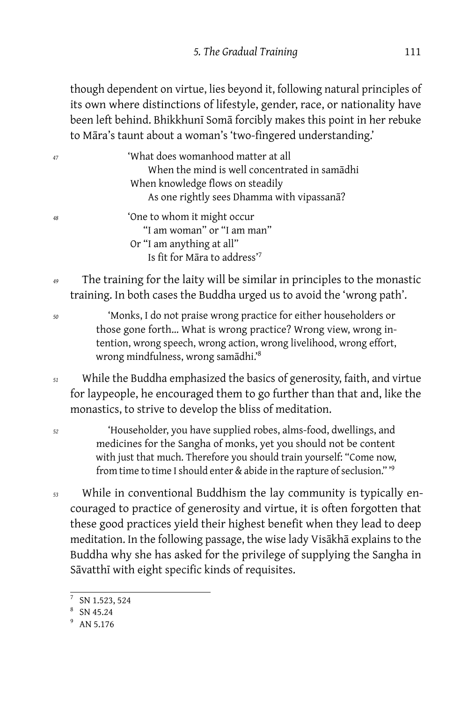though dependent on virtue, lies beyond it, following natural principles of its own where distinctions of lifestyle, gender, race, or nationality have been left behind. Bhikkhunī Somā forcibly makes this point in her rebuke to Māra's taunt about a woman's 'two-fingered understanding.'

| 47 | 'What does womanhood matter at all            |
|----|-----------------------------------------------|
|    | When the mind is well concentrated in samadhi |
|    | When knowledge flows on steadily              |
|    | As one rightly sees Dhamma with vipassana?    |
| 48 | 'One to whom it might occur                   |
|    | "I am woman" or "I am man"                    |
|    | Or "I am anything at all"                     |
|    | Is fit for Māra to address'7                  |
|    |                                               |

*<sup>49</sup>* The training for the laity will be similar in principles to the monastic training. In both cases the Buddha urged us to avoid the 'wrong path'.

*<sup>50</sup>* 'Monks, I do not praise wrong practice for either householders or those gone forth… What is wrong practice? Wrong view, wrong intention, wrong speech, wrong action, wrong livelihood, wrong effort, wrong mindfulness, wrong samādhi.'<sup>8</sup>

*<sup>51</sup>* While the Buddha emphasized the basics of generosity, faith, and virtue for laypeople, he encouraged them to go further than that and, like the monastics, to strive to develop the bliss of meditation.

*<sup>52</sup>* 'Householder, you have supplied robes, alms-food, dwellings, and medicines for the Sangha of monks, yet you should not be content with just that much. Therefore you should train yourself: "Come now, from time to time I should enter & abide in the rapture of seclusion." '<sup>9</sup>

*<sup>53</sup>* While in conventional Buddhism the lay community is typically encouraged to practice of generosity and virtue, it is often forgotten that these good practices yield their highest benefit when they lead to deep meditation. In the following passage, the wise lady Visākhā explains to the Buddha why she has asked for the privilege of supplying the Sangha in Sāvatthī with eight specific kinds of requisites.

 $^7$  SN 1.523, 524

<sup>8</sup> SN 45.24

<sup>&</sup>lt;sup>9</sup> AN 5.176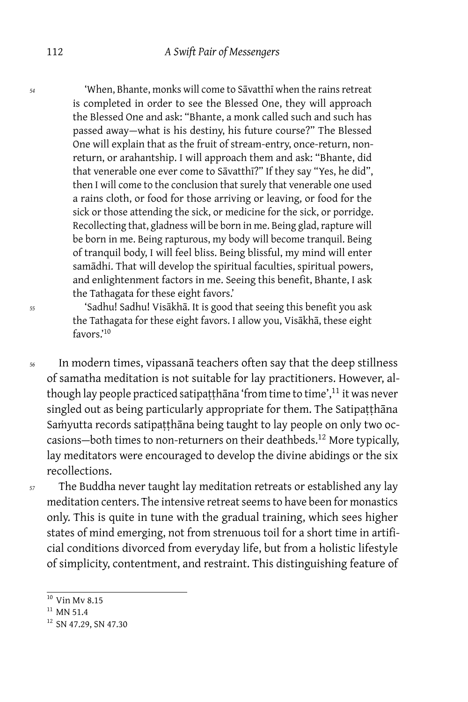*<sup>54</sup>* 'When, Bhante, monks will come to Sāvatthī when the rains retreat is completed in order to see the Blessed One, they will approach the Blessed One and ask: "Bhante, a monk called such and such has passed away-what is his destiny, his future course?" The Blessed One will explain that as the fruit of stream-entry, once-return, nonreturn, or arahantship. I will approach them and ask: "Bhante, did that venerable one ever come to Sāvatthī?" If they say "Yes, he did", then I will come to the conclusion that surely that venerable one used a rains cloth, or food for those arriving or leaving, or food for the sick or those attending the sick, or medicine for the sick, or porridge. Recollecting that, gladness will be born in me. Being glad, rapture will be born in me. Being rapturous, my body will become tranquil. Being of tranquil body, I will feel bliss. Being blissful, my mind will enter samādhi. That will develop the spiritual faculties, spiritual powers, and enlightenment factors in me. Seeing this benefit, Bhante, I ask the Tathagata for these eight favors.'

*<sup>55</sup>* 'Sadhu! Sadhu! Visākhā. It is good that seeing this benefit you ask the Tathagata for these eight favors. I allow you, Visākhā, these eight favors.'<sup>10</sup>

*<sup>56</sup>* In modern times, vipassanā teachers often say that the deep stillness of samatha meditation is not suitable for lay practitioners. However, although lay people practiced satipatthana 'from time to time', $11$  it was never singled out as being particularly appropriate for them. The Satipatthāna Saṁyutta records satipatthāna being taught to lay people on only two occasions-both times to non-returners on their deathbeds.<sup>12</sup> More typically, lay meditators were encouraged to develop the divine abidings or the six recollections.

*<sup>57</sup>* The Buddha never taught lay meditation retreats or established any lay meditation centers. The intensive retreat seems to have been for monastics only. This is quite in tune with the gradual training, which sees higher states of mind emerging, not from strenuous toil for a short time in artificial conditions divorced from everyday life, but from a holistic lifestyle of simplicity, contentment, and restraint. This distinguishing feature of

 $10$  Vin Mv 8.15

 $11$  MN 51.4

<sup>&</sup>lt;sup>12</sup> SN 47.29, SN 47.30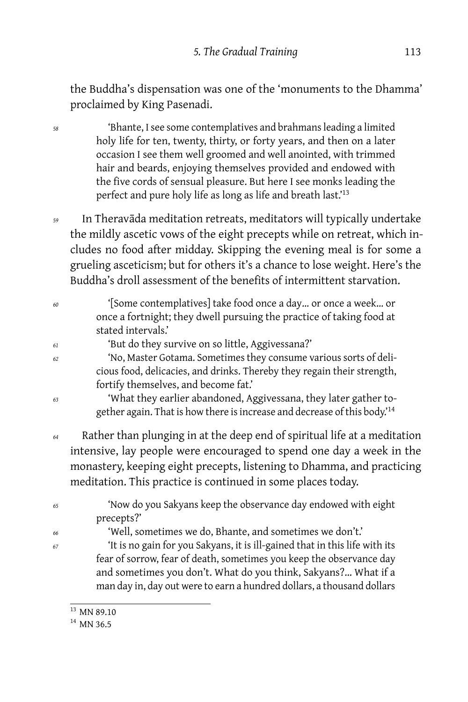the Buddha's dispensation was one of the 'monuments to the Dhamma' proclaimed by King Pasenadi.

*<sup>58</sup>* 'Bhante, I see some contemplatives and brahmans leading a limited holy life for ten, twenty, thirty, or forty years, and then on a later occasion I see them well groomed and well anointed, with trimmed hair and beards, enjoying themselves provided and endowed with the five cords of sensual pleasure. But here I see monks leading the perfect and pure holy life as long as life and breath last.<sup>13</sup>

*<sup>59</sup>* In Theravāda meditation retreats, meditators will typically undertake the mildly ascetic vows of the eight precepts while on retreat, which includes no food after midday. Skipping the evening meal is for some a grueling asceticism; but for others it's a chance to lose weight. Here's the Buddha's droll assessment of the benefits of intermittent starvation.

- *<sup>60</sup>* '[Some contemplatives] take food once a day… or once a week… or once a fortnight; they dwell pursuing the practice of taking food at stated intervals.' *<sup>61</sup>* 'But do they survive on so little, Aggivessana?' *<sup>62</sup>* 'No, Master Gotama. Sometimes they consume various sorts of deli
	- cious food, delicacies, and drinks. Thereby they regain their strength, fortify themselves, and become fat.'
- *<sup>63</sup>* 'What they earlier abandoned, Aggivessana, they later gather together again. That is how there is increase and decrease of this body.'<sup>14</sup>
- *<sup>64</sup>* Rather than plunging in at the deep end of spiritual life at a meditation intensive, lay people were encouraged to spend one day a week in the monastery, keeping eight precepts, listening to Dhamma, and practicing meditation. This practice is continued in some places today.

| 'Now do you Sakyans keep the observance day endowed with eight              |
|-----------------------------------------------------------------------------|
|                                                                             |
| 'It is no gain for you Sakyans, it is ill-gained that in this life with its |
| fear of sorrow, fear of death, sometimes you keep the observance day        |
| and sometimes you don't. What do you think, Sakyans? What if a              |
| man day in, day out were to earn a hundred dollars, a thousand dollars      |
|                                                                             |

 $\frac{13}{13}$  MN 89.10

 $14$  MN 36.5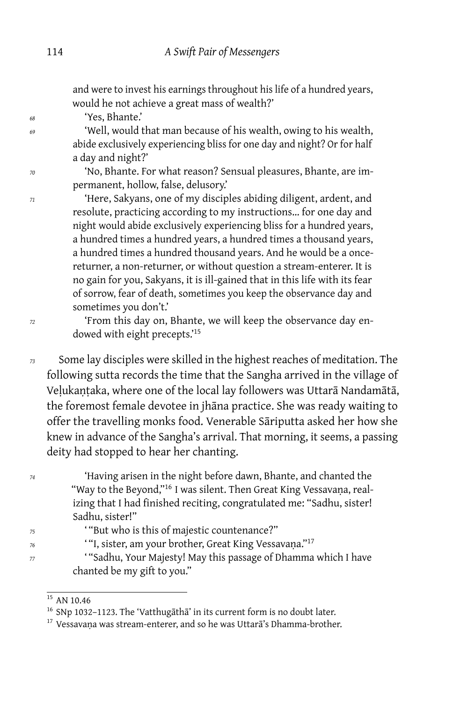and were to invest his earnings throughout his life of a hundred years, would he not achieve a great mass of wealth?'

*<sup>68</sup>* 'Yes, Bhante.'

*<sup>69</sup>* 'Well, would that man because of his wealth, owing to his wealth, abide exclusively experiencing bliss for one day and night? Or for half a day and night?'

*<sup>70</sup>* 'No, Bhante. For what reason? Sensual pleasures, Bhante, are impermanent, hollow, false, delusory.'

*<sup>71</sup>* 'Here, Sakyans, one of my disciples abiding diligent, ardent, and resolute, practicing according to my instructions… for one day and night would abide exclusively experiencing bliss for a hundred years, a hundred times a hundred years, a hundred times a thousand years, a hundred times a hundred thousand years. And he would be a oncereturner, a non-returner, or without question a stream-enterer. It is no gain for you, Sakyans, it is ill-gained that in this life with its fear of sorrow, fear of death, sometimes you keep the observance day and sometimes you don't.'

*<sup>72</sup>* 'From this day on, Bhante, we will keep the observance day endowed with eight precepts.'<sup>15</sup>

*<sup>73</sup>* Some lay disciples were skilled in the highest reaches of meditation. The following sutta records the time that the Sangha arrived in the village of Veḷukaṇṭaka, where one of the local lay followers was Uttarā Nandamātā, the foremost female devotee in jhāna practice. She was ready waiting to offer the travelling monks food. Venerable Sāriputta asked her how she knew in advance of the Sangha's arrival. That morning, it seems, a passing deity had stopped to hear her chanting.

*<sup>74</sup>* 'Having arisen in the night before dawn, Bhante, and chanted the "Way to the Beyond,"<sup>16</sup> I was silent. Then Great King Vessavana, realizing that I had finished reciting, congratulated me: "Sadhu, sister! Sadhu, sister!"

*<sup>75</sup>* ' "But who is this of majestic countenance?"

- *<sup>76</sup>* ' "I, sister, am your brother, Great King Vessavaṇa."<sup>17</sup>
- *<sup>77</sup>* ' "Sadhu, Your Majesty! May this passage of Dhamma which I have chanted be my gift to you."

<sup>&</sup>lt;sup>15</sup> AN 10.46

<sup>&</sup>lt;sup>16</sup> SNp 1032-1123. The 'Vatthugāthā' in its current form is no doubt later.

<sup>&</sup>lt;sup>17</sup> Vessavana was stream-enterer, and so he was Uttara's Dhamma-brother.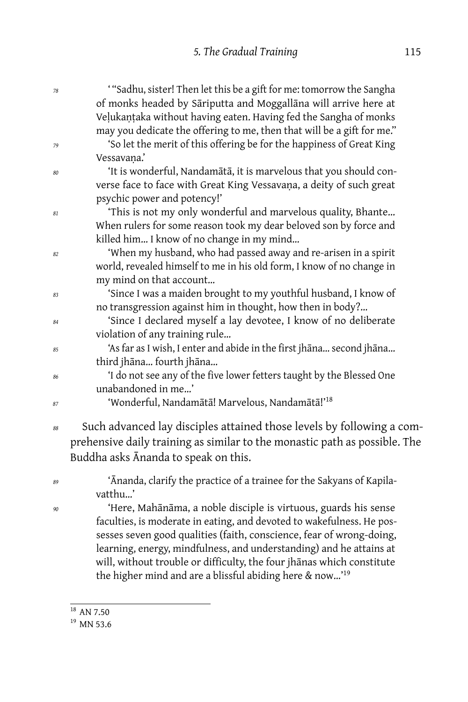| 78 | "Sadhu, sister! Then let this be a gift for me: tomorrow the Sangha                                                                                 |
|----|-----------------------------------------------------------------------------------------------------------------------------------------------------|
|    | of monks headed by Sāriputta and Moggallāna will arrive here at<br>Velukantaka without having eaten. Having fed the Sangha of monks                 |
| 79 | may you dedicate the offering to me, then that will be a gift for me."<br>'So let the merit of this offering be for the happiness of Great King     |
|    | Vessavana.'                                                                                                                                         |
| 80 | 'It is wonderful, Nandamātā, it is marvelous that you should con-                                                                                   |
|    | verse face to face with Great King Vessavana, a deity of such great                                                                                 |
|    | psychic power and potency!'                                                                                                                         |
| 81 | 'This is not my only wonderful and marvelous quality, Bhante<br>When rulers for some reason took my dear beloved son by force and                   |
|    | killed him I know of no change in my mind                                                                                                           |
|    | 'When my husband, who had passed away and re-arisen in a spirit                                                                                     |
| 82 | world, revealed himself to me in his old form, I know of no change in                                                                               |
|    | my mind on that account                                                                                                                             |
| 83 | 'Since I was a maiden brought to my youthful husband, I know of                                                                                     |
|    | no transgression against him in thought, how then in body?                                                                                          |
| 84 | 'Since I declared myself a lay devotee, I know of no deliberate                                                                                     |
|    | violation of any training rule                                                                                                                      |
| 85 | 'As far as I wish, I enter and abide in the first jhāna second jhāna                                                                                |
|    | third jhāna fourth jhāna                                                                                                                            |
| 86 | 'I do not see any of the five lower fetters taught by the Blessed One                                                                               |
|    | unabandoned in me'                                                                                                                                  |
| 87 | 'Wonderful, Nandamātā! Marvelous, Nandamātā!' <sup>18</sup>                                                                                         |
| 88 | Such advanced lay disciples attained those levels by following a com-<br>prehensive daily training as similar to the monastic path as possible. The |
|    | Buddha asks Ananda to speak on this.                                                                                                                |
| 89 | 'Ananda, clarify the practice of a trainee for the Sakyans of Kapila-                                                                               |
|    | vatthu'                                                                                                                                             |
| 90 | 'Here, Mahānāma, a noble disciple is virtuous, guards his sense                                                                                     |
|    | faculties, is moderate in eating, and devoted to wakefulness. He pos-                                                                               |
|    | sesses seven good qualities (faith, conscience, fear of wrong-doing,                                                                                |
|    | learning, energy, mindfulness, and understanding) and he attains at                                                                                 |
|    | will, without trouble or difficulty, the four jhanas which constitute                                                                               |
|    | the higher mind and are a blissful abiding here & now' <sup>19</sup>                                                                                |
|    |                                                                                                                                                     |

 $19$  MN 53.6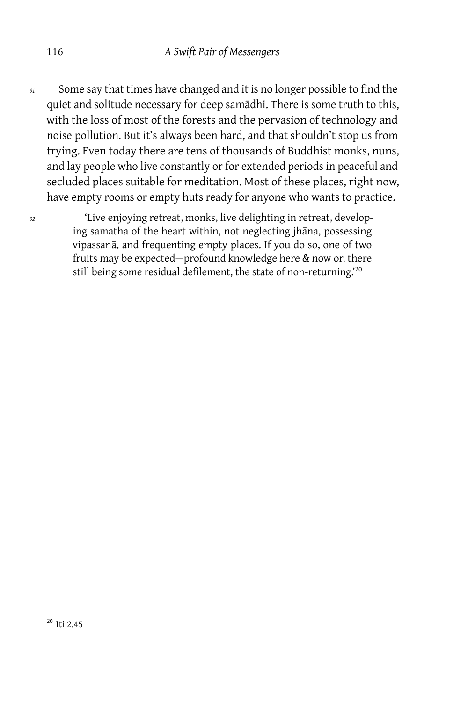*<sup>91</sup>* Some say that times have changed and it is no longer possible to find the quiet and solitude necessary for deep samādhi. There is some truth to this, with the loss of most of the forests and the pervasion of technology and noise pollution. But it's always been hard, and that shouldn't stop us from trying. Even today there are tens of thousands of Buddhist monks, nuns, and lay people who live constantly or for extended periods in peaceful and secluded places suitable for meditation. Most of these places, right now, have empty rooms or empty huts ready for anyone who wants to practice.

*<sup>92</sup>* 'Live enjoying retreat, monks, live delighting in retreat, developing samatha of the heart within, not neglecting jhāna, possessing vipassanā, and frequenting empty places. If you do so, one of two fruits may be expected — profound knowledge here & now or, there still being some residual defilement, the state of non-returning.<sup>'20</sup>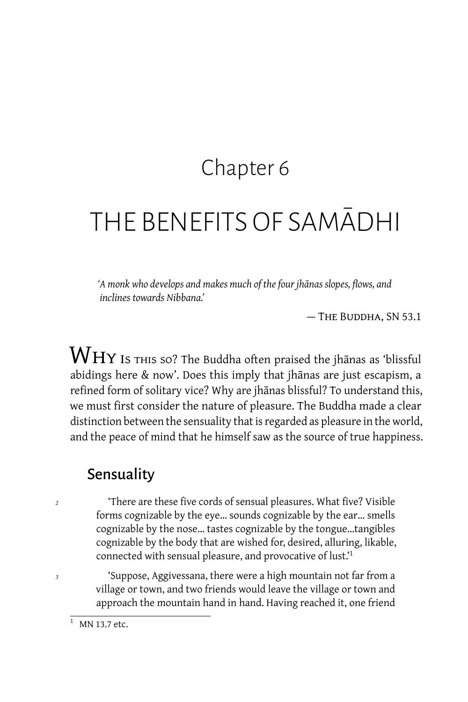### Chapter 6

# THE BENEFITS OF SAMĀDHI

*'A monk who develops and makes much of the four jhānas slopes, flows, and inclines towards Nibbana.'*

— The Buddha, SN 53.1

 $\operatorname{W}\nolimits_{\operatorname{HY}\nolimits}$  is this so? The Buddha often praised the jhānas as 'blissful abidings here & now'. Does this imply that jhānas are just escapism, a refined form of solitary vice? Why are jhānas blissful? To understand this, we must first consider the nature of pleasure. The Buddha made a clear distinction between the sensuality that is regarded as pleasure in the world, and the peace of mind that he himself saw as the source of true happiness.

#### **Sensuality**

*<sup>2</sup>* 'There are these five cords of sensual pleasures. What five? Visible forms cognizable by the eye… sounds cognizable by the ear… smells cognizable by the nose… tastes cognizable by the tongue…tangibles cognizable by the body that are wished for, desired, alluring, likable, connected with sensual pleasure, and provocative of lust.'<sup>1</sup>

*<sup>3</sup>* 'Suppose, Aggivessana, there were a high mountain not far from a village or town, and two friends would leave the village or town and approach the mountain hand in hand. Having reached it, one friend

 $\frac{1}{1}$  MN 13.7 etc.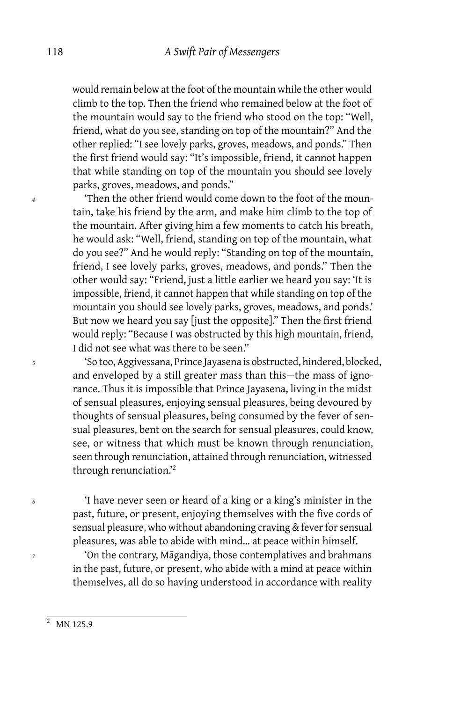would remain below at the foot of the mountain while the other would climb to the top. Then the friend who remained below at the foot of the mountain would say to the friend who stood on the top: "Well, friend, what do you see, standing on top of the mountain?" And the other replied: "I see lovely parks, groves, meadows, and ponds." Then the first friend would say: "It's impossible, friend, it cannot happen that while standing on top of the mountain you should see lovely parks, groves, meadows, and ponds."

*<sup>4</sup>* 'Then the other friend would come down to the foot of the mountain, take his friend by the arm, and make him climb to the top of the mountain. After giving him a few moments to catch his breath, he would ask: "Well, friend, standing on top of the mountain, what do you see?" And he would reply: "Standing on top of the mountain, friend, I see lovely parks, groves, meadows, and ponds." Then the other would say: "Friend, just a little earlier we heard you say: 'It is impossible, friend, it cannot happen that while standing on top of the mountain you should see lovely parks, groves, meadows, and ponds.' But now we heard you say [just the opposite]." Then the first friend would reply: "Because I was obstructed by this high mountain, friend, I did not see what was there to be seen."

*<sup>5</sup>* 'So too, Aggivessana, Prince Jayasena is obstructed, hindered, blocked, and enveloped by a still greater mass than this-the mass of ignorance. Thus it is impossible that Prince Jayasena, living in the midst of sensual pleasures, enjoying sensual pleasures, being devoured by thoughts of sensual pleasures, being consumed by the fever of sensual pleasures, bent on the search for sensual pleasures, could know, see, or witness that which must be known through renunciation, seen through renunciation, attained through renunciation, witnessed through renunciation.'<sup>2</sup>

*<sup>6</sup>* 'I have never seen or heard of a king or a king's minister in the past, future, or present, enjoying themselves with the five cords of sensual pleasure, who without abandoning craving & fever for sensual pleasures, was able to abide with mind… at peace within himself.

*<sup>7</sup>* 'On the contrary, Māgandiya, those contemplatives and brahmans in the past, future, or present, who abide with a mind at peace within themselves, all do so having understood in accordance with reality

 $\frac{2}{(2 \text{ MN } 125.9)}$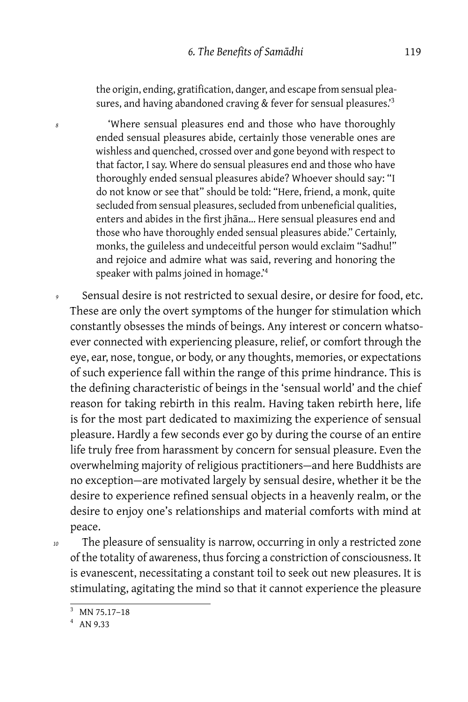the origin, ending, gratification, danger, and escape from sensual pleasures, and having abandoned craving & fever for sensual pleasures.<sup>3</sup>

*<sup>8</sup>* 'Where sensual pleasures end and those who have thoroughly ended sensual pleasures abide, certainly those venerable ones are wishless and quenched, crossed over and gone beyond with respect to that factor, I say. Where do sensual pleasures end and those who have thoroughly ended sensual pleasures abide? Whoever should say: "I do not know or see that" should be told: "Here, friend, a monk, quite secluded from sensual pleasures, secluded from unbeneficial qualities, enters and abides in the first jhāna… Here sensual pleasures end and those who have thoroughly ended sensual pleasures abide." Certainly, monks, the guileless and undeceitful person would exclaim "Sadhu!" and rejoice and admire what was said, revering and honoring the speaker with palms joined in homage.'<sup>4</sup>

Sensual desire is not restricted to sexual desire, or desire for food, etc. These are only the overt symptoms of the hunger for stimulation which constantly obsesses the minds of beings. Any interest or concern whatsoever connected with experiencing pleasure, relief, or comfort through the eye, ear, nose, tongue, or body, or any thoughts, memories, or expectations of such experience fall within the range of this prime hindrance. This is the defining characteristic of beings in the 'sensual world' and the chief reason for taking rebirth in this realm. Having taken rebirth here, life is for the most part dedicated to maximizing the experience of sensual pleasure. Hardly a few seconds ever go by during the course of an entire life truly free from harassment by concern for sensual pleasure. Even the overwhelming majority of religious practitioners — and here Buddhists are no exception — are motivated largely by sensual desire, whether it be the desire to experience refined sensual objects in a heavenly realm, or the desire to enjoy one's relationships and material comforts with mind at peace.

*<sup>10</sup>* The pleasure of sensuality is narrow, occurring in only a restricted zone of the totality of awareness, thus forcing a constriction of consciousness. It is evanescent, necessitating a constant toil to seek out new pleasures. It is stimulating, agitating the mind so that it cannot experience the pleasure

 $3$  MN 75.17–18

<sup>4</sup> AN 9.33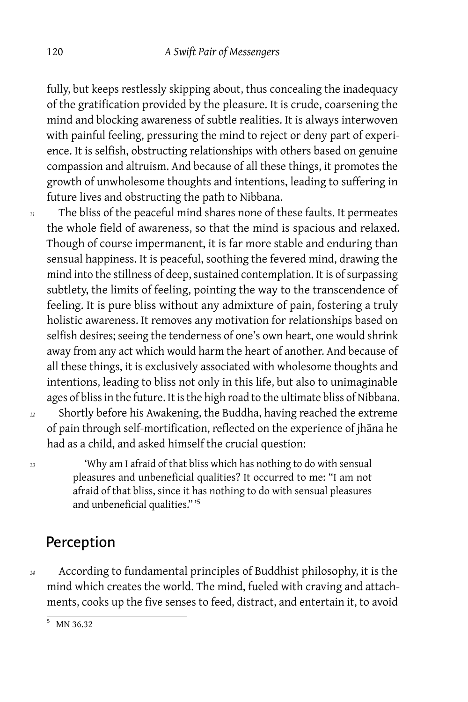fully, but keeps restlessly skipping about, thus concealing the inadequacy of the gratification provided by the pleasure. It is crude, coarsening the mind and blocking awareness of subtle realities. It is always interwoven with painful feeling, pressuring the mind to reject or deny part of experience. It is selfish, obstructing relationships with others based on genuine compassion and altruism. And because of all these things, it promotes the growth of unwholesome thoughts and intentions, leading to suffering in future lives and obstructing the path to Nibbana.

*<sup>11</sup>* The bliss of the peaceful mind shares none of these faults. It permeates the whole field of awareness, so that the mind is spacious and relaxed. Though of course impermanent, it is far more stable and enduring than sensual happiness. It is peaceful, soothing the fevered mind, drawing the mind into the stillness of deep, sustained contemplation. It is of surpassing subtlety, the limits of feeling, pointing the way to the transcendence of feeling. It is pure bliss without any admixture of pain, fostering a truly holistic awareness. It removes any motivation for relationships based on selfish desires; seeing the tenderness of one's own heart, one would shrink away from any act which would harm the heart of another. And because of all these things, it is exclusively associated with wholesome thoughts and intentions, leading to bliss not only in this life, but also to unimaginable ages of bliss in the future. It is the high road to the ultimate bliss of Nibbana. *<sup>12</sup>* Shortly before his Awakening, the Buddha, having reached the extreme of pain through self-mortification, reflected on the experience of jhāna he

*<sup>13</sup>* 'Why am I afraid of that bliss which has nothing to do with sensual pleasures and unbeneficial qualities? It occurred to me: "I am not afraid of that bliss, since it has nothing to do with sensual pleasures and unbeneficial qualities." '<sup>5</sup>

had as a child, and asked himself the crucial question:

#### Perception

*<sup>14</sup>* According to fundamental principles of Buddhist philosophy, it is the mind which creates the world. The mind, fueled with craving and attachments, cooks up the five senses to feed, distract, and entertain it, to avoid

 $5$  MN 36.32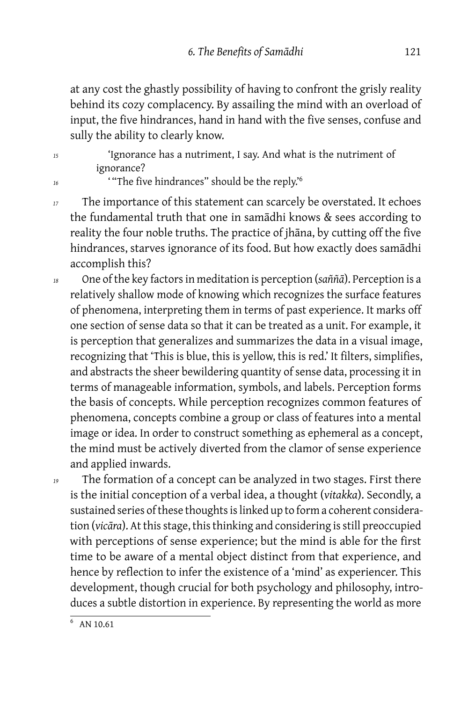at any cost the ghastly possibility of having to confront the grisly reality behind its cozy complacency. By assailing the mind with an overload of input, the five hindrances, hand in hand with the five senses, confuse and sully the ability to clearly know.

*<sup>15</sup>* 'Ignorance has a nutriment, I say. And what is the nutriment of ignorance?

<sup>16</sup> <sup>'</sup> "The five hindrances" should be the reply.<sup>6</sup>

*<sup>17</sup>* The importance of this statement can scarcely be overstated. It echoes the fundamental truth that one in samādhi knows & sees according to reality the four noble truths. The practice of jhāna, by cutting off the five hindrances, starves ignorance of its food. But how exactly does samādhi accomplish this?

- *<sup>18</sup>* One of the key factors in meditation is perception (*saññā*). Perception is a relatively shallow mode of knowing which recognizes the surface features of phenomena, interpreting them in terms of past experience. It marks off one section of sense data so that it can be treated as a unit. For example, it is perception that generalizes and summarizes the data in a visual image, recognizing that 'This is blue, this is yellow, this is red.' It filters, simplifies, and abstracts the sheer bewildering quantity of sense data, processing it in terms of manageable information, symbols, and labels. Perception forms the basis of concepts. While perception recognizes common features of phenomena, concepts combine a group or class of features into a mental image or idea. In order to construct something as ephemeral as a concept, the mind must be actively diverted from the clamor of sense experience and applied inwards.
- 

<sup>19</sup> The formation of a concept can be analyzed in two stages. First there is the initial conception of a verbal idea, a thought (*vitakka*). Secondly, a sustained series of these thoughts is linked up to form a coherent consideration (*vicāra*). At this stage, this thinking and considering is still preoccupied with perceptions of sense experience; but the mind is able for the first time to be aware of a mental object distinct from that experience, and hence by reflection to infer the existence of a 'mind' as experiencer. This development, though crucial for both psychology and philosophy, introduces a subtle distortion in experience. By representing the world as more

 $6$  AN 10.61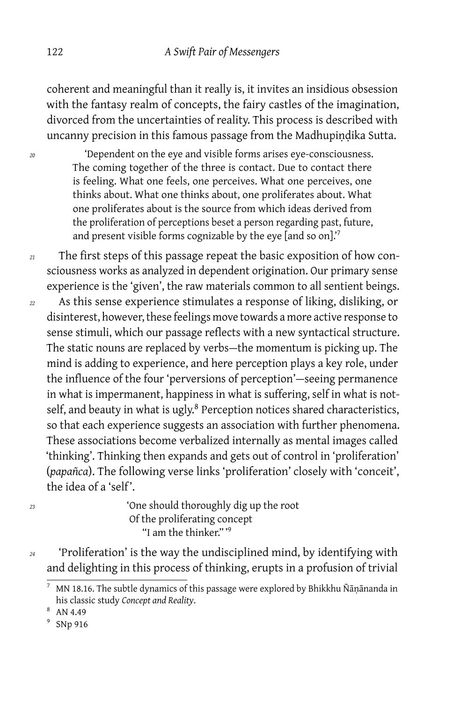coherent and meaningful than it really is, it invites an insidious obsession with the fantasy realm of concepts, the fairy castles of the imagination, divorced from the uncertainties of reality. This process is described with uncanny precision in this famous passage from the Madhupiṇḍika Sutta.

*<sup>20</sup>* 'Dependent on the eye and visible forms arises eye-consciousness. The coming together of the three is contact. Due to contact there is feeling. What one feels, one perceives. What one perceives, one thinks about. What one thinks about, one proliferates about. What one proliferates about is the source from which ideas derived from the proliferation of perceptions beset a person regarding past, future, and present visible forms cognizable by the eye [and so on].'<sup>7</sup>

*<sup>21</sup>* The first steps of this passage repeat the basic exposition of how consciousness works as analyzed in dependent origination. Our primary sense experience is the 'given', the raw materials common to all sentient beings.

*<sup>22</sup>* As this sense experience stimulates a response of liking, disliking, or disinterest, however, these feelings move towards a more active response to sense stimuli, which our passage reflects with a new syntactical structure. The static nouns are replaced by verbs-the momentum is picking up. The mind is adding to experience, and here perception plays a key role, under the influence of the four 'perversions of perception'-seeing permanence in what is impermanent, happiness in what is suffering, self in what is notself, and beauty in what is ugly.<sup>8</sup> Perception notices shared characteristics, so that each experience suggests an association with further phenomena. These associations become verbalized internally as mental images called 'thinking'. Thinking then expands and gets out of control in 'proliferation' (*papañca*). The following verse links 'proliferation' closely with 'conceit', the idea of a 'self'.

*<sup>23</sup>* 'One should thoroughly dig up the root Of the proliferating concept "I am the thinker." '<sup>9</sup>

*<sup>24</sup>* 'Proliferation' is the way the undisciplined mind, by identifying with and delighting in this process of thinking, erupts in a profusion of trivial

<sup>7</sup> MN 18.16. The subtle dynamics of this passage were explored by Bhikkhu Ñāṇānanda in his classic study *Concept and Reality*.

<sup>8</sup> AN 4.49

<sup>&</sup>lt;sup>9</sup> SNp 916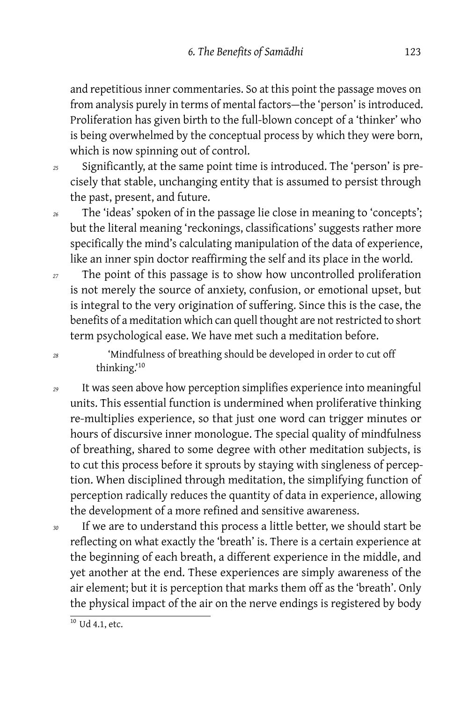and repetitious inner commentaries. So at this point the passage moves on from analysis purely in terms of mental factors-the 'person' is introduced. Proliferation has given birth to the full-blown concept of a 'thinker' who is being overwhelmed by the conceptual process by which they were born, which is now spinning out of control.

- *<sup>25</sup>* Significantly, at the same point time is introduced. The 'person' is precisely that stable, unchanging entity that is assumed to persist through the past, present, and future.
- *<sup>26</sup>* The 'ideas' spoken of in the passage lie close in meaning to 'concepts'; but the literal meaning 'reckonings, classifications' suggests rather more specifically the mind's calculating manipulation of the data of experience, like an inner spin doctor reaffirming the self and its place in the world.
- *<sup>27</sup>* The point of this passage is to show how uncontrolled proliferation is not merely the source of anxiety, confusion, or emotional upset, but is integral to the very origination of suffering. Since this is the case, the benefits of a meditation which can quell thought are not restricted to short term psychological ease. We have met such a meditation before.

*<sup>28</sup>* 'Mindfulness of breathing should be developed in order to cut off thinking.'<sup>10</sup>

- *<sup>29</sup>* It was seen above how perception simplifies experience into meaningful units. This essential function is undermined when proliferative thinking re-multiplies experience, so that just one word can trigger minutes or hours of discursive inner monologue. The special quality of mindfulness of breathing, shared to some degree with other meditation subjects, is to cut this process before it sprouts by staying with singleness of perception. When disciplined through meditation, the simplifying function of perception radically reduces the quantity of data in experience, allowing the development of a more refined and sensitive awareness.
- *<sup>30</sup>* If we are to understand this process a little better, we should start be reflecting on what exactly the 'breath' is. There is a certain experience at the beginning of each breath, a different experience in the middle, and yet another at the end. These experiences are simply awareness of the air element; but it is perception that marks them off as the 'breath'. Only the physical impact of the air on the nerve endings is registered by body

 $\frac{10 \text{ Ud }4.1, \text{etc.}}$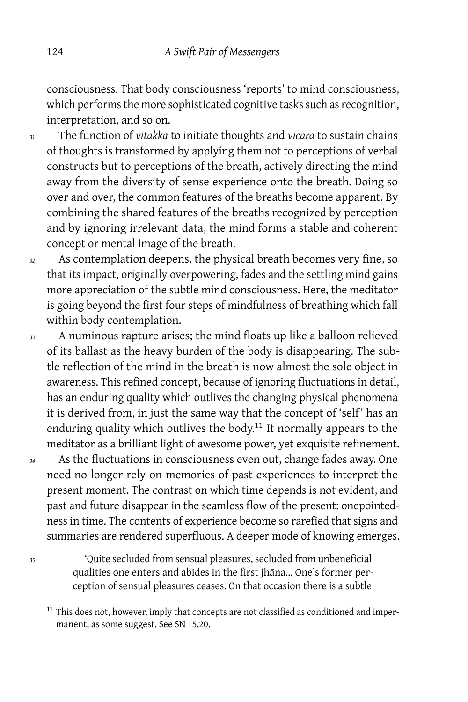consciousness. That body consciousness 'reports' to mind consciousness, which performs the more sophisticated cognitive tasks such as recognition, interpretation, and so on.

- *<sup>31</sup>* The function of *vitakka* to initiate thoughts and *vicāra* to sustain chains of thoughts is transformed by applying them not to perceptions of verbal constructs but to perceptions of the breath, actively directing the mind away from the diversity of sense experience onto the breath. Doing so over and over, the common features of the breaths become apparent. By combining the shared features of the breaths recognized by perception and by ignoring irrelevant data, the mind forms a stable and coherent concept or mental image of the breath.
- *<sup>32</sup>* As contemplation deepens, the physical breath becomes very fine, so that its impact, originally overpowering, fades and the settling mind gains more appreciation of the subtle mind consciousness. Here, the meditator is going beyond the first four steps of mindfulness of breathing which fall within body contemplation.
- *<sup>33</sup>* A numinous rapture arises; the mind floats up like a balloon relieved of its ballast as the heavy burden of the body is disappearing. The subtle reflection of the mind in the breath is now almost the sole object in awareness. This refined concept, because of ignoring fluctuations in detail, has an enduring quality which outlives the changing physical phenomena it is derived from, in just the same way that the concept of 'self' has an enduring quality which outlives the body.<sup>11</sup> It normally appears to the meditator as a brilliant light of awesome power, yet exquisite refinement.
- *<sup>34</sup>* As the fluctuations in consciousness even out, change fades away. One need no longer rely on memories of past experiences to interpret the present moment. The contrast on which time depends is not evident, and past and future disappear in the seamless flow of the present: onepointedness in time. The contents of experience become so rarefied that signs and summaries are rendered superfluous. A deeper mode of knowing emerges.

*<sup>35</sup>* 'Quite secluded from sensual pleasures, secluded from unbeneficial qualities one enters and abides in the first jhāna… One's former perception of sensual pleasures ceases. On that occasion there is a subtle

<sup>&</sup>lt;sup>11</sup> This does not, however, imply that concepts are not classified as conditioned and impermanent, as some suggest. See SN 15.20.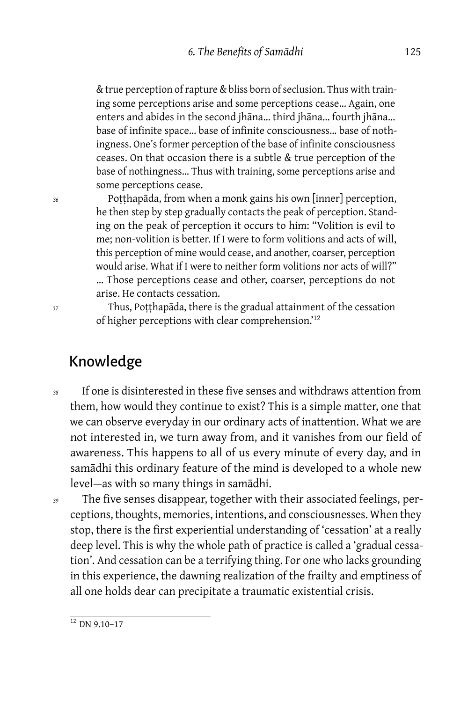& true perception of rapture & bliss born of seclusion. Thus with training some perceptions arise and some perceptions cease… Again, one enters and abides in the second jhāna… third jhāna… fourth jhāna… base of infinite space… base of infinite consciousness… base of nothingness. One's former perception of the base of infinite consciousness ceases. On that occasion there is a subtle & true perception of the base of nothingness… Thus with training, some perceptions arise and some perceptions cease.

*<sup>36</sup>* Poṭṭhapāda, from when a monk gains his own [inner] perception, he then step by step gradually contacts the peak of perception. Standing on the peak of perception it occurs to him: "Volition is evil to me; non-volition is better. If I were to form volitions and acts of will, this perception of mine would cease, and another, coarser, perception would arise. What if I were to neither form volitions nor acts of will?" … Those perceptions cease and other, coarser, perceptions do not arise. He contacts cessation.

*<sup>37</sup>* Thus, Poṭṭhapāda, there is the gradual attainment of the cessation of higher perceptions with clear comprehension.'<sup>12</sup>

#### Knowledge

- *<sup>38</sup>* If one is disinterested in these five senses and withdraws attention from them, how would they continue to exist? This is a simple matter, one that we can observe everyday in our ordinary acts of inattention. What we are not interested in, we turn away from, and it vanishes from our field of awareness. This happens to all of us every minute of every day, and in samādhi this ordinary feature of the mind is developed to a whole new level — as with so many things in samādhi.
- *<sup>39</sup>* The five senses disappear, together with their associated feelings, perceptions, thoughts, memories, intentions, and consciousnesses. When they stop, there is the first experiential understanding of 'cessation' at a really deep level. This is why the whole path of practice is called a 'gradual cessation'. And cessation can be a terrifying thing. For one who lacks grounding in this experience, the dawning realization of the frailty and emptiness of all one holds dear can precipitate a traumatic existential crisis.

 $\frac{12}{12}$  DN 9.10-17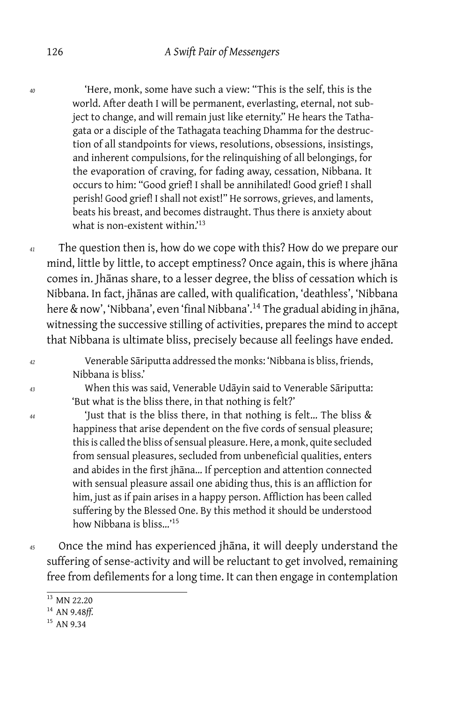*<sup>40</sup>* 'Here, monk, some have such a view: "This is the self, this is the world. After death I will be permanent, everlasting, eternal, not subject to change, and will remain just like eternity." He hears the Tathagata or a disciple of the Tathagata teaching Dhamma for the destruction of all standpoints for views, resolutions, obsessions, insistings, and inherent compulsions, for the relinquishing of all belongings, for the evaporation of craving, for fading away, cessation, Nibbana. It occurs to him: "Good grief! I shall be annihilated! Good grief! I shall perish! Good grief! I shall not exist!" He sorrows, grieves, and laments, beats his breast, and becomes distraught. Thus there is anxiety about what is non-existent within.'<sup>13</sup>

*<sup>41</sup>* The question then is, how do we cope with this? How do we prepare our mind, little by little, to accept emptiness? Once again, this is where jhāna comes in. Jhānas share, to a lesser degree, the bliss of cessation which is Nibbana. In fact, jhānas are called, with qualification, 'deathless', 'Nibbana here & now', 'Nibbana', even 'final Nibbana'.<sup>14</sup> The gradual abiding in jhāna, witnessing the successive stilling of activities, prepares the mind to accept that Nibbana is ultimate bliss, precisely because all feelings have ended.

*<sup>42</sup>* Venerable Sāriputta addressed the monks: 'Nibbana is bliss, friends, Nibbana is bliss.'

*<sup>43</sup>* When this was said, Venerable Udāyin said to Venerable Sāriputta: 'But what is the bliss there, in that nothing is felt?'

*<sup>44</sup>* 'Just that is the bliss there, in that nothing is felt… The bliss & happiness that arise dependent on the five cords of sensual pleasure; this is called the bliss of sensual pleasure. Here, a monk, quite secluded from sensual pleasures, secluded from unbeneficial qualities, enters and abides in the first jhāna… If perception and attention connected with sensual pleasure assail one abiding thus, this is an affliction for him, just as if pain arises in a happy person. Affliction has been called suffering by the Blessed One. By this method it should be understood how Nibbana is bliss…'<sup>15</sup>

*<sup>45</sup>* Once the mind has experienced jhāna, it will deeply understand the suffering of sense-activity and will be reluctant to get involved, remaining free from defilements for a long time. It can then engage in contemplation

<sup>13</sup> MN 22.20

<sup>14</sup> AN 9.48*ff.*

<sup>&</sup>lt;sup>15</sup> AN 9.34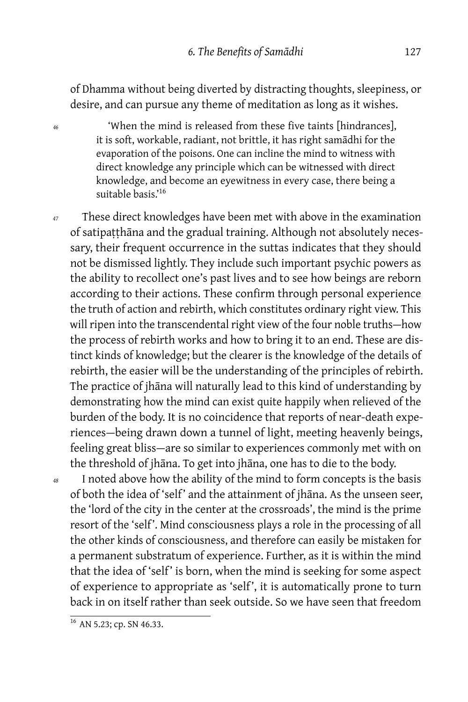of Dhamma without being diverted by distracting thoughts, sleepiness, or desire, and can pursue any theme of meditation as long as it wishes.

*<sup>46</sup>* 'When the mind is released from these five taints [hindrances], it is soft, workable, radiant, not brittle, it has right samādhi for the evaporation of the poisons. One can incline the mind to witness with direct knowledge any principle which can be witnessed with direct knowledge, and become an eyewitness in every case, there being a suitable basis.'<sup>16</sup>

*<sup>47</sup>* These direct knowledges have been met with above in the examination of satipaṭṭhāna and the gradual training. Although not absolutely necessary, their frequent occurrence in the suttas indicates that they should not be dismissed lightly. They include such important psychic powers as the ability to recollect one's past lives and to see how beings are reborn according to their actions. These confirm through personal experience the truth of action and rebirth, which constitutes ordinary right view. This will ripen into the transcendental right view of the four noble truths-how the process of rebirth works and how to bring it to an end. These are distinct kinds of knowledge; but the clearer is the knowledge of the details of rebirth, the easier will be the understanding of the principles of rebirth. The practice of jhāna will naturally lead to this kind of understanding by demonstrating how the mind can exist quite happily when relieved of the burden of the body. It is no coincidence that reports of near-death experiences — being drawn down a tunnel of light, meeting heavenly beings, feeling great bliss — are so similar to experiences commonly met with on the threshold of jhāna. To get into jhāna, one has to die to the body.

*<sup>48</sup>* I noted above how the ability of the mind to form concepts is the basis of both the idea of 'self' and the attainment of jhāna. As the unseen seer, the 'lord of the city in the center at the crossroads', the mind is the prime resort of the 'self '. Mind consciousness plays a role in the processing of all the other kinds of consciousness, and therefore can easily be mistaken for a permanent substratum of experience. Further, as it is within the mind that the idea of 'self' is born, when the mind is seeking for some aspect of experience to appropriate as 'self', it is automatically prone to turn back in on itself rather than seek outside. So we have seen that freedom

 $\frac{16}{16}$  AN 5.23; cp. SN 46.33.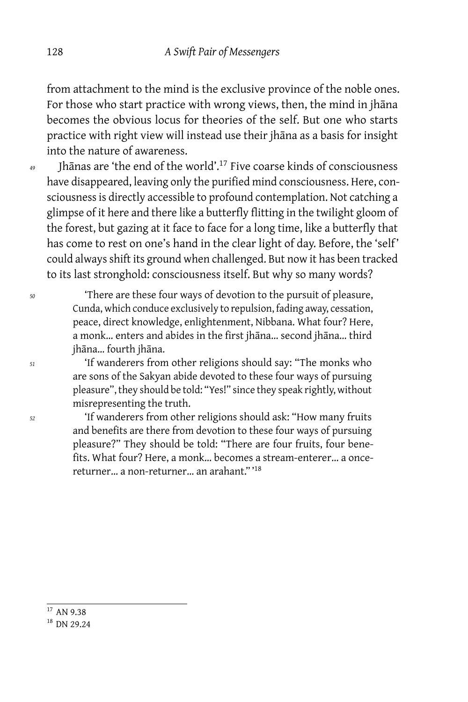from attachment to the mind is the exclusive province of the noble ones. For those who start practice with wrong views, then, the mind in jhāna becomes the obvious locus for theories of the self. But one who starts practice with right view will instead use their jhāna as a basis for insight into the nature of awareness.

*<sup>49</sup>* Jhānas are 'the end of the world'.<sup>17</sup> Five coarse kinds of consciousness have disappeared, leaving only the purified mind consciousness. Here, consciousness is directly accessible to profound contemplation. Not catching a glimpse of it here and there like a butterfly flitting in the twilight gloom of the forest, but gazing at it face to face for a long time, like a butterfly that has come to rest on one's hand in the clear light of day. Before, the 'self' could always shift its ground when challenged. But now it has been tracked to its last stronghold: consciousness itself. But why so many words?

*<sup>50</sup>* 'There are these four ways of devotion to the pursuit of pleasure, Cunda, which conduce exclusively to repulsion, fading away, cessation, peace, direct knowledge, enlightenment, Nibbana. What four? Here, a monk… enters and abides in the first jhāna… second jhāna… third jhāna… fourth jhāna.

*<sup>51</sup>* 'If wanderers from other religions should say: "The monks who are sons of the Sakyan abide devoted to these four ways of pursuing pleasure", they should be told: "Yes!" since they speak rightly, without misrepresenting the truth.

*<sup>52</sup>* 'If wanderers from other religions should ask: "How many fruits and benefits are there from devotion to these four ways of pursuing pleasure?" They should be told: "There are four fruits, four benefits. What four? Here, a monk… becomes a stream-enterer… a oncereturner… a non-returner… an arahant." '<sup>18</sup>

 $17$  AN 9.38

<sup>&</sup>lt;sup>18</sup> DN 29.24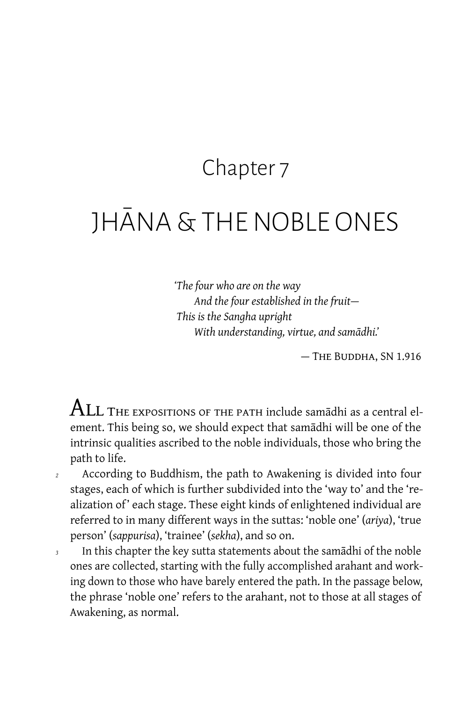### Chapter 7

# JHĀNA & THE NOBLE ONES

*'The four who are on the way And the four established in the fruit — This is the Sangha upright With understanding, virtue, and samādhi.'*

— The Buddha, SN 1.916

 $\mathop{\mathrm{ALL}}$  THE EXPOSITIONS OF THE PATH include samādhi as a central element. This being so, we should expect that samādhi will be one of the intrinsic qualities ascribed to the noble individuals, those who bring the path to life.

- *<sup>2</sup>* According to Buddhism, the path to Awakening is divided into four stages, each of which is further subdivided into the 'way to' and the 'realization of' each stage. These eight kinds of enlightened individual are referred to in many different ways in the suttas: 'noble one' (*ariya*), 'true person' (*sappurisa*), 'trainee' (*sekha*), and so on.
- *<sup>3</sup>* In this chapter the key sutta statements about the samādhi of the noble ones are collected, starting with the fully accomplished arahant and working down to those who have barely entered the path. In the passage below, the phrase 'noble one' refers to the arahant, not to those at all stages of Awakening, as normal.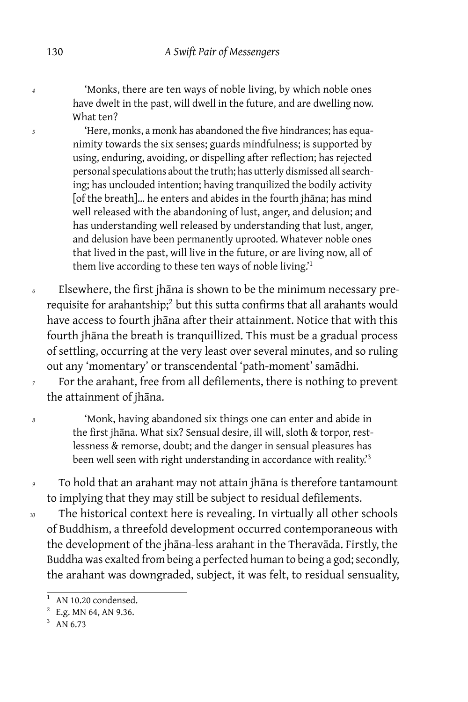*<sup>4</sup>* 'Monks, there are ten ways of noble living, by which noble ones have dwelt in the past, will dwell in the future, and are dwelling now. What ten?

*<sup>5</sup>* 'Here, monks, a monk has abandoned the five hindrances; has equanimity towards the six senses; guards mindfulness; is supported by using, enduring, avoiding, or dispelling after reflection; has rejected personal speculations about the truth; has utterly dismissed all searching; has unclouded intention; having tranquilized the bodily activity [of the breath]… he enters and abides in the fourth jhāna; has mind well released with the abandoning of lust, anger, and delusion; and has understanding well released by understanding that lust, anger, and delusion have been permanently uprooted. Whatever noble ones that lived in the past, will live in the future, or are living now, all of them live according to these ten ways of noble living.'<sup>1</sup>

*<sup>6</sup>* Elsewhere, the first jhāna is shown to be the minimum necessary prerequisite for arahantship;<sup>2</sup> but this sutta confirms that all arahants would have access to fourth jhāna after their attainment. Notice that with this fourth jhāna the breath is tranquillized. This must be a gradual process of settling, occurring at the very least over several minutes, and so ruling out any 'momentary' or transcendental 'path-moment' samādhi.

*<sup>7</sup>* For the arahant, free from all defilements, there is nothing to prevent the attainment of jhāna.

*<sup>8</sup>* 'Monk, having abandoned six things one can enter and abide in the first jhāna. What six? Sensual desire, ill will, sloth & torpor, restlessness & remorse, doubt; and the danger in sensual pleasures has been well seen with right understanding in accordance with reality.<sup>3</sup>

*<sup>9</sup>* To hold that an arahant may not attain jhāna is therefore tantamount to implying that they may still be subject to residual defilements.

*<sup>10</sup>* The historical context here is revealing. In virtually all other schools of Buddhism, a threefold development occurred contemporaneous with the development of the jhāna-less arahant in the Theravāda. Firstly, the Buddha was exalted from being a perfected human to being a god; secondly, the arahant was downgraded, subject, it was felt, to residual sensuality,

AN 10.20 condensed.

 $2 E.g.$  MN 64, AN 9.36.

 $3$  AN 6.73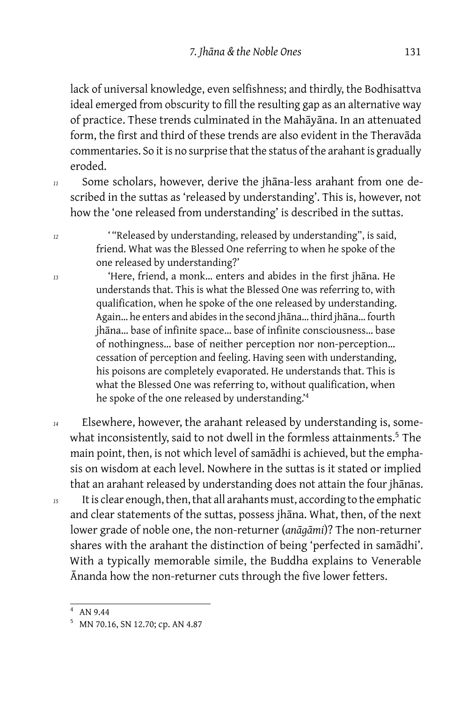lack of universal knowledge, even selfishness; and thirdly, the Bodhisattva ideal emerged from obscurity to fill the resulting gap as an alternative way of practice. These trends culminated in the Mahāyāna. In an attenuated form, the first and third of these trends are also evident in the Theravāda commentaries. So it is no surprise that the status of the arahant is gradually eroded.

*<sup>11</sup>* Some scholars, however, derive the jhāna-less arahant from one described in the suttas as 'released by understanding'. This is, however, not how the 'one released from understanding' is described in the suttas.

*<sup>12</sup>* ' "Released by understanding, released by understanding", is said, friend. What was the Blessed One referring to when he spoke of the one released by understanding?'

*<sup>13</sup>* 'Here, friend, a monk… enters and abides in the first jhāna. He understands that. This is what the Blessed One was referring to, with qualification, when he spoke of the one released by understanding. Again… he enters and abides in the second jhāna… third jhāna… fourth jhāna… base of infinite space… base of infinite consciousness… base of nothingness… base of neither perception nor non-perception… cessation of perception and feeling. Having seen with understanding, his poisons are completely evaporated. He understands that. This is what the Blessed One was referring to, without qualification, when he spoke of the one released by understanding.'<sup>4</sup>

*<sup>14</sup>* Elsewhere, however, the arahant released by understanding is, somewhat inconsistently, said to not dwell in the formless attainments.<sup>5</sup> The main point, then, is not which level of samādhi is achieved, but the emphasis on wisdom at each level. Nowhere in the suttas is it stated or implied that an arahant released by understanding does not attain the four jhānas.

*<sup>15</sup>* It is clear enough, then, that all arahants must, according to the emphatic and clear statements of the suttas, possess jhāna. What, then, of the next lower grade of noble one, the non-returner (*anāgāmi*)? The non-returner shares with the arahant the distinction of being 'perfected in samādhi'. With a typically memorable simile, the Buddha explains to Venerable Ānanda how the non-returner cuts through the five lower fetters.

<sup>4</sup> AN 9.44

<sup>5</sup> MN 70.16, SN 12.70; cp. AN 4.87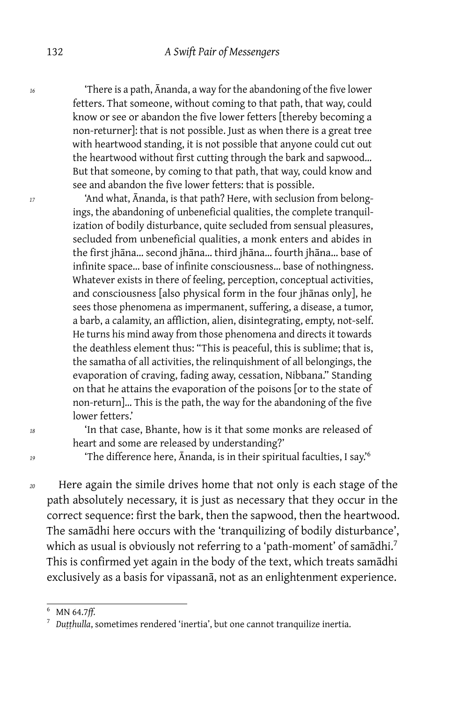*<sup>16</sup>* 'There is a path, Ānanda, a way for the abandoning of the five lower fetters. That someone, without coming to that path, that way, could know or see or abandon the five lower fetters [thereby becoming a non-returner]: that is not possible. Just as when there is a great tree with heartwood standing, it is not possible that anyone could cut out the heartwood without first cutting through the bark and sapwood… But that someone, by coming to that path, that way, could know and see and abandon the five lower fetters: that is possible.

*<sup>17</sup>* 'And what, Ānanda, is that path? Here, with seclusion from belongings, the abandoning of unbeneficial qualities, the complete tranquilization of bodily disturbance, quite secluded from sensual pleasures, secluded from unbeneficial qualities, a monk enters and abides in the first jhāna… second jhāna… third jhāna… fourth jhāna… base of infinite space… base of infinite consciousness… base of nothingness. Whatever exists in there of feeling, perception, conceptual activities, and consciousness [also physical form in the four jhānas only], he sees those phenomena as impermanent, suffering, a disease, a tumor, a barb, a calamity, an affliction, alien, disintegrating, empty, not-self. He turns his mind away from those phenomena and directs it towards the deathless element thus: "This is peaceful, this is sublime; that is, the samatha of all activities, the relinquishment of all belongings, the evaporation of craving, fading away, cessation, Nibbana." Standing on that he attains the evaporation of the poisons [or to the state of non-return]… This is the path, the way for the abandoning of the five lower fetters.'

*<sup>18</sup>* 'In that case, Bhante, how is it that some monks are released of heart and some are released by understanding?'

*<sup>19</sup>* 'The difference here, Ānanda, is in their spiritual faculties, I say.'<sup>6</sup>

*<sup>20</sup>* Here again the simile drives home that not only is each stage of the path absolutely necessary, it is just as necessary that they occur in the correct sequence: first the bark, then the sapwood, then the heartwood. The samādhi here occurs with the 'tranquilizing of bodily disturbance', which as usual is obviously not referring to a 'path-moment' of samādhi.<sup>7</sup> This is confirmed yet again in the body of the text, which treats samādhi exclusively as a basis for vipassanā, not as an enlightenment experience.

<sup>6</sup> MN 64.7*ff.*

<sup>7</sup> *Duṭṭhulla*, sometimes rendered 'inertia', but one cannot tranquilize inertia.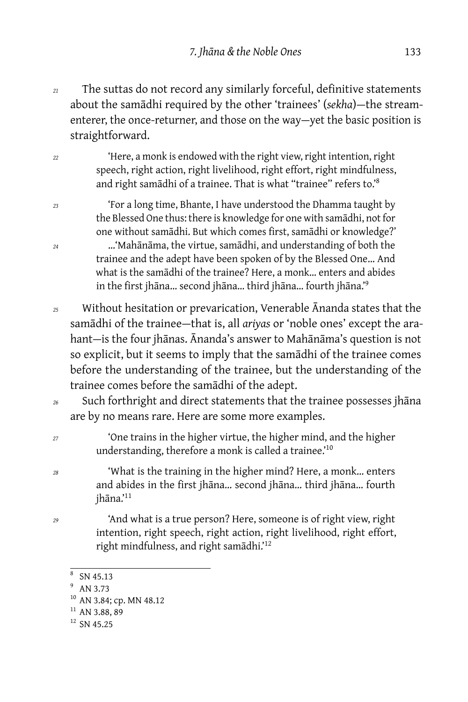*<sup>21</sup>* The suttas do not record any similarly forceful, definitive statements about the samādhi required by the other 'trainees' (*sekha*) — the streamenterer, the once-returner, and those on the way-yet the basic position is straightforward.

*<sup>22</sup>* 'Here, a monk is endowed with the right view, right intention, right speech, right action, right livelihood, right effort, right mindfulness, and right samādhi of a trainee. That is what "trainee" refers to.'<sup>8</sup>

*<sup>23</sup>* 'For a long time, Bhante, I have understood the Dhamma taught by the Blessed One thus: there is knowledge for one with samādhi, not for one without samādhi. But which comes first, samādhi or knowledge?' *<sup>24</sup>* …'Mahānāma, the virtue, samādhi, and understanding of both the trainee and the adept have been spoken of by the Blessed One… And what is the samādhi of the trainee? Here, a monk… enters and abides in the first jhāna… second jhāna… third jhāna… fourth jhāna.'<sup>9</sup>

- *<sup>25</sup>* Without hesitation or prevarication, Venerable Ānanda states that the samādhi of the trainee — that is, all *ariyas* or 'noble ones' except the arahant-is the four jhānas. Ānanda's answer to Mahānāma's question is not so explicit, but it seems to imply that the samādhi of the trainee comes before the understanding of the trainee, but the understanding of the trainee comes before the samādhi of the adept.
- *<sup>26</sup>* Such forthright and direct statements that the trainee possesses jhāna are by no means rare. Here are some more examples.
- *<sup>27</sup>* 'One trains in the higher virtue, the higher mind, and the higher understanding, therefore a monk is called a trainee.<sup>'10</sup>
- *<sup>28</sup>* 'What is the training in the higher mind? Here, a monk… enters and abides in the first jhāna… second jhāna… third jhāna… fourth jhāna.'<sup>11</sup>
- *<sup>29</sup>* 'And what is a true person? Here, someone is of right view, right intention, right speech, right action, right livelihood, right effort, right mindfulness, and right samādhi.'<sup>12</sup>

<sup>8</sup> SN 45.13

<sup>9</sup> AN 3.73

<sup>&</sup>lt;sup>10</sup> AN 3.84; cp. MN 48.12

 $11$  AN 3.88, 89

 $12$  SN 45.25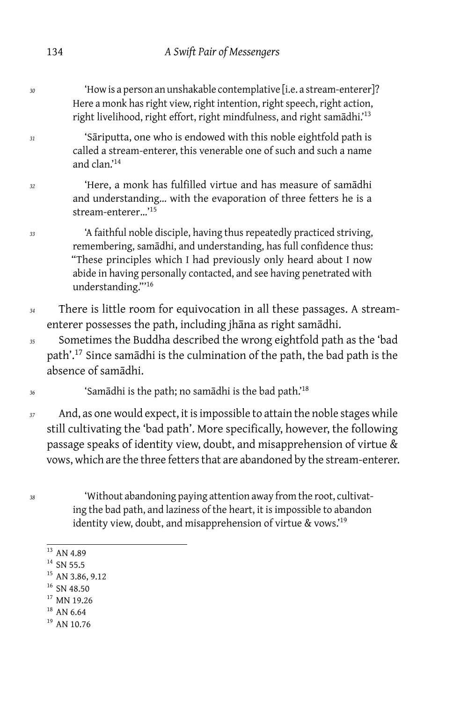*<sup>30</sup>* 'How is a person an unshakable contemplative [i.e. a stream-enterer]? Here a monk has right view, right intention, right speech, right action, right livelihood, right effort, right mindfulness, and right samādhi.'<sup>13</sup>

*<sup>31</sup>* 'Sāriputta, one who is endowed with this noble eightfold path is called a stream-enterer, this venerable one of such and such a name and clan.'<sup>14</sup>

*<sup>32</sup>* 'Here, a monk has fulfilled virtue and has measure of samādhi and understanding… with the evaporation of three fetters he is a stream-enterer…'<sup>15</sup>

*<sup>33</sup>* 'A faithful noble disciple, having thus repeatedly practiced striving, remembering, samādhi, and understanding, has full confidence thus: "These principles which I had previously only heard about I now abide in having personally contacted, and see having penetrated with understanding."'<sup>16</sup>

- *<sup>34</sup>* There is little room for equivocation in all these passages. A streamenterer possesses the path, including jhāna as right samādhi.
- *<sup>35</sup>* Sometimes the Buddha described the wrong eightfold path as the 'bad path'.<sup>17</sup> Since samādhi is the culmination of the path, the bad path is the absence of samādhi.
- *<sup>36</sup>* 'Samādhi is the path; no samādhi is the bad path.'<sup>18</sup>
- *<sup>37</sup>* And, as one would expect, it is impossible to attain the noble stages while still cultivating the 'bad path'. More specifically, however, the following passage speaks of identity view, doubt, and misapprehension of virtue & vows, which are the three fetters that are abandoned by the stream-enterer.
- 

*<sup>38</sup>* 'Without abandoning paying attention away from the root, cultivating the bad path, and laziness of the heart, it is impossible to abandon identity view, doubt, and misapprehension of virtue & vows.'<sup>19</sup>

- $13$  AN 4.89
- $14$  SN 55.5
- <sup>15</sup> AN 3.86, 9.12
- <sup>16</sup> SN 48.50
- <sup>17</sup> MN 19.26
- $18$  AN 6.64
- $19$  AN 10.76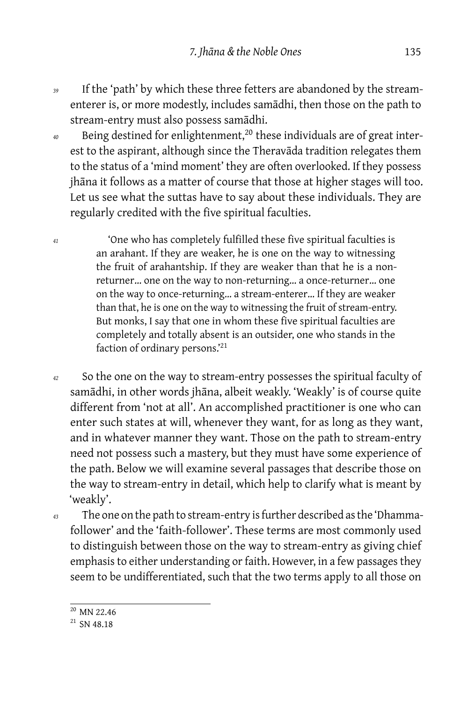- *<sup>39</sup>* If the 'path' by which these three fetters are abandoned by the streamenterer is, or more modestly, includes samādhi, then those on the path to stream-entry must also possess samādhi.
- <sup>40</sup> Being destined for enlightenment,<sup>20</sup> these individuals are of great interest to the aspirant, although since the Theravāda tradition relegates them to the status of a 'mind moment' they are often overlooked. If they possess jhāna it follows as a matter of course that those at higher stages will too. Let us see what the suttas have to say about these individuals. They are regularly credited with the five spiritual faculties.
- *<sup>41</sup>* 'One who has completely fulfilled these five spiritual faculties is an arahant. If they are weaker, he is one on the way to witnessing the fruit of arahantship. If they are weaker than that he is a nonreturner… one on the way to non-returning… a once-returner… one on the way to once-returning… a stream-enterer… If they are weaker than that, he is one on the way to witnessing the fruit of stream-entry. But monks, I say that one in whom these five spiritual faculties are completely and totally absent is an outsider, one who stands in the faction of ordinary persons.'<sup>21</sup>
- *<sup>42</sup>* So the one on the way to stream-entry possesses the spiritual faculty of samādhi, in other words jhāna, albeit weakly. 'Weakly' is of course quite different from 'not at all'. An accomplished practitioner is one who can enter such states at will, whenever they want, for as long as they want, and in whatever manner they want. Those on the path to stream-entry need not possess such a mastery, but they must have some experience of the path. Below we will examine several passages that describe those on the way to stream-entry in detail, which help to clarify what is meant by 'weakly'.
- *<sup>43</sup>* The one on the path to stream-entry is further described as the 'Dhammafollower' and the 'faith-follower'. These terms are most commonly used to distinguish between those on the way to stream-entry as giving chief emphasis to either understanding or faith. However, in a few passages they seem to be undifferentiated, such that the two terms apply to all those on

<sup>&</sup>lt;sup>20</sup> MN 22.46

 $21$  SN 48.18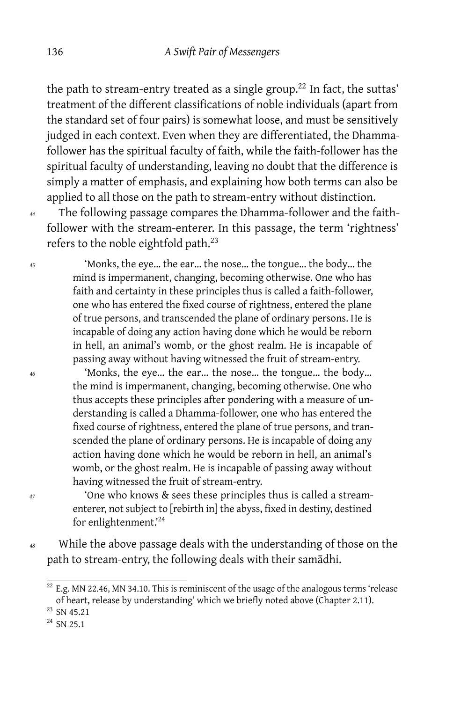the path to stream-entry treated as a single group.<sup>22</sup> In fact, the suttas' treatment of the different classifications of noble individuals (apart from the standard set of four pairs) is somewhat loose, and must be sensitively judged in each context. Even when they are differentiated, the Dhammafollower has the spiritual faculty of faith, while the faith-follower has the spiritual faculty of understanding, leaving no doubt that the difference is simply a matter of emphasis, and explaining how both terms can also be applied to all those on the path to stream-entry without distinction.

*<sup>44</sup>* The following passage compares the Dhamma-follower and the faithfollower with the stream-enterer. In this passage, the term 'rightness' refers to the noble eightfold path.<sup>23</sup>

*<sup>45</sup>* 'Monks, the eye… the ear… the nose… the tongue… the body… the mind is impermanent, changing, becoming otherwise. One who has faith and certainty in these principles thus is called a faith-follower, one who has entered the fixed course of rightness, entered the plane of true persons, and transcended the plane of ordinary persons. He is incapable of doing any action having done which he would be reborn in hell, an animal's womb, or the ghost realm. He is incapable of passing away without having witnessed the fruit of stream-entry.

*<sup>46</sup>* 'Monks, the eye… the ear… the nose… the tongue… the body… the mind is impermanent, changing, becoming otherwise. One who thus accepts these principles after pondering with a measure of understanding is called a Dhamma-follower, one who has entered the fixed course of rightness, entered the plane of true persons, and transcended the plane of ordinary persons. He is incapable of doing any action having done which he would be reborn in hell, an animal's womb, or the ghost realm. He is incapable of passing away without having witnessed the fruit of stream-entry.

*<sup>47</sup>* 'One who knows & sees these principles thus is called a streamenterer, not subject to [rebirth in] the abyss, fixed in destiny, destined for enlightenment.'<sup>24</sup>

*<sup>48</sup>* While the above passage deals with the understanding of those on the path to stream-entry, the following deals with their samādhi.

 $22$  E.g. MN 22.46, MN 34.10. This is reminiscent of the usage of the analogous terms 'release of heart, release by understanding' which we briefly noted above (Chapter 2.11).

<sup>&</sup>lt;sup>23</sup> SN 45.21

 $^{24}$  SN 25.1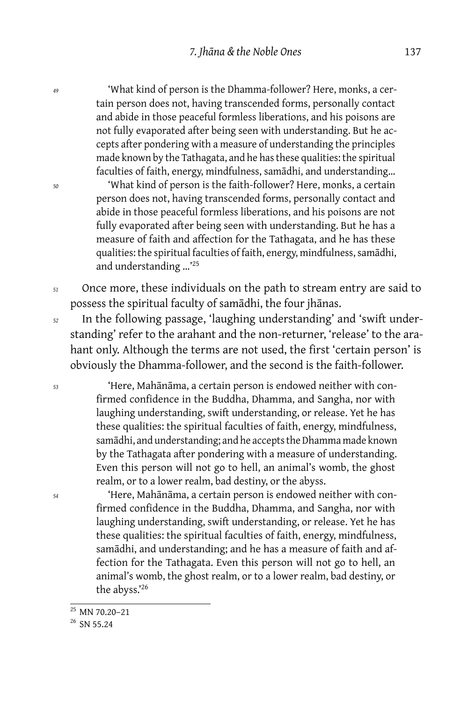*<sup>49</sup>* 'What kind of person is the Dhamma-follower? Here, monks, a certain person does not, having transcended forms, personally contact and abide in those peaceful formless liberations, and his poisons are not fully evaporated after being seen with understanding. But he accepts after pondering with a measure of understanding the principles made known by the Tathagata, and he has these qualities: the spiritual faculties of faith, energy, mindfulness, samādhi, and understanding…

*<sup>50</sup>* 'What kind of person is the faith-follower? Here, monks, a certain person does not, having transcended forms, personally contact and abide in those peaceful formless liberations, and his poisons are not fully evaporated after being seen with understanding. But he has a measure of faith and affection for the Tathagata, and he has these qualities: the spiritual faculties of faith, energy, mindfulness, samādhi, and understanding …'<sup>25</sup>

*<sup>51</sup>* Once more, these individuals on the path to stream entry are said to possess the spiritual faculty of samādhi, the four jhānas.

*<sup>52</sup>* In the following passage, 'laughing understanding' and 'swift understanding' refer to the arahant and the non-returner, 'release' to the arahant only. Although the terms are not used, the first 'certain person' is obviously the Dhamma-follower, and the second is the faith-follower.

*<sup>53</sup>* 'Here, Mahānāma, a certain person is endowed neither with confirmed confidence in the Buddha, Dhamma, and Sangha, nor with laughing understanding, swift understanding, or release. Yet he has these qualities: the spiritual faculties of faith, energy, mindfulness, samādhi, and understanding; and he accepts the Dhamma made known by the Tathagata after pondering with a measure of understanding. Even this person will not go to hell, an animal's womb, the ghost realm, or to a lower realm, bad destiny, or the abyss.

*<sup>54</sup>* 'Here, Mahānāma, a certain person is endowed neither with confirmed confidence in the Buddha, Dhamma, and Sangha, nor with laughing understanding, swift understanding, or release. Yet he has these qualities: the spiritual faculties of faith, energy, mindfulness, samādhi, and understanding; and he has a measure of faith and affection for the Tathagata. Even this person will not go to hell, an animal's womb, the ghost realm, or to a lower realm, bad destiny, or the abyss.'<sup>26</sup>

<sup>25</sup> MN 70.20–21

<sup>&</sup>lt;sup>26</sup> SN 55.24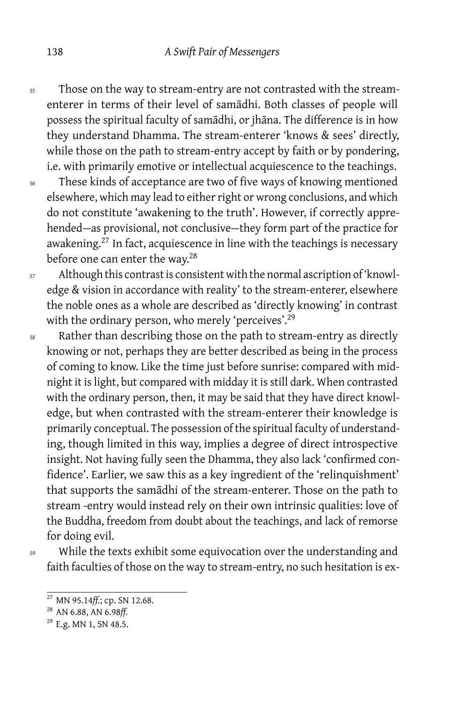- *<sup>55</sup>* Those on the way to stream-entry are not contrasted with the streamenterer in terms of their level of samādhi. Both classes of people will possess the spiritual faculty of samādhi, or jhāna. The difference is in how they understand Dhamma. The stream-enterer 'knows & sees' directly, while those on the path to stream-entry accept by faith or by pondering, i.e. with primarily emotive or intellectual acquiescence to the teachings.
- *<sup>56</sup>* These kinds of acceptance are two of five ways of knowing mentioned elsewhere, which may lead to either right or wrong conclusions, and which do not constitute 'awakening to the truth'. However, if correctly apprehended-as provisional, not conclusive-they form part of the practice for awakening.<sup>27</sup> In fact, acquiescence in line with the teachings is necessary before one can enter the way.<sup>28</sup>
- *<sup>57</sup>* Although this contrast is consistent with the normal ascription of 'knowledge & vision in accordance with reality' to the stream-enterer, elsewhere the noble ones as a whole are described as 'directly knowing' in contrast with the ordinary person, who merely 'perceives'.<sup>29</sup>
- *<sup>58</sup>* Rather than describing those on the path to stream-entry as directly knowing or not, perhaps they are better described as being in the process of coming to know. Like the time just before sunrise: compared with midnight it is light, but compared with midday it is still dark. When contrasted with the ordinary person, then, it may be said that they have direct knowledge, but when contrasted with the stream-enterer their knowledge is primarily conceptual. The possession of the spiritual faculty of understanding, though limited in this way, implies a degree of direct introspective insight. Not having fully seen the Dhamma, they also lack 'confirmed confidence'. Earlier, we saw this as a key ingredient of the 'relinquishment' that supports the samādhi of the stream-enterer. Those on the path to stream -entry would instead rely on their own intrinsic qualities: love of the Buddha, freedom from doubt about the teachings, and lack of remorse for doing evil.

*<sup>59</sup>* While the texts exhibit some equivocation over the understanding and faith faculties of those on the way to stream-entry, no such hesitation is ex-

<sup>27</sup> MN 95.14*ff.*; cp. SN 12.68.

<sup>28</sup> AN 6.88, AN 6.98*ff.*

<sup>&</sup>lt;sup>29</sup> E.g. MN 1, SN 48.5.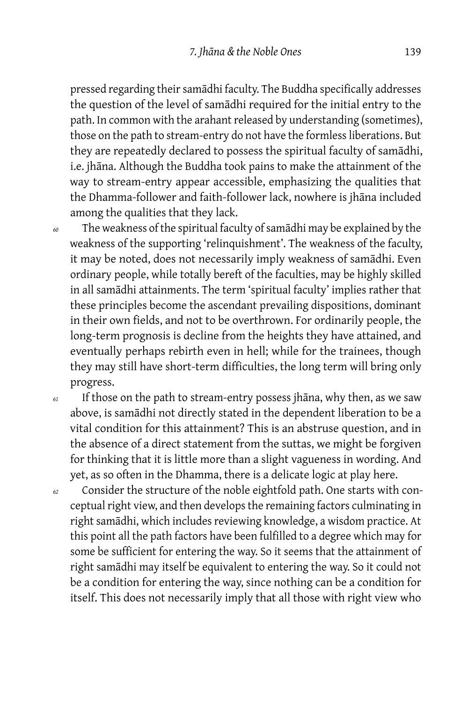pressed regarding their samādhi faculty. The Buddha specifically addresses the question of the level of samādhi required for the initial entry to the path. In common with the arahant released by understanding (sometimes), those on the path to stream-entry do not have the formless liberations. But they are repeatedly declared to possess the spiritual faculty of samādhi, i.e. jhāna. Although the Buddha took pains to make the attainment of the way to stream-entry appear accessible, emphasizing the qualities that the Dhamma-follower and faith-follower lack, nowhere is jhāna included among the qualities that they lack.

- *<sup>60</sup>* The weakness of the spiritual faculty of samādhi may be explained by the weakness of the supporting 'relinquishment'. The weakness of the faculty, it may be noted, does not necessarily imply weakness of samādhi. Even ordinary people, while totally bereft of the faculties, may be highly skilled in all samādhi attainments. The term 'spiritual faculty' implies rather that these principles become the ascendant prevailing dispositions, dominant in their own fields, and not to be overthrown. For ordinarily people, the long-term prognosis is decline from the heights they have attained, and eventually perhaps rebirth even in hell; while for the trainees, though they may still have short-term difficulties, the long term will bring only progress.
- *<sup>61</sup>* If those on the path to stream-entry possess jhāna, why then, as we saw above, is samādhi not directly stated in the dependent liberation to be a vital condition for this attainment? This is an abstruse question, and in the absence of a direct statement from the suttas, we might be forgiven for thinking that it is little more than a slight vagueness in wording. And yet, as so often in the Dhamma, there is a delicate logic at play here.
- *<sup>62</sup>* Consider the structure of the noble eightfold path. One starts with conceptual right view, and then develops the remaining factors culminating in right samādhi, which includes reviewing knowledge, a wisdom practice. At this point all the path factors have been fulfilled to a degree which may for some be sufficient for entering the way. So it seems that the attainment of right samādhi may itself be equivalent to entering the way. So it could not be a condition for entering the way, since nothing can be a condition for itself. This does not necessarily imply that all those with right view who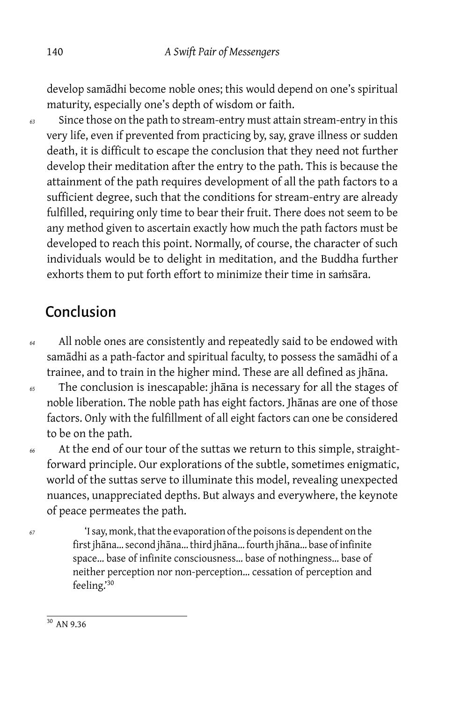develop samādhi become noble ones; this would depend on one's spiritual maturity, especially one's depth of wisdom or faith.

*<sup>63</sup>* Since those on the path to stream-entry must attain stream-entry in this very life, even if prevented from practicing by, say, grave illness or sudden death, it is difficult to escape the conclusion that they need not further develop their meditation after the entry to the path. This is because the attainment of the path requires development of all the path factors to a sufficient degree, such that the conditions for stream-entry are already fulfilled, requiring only time to bear their fruit. There does not seem to be any method given to ascertain exactly how much the path factors must be developed to reach this point. Normally, of course, the character of such individuals would be to delight in meditation, and the Buddha further exhorts them to put forth effort to minimize their time in samsāra.

### Conclusion

- *<sup>64</sup>* All noble ones are consistently and repeatedly said to be endowed with samādhi as a path-factor and spiritual faculty, to possess the samādhi of a trainee, and to train in the higher mind. These are all defined as jhāna.
- *<sup>65</sup>* The conclusion is inescapable: jhāna is necessary for all the stages of noble liberation. The noble path has eight factors. Jhānas are one of those factors. Only with the fulfillment of all eight factors can one be considered to be on the path.

*<sup>66</sup>* At the end of our tour of the suttas we return to this simple, straightforward principle. Our explorations of the subtle, sometimes enigmatic, world of the suttas serve to illuminate this model, revealing unexpected nuances, unappreciated depths. But always and everywhere, the keynote of peace permeates the path.

*<sup>67</sup>* 'I say, monk, that the evaporation of the poisons is dependent on the first jhāna… second jhāna… third jhāna… fourth jhāna… base of infinite space… base of infinite consciousness… base of nothingness… base of neither perception nor non-perception… cessation of perception and feeling.'<sup>30</sup>

 $30$  AN 9.36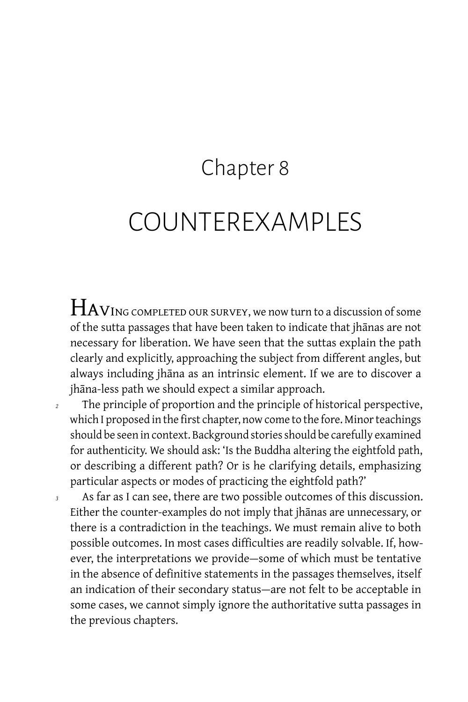### Chapter 8

### COUNTEREXAMPLES

HAVING COMPLETED OUR SURVEY, we now turn to a discussion of some of the sutta passages that have been taken to indicate that jhānas are not necessary for liberation. We have seen that the suttas explain the path clearly and explicitly, approaching the subject from different angles, but always including jhāna as an intrinsic element. If we are to discover a jhāna-less path we should expect a similar approach.

- *<sup>2</sup>* The principle of proportion and the principle of historical perspective, which I proposed in the first chapter, now come to the fore. Minor teachings should be seen in context. Background stories should be carefully examined for authenticity. We should ask: 'Is the Buddha altering the eightfold path, or describing a different path? Or is he clarifying details, emphasizing particular aspects or modes of practicing the eightfold path?'
- *<sup>3</sup>* As far as I can see, there are two possible outcomes of this discussion. Either the counter-examples do not imply that jhānas are unnecessary, or there is a contradiction in the teachings. We must remain alive to both possible outcomes. In most cases difficulties are readily solvable. If, however, the interpretations we provide — some of which must be tentative in the absence of definitive statements in the passages themselves, itself an indication of their secondary status-are not felt to be acceptable in some cases, we cannot simply ignore the authoritative sutta passages in the previous chapters.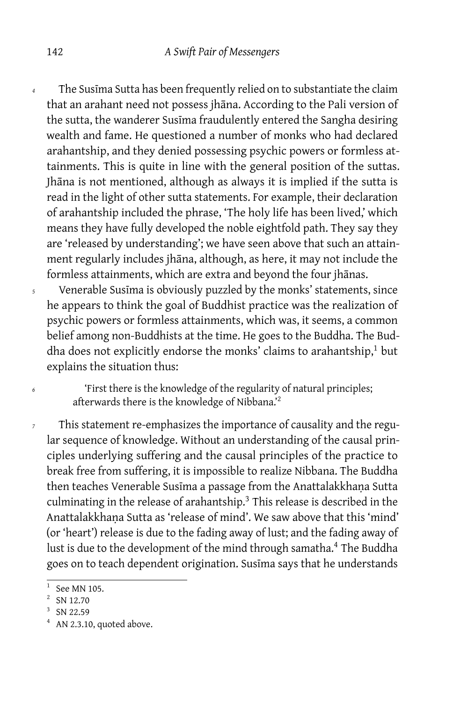*<sup>4</sup>* The Susīma Sutta has been frequently relied on to substantiate the claim that an arahant need not possess jhāna. According to the Pali version of the sutta, the wanderer Susīma fraudulently entered the Sangha desiring wealth and fame. He questioned a number of monks who had declared arahantship, and they denied possessing psychic powers or formless attainments. This is quite in line with the general position of the suttas. Jhāna is not mentioned, although as always it is implied if the sutta is read in the light of other sutta statements. For example, their declaration of arahantship included the phrase, 'The holy life has been lived,' which means they have fully developed the noble eightfold path. They say they are 'released by understanding'; we have seen above that such an attainment regularly includes jhāna, although, as here, it may not include the formless attainments, which are extra and beyond the four jhānas.

*<sup>5</sup>* Venerable Susīma is obviously puzzled by the monks' statements, since he appears to think the goal of Buddhist practice was the realization of psychic powers or formless attainments, which was, it seems, a common belief among non-Buddhists at the time. He goes to the Buddha. The Buddha does not explicitly endorse the monks' claims to arahantship,<sup>1</sup> but explains the situation thus:

*<sup>6</sup>* 'First there is the knowledge of the regularity of natural principles; afterwards there is the knowledge of Nibbana.'<sup>2</sup>

*<sup>7</sup>* This statement re-emphasizes the importance of causality and the regular sequence of knowledge. Without an understanding of the causal principles underlying suffering and the causal principles of the practice to break free from suffering, it is impossible to realize Nibbana. The Buddha then teaches Venerable Susīma a passage from the Anattalakkhana Sutta culminating in the release of arahantship.<sup>3</sup> This release is described in the Anattalakkhaṇa Sutta as 'release of mind'. We saw above that this 'mind' (or 'heart') release is due to the fading away of lust; and the fading away of lust is due to the development of the mind through samatha.<sup>4</sup> The Buddha goes on to teach dependent origination. Susīma says that he understands

<sup>1</sup> See MN 105.

 $2^2$  SN 12.70

 $3$  SN 22.59

 $4$  AN 2.3.10, quoted above.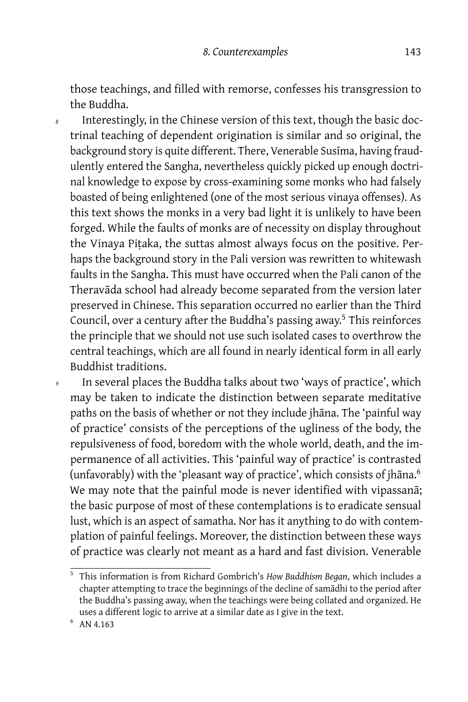those teachings, and filled with remorse, confesses his transgression to the Buddha.

Interestingly, in the Chinese version of this text, though the basic doctrinal teaching of dependent origination is similar and so original, the background story is quite different. There, Venerable Susīma, having fraudulently entered the Sangha, nevertheless quickly picked up enough doctrinal knowledge to expose by cross-examining some monks who had falsely boasted of being enlightened (one of the most serious vinaya offenses). As this text shows the monks in a very bad light it is unlikely to have been forged. While the faults of monks are of necessity on display throughout the Vinaya Piṭaka, the suttas almost always focus on the positive. Perhaps the background story in the Pali version was rewritten to whitewash faults in the Sangha. This must have occurred when the Pali canon of the Theravāda school had already become separated from the version later preserved in Chinese. This separation occurred no earlier than the Third Council, over a century after the Buddha's passing away.<sup>5</sup> This reinforces the principle that we should not use such isolated cases to overthrow the central teachings, which are all found in nearly identical form in all early Buddhist traditions.

In several places the Buddha talks about two 'ways of practice', which may be taken to indicate the distinction between separate meditative paths on the basis of whether or not they include jhāna. The 'painful way of practice' consists of the perceptions of the ugliness of the body, the repulsiveness of food, boredom with the whole world, death, and the impermanence of all activities. This 'painful way of practice' is contrasted (unfavorably) with the 'pleasant way of practice', which consists of jhāna.<sup>6</sup> We may note that the painful mode is never identified with vipassanā; the basic purpose of most of these contemplations is to eradicate sensual lust, which is an aspect of samatha. Nor has it anything to do with contemplation of painful feelings. Moreover, the distinction between these ways of practice was clearly not meant as a hard and fast division. Venerable

<sup>5</sup> This information is from Richard Gombrich's *How Buddhism Began*, which includes a chapter attempting to trace the beginnings of the decline of samādhi to the period after the Buddha's passing away, when the teachings were being collated and organized. He uses a different logic to arrive at a similar date as I give in the text.

 $6$  AN 4.163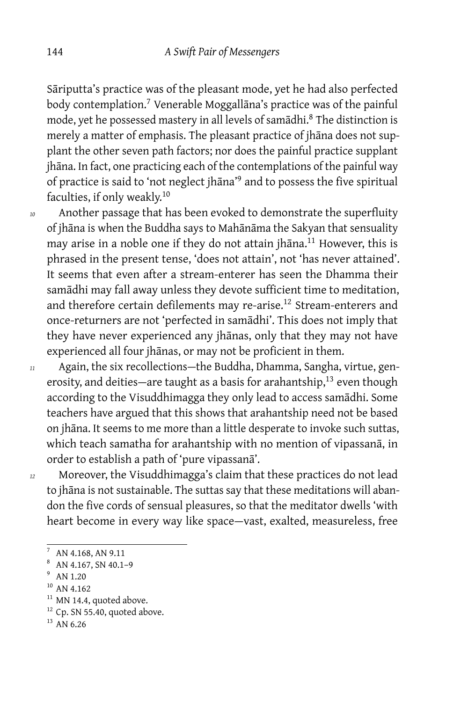Sāriputta's practice was of the pleasant mode, yet he had also perfected body contemplation.<sup>7</sup> Venerable Moggallāna's practice was of the painful mode, yet he possessed mastery in all levels of samādhi.<sup>8</sup> The distinction is merely a matter of emphasis. The pleasant practice of jhāna does not supplant the other seven path factors; nor does the painful practice supplant jhāna. In fact, one practicing each of the contemplations of the painful way of practice is said to 'not neglect jhāna'<sup>9</sup> and to possess the five spiritual faculties, if only weakly.<sup>10</sup>

*<sup>10</sup>* Another passage that has been evoked to demonstrate the superfluity of jhāna is when the Buddha says to Mahānāma the Sakyan that sensuality may arise in a noble one if they do not attain jhana.<sup>11</sup> However, this is phrased in the present tense, 'does not attain', not 'has never attained'. It seems that even after a stream-enterer has seen the Dhamma their samādhi may fall away unless they devote sufficient time to meditation, and therefore certain defilements may re-arise.<sup>12</sup> Stream-enterers and once-returners are not 'perfected in samādhi'. This does not imply that they have never experienced any jhānas, only that they may not have experienced all four jhānas, or may not be proficient in them.

*<sup>11</sup>* Again, the six recollections — the Buddha, Dhamma, Sangha, virtue, generosity, and deities-are taught as a basis for arahantship,<sup>13</sup> even though according to the Visuddhimagga they only lead to access samādhi. Some teachers have argued that this shows that arahantship need not be based on jhāna. It seems to me more than a little desperate to invoke such suttas, which teach samatha for arahantship with no mention of vipassanā, in order to establish a path of 'pure vipassanā'.

*<sup>12</sup>* Moreover, the Visuddhimagga's claim that these practices do not lead to jhāna is not sustainable. The suttas say that these meditations will abandon the five cords of sensual pleasures, so that the meditator dwells 'with heart become in every way like space — vast, exalted, measureless, free

<sup>7</sup> AN 4.168, AN 9.11

<sup>8</sup> AN 4.167, SN 40.1–9

<sup>9</sup> AN 1.20

<sup>&</sup>lt;sup>10</sup> AN 4.162

 $11$  MN 14.4, quoted above.

 $12$  Cp. SN 55.40, quoted above.

 $13$  AN 6.26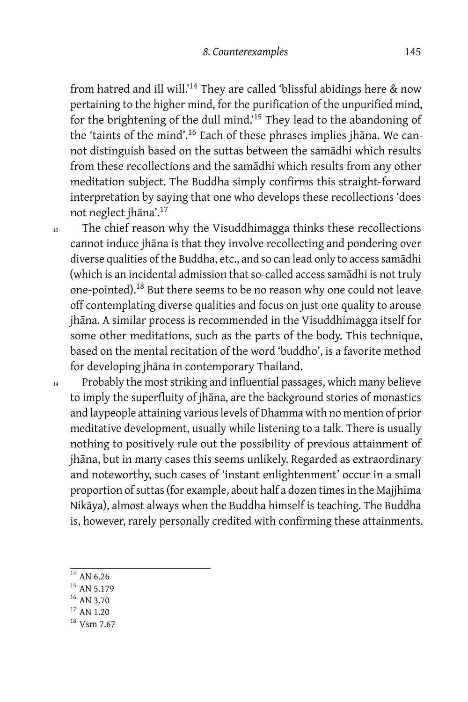from hatred and ill will.'<sup>14</sup> They are called 'blissful abidings here & now pertaining to the higher mind, for the purification of the unpurified mind, for the brightening of the dull mind.'<sup>15</sup> They lead to the abandoning of the 'taints of the mind'.<sup>16</sup> Each of these phrases implies jhāna. We cannot distinguish based on the suttas between the samādhi which results from these recollections and the samādhi which results from any other meditation subject. The Buddha simply confirms this straight-forward interpretation by saying that one who develops these recollections 'does not neglect jhāna'.<sup>17</sup>

*<sup>13</sup>* The chief reason why the Visuddhimagga thinks these recollections cannot induce jhāna is that they involve recollecting and pondering over diverse qualities of the Buddha, etc., and so can lead only to access samādhi (which is an incidental admission that so-called access samādhi is not truly one-pointed).<sup>18</sup> But there seems to be no reason why one could not leave off contemplating diverse qualities and focus on just one quality to arouse jhāna. A similar process is recommended in the Visuddhimagga itself for some other meditations, such as the parts of the body. This technique, based on the mental recitation of the word 'buddho', is a favorite method for developing jhāna in contemporary Thailand.

- *<sup>14</sup>* Probably the most striking and influential passages, which many believe to imply the superfluity of jhāna, are the background stories of monastics and laypeople attaining various levels of Dhamma with no mention of prior meditative development, usually while listening to a talk. There is usually nothing to positively rule out the possibility of previous attainment of jhāna, but in many cases this seems unlikely. Regarded as extraordinary and noteworthy, such cases of 'instant enlightenment' occur in a small proportion of suttas (for example, about half a dozen times in the Majjhima Nikāya), almost always when the Buddha himself is teaching. The Buddha is, however, rarely personally credited with confirming these attainments.
	- $^{\rm 14}$  AN 6.26
	- <sup>15</sup> AN 5.179
	- <sup>16</sup> AN 3.70
	- <sup>17</sup> AN 1.20
	- <sup>18</sup> Vsm 7.67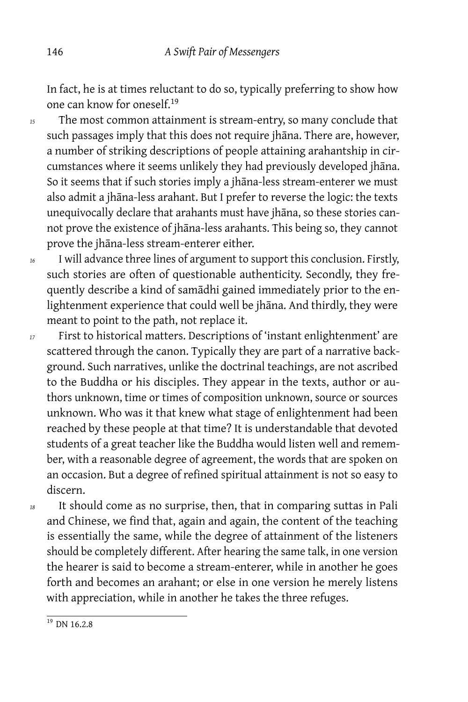In fact, he is at times reluctant to do so, typically preferring to show how one can know for oneself.<sup>19</sup>

*<sup>15</sup>* The most common attainment is stream-entry, so many conclude that such passages imply that this does not require jhāna. There are, however, a number of striking descriptions of people attaining arahantship in circumstances where it seems unlikely they had previously developed jhāna. So it seems that if such stories imply a jhāna-less stream-enterer we must also admit a jhāna-less arahant. But I prefer to reverse the logic: the texts unequivocally declare that arahants must have jhāna, so these stories cannot prove the existence of jhāna-less arahants. This being so, they cannot prove the jhāna-less stream-enterer either.

*<sup>16</sup>* I will advance three lines of argument to support this conclusion. Firstly, such stories are often of questionable authenticity. Secondly, they frequently describe a kind of samādhi gained immediately prior to the enlightenment experience that could well be jhāna. And thirdly, they were meant to point to the path, not replace it.

*<sup>17</sup>* First to historical matters. Descriptions of 'instant enlightenment' are scattered through the canon. Typically they are part of a narrative background. Such narratives, unlike the doctrinal teachings, are not ascribed to the Buddha or his disciples. They appear in the texts, author or authors unknown, time or times of composition unknown, source or sources unknown. Who was it that knew what stage of enlightenment had been reached by these people at that time? It is understandable that devoted students of a great teacher like the Buddha would listen well and remember, with a reasonable degree of agreement, the words that are spoken on an occasion. But a degree of refined spiritual attainment is not so easy to discern.

*<sup>18</sup>* It should come as no surprise, then, that in comparing suttas in Pali and Chinese, we find that, again and again, the content of the teaching is essentially the same, while the degree of attainment of the listeners should be completely different. After hearing the same talk, in one version the hearer is said to become a stream-enterer, while in another he goes forth and becomes an arahant; or else in one version he merely listens with appreciation, while in another he takes the three refuges.

 $19$  DN 16.2.8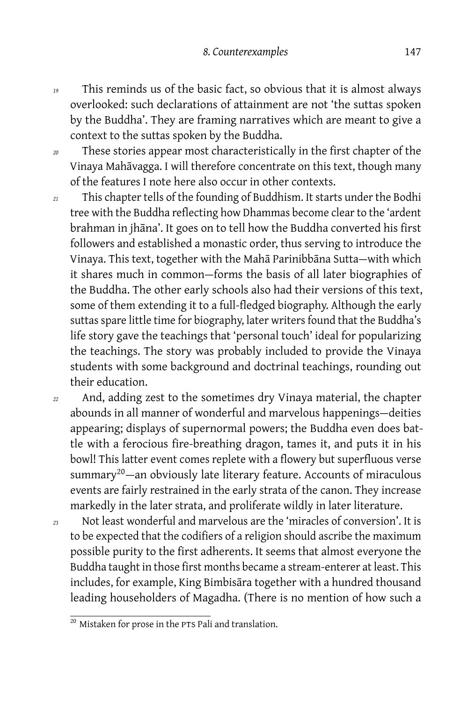- *<sup>19</sup>* This reminds us of the basic fact, so obvious that it is almost always overlooked: such declarations of attainment are not 'the suttas spoken by the Buddha'. They are framing narratives which are meant to give a context to the suttas spoken by the Buddha.
- *<sup>20</sup>* These stories appear most characteristically in the first chapter of the Vinaya Mahāvagga. I will therefore concentrate on this text, though many of the features I note here also occur in other contexts.
- *<sup>21</sup>* This chapter tells of the founding of Buddhism. It starts under the Bodhi tree with the Buddha reflecting how Dhammas become clear to the 'ardent brahman in jhāna'. It goes on to tell how the Buddha converted his first followers and established a monastic order, thus serving to introduce the Vinaya. This text, together with the Maha Parinibbana Sutta-with which it shares much in common-forms the basis of all later biographies of the Buddha. The other early schools also had their versions of this text, some of them extending it to a full-fledged biography. Although the early suttas spare little time for biography, later writers found that the Buddha's life story gave the teachings that 'personal touch' ideal for popularizing the teachings. The story was probably included to provide the Vinaya students with some background and doctrinal teachings, rounding out their education.
- *<sup>22</sup>* And, adding zest to the sometimes dry Vinaya material, the chapter abounds in all manner of wonderful and marvelous happenings — deities appearing; displays of supernormal powers; the Buddha even does battle with a ferocious fire-breathing dragon, tames it, and puts it in his bowl! This latter event comes replete with a flowery but superfluous verse summary<sup>20</sup> — an obviously late literary feature. Accounts of miraculous events are fairly restrained in the early strata of the canon. They increase markedly in the later strata, and proliferate wildly in later literature.
- *<sup>23</sup>* Not least wonderful and marvelous are the 'miracles of conversion'. It is to be expected that the codifiers of a religion should ascribe the maximum possible purity to the first adherents. It seems that almost everyone the Buddha taught in those first months became a stream-enterer at least. This includes, for example, King Bimbisāra together with a hundred thousand leading householders of Magadha. (There is no mention of how such a

 $\frac{20}{20}$  Mistaken for prose in the PTS Pali and translation.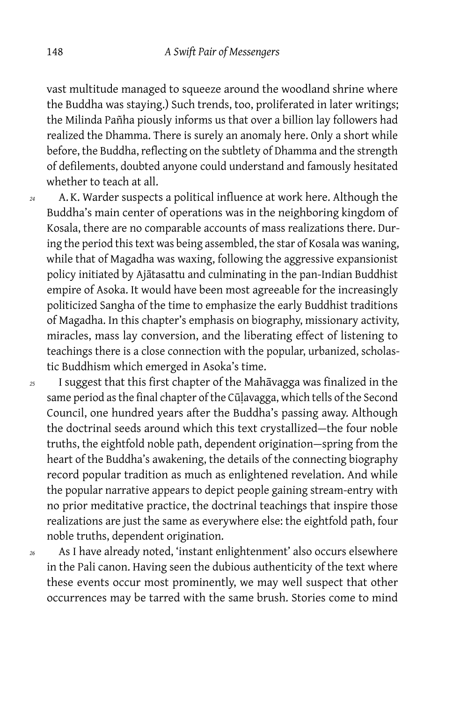vast multitude managed to squeeze around the woodland shrine where the Buddha was staying.) Such trends, too, proliferated in later writings; the Milinda Pañha piously informs us that over a billion lay followers had realized the Dhamma. There is surely an anomaly here. Only a short while before, the Buddha, reflecting on the subtlety of Dhamma and the strength of defilements, doubted anyone could understand and famously hesitated whether to teach at all.

*<sup>24</sup>* A. K. Warder suspects a political influence at work here. Although the Buddha's main center of operations was in the neighboring kingdom of Kosala, there are no comparable accounts of mass realizations there. During the period this text was being assembled, the star of Kosala was waning, while that of Magadha was waxing, following the aggressive expansionist policy initiated by Ajātasattu and culminating in the pan-Indian Buddhist empire of Asoka. It would have been most agreeable for the increasingly politicized Sangha of the time to emphasize the early Buddhist traditions of Magadha. In this chapter's emphasis on biography, missionary activity, miracles, mass lay conversion, and the liberating effect of listening to teachings there is a close connection with the popular, urbanized, scholastic Buddhism which emerged in Asoka's time.

*<sup>25</sup>* I suggest that this first chapter of the Mahāvagga was finalized in the same period as the final chapter of the Cūḷavagga, which tells of the Second Council, one hundred years after the Buddha's passing away. Although the doctrinal seeds around which this text crystallized — the four noble truths, the eightfold noble path, dependent origination — spring from the heart of the Buddha's awakening, the details of the connecting biography record popular tradition as much as enlightened revelation. And while the popular narrative appears to depict people gaining stream-entry with no prior meditative practice, the doctrinal teachings that inspire those realizations are just the same as everywhere else: the eightfold path, four noble truths, dependent origination.

*<sup>26</sup>* As I have already noted, 'instant enlightenment' also occurs elsewhere in the Pali canon. Having seen the dubious authenticity of the text where these events occur most prominently, we may well suspect that other occurrences may be tarred with the same brush. Stories come to mind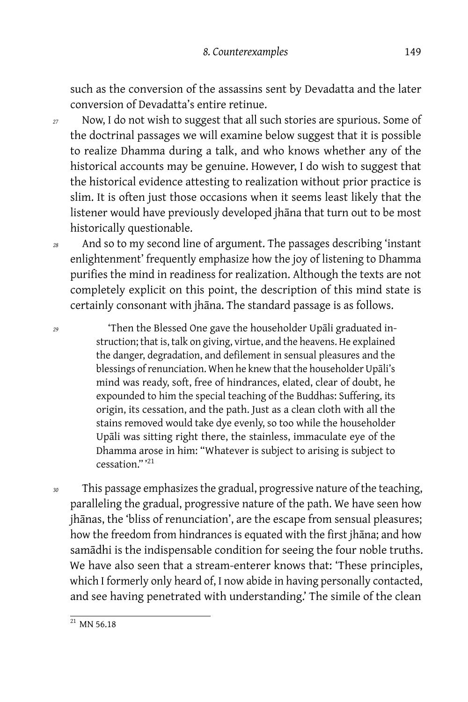such as the conversion of the assassins sent by Devadatta and the later conversion of Devadatta's entire retinue.

- *<sup>27</sup>* Now, I do not wish to suggest that all such stories are spurious. Some of the doctrinal passages we will examine below suggest that it is possible to realize Dhamma during a talk, and who knows whether any of the historical accounts may be genuine. However, I do wish to suggest that the historical evidence attesting to realization without prior practice is slim. It is often just those occasions when it seems least likely that the listener would have previously developed jhāna that turn out to be most historically questionable.
- *<sup>28</sup>* And so to my second line of argument. The passages describing 'instant enlightenment' frequently emphasize how the joy of listening to Dhamma purifies the mind in readiness for realization. Although the texts are not completely explicit on this point, the description of this mind state is certainly consonant with jhāna. The standard passage is as follows.

*<sup>29</sup>* 'Then the Blessed One gave the householder Upāli graduated instruction; that is, talk on giving, virtue, and the heavens. He explained the danger, degradation, and defilement in sensual pleasures and the blessings of renunciation. When he knew that the householder Upāli's mind was ready, soft, free of hindrances, elated, clear of doubt, he expounded to him the special teaching of the Buddhas: Suffering, its origin, its cessation, and the path. Just as a clean cloth with all the stains removed would take dye evenly, so too while the householder Upāli was sitting right there, the stainless, immaculate eye of the Dhamma arose in him: "Whatever is subject to arising is subject to cessation." '<sup>21</sup>

*<sup>30</sup>* This passage emphasizes the gradual, progressive nature of the teaching, paralleling the gradual, progressive nature of the path. We have seen how jhānas, the 'bliss of renunciation', are the escape from sensual pleasures; how the freedom from hindrances is equated with the first jhāna; and how samādhi is the indispensable condition for seeing the four noble truths. We have also seen that a stream-enterer knows that: 'These principles, which I formerly only heard of, I now abide in having personally contacted, and see having penetrated with understanding.' The simile of the clean

 $21$  MN 56.18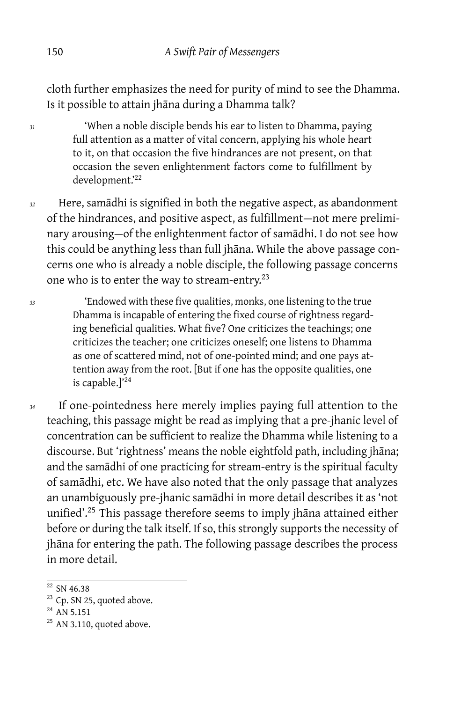cloth further emphasizes the need for purity of mind to see the Dhamma. Is it possible to attain jhāna during a Dhamma talk?

*<sup>31</sup>* 'When a noble disciple bends his ear to listen to Dhamma, paying full attention as a matter of vital concern, applying his whole heart to it, on that occasion the five hindrances are not present, on that occasion the seven enlightenment factors come to fulfillment by development.'22

*<sup>32</sup>* Here, samādhi is signified in both the negative aspect, as abandonment of the hindrances, and positive aspect, as fulfillment — not mere preliminary arousing-of the enlightenment factor of samādhi. I do not see how this could be anything less than full jhāna. While the above passage concerns one who is already a noble disciple, the following passage concerns one who is to enter the way to stream-entry.<sup>23</sup>

*<sup>33</sup>* 'Endowed with these five qualities, monks, one listening to the true Dhamma is incapable of entering the fixed course of rightness regarding beneficial qualities. What five? One criticizes the teachings; one criticizes the teacher; one criticizes oneself; one listens to Dhamma as one of scattered mind, not of one-pointed mind; and one pays attention away from the root. [But if one has the opposite qualities, one is capable.]'<sup>24</sup>

*<sup>34</sup>* If one-pointedness here merely implies paying full attention to the teaching, this passage might be read as implying that a pre-jhanic level of concentration can be sufficient to realize the Dhamma while listening to a discourse. But 'rightness' means the noble eightfold path, including jhāna; and the samādhi of one practicing for stream-entry is the spiritual faculty of samādhi, etc. We have also noted that the only passage that analyzes an unambiguously pre-jhanic samādhi in more detail describes it as 'not unified'.<sup>25</sup> This passage therefore seems to imply jhāna attained either before or during the talk itself. If so, this strongly supports the necessity of jhāna for entering the path. The following passage describes the process in more detail.

 $22$  SN 46.38

<sup>&</sup>lt;sup>23</sup> Cp. SN 25, quoted above.

<sup>&</sup>lt;sup>24</sup> AN 5.151

<sup>&</sup>lt;sup>25</sup> AN 3.110, quoted above.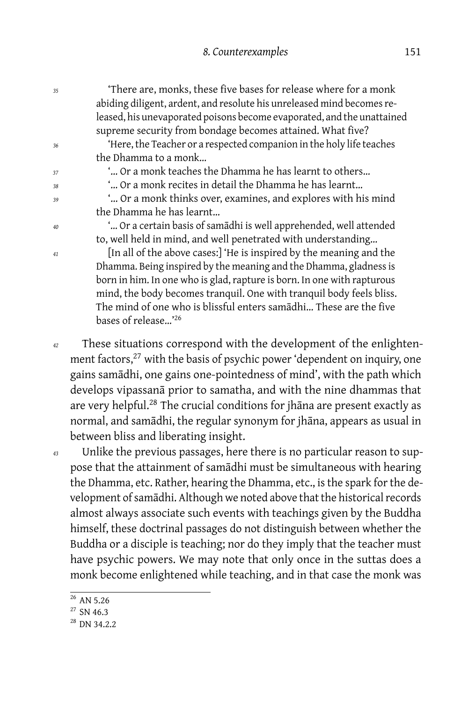| 35 | 'There are, monks, these five bases for release where for a monk<br>abiding diligent, ardent, and resolute his unreleased mind becomes re-<br>leased, his unevaporated poisons become evaporated, and the unattained |
|----|----------------------------------------------------------------------------------------------------------------------------------------------------------------------------------------------------------------------|
|    | supreme security from bondage becomes attained. What five?                                                                                                                                                           |
| 36 | 'Here, the Teacher or a respected companion in the holy life teaches                                                                                                                                                 |
|    | the Dhamma to a monk                                                                                                                                                                                                 |
| 37 | " Or a monk teaches the Dhamma he has learnt to others                                                                                                                                                               |
| 38 | " Or a monk recites in detail the Dhamma he has learnt                                                                                                                                                               |
| 39 | " Or a monk thinks over, examines, and explores with his mind                                                                                                                                                        |
|    | the Dhamma he has learnt                                                                                                                                                                                             |
| 40 | " Or a certain basis of samādhi is well apprehended, well attended                                                                                                                                                   |
|    | to, well held in mind, and well penetrated with understanding                                                                                                                                                        |
| 41 | [In all of the above cases:] 'He is inspired by the meaning and the                                                                                                                                                  |
|    | Dhamma. Being inspired by the meaning and the Dhamma, gladness is                                                                                                                                                    |
|    | born in him. In one who is glad, rapture is born. In one with rapturous                                                                                                                                              |
|    | mind, the body becomes tranquil. One with tranquil body feels bliss.                                                                                                                                                 |
|    | The mind of one who is blissful enters samādhi These are the five                                                                                                                                                    |
|    | bases of release' <sup>26</sup>                                                                                                                                                                                      |
| 42 | These situations correspond with the development of the enlighten-                                                                                                                                                   |
|    | ment factors, <sup>27</sup> with the basis of psychic power 'dependent on inquiry, one                                                                                                                               |
|    |                                                                                                                                                                                                                      |
|    | gains samādhi, one gains one-pointedness of mind', with the path which                                                                                                                                               |
|    | develops vipassanā prior to samatha, and with the nine dhammas that                                                                                                                                                  |
|    | are very helpful. <sup>28</sup> The crucial conditions for jhana are present exactly as                                                                                                                              |
|    | normal, and samādhi, the regular synonym for jhāna, appears as usual in                                                                                                                                              |

*<sup>43</sup>* Unlike the previous passages, here there is no particular reason to suppose that the attainment of samādhi must be simultaneous with hearing the Dhamma, etc. Rather, hearing the Dhamma, etc., is the spark for the development of samādhi. Although we noted above that the historical records almost always associate such events with teachings given by the Buddha himself, these doctrinal passages do not distinguish between whether the Buddha or a disciple is teaching; nor do they imply that the teacher must have psychic powers. We may note that only once in the suttas does a monk become enlightened while teaching, and in that case the monk was

between bliss and liberating insight.

 $26$  AN 5.26

 $27$  SN 46.3

<sup>28</sup> DN 34.2.2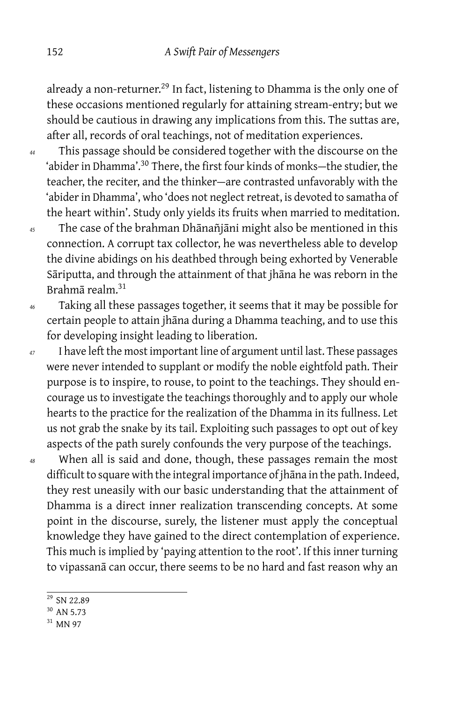already a non-returner.<sup>29</sup> In fact, listening to Dhamma is the only one of these occasions mentioned regularly for attaining stream-entry; but we should be cautious in drawing any implications from this. The suttas are, after all, records of oral teachings, not of meditation experiences.

*<sup>44</sup>* This passage should be considered together with the discourse on the 'abider in Dhamma'.<sup>30</sup> There, the first four kinds of monks-the studier, the teacher, the reciter, and the thinker — are contrasted unfavorably with the 'abider in Dhamma', who 'does not neglect retreat, is devoted to samatha of the heart within'. Study only yields its fruits when married to meditation.

- *<sup>45</sup>* The case of the brahman Dhānañjāni might also be mentioned in this connection. A corrupt tax collector, he was nevertheless able to develop the divine abidings on his deathbed through being exhorted by Venerable Sāriputta, and through the attainment of that jhāna he was reborn in the Brahmā realm.<sup>31</sup>
- *<sup>46</sup>* Taking all these passages together, it seems that it may be possible for certain people to attain jhāna during a Dhamma teaching, and to use this for developing insight leading to liberation.
- *<sup>47</sup>* I have left the most important line of argument until last. These passages were never intended to supplant or modify the noble eightfold path. Their purpose is to inspire, to rouse, to point to the teachings. They should encourage us to investigate the teachings thoroughly and to apply our whole hearts to the practice for the realization of the Dhamma in its fullness. Let us not grab the snake by its tail. Exploiting such passages to opt out of key aspects of the path surely confounds the very purpose of the teachings.
- *<sup>48</sup>* When all is said and done, though, these passages remain the most difficult to square with the integral importance of jhāna in the path. Indeed, they rest uneasily with our basic understanding that the attainment of Dhamma is a direct inner realization transcending concepts. At some point in the discourse, surely, the listener must apply the conceptual knowledge they have gained to the direct contemplation of experience. This much is implied by 'paying attention to the root'. If this inner turning to vipassanā can occur, there seems to be no hard and fast reason why an
	- <sup>29</sup> SN 22.89
	- <sup>30</sup> AN 5.73
	- <sup>31</sup> MN 97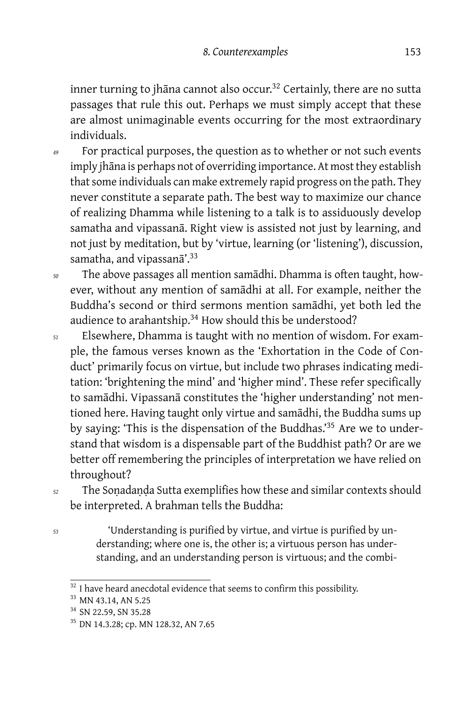inner turning to jhāna cannot also occur.<sup>32</sup> Certainly, there are no sutta passages that rule this out. Perhaps we must simply accept that these are almost unimaginable events occurring for the most extraordinary individuals.

- *<sup>49</sup>* For practical purposes, the question as to whether or not such events imply jhāna is perhaps not of overriding importance. At most they establish that some individuals can make extremely rapid progress on the path. They never constitute a separate path. The best way to maximize our chance of realizing Dhamma while listening to a talk is to assiduously develop samatha and vipassanā. Right view is assisted not just by learning, and not just by meditation, but by 'virtue, learning (or 'listening'), discussion, samatha, and vipassanā'.<sup>33</sup>
- *<sup>50</sup>* The above passages all mention samādhi. Dhamma is often taught, however, without any mention of samādhi at all. For example, neither the Buddha's second or third sermons mention samādhi, yet both led the audience to arahantship.<sup>34</sup> How should this be understood?
- *<sup>51</sup>* Elsewhere, Dhamma is taught with no mention of wisdom. For example, the famous verses known as the 'Exhortation in the Code of Conduct' primarily focus on virtue, but include two phrases indicating meditation: 'brightening the mind' and 'higher mind'. These refer specifically to samādhi. Vipassanā constitutes the 'higher understanding' not mentioned here. Having taught only virtue and samādhi, the Buddha sums up by saying: 'This is the dispensation of the Buddhas.'<sup>35</sup> Are we to understand that wisdom is a dispensable part of the Buddhist path? Or are we better off remembering the principles of interpretation we have relied on throughout?
- *<sup>52</sup>* The Soṇadaṇḍa Sutta exemplifies how these and similar contexts should be interpreted. A brahman tells the Buddha:
- 

*<sup>53</sup>* 'Understanding is purified by virtue, and virtue is purified by understanding; where one is, the other is; a virtuous person has understanding, and an understanding person is virtuous; and the combi-

 $32$  I have heard anecdotal evidence that seems to confirm this possibility.

<sup>&</sup>lt;sup>33</sup> MN 43.14, AN 5.25

<sup>&</sup>lt;sup>34</sup> SN 22.59, SN 35.28

<sup>&</sup>lt;sup>35</sup> DN 14.3.28; cp. MN 128.32, AN 7.65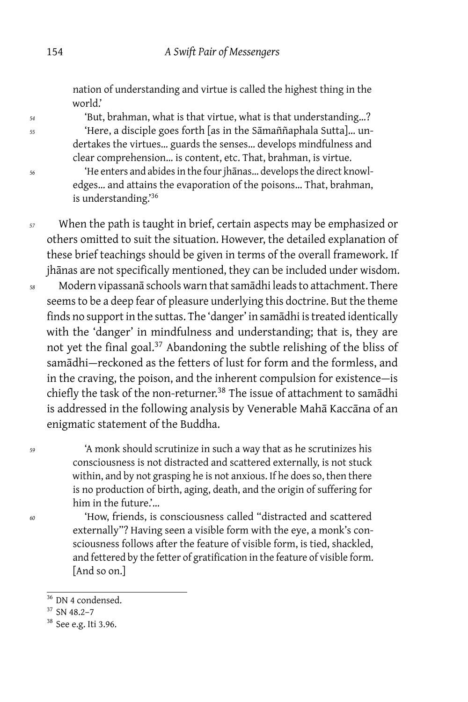nation of understanding and virtue is called the highest thing in the world.'

*<sup>54</sup>* 'But, brahman, what is that virtue, what is that understanding…? *<sup>55</sup>* 'Here, a disciple goes forth [as in the Sāmaññaphala Sutta]… undertakes the virtues… guards the senses… develops mindfulness and clear comprehension… is content, etc. That, brahman, is virtue.

*<sup>56</sup>* 'He enters and abides in the four jhānas… develops the direct knowledges… and attains the evaporation of the poisons… That, brahman, is understanding.'<sup>36</sup>

*<sup>57</sup>* When the path is taught in brief, certain aspects may be emphasized or others omitted to suit the situation. However, the detailed explanation of these brief teachings should be given in terms of the overall framework. If jhānas are not specifically mentioned, they can be included under wisdom. *<sup>58</sup>* Modern vipassanā schools warn that samādhi leads to attachment. There seems to be a deep fear of pleasure underlying this doctrine. But the theme

finds no support in the suttas. The 'danger' in samādhi is treated identically with the 'danger' in mindfulness and understanding; that is, they are not yet the final goal.<sup>37</sup> Abandoning the subtle relishing of the bliss of samādhi-reckoned as the fetters of lust for form and the formless, and in the craving, the poison, and the inherent compulsion for existence — is chiefly the task of the non-returner.<sup>38</sup> The issue of attachment to samādhi is addressed in the following analysis by Venerable Mahā Kaccāna of an enigmatic statement of the Buddha.

*<sup>59</sup>* 'A monk should scrutinize in such a way that as he scrutinizes his consciousness is not distracted and scattered externally, is not stuck within, and by not grasping he is not anxious. If he does so, then there is no production of birth, aging, death, and the origin of suffering for him in the future.'…

*<sup>60</sup>* 'How, friends, is consciousness called "distracted and scattered externally"? Having seen a visible form with the eye, a monk's consciousness follows after the feature of visible form, is tied, shackled, and fettered by the fetter of gratification in the feature of visible form. [And so on.]

<sup>&</sup>lt;sup>36</sup> DN 4 condensed.

<sup>37</sup> SN 48.2–7

<sup>38</sup> See e.g. Iti 3.96.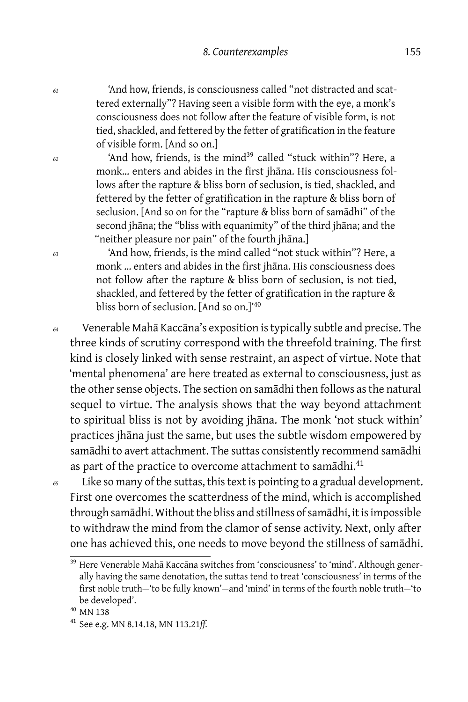*<sup>61</sup>* 'And how, friends, is consciousness called "not distracted and scattered externally"? Having seen a visible form with the eye, a monk's consciousness does not follow after the feature of visible form, is not tied, shackled, and fettered by the fetter of gratification in the feature of visible form. [And so on.]

*<sup>62</sup>* 'And how, friends, is the mind<sup>39</sup> called "stuck within"? Here, a monk… enters and abides in the first jhāna. His consciousness follows after the rapture & bliss born of seclusion, is tied, shackled, and fettered by the fetter of gratification in the rapture & bliss born of seclusion. [And so on for the "rapture & bliss born of samādhi" of the second jhāna; the "bliss with equanimity" of the third jhāna; and the "neither pleasure nor pain" of the fourth jhāna.]

*<sup>63</sup>* 'And how, friends, is the mind called "not stuck within"? Here, a monk … enters and abides in the first jhāna. His consciousness does not follow after the rapture & bliss born of seclusion, is not tied, shackled, and fettered by the fetter of gratification in the rapture & bliss born of seclusion. [And so on.]'<sup>40</sup>

*<sup>64</sup>* Venerable Mahā Kaccāna's exposition is typically subtle and precise. The three kinds of scrutiny correspond with the threefold training. The first kind is closely linked with sense restraint, an aspect of virtue. Note that 'mental phenomena' are here treated as external to consciousness, just as the other sense objects. The section on samādhi then follows as the natural sequel to virtue. The analysis shows that the way beyond attachment to spiritual bliss is not by avoiding jhāna. The monk 'not stuck within' practices jhāna just the same, but uses the subtle wisdom empowered by samādhi to avert attachment. The suttas consistently recommend samādhi as part of the practice to overcome attachment to samādhi.<sup>41</sup>

*<sup>65</sup>* Like so many of the suttas, this text is pointing to a gradual development. First one overcomes the scatterdness of the mind, which is accomplished through samādhi. Without the bliss and stillness of samādhi, it is impossible to withdraw the mind from the clamor of sense activity. Next, only after one has achieved this, one needs to move beyond the stillness of samādhi.

<sup>&</sup>lt;sup>39</sup> Here Venerable Mahā Kaccāna switches from 'consciousness' to 'mind'. Although generally having the same denotation, the suttas tend to treat 'consciousness' in terms of the first noble truth-'to be fully known'-and 'mind' in terms of the fourth noble truth-'to be developed'.

<sup>40</sup> MN 138

<sup>41</sup> See e.g. MN 8.14.18, MN 113.21*ff.*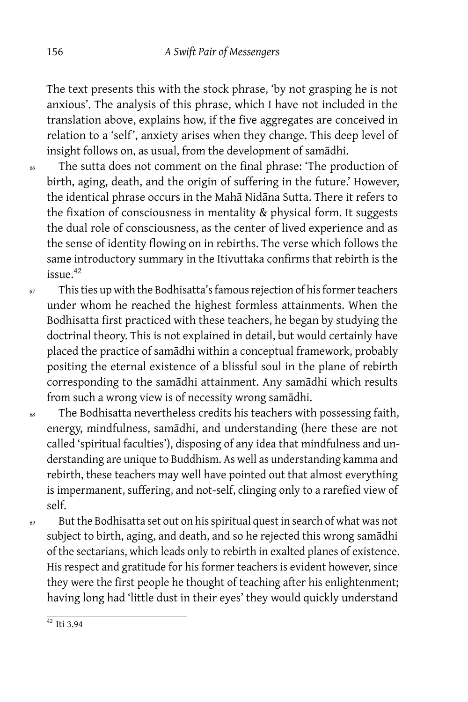The text presents this with the stock phrase, 'by not grasping he is not anxious'. The analysis of this phrase, which I have not included in the translation above, explains how, if the five aggregates are conceived in relation to a 'self', anxiety arises when they change. This deep level of insight follows on, as usual, from the development of samādhi.

- *<sup>66</sup>* The sutta does not comment on the final phrase: 'The production of birth, aging, death, and the origin of suffering in the future.' However, the identical phrase occurs in the Mahā Nidāna Sutta. There it refers to the fixation of consciousness in mentality & physical form. It suggests the dual role of consciousness, as the center of lived experience and as the sense of identity flowing on in rebirths. The verse which follows the same introductory summary in the Itivuttaka confirms that rebirth is the issue.<sup>42</sup>
- *<sup>67</sup>* This ties up with the Bodhisatta's famous rejection of his former teachers under whom he reached the highest formless attainments. When the Bodhisatta first practiced with these teachers, he began by studying the doctrinal theory. This is not explained in detail, but would certainly have placed the practice of samādhi within a conceptual framework, probably positing the eternal existence of a blissful soul in the plane of rebirth corresponding to the samādhi attainment. Any samādhi which results from such a wrong view is of necessity wrong samādhi.
- *<sup>68</sup>* The Bodhisatta nevertheless credits his teachers with possessing faith, energy, mindfulness, samādhi, and understanding (here these are not called 'spiritual faculties'), disposing of any idea that mindfulness and understanding are unique to Buddhism. As well as understanding kamma and rebirth, these teachers may well have pointed out that almost everything is impermanent, suffering, and not-self, clinging only to a rarefied view of self.
- *<sup>69</sup>* But the Bodhisatta set out on his spiritual quest in search of what was not subject to birth, aging, and death, and so he rejected this wrong samādhi of the sectarians, which leads only to rebirth in exalted planes of existence. His respect and gratitude for his former teachers is evident however, since they were the first people he thought of teaching after his enlightenment; having long had 'little dust in their eyes' they would quickly understand

 $42$  Iti 3.94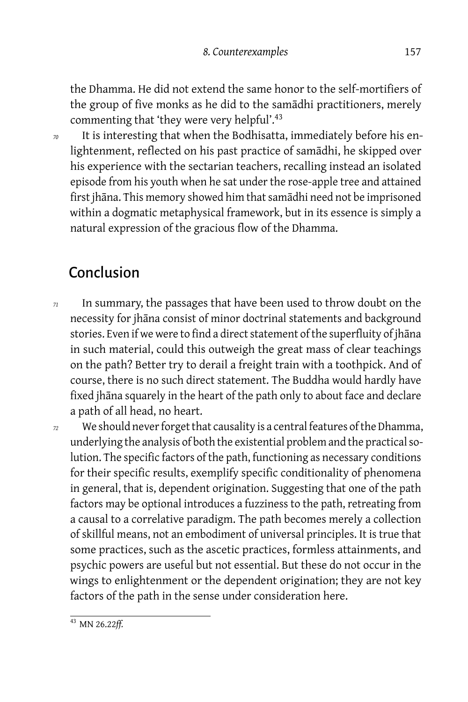the Dhamma. He did not extend the same honor to the self-mortifiers of the group of five monks as he did to the samādhi practitioners, merely commenting that 'they were very helpful'.<sup>43</sup>

*<sup>70</sup>* It is interesting that when the Bodhisatta, immediately before his enlightenment, reflected on his past practice of samādhi, he skipped over his experience with the sectarian teachers, recalling instead an isolated episode from his youth when he sat under the rose-apple tree and attained first jhāna. This memory showed him that samādhi need not be imprisoned within a dogmatic metaphysical framework, but in its essence is simply a natural expression of the gracious flow of the Dhamma.

### Conclusion

- *<sup>71</sup>* In summary, the passages that have been used to throw doubt on the necessity for jhāna consist of minor doctrinal statements and background stories. Even if we were to find a direct statement of the superfluity of jhāna in such material, could this outweigh the great mass of clear teachings on the path? Better try to derail a freight train with a toothpick. And of course, there is no such direct statement. The Buddha would hardly have fixed jhāna squarely in the heart of the path only to about face and declare a path of all head, no heart.
- *<sup>72</sup>* We should never forget that causality is a central features of the Dhamma, underlying the analysis of both the existential problem and the practical solution. The specific factors of the path, functioning as necessary conditions for their specific results, exemplify specific conditionality of phenomena in general, that is, dependent origination. Suggesting that one of the path factors may be optional introduces a fuzziness to the path, retreating from a causal to a correlative paradigm. The path becomes merely a collection of skillful means, not an embodiment of universal principles. It is true that some practices, such as the ascetic practices, formless attainments, and psychic powers are useful but not essential. But these do not occur in the wings to enlightenment or the dependent origination; they are not key factors of the path in the sense under consideration here.

<sup>43</sup> MN 26.22*ff.*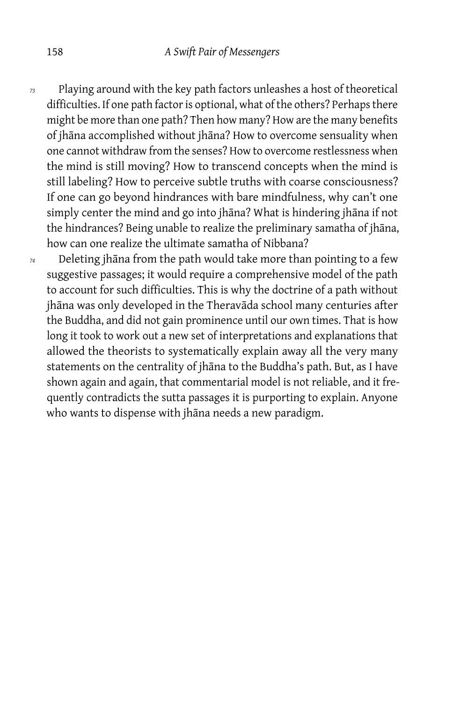- *<sup>73</sup>* Playing around with the key path factors unleashes a host of theoretical difficulties. If one path factor is optional, what of the others? Perhaps there might be more than one path? Then how many? How are the many benefits of jhāna accomplished without jhāna? How to overcome sensuality when one cannot withdraw from the senses? How to overcome restlessness when the mind is still moving? How to transcend concepts when the mind is still labeling? How to perceive subtle truths with coarse consciousness? If one can go beyond hindrances with bare mindfulness, why can't one simply center the mind and go into jhāna? What is hindering jhāna if not the hindrances? Being unable to realize the preliminary samatha of jhāna, how can one realize the ultimate samatha of Nibbana?
- *<sup>74</sup>* Deleting jhāna from the path would take more than pointing to a few suggestive passages; it would require a comprehensive model of the path to account for such difficulties. This is why the doctrine of a path without jhāna was only developed in the Theravāda school many centuries after the Buddha, and did not gain prominence until our own times. That is how long it took to work out a new set of interpretations and explanations that allowed the theorists to systematically explain away all the very many statements on the centrality of jhāna to the Buddha's path. But, as I have shown again and again, that commentarial model is not reliable, and it frequently contradicts the sutta passages it is purporting to explain. Anyone who wants to dispense with jhāna needs a new paradigm.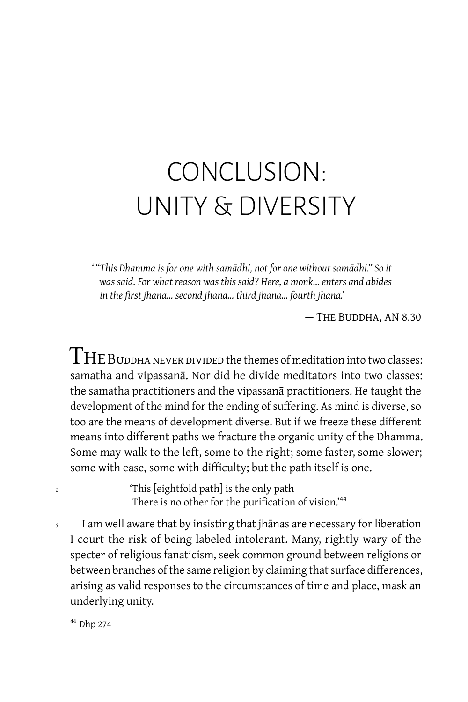# CONCLUSION: UNITY & DIVERSITY

*' "This Dhamma is for one with samādhi, not for one without samādhi." So it was said. For what reason was this said? Here, a monk… enters and abides in the first jhāna… second jhāna… third jhāna… fourth jhāna.'*

— The Buddha, AN 8.30

 $\rm{THE}$  BUDDHA NEVER DIVIDED the themes of meditation into two classes: samatha and vipassanā. Nor did he divide meditators into two classes: the samatha practitioners and the vipassanā practitioners. He taught the development of the mind for the ending of suffering. As mind is diverse, so too are the means of development diverse. But if we freeze these different means into different paths we fracture the organic unity of the Dhamma. Some may walk to the left, some to the right; some faster, some slower; some with ease, some with difficulty; but the path itself is one.

*<sup>2</sup>* 'This [eightfold path] is the only path There is no other for the purification of vision.'<sup>44</sup>

*<sup>3</sup>* I am well aware that by insisting that jhānas are necessary for liberation I court the risk of being labeled intolerant. Many, rightly wary of the specter of religious fanaticism, seek common ground between religions or between branches of the same religion by claiming that surface differences, arising as valid responses to the circumstances of time and place, mask an underlying unity.

 $44$  Dhp 274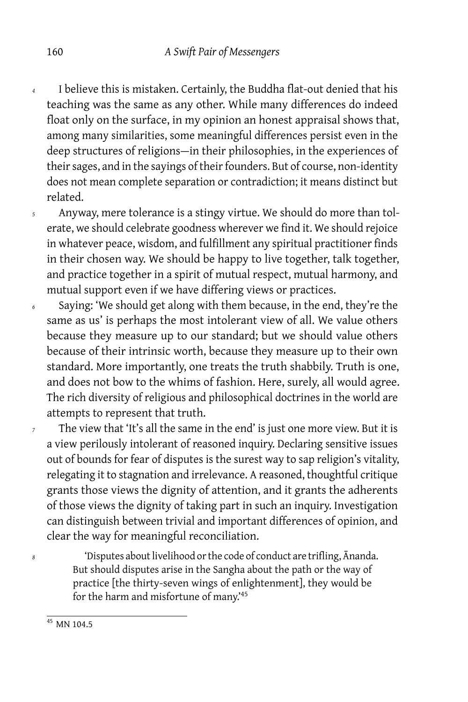- *<sup>4</sup>* I believe this is mistaken. Certainly, the Buddha flat-out denied that his teaching was the same as any other. While many differences do indeed float only on the surface, in my opinion an honest appraisal shows that, among many similarities, some meaningful differences persist even in the deep structures of religions-in their philosophies, in the experiences of their sages, and in the sayings of their founders. But of course, non-identity does not mean complete separation or contradiction; it means distinct but related.
- *<sup>5</sup>* Anyway, mere tolerance is a stingy virtue. We should do more than tolerate, we should celebrate goodness wherever we find it. We should rejoice in whatever peace, wisdom, and fulfillment any spiritual practitioner finds in their chosen way. We should be happy to live together, talk together, and practice together in a spirit of mutual respect, mutual harmony, and mutual support even if we have differing views or practices.
- *<sup>6</sup>* Saying: 'We should get along with them because, in the end, they're the same as us' is perhaps the most intolerant view of all. We value others because they measure up to our standard; but we should value others because of their intrinsic worth, because they measure up to their own standard. More importantly, one treats the truth shabbily. Truth is one, and does not bow to the whims of fashion. Here, surely, all would agree. The rich diversity of religious and philosophical doctrines in the world are attempts to represent that truth.
- *<sup>7</sup>* The view that 'It's all the same in the end' is just one more view. But it is a view perilously intolerant of reasoned inquiry. Declaring sensitive issues out of bounds for fear of disputes is the surest way to sap religion's vitality, relegating it to stagnation and irrelevance. A reasoned, thoughtful critique grants those views the dignity of attention, and it grants the adherents of those views the dignity of taking part in such an inquiry. Investigation can distinguish between trivial and important differences of opinion, and clear the way for meaningful reconciliation.

*<sup>8</sup>* 'Disputes about livelihood or the code of conduct are trifling, Ānanda. But should disputes arise in the Sangha about the path or the way of practice [the thirty-seven wings of enlightenment], they would be for the harm and misfortune of many.'<sup>45</sup>

<sup>&</sup>lt;sup>45</sup> MN 104.5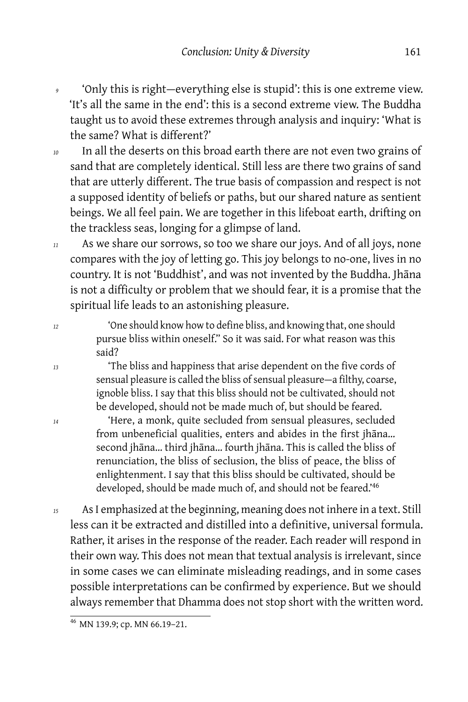- 'Only this is right-everything else is stupid': this is one extreme view. 'It's all the same in the end': this is a second extreme view. The Buddha taught us to avoid these extremes through analysis and inquiry: 'What is the same? What is different?'
- *<sup>10</sup>* In all the deserts on this broad earth there are not even two grains of sand that are completely identical. Still less are there two grains of sand that are utterly different. The true basis of compassion and respect is not a supposed identity of beliefs or paths, but our shared nature as sentient beings. We all feel pain. We are together in this lifeboat earth, drifting on the trackless seas, longing for a glimpse of land.
- *<sup>11</sup>* As we share our sorrows, so too we share our joys. And of all joys, none compares with the joy of letting go. This joy belongs to no-one, lives in no country. It is not 'Buddhist', and was not invented by the Buddha. Jhāna is not a difficulty or problem that we should fear, it is a promise that the spiritual life leads to an astonishing pleasure.
- *<sup>12</sup>* 'One should know how to define bliss, and knowing that, one should pursue bliss within oneself." So it was said. For what reason was this said?
- *<sup>13</sup>* 'The bliss and happiness that arise dependent on the five cords of sensual pleasure is called the bliss of sensual pleasure-a filthy, coarse, ignoble bliss. I say that this bliss should not be cultivated, should not be developed, should not be made much of, but should be feared.
- *<sup>14</sup>* 'Here, a monk, quite secluded from sensual pleasures, secluded from unbeneficial qualities, enters and abides in the first jhāna… second jhāna… third jhāna… fourth jhāna. This is called the bliss of renunciation, the bliss of seclusion, the bliss of peace, the bliss of enlightenment. I say that this bliss should be cultivated, should be developed, should be made much of, and should not be feared.'<sup>46</sup>
- *<sup>15</sup>* As I emphasized at the beginning, meaning does not inhere in a text. Still less can it be extracted and distilled into a definitive, universal formula. Rather, it arises in the response of the reader. Each reader will respond in their own way. This does not mean that textual analysis is irrelevant, since in some cases we can eliminate misleading readings, and in some cases possible interpretations can be confirmed by experience. But we should always remember that Dhamma does not stop short with the written word.

<sup>46</sup> MN 139.9; cp. MN 66.19–21.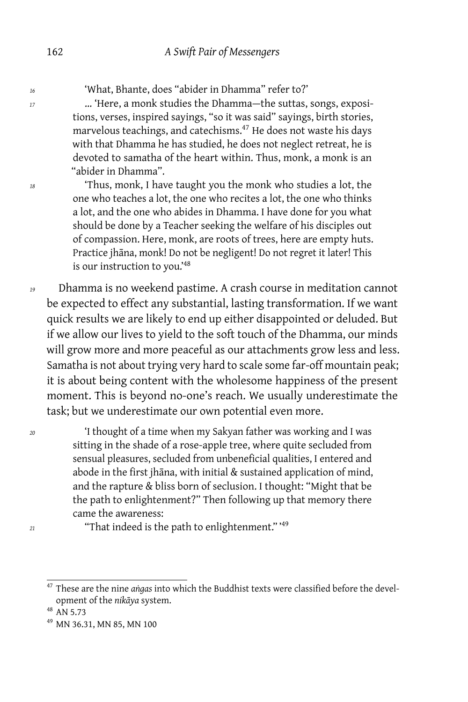*<sup>16</sup>* 'What, Bhante, does "abider in Dhamma" refer to?'

*<sup>17</sup>* … 'Here, a monk studies the Dhamma — the suttas, songs, expositions, verses, inspired sayings, "so it was said" sayings, birth stories, marvelous teachings, and catechisms.<sup>47</sup> He does not waste his days with that Dhamma he has studied, he does not neglect retreat, he is devoted to samatha of the heart within. Thus, monk, a monk is an "abider in Dhamma".

*<sup>18</sup>* 'Thus, monk, I have taught you the monk who studies a lot, the one who teaches a lot, the one who recites a lot, the one who thinks a lot, and the one who abides in Dhamma. I have done for you what should be done by a Teacher seeking the welfare of his disciples out of compassion. Here, monk, are roots of trees, here are empty huts. Practice jhāna, monk! Do not be negligent! Do not regret it later! This is our instruction to you.'<sup>48</sup>

*<sup>19</sup>* Dhamma is no weekend pastime. A crash course in meditation cannot be expected to effect any substantial, lasting transformation. If we want quick results we are likely to end up either disappointed or deluded. But if we allow our lives to yield to the soft touch of the Dhamma, our minds will grow more and more peaceful as our attachments grow less and less. Samatha is not about trying very hard to scale some far-off mountain peak; it is about being content with the wholesome happiness of the present moment. This is beyond no-one's reach. We usually underestimate the task; but we underestimate our own potential even more.

*<sup>20</sup>* 'I thought of a time when my Sakyan father was working and I was sitting in the shade of a rose-apple tree, where quite secluded from sensual pleasures, secluded from unbeneficial qualities, I entered and abode in the first jhāna, with initial & sustained application of mind, and the rapture & bliss born of seclusion. I thought: "Might that be the path to enlightenment?" Then following up that memory there came the awareness:

*<sup>21</sup>* "That indeed is the path to enlightenment." '<sup>49</sup>

<sup>47</sup> These are the nine *aṅgas* into which the Buddhist texts were classified before the development of the *nikāya* system.

 $48$  AN 5.73

<sup>49</sup> MN 36.31, MN 85, MN 100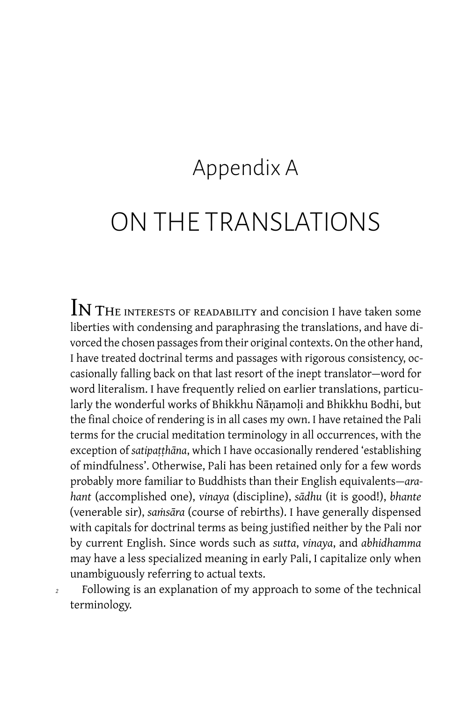### Appendix A

## ON THE TRANSLATIONS

 $\operatorname{IN}$  THE INTERESTS OF READABILITY and concision I have taken some liberties with condensing and paraphrasing the translations, and have divorced the chosen passages from their original contexts. On the other hand, I have treated doctrinal terms and passages with rigorous consistency, occasionally falling back on that last resort of the inept translator — word for word literalism. I have frequently relied on earlier translations, particularly the wonderful works of Bhikkhu Ñāṇamoḷi and Bhikkhu Bodhi, but the final choice of rendering is in all cases my own. I have retained the Pali terms for the crucial meditation terminology in all occurrences, with the exception of *satipaṭṭhāna*, which I have occasionally rendered 'establishing of mindfulness'. Otherwise, Pali has been retained only for a few words probably more familiar to Buddhists than their English equivalents — *arahant* (accomplished one), *vinaya* (discipline), *sādhu* (it is good!), *bhante* (venerable sir), *saṁsāra* (course of rebirths). I have generally dispensed with capitals for doctrinal terms as being justified neither by the Pali nor by current English. Since words such as *sutta*, *vinaya*, and *abhidhamma* may have a less specialized meaning in early Pali, I capitalize only when unambiguously referring to actual texts.

*<sup>2</sup>* Following is an explanation of my approach to some of the technical terminology.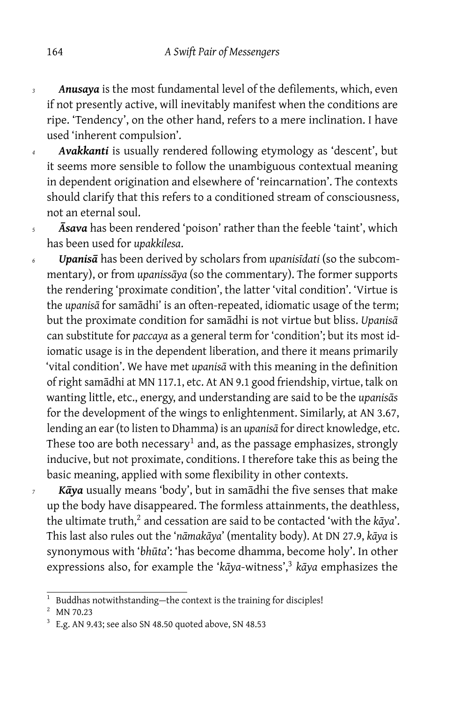- *<sup>3</sup> Anusaya* is the most fundamental level of the defilements, which, even if not presently active, will inevitably manifest when the conditions are ripe. 'Tendency', on the other hand, refers to a mere inclination. I have used 'inherent compulsion'.
- *<sup>4</sup> Avakkanti* is usually rendered following etymology as 'descent', but it seems more sensible to follow the unambiguous contextual meaning in dependent origination and elsewhere of 'reincarnation'. The contexts should clarify that this refers to a conditioned stream of consciousness, not an eternal soul.
- *<sup>5</sup> Āsava* has been rendered 'poison' rather than the feeble 'taint', which has been used for *upakkilesa*.
- *<sup>6</sup> Upanisā* has been derived by scholars from *upanisīdati* (so the subcommentary), or from *upanissāya* (so the commentary). The former supports the rendering 'proximate condition', the latter 'vital condition'. 'Virtue is the *upanisā* for samādhi' is an often-repeated, idiomatic usage of the term; but the proximate condition for samādhi is not virtue but bliss. *Upanisā* can substitute for *paccaya* as a general term for 'condition'; but its most idiomatic usage is in the dependent liberation, and there it means primarily 'vital condition'. We have met *upanisā* with this meaning in the definition of right samādhi at MN 117.1, etc. At AN 9.1 good friendship, virtue, talk on wanting little, etc., energy, and understanding are said to be the *upanisās* for the development of the wings to enlightenment. Similarly, at AN 3.67, lending an ear (to listen to Dhamma) is an *upanisā* for direct knowledge, etc. These too are both necessary $^1$  and, as the passage emphasizes, strongly inducive, but not proximate, conditions. I therefore take this as being the basic meaning, applied with some flexibility in other contexts.
- *<sup>7</sup> Kāya* usually means 'body', but in samādhi the five senses that make up the body have disappeared. The formless attainments, the deathless, the ultimate truth,<sup>2</sup> and cessation are said to be contacted 'with the kāya'. This last also rules out the '*nāmakāya*' (mentality body). At DN 27.9, *kāya* is synonymous with '*bhūta*': 'has become dhamma, become holy'. In other expressions also, for example the '*kāya*-witness',<sup>3</sup> *kāya* emphasizes the

<sup>&</sup>lt;sup>1</sup> Buddhas notwithstanding-the context is the training for disciples!

<sup>2</sup> MN 70.23

 $3$  E.g. AN 9.43; see also SN 48.50 quoted above, SN 48.53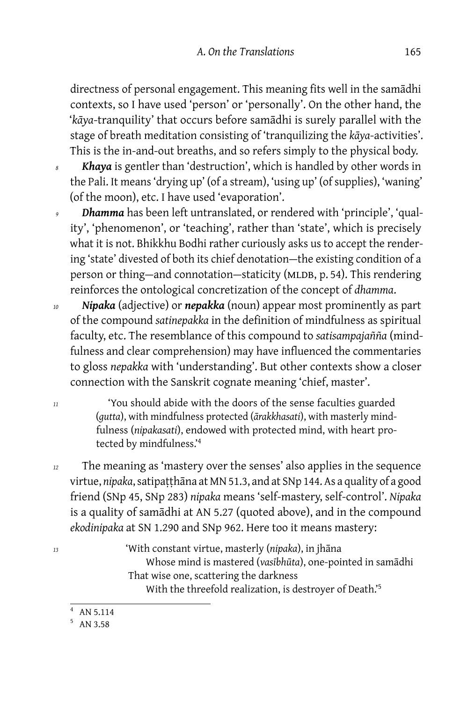directness of personal engagement. This meaning fits well in the samādhi contexts, so I have used 'person' or 'personally'. On the other hand, the '*kāya*-tranquility' that occurs before samādhi is surely parallel with the stage of breath meditation consisting of 'tranquilizing the *kāya*-activities'. This is the in-and-out breaths, and so refers simply to the physical body.

- *<sup>8</sup> Khaya* is gentler than 'destruction', which is handled by other words in the Pali. It means 'drying up' (of a stream), 'using up' (of supplies), 'waning' (of the moon), etc. I have used 'evaporation'.
- *<sup>9</sup> Dhamma* has been left untranslated, or rendered with 'principle', 'quality', 'phenomenon', or 'teaching', rather than 'state', which is precisely what it is not. Bhikkhu Bodhi rather curiously asks us to accept the rendering 'state' divested of both its chief denotation — the existing condition of a person or thing—and connotation—staticity (MLDB, p. 54). This rendering reinforces the ontological concretization of the concept of *dhamma*.
- *<sup>10</sup> Nipaka* (adjective) or *nepakka* (noun) appear most prominently as part of the compound *satinepakka* in the definition of mindfulness as spiritual faculty, etc. The resemblance of this compound to *satisampajañña* (mindfulness and clear comprehension) may have influenced the commentaries to gloss *nepakka* with 'understanding'. But other contexts show a closer connection with the Sanskrit cognate meaning 'chief, master'.
- *<sup>11</sup>* 'You should abide with the doors of the sense faculties guarded (*gutta*), with mindfulness protected (*ārakkhasati*), with masterly mindfulness (*nipakasati*), endowed with protected mind, with heart protected by mindfulness.'<sup>4</sup>
- <sup>12</sup> The meaning as 'mastery over the senses' also applies in the sequence virtue, *nipaka*, satipaṭṭhāna at MN 51.3, and at SNp 144. As a quality of a good friend (SNp 45, SNp 283) *nipaka* means 'self-mastery, self-control'. *Nipaka* is a quality of samādhi at AN 5.27 (quoted above), and in the compound *ekodinipaka* at SN 1.290 and SNp 962. Here too it means mastery:
- *<sup>13</sup>* 'With constant virtue, masterly (*nipaka*), in jhāna Whose mind is mastered (*vasībhūta*), one-pointed in samādhi That wise one, scattering the darkness With the threefold realization, is destroyer of Death.'<sup>5</sup>

<sup>4</sup> AN 5.114

<sup>5</sup> AN 3.58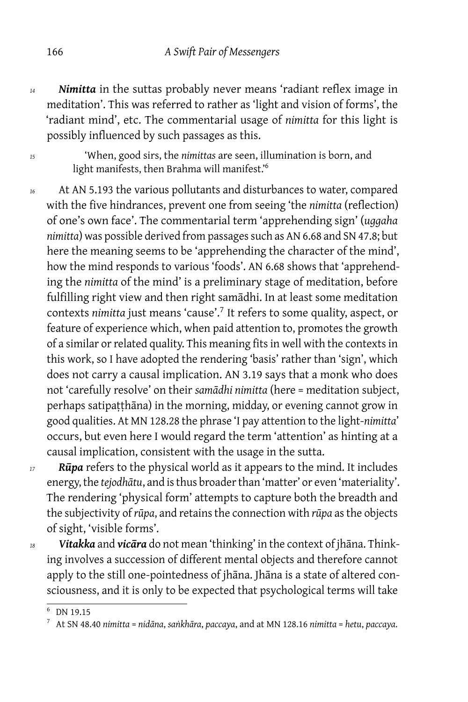- *<sup>14</sup> Nimitta* in the suttas probably never means 'radiant reflex image in meditation'. This was referred to rather as 'light and vision of forms', the 'radiant mind', etc. The commentarial usage of *nimitta* for this light is possibly influenced by such passages as this.
- *<sup>15</sup>* 'When, good sirs, the *nimittas* are seen, illumination is born, and light manifests, then Brahma will manifest.'<sup>6</sup>
- *<sup>16</sup>* At AN 5.193 the various pollutants and disturbances to water, compared with the five hindrances, prevent one from seeing 'the *nimitta* (reflection) of one's own face'. The commentarial term 'apprehending sign' (*uggaha nimitta*) was possible derived from passages such as AN 6.68 and SN 47.8; but here the meaning seems to be 'apprehending the character of the mind', how the mind responds to various 'foods'. AN 6.68 shows that 'apprehending the *nimitta* of the mind' is a preliminary stage of meditation, before fulfilling right view and then right samādhi. In at least some meditation contexts *nimitta* just means 'cause'.<sup>7</sup> It refers to some quality, aspect, or feature of experience which, when paid attention to, promotes the growth of a similar or related quality. This meaning fits in well with the contexts in this work, so I have adopted the rendering 'basis' rather than 'sign', which does not carry a causal implication. AN 3.19 says that a monk who does not 'carefully resolve' on their *samādhi nimitta* (here = meditation subject, perhaps satipaṭṭhāna) in the morning, midday, or evening cannot grow in good qualities. At MN 128.28 the phrase 'I pay attention to the light-*nimitta*' occurs, but even here I would regard the term 'attention' as hinting at a causal implication, consistent with the usage in the sutta.
- *<sup>17</sup> Rūpa* refers to the physical world as it appears to the mind. It includes energy, the *tejodhātu*, and is thus broader than 'matter' or even 'materiality'. The rendering 'physical form' attempts to capture both the breadth and the subjectivity of *rūpa*, and retains the connection with *rūpa* as the objects of sight, 'visible forms'.
- *<sup>18</sup> Vitakka* and *vicāra* do not mean 'thinking' in the context of jhāna. Thinking involves a succession of different mental objects and therefore cannot apply to the still one-pointedness of jhāna. Jhāna is a state of altered consciousness, and it is only to be expected that psychological terms will take

 $6$  DN 19.15

<sup>7</sup> At SN 48.40 *nimitta* = *nidāna*, *saṅkhāra*, *paccaya*, and at MN 128.16 *nimitta* = *hetu*, *paccaya*.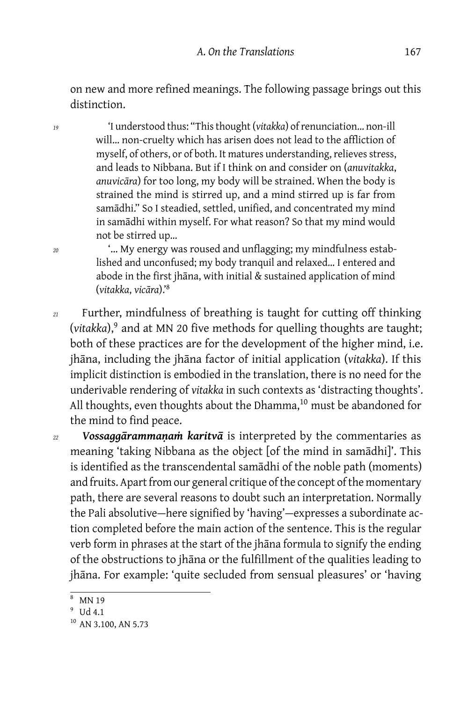on new and more refined meanings. The following passage brings out this distinction.

*<sup>19</sup>* 'I understood thus: "This thought (*vitakka*) of renunciation… non-ill will… non-cruelty which has arisen does not lead to the affliction of myself, of others, or of both. It matures understanding, relieves stress, and leads to Nibbana. But if I think on and consider on (*anuvitakka*, *anuvicāra*) for too long, my body will be strained. When the body is strained the mind is stirred up, and a mind stirred up is far from samādhi." So I steadied, settled, unified, and concentrated my mind in samādhi within myself. For what reason? So that my mind would not be stirred up…

*<sup>20</sup>* '… My energy was roused and unflagging; my mindfulness established and unconfused; my body tranquil and relaxed… I entered and abode in the first jhāna, with initial & sustained application of mind (*vitakka*, *vicāra*).'<sup>8</sup>

- *<sup>21</sup>* Further, mindfulness of breathing is taught for cutting off thinking (vitakka),<sup>9</sup> and at MN 20 five methods for quelling thoughts are taught; both of these practices are for the development of the higher mind, i.e. jhāna, including the jhāna factor of initial application (*vitakka*). If this implicit distinction is embodied in the translation, there is no need for the underivable rendering of *vitakka* in such contexts as 'distracting thoughts'. All thoughts, even thoughts about the Dhamma, $10$  must be abandoned for the mind to find peace.
- *<sup>22</sup> Vossaggārammaṇaṁ karitvā* is interpreted by the commentaries as meaning 'taking Nibbana as the object [of the mind in samādhi]'. This is identified as the transcendental samādhi of the noble path (moments) and fruits. Apart from our general critique of the concept of the momentary path, there are several reasons to doubt such an interpretation. Normally the Pali absolutive — here signified by 'having' — expresses a subordinate action completed before the main action of the sentence. This is the regular verb form in phrases at the start of the jhāna formula to signify the ending of the obstructions to jhāna or the fulfillment of the qualities leading to jhāna. For example: 'quite secluded from sensual pleasures' or 'having

MN 19

<sup>&</sup>lt;sup>9</sup> Ud 4.1

<sup>&</sup>lt;sup>10</sup> AN 3.100, AN 5.73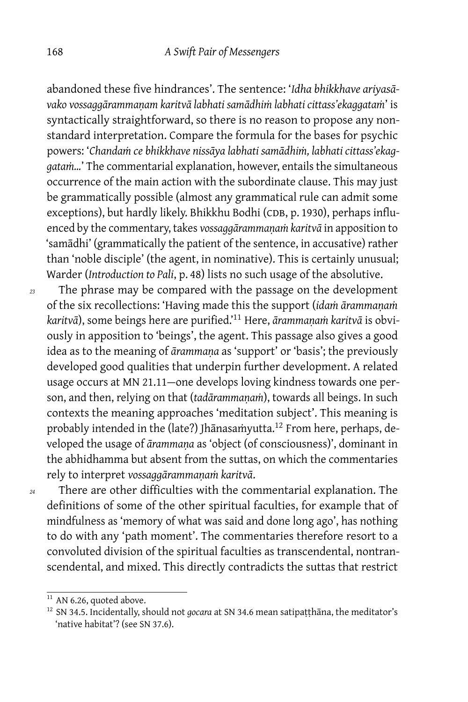abandoned these five hindrances'. The sentence: '*Idha bhikkhave ariyasāvako vossaggārammaṇam karitvā labhati samādhiṁ labhati cittass'ekaggataṁ*' is syntactically straightforward, so there is no reason to propose any nonstandard interpretation. Compare the formula for the bases for psychic powers: '*Chandaṁ ce bhikkhave nissāya labhati samādhiṁ, labhati cittass'ekaggataṁ…*' The commentarial explanation, however, entails the simultaneous occurrence of the main action with the subordinate clause. This may just be grammatically possible (almost any grammatical rule can admit some exceptions), but hardly likely. Bhikkhu Bodhi (CDB, p. 1930), perhaps influenced by the commentary, takes *vossaggārammanam karitvā* in apposition to 'samādhi' (grammatically the patient of the sentence, in accusative) rather than 'noble disciple' (the agent, in nominative). This is certainly unusual; Warder (*Introduction to Pali*, p. 48) lists no such usage of the absolutive.

*<sup>23</sup>* The phrase may be compared with the passage on the development of the six recollections: 'Having made this the support (*idaṁ ārammaṇaṁ karitvā*), some beings here are purified.'<sup>11</sup> Here, *ārammaṇaṁ karitvā* is obviously in apposition to 'beings', the agent. This passage also gives a good idea as to the meaning of *ārammaṇa* as 'support' or 'basis'; the previously developed good qualities that underpin further development. A related usage occurs at MN 21.11-one develops loving kindness towards one person, and then, relying on that (*tadārammaṇaṁ*), towards all beings. In such contexts the meaning approaches 'meditation subject'. This meaning is probably intended in the (late?) Jhānasaṁyutta.<sup>12</sup> From here, perhaps, developed the usage of *ārammaṇa* as 'object (of consciousness)', dominant in the abhidhamma but absent from the suttas, on which the commentaries rely to interpret *vossaggārammaṇaṁ karitvā*.

*<sup>24</sup>* There are other difficulties with the commentarial explanation. The definitions of some of the other spiritual faculties, for example that of mindfulness as 'memory of what was said and done long ago', has nothing to do with any 'path moment'. The commentaries therefore resort to a convoluted division of the spiritual faculties as transcendental, nontranscendental, and mixed. This directly contradicts the suttas that restrict

 $11$  AN 6.26, quoted above.

<sup>&</sup>lt;sup>12</sup> SN 34.5. Incidentally, should not *gocara* at SN 34.6 mean satipatthāna, the meditator's 'native habitat'? (see SN 37.6).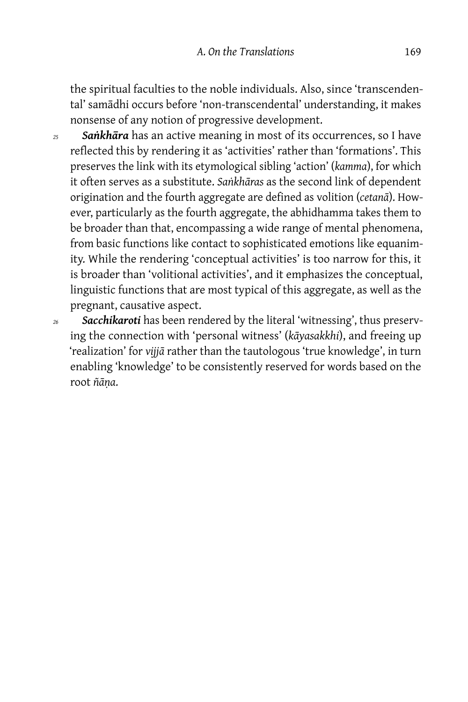the spiritual faculties to the noble individuals. Also, since 'transcendental' samādhi occurs before 'non-transcendental' understanding, it makes nonsense of any notion of progressive development.

- *<sup>25</sup> Saṅkhāra* has an active meaning in most of its occurrences, so I have reflected this by rendering it as 'activities' rather than 'formations'. This preserves the link with its etymological sibling 'action' (*kamma*), for which it often serves as a substitute. *Saṅkhāras* as the second link of dependent origination and the fourth aggregate are defined as volition (*cetanā*). However, particularly as the fourth aggregate, the abhidhamma takes them to be broader than that, encompassing a wide range of mental phenomena, from basic functions like contact to sophisticated emotions like equanimity. While the rendering 'conceptual activities' is too narrow for this, it is broader than 'volitional activities', and it emphasizes the conceptual, linguistic functions that are most typical of this aggregate, as well as the pregnant, causative aspect.
- *<sup>26</sup> Sacchikaroti* has been rendered by the literal 'witnessing', thus preserving the connection with 'personal witness' (*kāyasakkhi*), and freeing up 'realization' for *vijjā* rather than the tautologous 'true knowledge', in turn enabling 'knowledge' to be consistently reserved for words based on the root *ñāṇa*.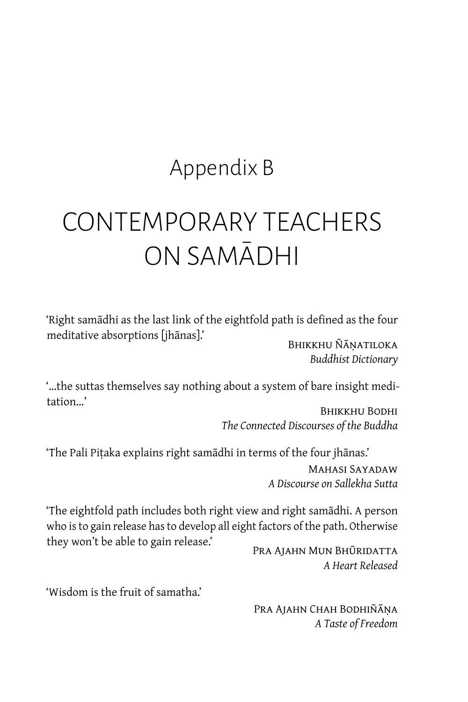### Appendix B

# CONTEMPORARY TEACHERS ON SAMĀDHI

'Right samādhi as the last link of the eightfold path is defined as the four meditative absorptions [jhānas].' BHIKKHU ÑĀNATILOKA

*Buddhist Dictionary*

'…the suttas themselves say nothing about a system of bare insight meditation…'

Bhikkhu Bodhi *The Connected Discourses of the Buddha*

'The Pali Piṭaka explains right samādhi in terms of the four jhānas.' Mahasi Sayadaw *A Discourse on Sallekha Sutta*

'The eightfold path includes both right view and right samādhi. A person who is to gain release has to develop all eight factors of the path. Otherwise they won't be able to gain release.'

Pra Ajahn Mun Bhūridatta *A Heart Released*

'Wisdom is the fruit of samatha.'

PRA AJAHN CHAH BODHIÑĀŅA *A Taste of Freedom*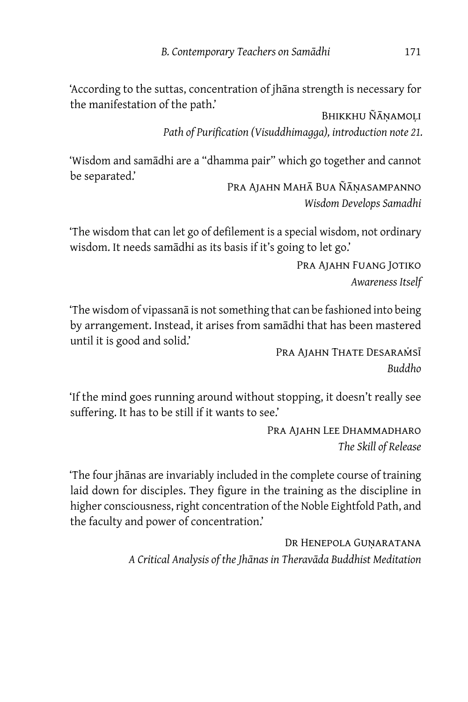'According to the suttas, concentration of jhāna strength is necessary for the manifestation of the path.'

Bhikkhu Ñāṇamoḷi *Path of Purification (Visuddhimagga), introduction note 21.*

'Wisdom and samādhi are a "dhamma pair" which go together and cannot be separated.'

Pra Ajahn Mahā Bua Ñāṇasampanno *Wisdom Develops Samadhi*

'The wisdom that can let go of defilement is a special wisdom, not ordinary wisdom. It needs samādhi as its basis if it's going to let go.'

> Pra Ajahn Fuang Jotiko *Awareness Itself*

'The wisdom of vipassanā is not something that can be fashioned into being by arrangement. Instead, it arises from samādhi that has been mastered until it is good and solid.'

PRA AJAHN THATE DESARAMSĪ *Buddho*

'If the mind goes running around without stopping, it doesn't really see suffering. It has to be still if it wants to see.'

> Pra Ajahn Lee Dhammadharo *The Skill of Release*

'The four jhānas are invariably included in the complete course of training laid down for disciples. They figure in the training as the discipline in higher consciousness, right concentration of the Noble Eightfold Path, and the faculty and power of concentration.'

> Dr Henepola Guṇaratana *A Critical Analysis of the Jhānas in Theravāda Buddhist Meditation*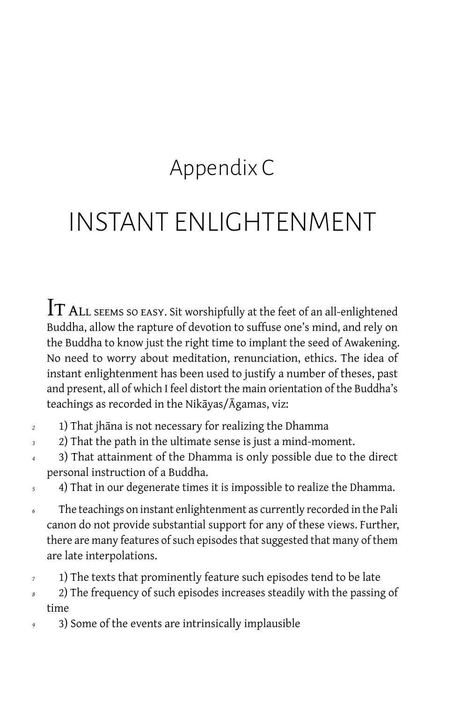## Appendix C

## INSTANT ENLIGHTENMENT

 ${\rm Tr \, ALL}$  seems so easy. Sit worshipfully at the feet of an all-enlightened Buddha, allow the rapture of devotion to suffuse one's mind, and rely on the Buddha to know just the right time to implant the seed of Awakening. No need to worry about meditation, renunciation, ethics. The idea of instant enlightenment has been used to justify a number of theses, past and present, all of which I feel distort the main orientation of the Buddha's teachings as recorded in the Nikāyas/Āgamas, viz:

- *<sup>2</sup>* 1) That jhāna is not necessary for realizing the Dhamma
- *<sup>3</sup>* 2) That the path in the ultimate sense is just a mind-moment.
- *<sup>4</sup>* 3) That attainment of the Dhamma is only possible due to the direct personal instruction of a Buddha.
- *<sup>5</sup>* 4) That in our degenerate times it is impossible to realize the Dhamma.
- *<sup>6</sup>* The teachings on instant enlightenment as currently recorded in the Pali canon do not provide substantial support for any of these views. Further, there are many features of such episodes that suggested that many of them are late interpolations.
- *<sup>7</sup>* 1) The texts that prominently feature such episodes tend to be late
- *<sup>8</sup>* 2) The frequency of such episodes increases steadily with the passing of time
- *<sup>9</sup>* 3) Some of the events are intrinsically implausible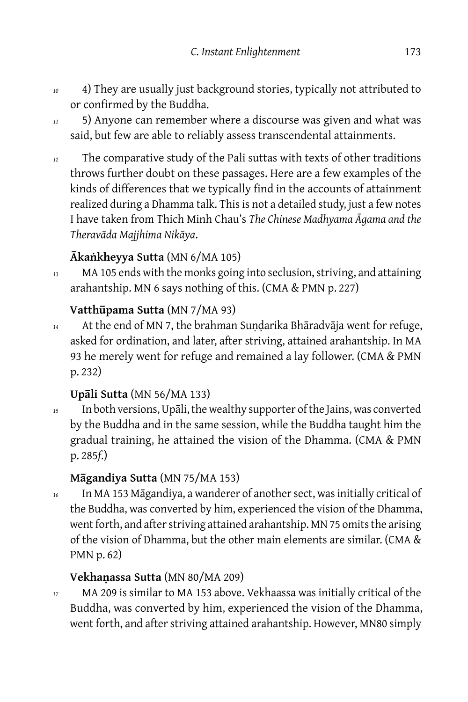- *<sup>10</sup>* 4) They are usually just background stories, typically not attributed to or confirmed by the Buddha.
- *<sup>11</sup>* 5) Anyone can remember where a discourse was given and what was said, but few are able to reliably assess transcendental attainments.
- *<sup>12</sup>* The comparative study of the Pali suttas with texts of other traditions throws further doubt on these passages. Here are a few examples of the kinds of differences that we typically find in the accounts of attainment realized during a Dhamma talk. This is not a detailed study, just a few notes I have taken from Thich Minh Chau's *The Chinese Madhyama Āgama and the Theravāda Majjhima Nikāya*.

#### **Ākaṅkheyya Sutta** (MN 6/MA 105)

*<sup>13</sup>* MA 105 ends with the monks going into seclusion, striving, and attaining arahantship. MN 6 says nothing of this. (CMA & PMN p. 227)

#### **Vatthūpama Sutta** (MN 7/MA 93)

<sup>14</sup> At the end of MN 7, the brahman Sundarika Bhāradvāja went for refuge, asked for ordination, and later, after striving, attained arahantship. In MA 93 he merely went for refuge and remained a lay follower. (CMA & PMN p. 232)

#### **Upāli Sutta** (MN 56/MA 133)

*<sup>15</sup>* In both versions, Upāli, the wealthy supporter of the Jains, was converted by the Buddha and in the same session, while the Buddha taught him the gradual training, he attained the vision of the Dhamma. (CMA & PMN p. 285*f*.)

#### **Māgandiya Sutta** (MN 75/MA 153)

*<sup>16</sup>* In MA 153 Māgandiya, a wanderer of another sect, was initially critical of the Buddha, was converted by him, experienced the vision of the Dhamma, went forth, and after striving attained arahantship. MN 75 omits the arising of the vision of Dhamma, but the other main elements are similar. (CMA & PMN p. 62)

#### **Vekhaṇassa Sutta** (MN 80/MA 209)

*<sup>17</sup>* MA 209 is similar to MA 153 above. Vekhaassa was initially critical of the Buddha, was converted by him, experienced the vision of the Dhamma, went forth, and after striving attained arahantship. However, MN80 simply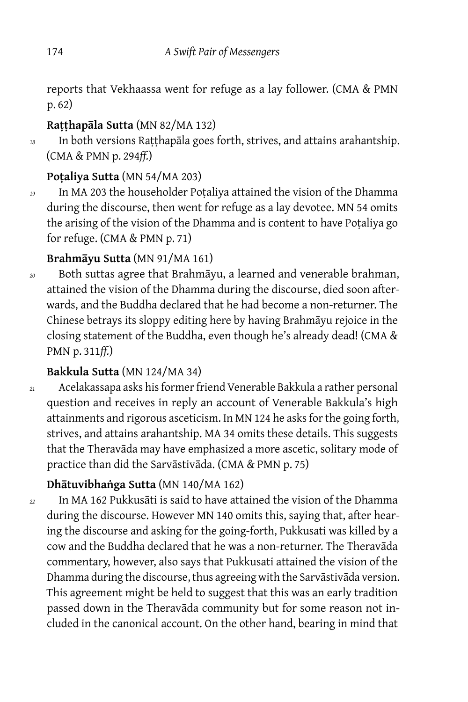reports that Vekhaassa went for refuge as a lay follower. (CMA & PMN p. 62)

#### **Raṭṭhapāla Sutta** (MN 82/MA 132)

*<sup>18</sup>* In both versions Raṭṭhapāla goes forth, strives, and attains arahantship. (CMA & PMN p. 294*ff.*)

#### **Poṭaliya Sutta** (MN 54/MA 203)

*<sup>19</sup>* In MA 203 the householder Poṭaliya attained the vision of the Dhamma during the discourse, then went for refuge as a lay devotee. MN 54 omits the arising of the vision of the Dhamma and is content to have Poṭaliya go for refuge. (CMA & PMN p. 71)

#### **Brahmāyu Sutta** (MN 91/MA 161)

*<sup>20</sup>* Both suttas agree that Brahmāyu, a learned and venerable brahman, attained the vision of the Dhamma during the discourse, died soon afterwards, and the Buddha declared that he had become a non-returner. The Chinese betrays its sloppy editing here by having Brahmāyu rejoice in the closing statement of the Buddha, even though he's already dead! (CMA & PMN p. 311*ff.*)

#### **Bakkula Sutta** (MN 124/MA 34)

*<sup>21</sup>* Acelakassapa asks his former friend Venerable Bakkula a rather personal question and receives in reply an account of Venerable Bakkula's high attainments and rigorous asceticism. In MN 124 he asks for the going forth, strives, and attains arahantship. MA 34 omits these details. This suggests that the Theravāda may have emphasized a more ascetic, solitary mode of practice than did the Sarvāstivāda. (CMA & PMN p. 75)

#### **Dhātuvibhaṅga Sutta** (MN 140/MA 162)

*<sup>22</sup>* In MA 162 Pukkusāti is said to have attained the vision of the Dhamma during the discourse. However MN 140 omits this, saying that, after hearing the discourse and asking for the going-forth, Pukkusati was killed by a cow and the Buddha declared that he was a non-returner. The Theravāda commentary, however, also says that Pukkusati attained the vision of the Dhamma during the discourse, thus agreeing with the Sarvāstivāda version. This agreement might be held to suggest that this was an early tradition passed down in the Theravāda community but for some reason not included in the canonical account. On the other hand, bearing in mind that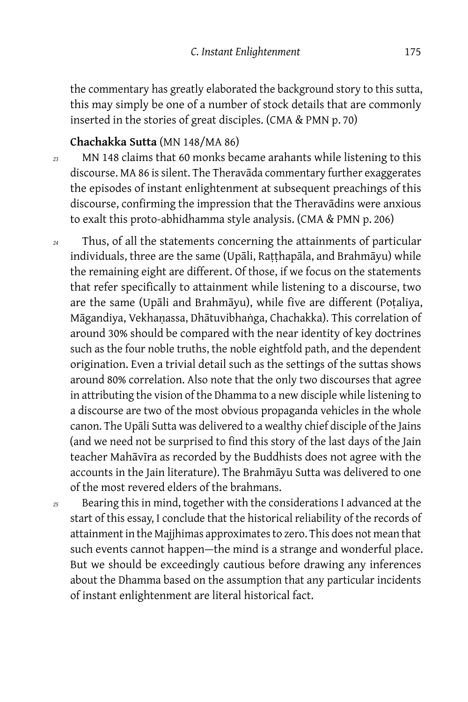the commentary has greatly elaborated the background story to this sutta, this may simply be one of a number of stock details that are commonly inserted in the stories of great disciples. (CMA & PMN p. 70)

## **Chachakka Sutta** (MN 148/MA 86)

- *<sup>23</sup>* MN 148 claims that 60 monks became arahants while listening to this discourse. MA 86 is silent. The Theravāda commentary further exaggerates the episodes of instant enlightenment at subsequent preachings of this discourse, confirming the impression that the Theravādins were anxious to exalt this proto-abhidhamma style analysis. (CMA & PMN p. 206)
- *<sup>24</sup>* Thus, of all the statements concerning the attainments of particular individuals, three are the same (Upāli, Raṭṭhapāla, and Brahmāyu) while the remaining eight are different. Of those, if we focus on the statements that refer specifically to attainment while listening to a discourse, two are the same (Upāli and Brahmāyu), while five are different (Poṭaliya, Māgandiya, Vekhaṇassa, Dhātuvibhaṅga, Chachakka). This correlation of around 30% should be compared with the near identity of key doctrines such as the four noble truths, the noble eightfold path, and the dependent origination. Even a trivial detail such as the settings of the suttas shows around 80% correlation. Also note that the only two discourses that agree in attributing the vision of the Dhamma to a new disciple while listening to a discourse are two of the most obvious propaganda vehicles in the whole canon. The Upāli Sutta was delivered to a wealthy chief disciple of the Jains (and we need not be surprised to find this story of the last days of the Jain teacher Mahāvīra as recorded by the Buddhists does not agree with the accounts in the Jain literature). The Brahmāyu Sutta was delivered to one of the most revered elders of the brahmans.
- *<sup>25</sup>* Bearing this in mind, together with the considerations I advanced at the start of this essay, I conclude that the historical reliability of the records of attainment in the Majjhimas approximates to zero. This does not mean that such events cannot happen-the mind is a strange and wonderful place. But we should be exceedingly cautious before drawing any inferences about the Dhamma based on the assumption that any particular incidents of instant enlightenment are literal historical fact.